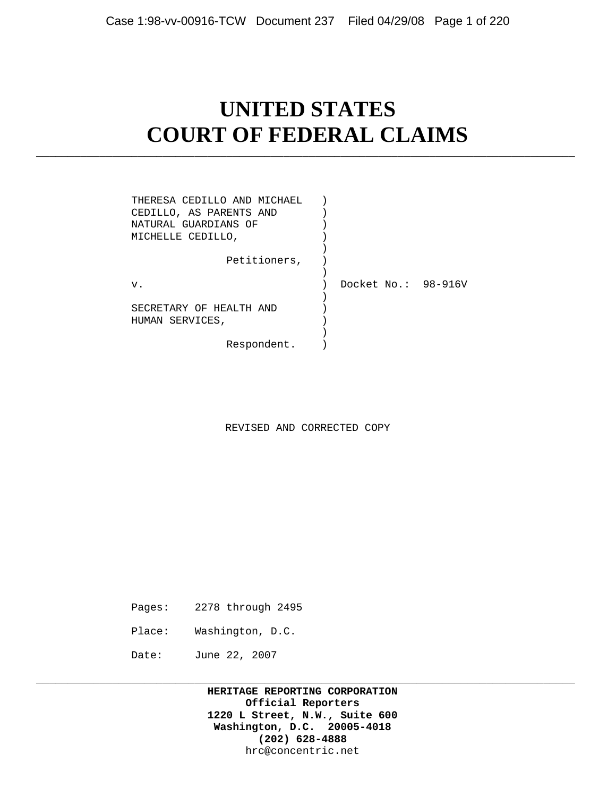# **UNITED STATES COURT OF FEDERAL CLAIMS**

\_\_\_\_\_\_\_\_\_\_\_\_\_\_\_\_\_\_\_\_\_\_\_\_\_\_\_\_\_\_\_\_\_\_\_\_\_\_\_\_\_\_\_\_\_\_\_\_\_\_\_\_\_\_\_\_\_\_\_\_\_\_\_\_\_\_\_\_\_\_\_\_\_\_\_\_\_\_\_\_\_\_\_\_\_

| THERESA CEDILLO AND MICHAEL<br>CEDILLO, AS PARENTS AND<br>NATURAL GUARDIANS OF<br>MICHELLE CEDILLO, |                     |  |
|-----------------------------------------------------------------------------------------------------|---------------------|--|
| Petitioners,                                                                                        |                     |  |
| v.                                                                                                  | Docket No.: 98-916V |  |
| SECRETARY OF HEALTH AND<br>HUMAN SERVICES,                                                          |                     |  |
| Respondent.                                                                                         |                     |  |

REVISED AND CORRECTED COPY

- Pages: 2278 through 2495
- Place: Washington, D.C.
- Date: June 22, 2007

 **HERITAGE REPORTING CORPORATION Official Reporters 1220 L Street, N.W., Suite 600 Washington, D.C. 20005-4018 (202) 628-4888** hrc@concentric.net

\_\_\_\_\_\_\_\_\_\_\_\_\_\_\_\_\_\_\_\_\_\_\_\_\_\_\_\_\_\_\_\_\_\_\_\_\_\_\_\_\_\_\_\_\_\_\_\_\_\_\_\_\_\_\_\_\_\_\_\_\_\_\_\_\_\_\_\_\_\_\_\_\_\_\_\_\_\_\_\_\_\_\_\_\_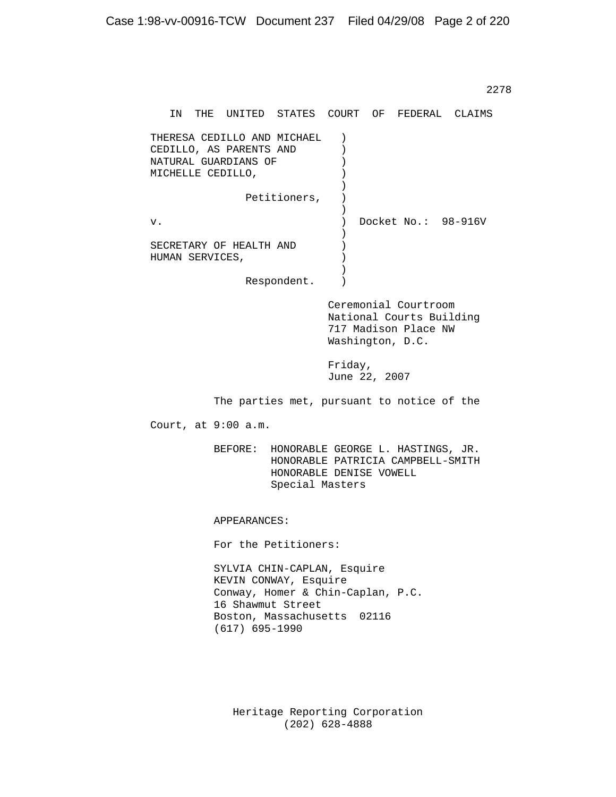2278 and the contract of the contract of the contract of the contract of the contract of the contract of the contract of the contract of the contract of the contract of the contract of the contract of the contract of the c IN THE UNITED STATES COURT OF FEDERAL CLAIMS THERESA CEDILLO AND MICHAEL )<br>CEDILLO, AS PARENTS AND ) CEDILLO, AS PARENTS AND )<br>NATURAL GUARDIANS OF ) NATURAL GUARDIANS OF  $\qquad$  )<br>MICHELLE CEDILLO, MICHELLE CEDILLO,  $)$  $)$ Petitioners, )  $)$ v. ) Docket No.: 98-916V<br>) ) and the contract of  $\mathcal{L}$  SECRETARY OF HEALTH AND ) HUMAN SERVICES,  $)$ ) and the contract of  $\mathcal{L}$  Respondent. ) Ceremonial Courtroom National Courts Building 717 Madison Place NW Washington, D.C. Friday, June 22, 2007 The parties met, pursuant to notice of the Court, at 9:00 a.m. BEFORE: HONORABLE GEORGE L. HASTINGS, JR. HONORABLE PATRICIA CAMPBELL-SMITH HONORABLE DENISE VOWELL Special Masters APPEARANCES: For the Petitioners: SYLVIA CHIN-CAPLAN, Esquire KEVIN CONWAY, Esquire Conway, Homer & Chin-Caplan, P.C. 16 Shawmut Street Boston, Massachusetts 02116 (617) 695-1990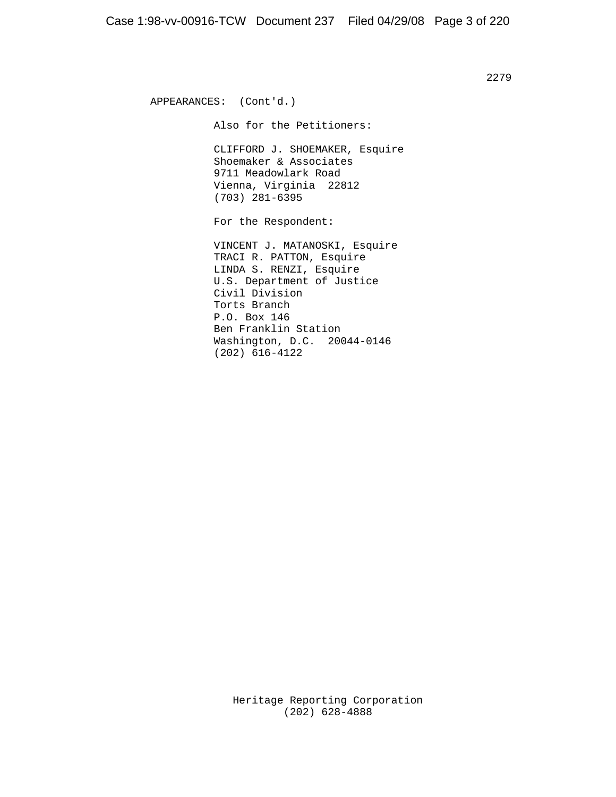APPEARANCES: (Cont'd.) Also for the Petitioners: CLIFFORD J. SHOEMAKER, Esquire Shoemaker & Associates 9711 Meadowlark Road Vienna, Virginia 22812 (703) 281-6395 For the Respondent: VINCENT J. MATANOSKI, Esquire TRACI R. PATTON, Esquire LINDA S. RENZI, Esquire U.S. Department of Justice Civil Division Torts Branch P.O. Box 146 Ben Franklin Station Washington, D.C. 20044-0146 (202) 616-4122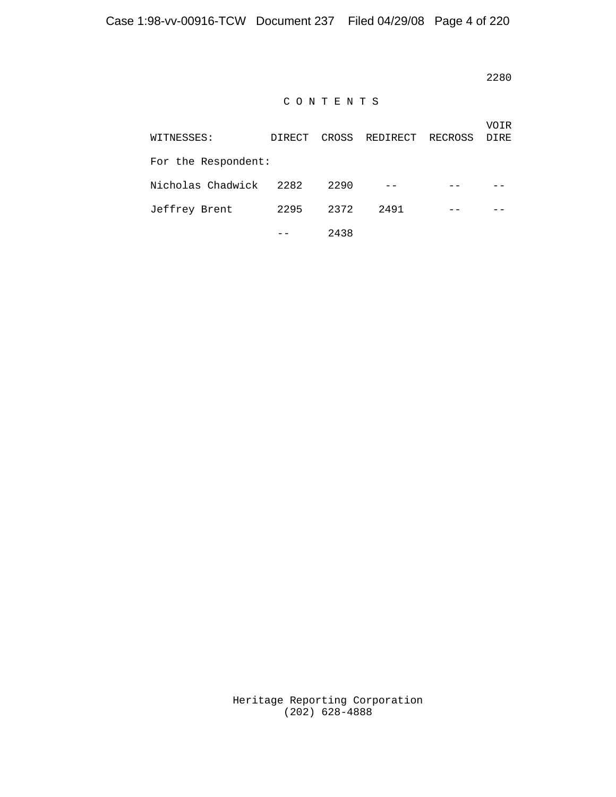2280<br>2280

# C O N T E N T S

| WITNESSES:          | DIRECT | CROSS | REDIRECT | RECROSS | VOIR<br><b>DIRE</b> |
|---------------------|--------|-------|----------|---------|---------------------|
| For the Respondent: |        |       |          |         |                     |
| Nicholas Chadwick   | 2282   | 2290  | $- -$    |         |                     |
| Jeffrey Brent       | 2295   | 2372  | 2491     |         |                     |
|                     |        | 2438  |          |         |                     |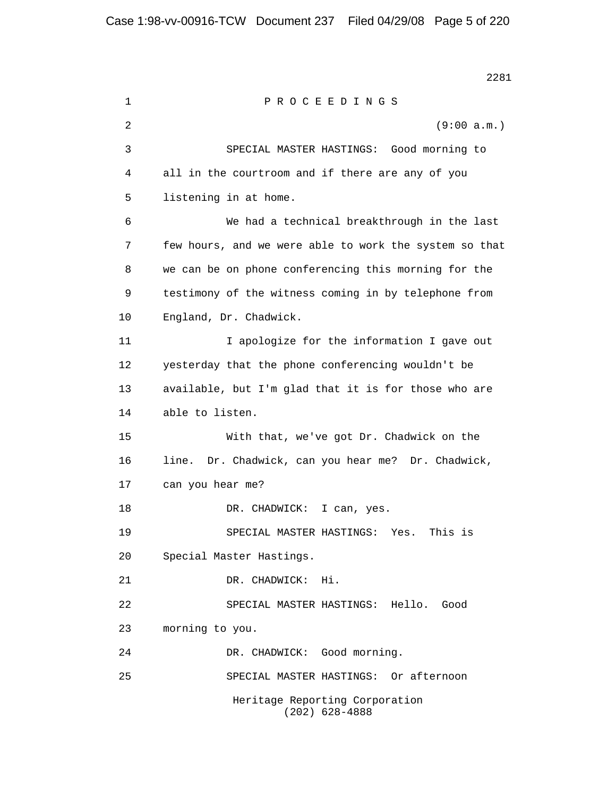2281 1 P R O C E E D I N G S 2 (9:00 a.m.) 3 SPECIAL MASTER HASTINGS: Good morning to 4 all in the courtroom and if there are any of you 5 listening in at home. 6 We had a technical breakthrough in the last 7 few hours, and we were able to work the system so that 8 we can be on phone conferencing this morning for the 9 testimony of the witness coming in by telephone from 10 England, Dr. Chadwick. 11 I apologize for the information I gave out 12 yesterday that the phone conferencing wouldn't be 13 available, but I'm glad that it is for those who are 14 able to listen. 15 With that, we've got Dr. Chadwick on the 16 line. Dr. Chadwick, can you hear me? Dr. Chadwick, 17 can you hear me? 18 DR. CHADWICK: I can, yes. 19 SPECIAL MASTER HASTINGS: Yes. This is 20 Special Master Hastings. 21 DR. CHADWICK: Hi. 22 SPECIAL MASTER HASTINGS: Hello. Good 23 morning to you. 24 DR. CHADWICK: Good morning. 25 SPECIAL MASTER HASTINGS: Or afternoon Heritage Reporting Corporation (202) 628-4888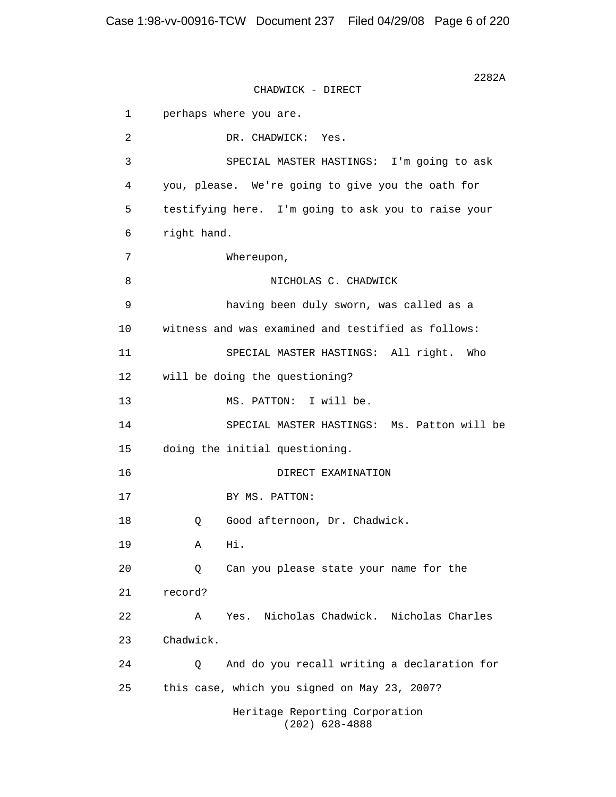$2282A$ CHADWICK - DIRECT 1 perhaps where you are. 2 DR. CHADWICK: Yes. 3 SPECIAL MASTER HASTINGS: I'm going to ask 4 you, please. We're going to give you the oath for 5 testifying here. I'm going to ask you to raise your 6 right hand. 7 Whereupon, 8 NICHOLAS C. CHADWICK 9 having been duly sworn, was called as a 10 witness and was examined and testified as follows: 11 SPECIAL MASTER HASTINGS: All right. Who 12 will be doing the questioning? 13 MS. PATTON: I will be. 14 SPECIAL MASTER HASTINGS: Ms. Patton will be 15 doing the initial questioning. 16 DIRECT EXAMINATION 17 BY MS. PATTON: 18 0 Good afternoon, Dr. Chadwick. 19 A Hi. 20 Q Can you please state your name for the 21 record? 22 A Yes. Nicholas Chadwick. Nicholas Charles 23 Chadwick. 24 Q And do you recall writing a declaration for 25 this case, which you signed on May 23, 2007? Heritage Reporting Corporation (202) 628-4888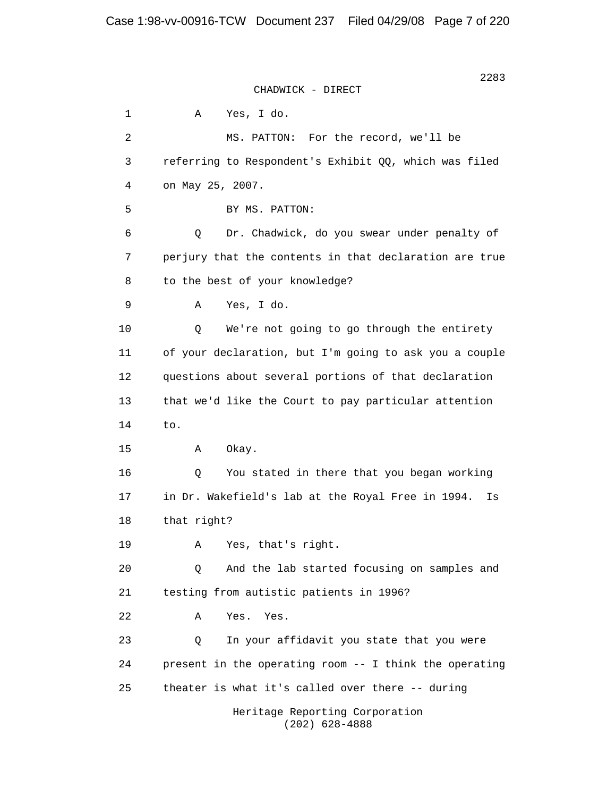1 A Yes, I do. 2 MS. PATTON: For the record, we'll be 3 referring to Respondent's Exhibit QQ, which was filed 4 on May 25, 2007. 5 BY MS. PATTON: 6 Q Dr. Chadwick, do you swear under penalty of 7 perjury that the contents in that declaration are true 8 to the best of your knowledge? 9 A Yes, I do. 10 Q We're not going to go through the entirety 11 of your declaration, but I'm going to ask you a couple 12 questions about several portions of that declaration 13 that we'd like the Court to pay particular attention 14 to. 15 A Okay. 16 Q You stated in there that you began working 17 in Dr. Wakefield's lab at the Royal Free in 1994. Is 18 that right? 19 A Yes, that's right. 20 Q And the lab started focusing on samples and 21 testing from autistic patients in 1996? 22 A Yes. Yes. 23 Q In your affidavit you state that you were 24 present in the operating room -- I think the operating 25 theater is what it's called over there -- during Heritage Reporting Corporation (202) 628-4888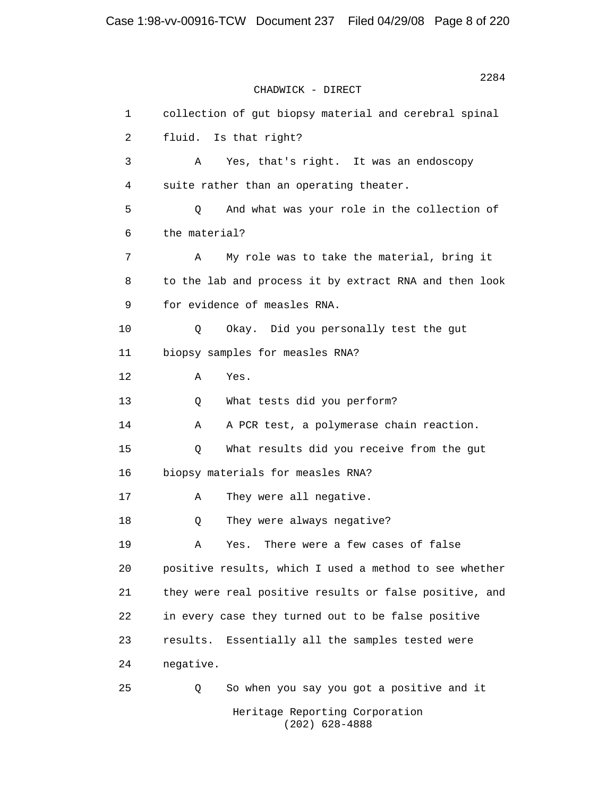2284 CHADWICK - DIRECT 1 collection of gut biopsy material and cerebral spinal 2 fluid. Is that right? 3 A Yes, that's right. It was an endoscopy 4 suite rather than an operating theater. 5 Q And what was your role in the collection of 6 the material? 7 A My role was to take the material, bring it 8 to the lab and process it by extract RNA and then look 9 for evidence of measles RNA. 10 Q Okay. Did you personally test the gut 11 biopsy samples for measles RNA? 12 A Yes. 13 Q What tests did you perform? 14 A A PCR test, a polymerase chain reaction. 15 Q What results did you receive from the gut 16 biopsy materials for measles RNA? 17 A They were all negative. 18 Q They were always negative? 19 A Yes. There were a few cases of false 20 positive results, which I used a method to see whether 21 they were real positive results or false positive, and 22 in every case they turned out to be false positive 23 results. Essentially all the samples tested were 24 negative. 25 Q So when you say you got a positive and it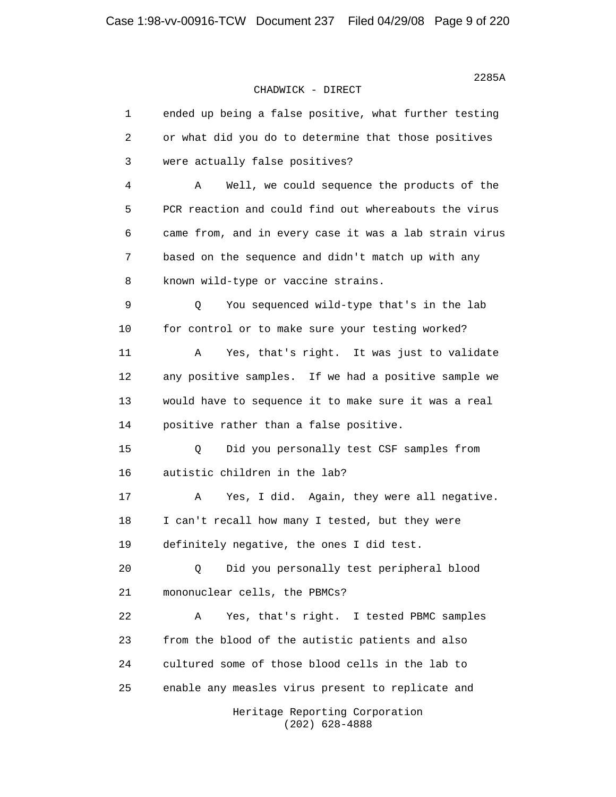en de la construcción de la construcción de la construcción de la construcción de la construcción de la construcción de la construcción de la construcción de la construcción de la construcción de la construcción de la cons

## CHADWICK - DIRECT

 1 ended up being a false positive, what further testing 2 or what did you do to determine that those positives 3 were actually false positives? 4 A Well, we could sequence the products of the 5 PCR reaction and could find out whereabouts the virus 6 came from, and in every case it was a lab strain virus 7 based on the sequence and didn't match up with any 8 known wild-type or vaccine strains. 9 Q You sequenced wild-type that's in the lab 10 for control or to make sure your testing worked? 11 A Yes, that's right. It was just to validate 12 any positive samples. If we had a positive sample we 13 would have to sequence it to make sure it was a real 14 positive rather than a false positive. 15 Q Did you personally test CSF samples from 16 autistic children in the lab? 17 A Yes, I did. Again, they were all negative. 18 I can't recall how many I tested, but they were 19 definitely negative, the ones I did test. 20 Q Did you personally test peripheral blood 21 mononuclear cells, the PBMCs? 22 A Yes, that's right. I tested PBMC samples 23 from the blood of the autistic patients and also 24 cultured some of those blood cells in the lab to 25 enable any measles virus present to replicate and Heritage Reporting Corporation

(202) 628-4888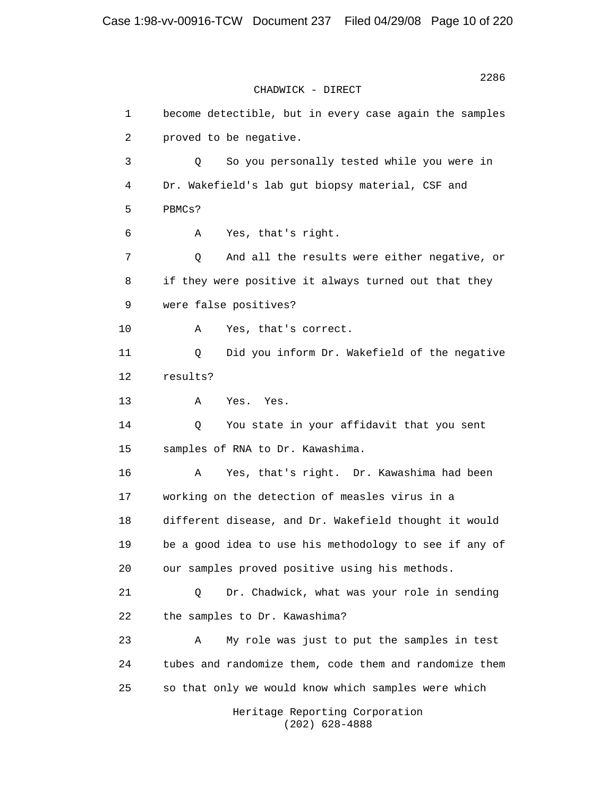> 1 become detectible, but in every case again the samples 2 proved to be negative. 3 Q So you personally tested while you were in 4 Dr. Wakefield's lab gut biopsy material, CSF and 5 PBMCs? 6 A Yes, that's right. 7 Q And all the results were either negative, or 8 if they were positive it always turned out that they 9 were false positives? 10 A Yes, that's correct. 11 Q Did you inform Dr. Wakefield of the negative 12 results? 13 A Yes. Yes. 14 Q You state in your affidavit that you sent 15 samples of RNA to Dr. Kawashima. 16 A Yes, that's right. Dr. Kawashima had been 17 working on the detection of measles virus in a 18 different disease, and Dr. Wakefield thought it would 19 be a good idea to use his methodology to see if any of 20 our samples proved positive using his methods. 21 Q Dr. Chadwick, what was your role in sending 22 the samples to Dr. Kawashima? 23 A My role was just to put the samples in test 24 tubes and randomize them, code them and randomize them 25 so that only we would know which samples were which Heritage Reporting Corporation

(202) 628-4888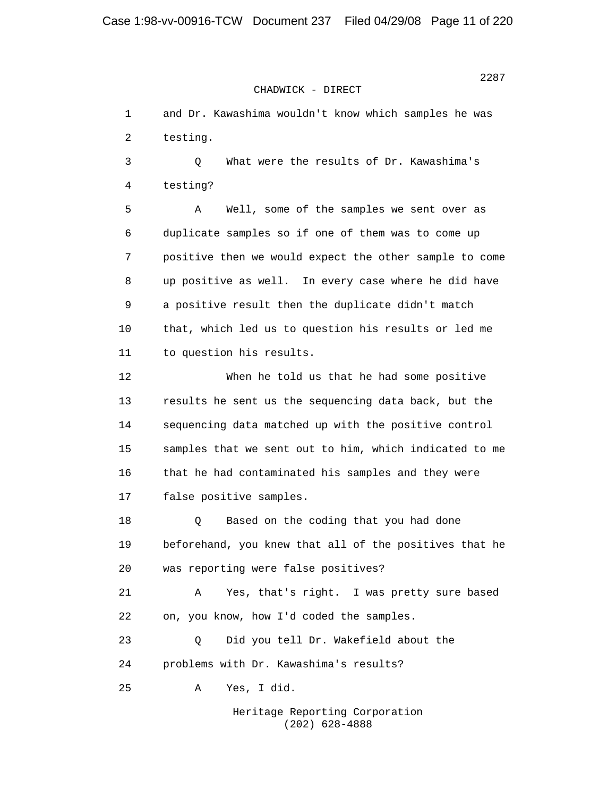1 and Dr. Kawashima wouldn't know which samples he was 2 testing. 3 Q What were the results of Dr. Kawashima's 4 testing? 5 A Well, some of the samples we sent over as 6 duplicate samples so if one of them was to come up

 7 positive then we would expect the other sample to come 8 up positive as well. In every case where he did have 9 a positive result then the duplicate didn't match 10 that, which led us to question his results or led me 11 to question his results. 12 When he told us that he had some positive 13 results he sent us the sequencing data back, but the 14 sequencing data matched up with the positive control

 15 samples that we sent out to him, which indicated to me 16 that he had contaminated his samples and they were 17 false positive samples.

18 0 Based on the coding that you had done 19 beforehand, you knew that all of the positives that he 20 was reporting were false positives?

 21 A Yes, that's right. I was pretty sure based 22 on, you know, how I'd coded the samples.

 23 Q Did you tell Dr. Wakefield about the 24 problems with Dr. Kawashima's results?

25 A Yes, I did.

 Heritage Reporting Corporation (202) 628-4888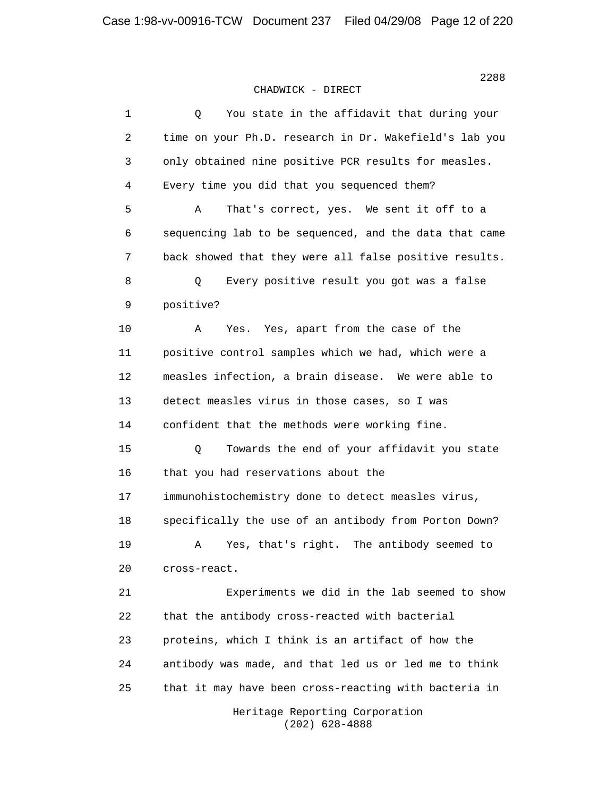| $1\,$ | You state in the affidavit that during your<br>Q       |
|-------|--------------------------------------------------------|
| 2     | time on your Ph.D. research in Dr. Wakefield's lab you |
| 3     | only obtained nine positive PCR results for measles.   |
| 4     | Every time you did that you sequenced them?            |
| 5     | Α<br>That's correct, yes. We sent it off to a          |
| 6     | sequencing lab to be sequenced, and the data that came |
| 7     | back showed that they were all false positive results. |
| 8     | Every positive result you got was a false<br>Q         |
| 9     | positive?                                              |
| 10    | Yes, apart from the case of the<br>Α<br>Yes.           |
| 11    | positive control samples which we had, which were a    |
| 12    | measles infection, a brain disease. We were able to    |
| 13    | detect measles virus in those cases, so I was          |
| 14    | confident that the methods were working fine.          |
| 15    | Towards the end of your affidavit you state<br>Q       |
| 16    | that you had reservations about the                    |
| 17    | immunohistochemistry done to detect measles virus,     |
| 18    | specifically the use of an antibody from Porton Down?  |
| 19    | Yes, that's right.<br>The antibody seemed to<br>Α      |
| 20    | cross-react.                                           |
| 21    | Experiments we did in the lab seemed to show           |
| 22    | that the antibody cross-reacted with bacterial         |
| 23    | proteins, which I think is an artifact of how the      |
| 24    | antibody was made, and that led us or led me to think  |
| 25    | that it may have been cross-reacting with bacteria in  |
|       | Heritage Reporting Corporation                         |

(202) 628-4888

2288 and 2288 and 2288 and 2288 and 2288 and 2288 and 2288 and 2288 and 2288 and 2288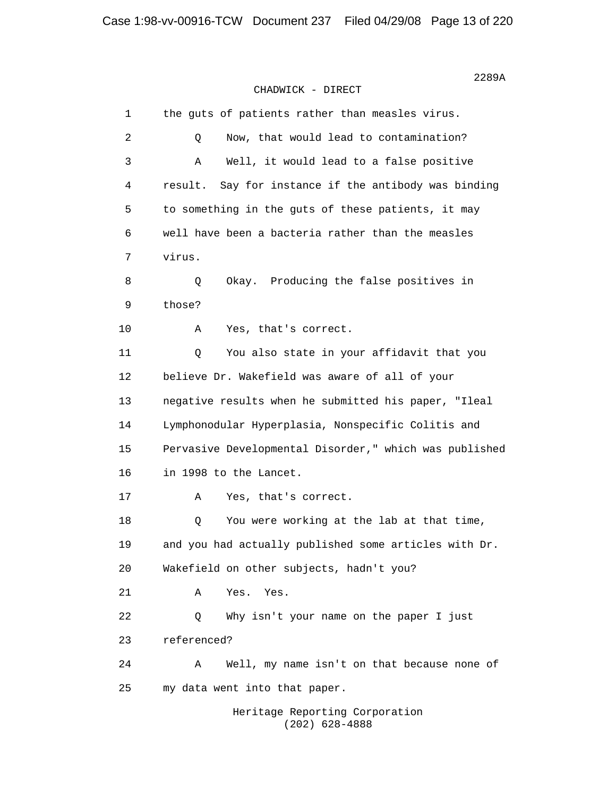| $\mathbf 1$ | the guts of patients rather than measles virus.         |
|-------------|---------------------------------------------------------|
| 2           | Now, that would lead to contamination?<br>Q             |
| 3           | Well, it would lead to a false positive<br>Α            |
| 4           | Say for instance if the antibody was binding<br>result. |
| 5           | to something in the guts of these patients, it may      |
| 6           | well have been a bacteria rather than the measles       |
| 7           | virus.                                                  |
| 8           | Producing the false positives in<br>Q<br>Okay.          |
| $\mathsf 9$ | those?                                                  |
| 10          | Yes, that's correct.<br>Α                               |
| 11          | Q<br>You also state in your affidavit that you          |
| 12          | believe Dr. Wakefield was aware of all of your          |
| 13          | negative results when he submitted his paper, "Ileal    |
| 14          | Lymphonodular Hyperplasia, Nonspecific Colitis and      |
| 15          | Pervasive Developmental Disorder," which was published  |
| 16          | in 1998 to the Lancet.                                  |
| 17          | Yes, that's correct.<br>Α                               |
| 18          | You were working at the lab at that time,<br>Q          |
| 19          | and you had actually published some articles with Dr.   |
| 20          | Wakefield on other subjects, hadn't you?                |
| 21          | Α<br>Yes.<br>Yes.                                       |
| 22          | Why isn't your name on the paper I just<br>Q            |
| 23          | referenced?                                             |
| 24          | Well, my name isn't on that because none of<br>Α        |
| 25          | my data went into that paper.                           |
|             | Heritage Reporting Corporation                          |

(202) 628-4888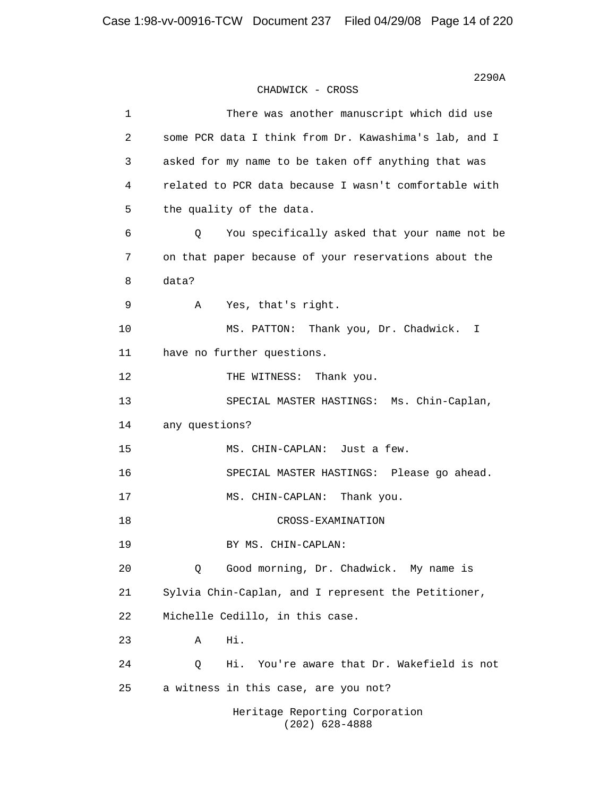$2290\texttt{A}$ CHADWICK - CROSS 1 There was another manuscript which did use 2 some PCR data I think from Dr. Kawashima's lab, and I 3 asked for my name to be taken off anything that was 4 related to PCR data because I wasn't comfortable with 5 the quality of the data. 6 Q You specifically asked that your name not be 7 on that paper because of your reservations about the 8 data? 9 A Yes, that's right. 10 MS. PATTON: Thank you, Dr. Chadwick. I 11 have no further questions. 12 THE WITNESS: Thank you. 13 SPECIAL MASTER HASTINGS: Ms. Chin-Caplan, 14 any questions? 15 MS. CHIN-CAPLAN: Just a few. 16 SPECIAL MASTER HASTINGS: Please go ahead. 17 MS. CHIN-CAPLAN: Thank you. 18 CROSS-EXAMINATION 19 BY MS. CHIN-CAPLAN: 20 Q Good morning, Dr. Chadwick. My name is 21 Sylvia Chin-Caplan, and I represent the Petitioner, 22 Michelle Cedillo, in this case. 23 A Hi. 24 Q Hi. You're aware that Dr. Wakefield is not 25 a witness in this case, are you not? Heritage Reporting Corporation (202) 628-4888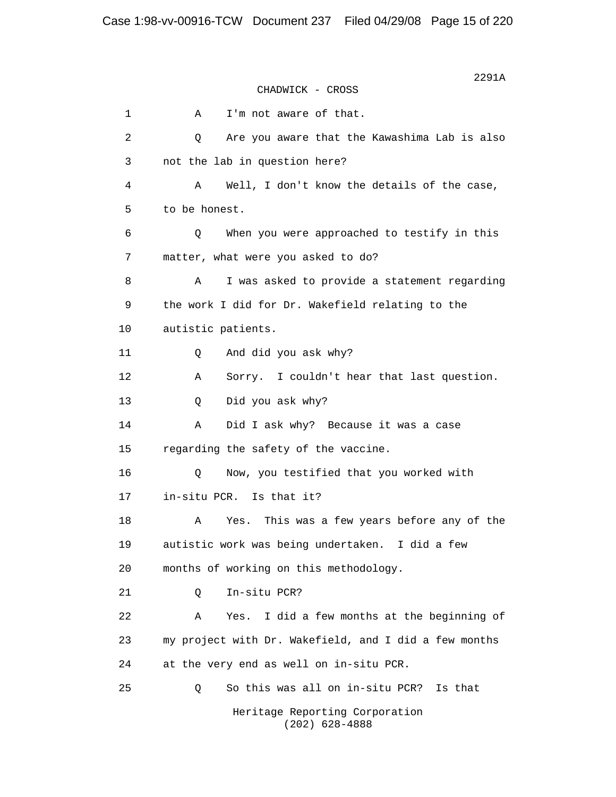$2291A$ CHADWICK - CROSS 1 A I'm not aware of that. 2 Q Are you aware that the Kawashima Lab is also 3 not the lab in question here? 4 A Well, I don't know the details of the case, 5 to be honest. 6 Q When you were approached to testify in this 7 matter, what were you asked to do? 8 A I was asked to provide a statement regarding 9 the work I did for Dr. Wakefield relating to the 10 autistic patients. 11 Q And did you ask why? 12 A Sorry. I couldn't hear that last question. 13 Q Did you ask why? 14 A Did I ask why? Because it was a case 15 regarding the safety of the vaccine. 16 Q Now, you testified that you worked with 17 in-situ PCR. Is that it? 18 A Yes. This was a few years before any of the 19 autistic work was being undertaken. I did a few 20 months of working on this methodology. 21 Q In-situ PCR? 22 A Yes. I did a few months at the beginning of 23 my project with Dr. Wakefield, and I did a few months 24 at the very end as well on in-situ PCR. 25 Q So this was all on in-situ PCR? Is that Heritage Reporting Corporation (202) 628-4888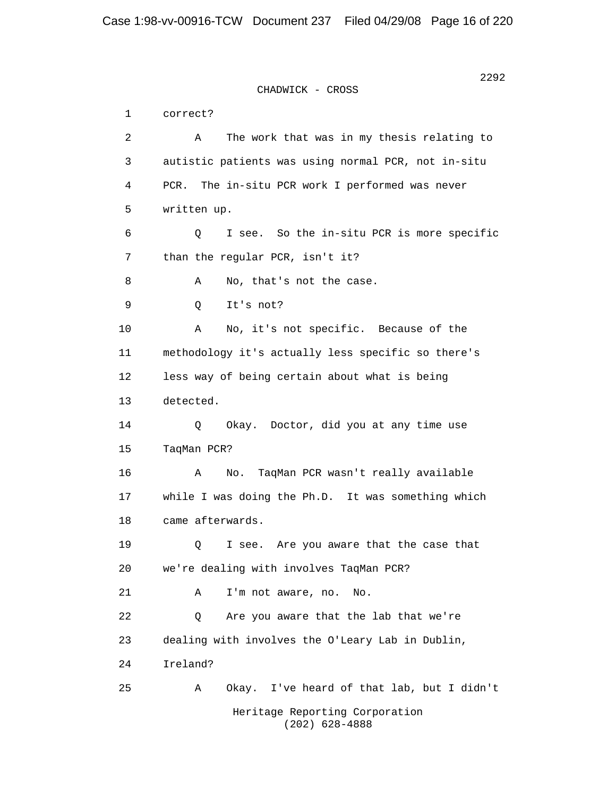2292 CHADWICK - CROSS 1 correct? 2 A The work that was in my thesis relating to 3 autistic patients was using normal PCR, not in-situ 4 PCR. The in-situ PCR work I performed was never 5 written up. 6 Q I see. So the in-situ PCR is more specific 7 than the regular PCR, isn't it? 8 A No, that's not the case. 9 Q It's not? 10 A No, it's not specific. Because of the 11 methodology it's actually less specific so there's 12 less way of being certain about what is being 13 detected. 14 Q Okay. Doctor, did you at any time use 15 TaqMan PCR? 16 A No. TaqMan PCR wasn't really available 17 while I was doing the Ph.D. It was something which 18 came afterwards. 19 Q I see. Are you aware that the case that 20 we're dealing with involves TaqMan PCR? 21 A I'm not aware, no. No. 22 Q Are you aware that the lab that we're 23 dealing with involves the O'Leary Lab in Dublin, 24 Ireland? 25 A Okay. I've heard of that lab, but I didn't Heritage Reporting Corporation (202) 628-4888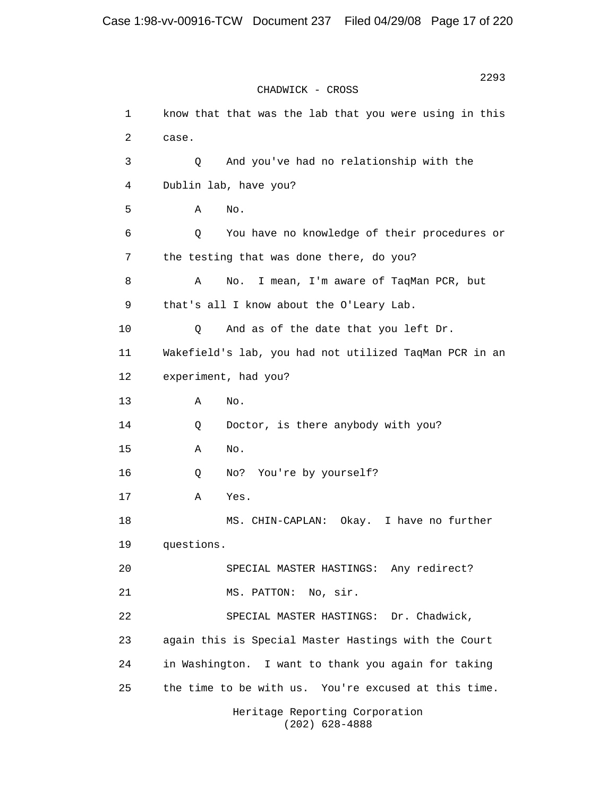2293 CHADWICK - CROSS 1 know that that was the lab that you were using in this 2 case. 3 Q And you've had no relationship with the 4 Dublin lab, have you?  $5$  A No. 6 Q You have no knowledge of their procedures or 7 the testing that was done there, do you? 8 A No. I mean, I'm aware of TaqMan PCR, but 9 that's all I know about the O'Leary Lab. 10 Q And as of the date that you left Dr. 11 Wakefield's lab, you had not utilized TaqMan PCR in an 12 experiment, had you? 13 A No. 14 Q Doctor, is there anybody with you? 15 A No. 16 Q No? You're by yourself? 17 A Yes. 18 MS. CHIN-CAPLAN: Okay. I have no further 19 questions. 20 SPECIAL MASTER HASTINGS: Any redirect? 21 MS. PATTON: No, sir. 22 SPECIAL MASTER HASTINGS: Dr. Chadwick, 23 again this is Special Master Hastings with the Court 24 in Washington. I want to thank you again for taking 25 the time to be with us. You're excused at this time. Heritage Reporting Corporation

(202) 628-4888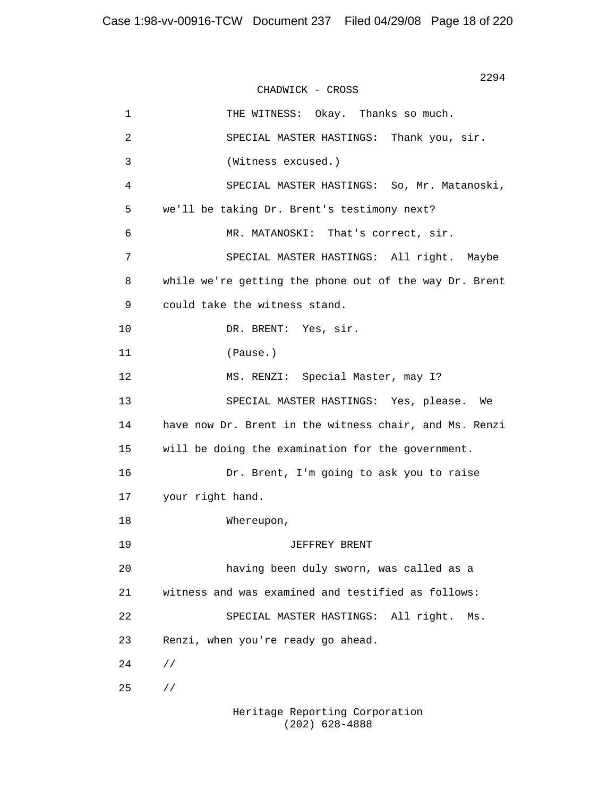2294 CHADWICK - CROSS 1 THE WITNESS: Okay. Thanks so much. 2 SPECIAL MASTER HASTINGS: Thank you, sir. 3 (Witness excused.) 4 SPECIAL MASTER HASTINGS: So, Mr. Matanoski, 5 we'll be taking Dr. Brent's testimony next? 6 MR. MATANOSKI: That's correct, sir. 7 SPECIAL MASTER HASTINGS: All right. Maybe 8 while we're getting the phone out of the way Dr. Brent 9 could take the witness stand. 10 DR. BRENT: Yes, sir. 11 (Pause.) 12 MS. RENZI: Special Master, may I? 13 SPECIAL MASTER HASTINGS: Yes, please. We 14 have now Dr. Brent in the witness chair, and Ms. Renzi 15 will be doing the examination for the government. 16 Dr. Brent, I'm going to ask you to raise 17 your right hand. 18 Whereupon, 19 JEFFREY BRENT 20 having been duly sworn, was called as a 21 witness and was examined and testified as follows: 22 SPECIAL MASTER HASTINGS: All right. Ms. 23 Renzi, when you're ready go ahead.  $24$  //  $25$  //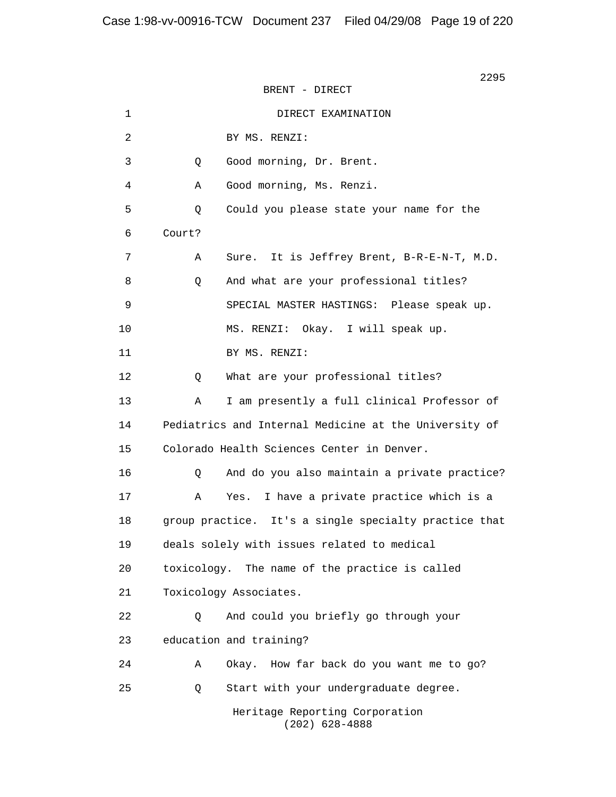2295 **2295** BRENT - DIRECT 1 DIRECT EXAMINATION 2 BY MS. RENZI: 3 Q Good morning, Dr. Brent. 4 A Good morning, Ms. Renzi. 5 Q Could you please state your name for the 6 Court? 7 A Sure. It is Jeffrey Brent, B-R-E-N-T, M.D. 8 Q And what are your professional titles? 9 SPECIAL MASTER HASTINGS: Please speak up. 10 MS. RENZI: Okay. I will speak up. 11 BY MS. RENZI: 12 Q What are your professional titles? 13 A I am presently a full clinical Professor of 14 Pediatrics and Internal Medicine at the University of 15 Colorado Health Sciences Center in Denver. 16 Q And do you also maintain a private practice? 17 A Yes. I have a private practice which is a 18 group practice. It's a single specialty practice that 19 deals solely with issues related to medical 20 toxicology. The name of the practice is called 21 Toxicology Associates. 22 Q And could you briefly go through your 23 education and training? 24 A Okay. How far back do you want me to go? 25 Q Start with your undergraduate degree. Heritage Reporting Corporation (202) 628-4888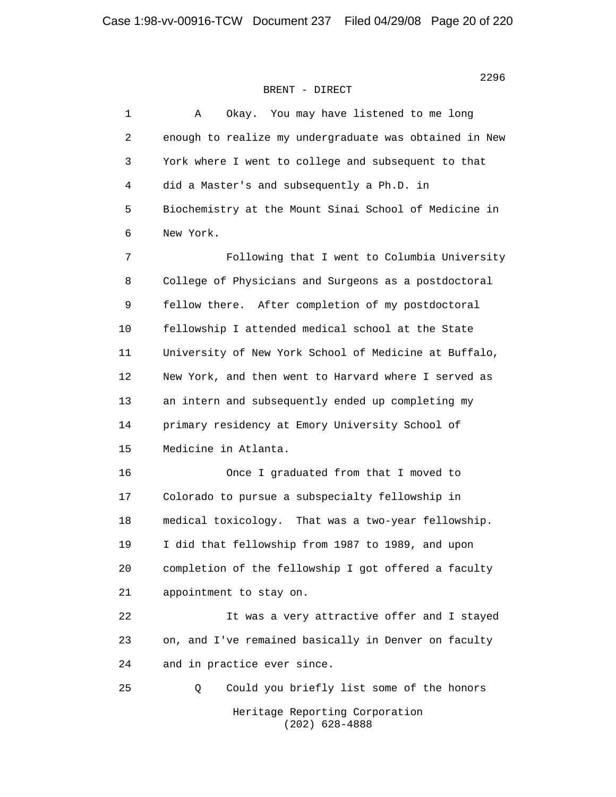| $\mathbf{1}$ | Okay. You may have listened to me long<br>Α            |
|--------------|--------------------------------------------------------|
| 2            | enough to realize my undergraduate was obtained in New |
| 3            | York where I went to college and subsequent to that    |
| 4            | did a Master's and subsequently a Ph.D. in             |
| 5            | Biochemistry at the Mount Sinai School of Medicine in  |
| 6            | New York.                                              |
| 7            | Following that I went to Columbia University           |
| 8            | College of Physicians and Surgeons as a postdoctoral   |
| 9            | fellow there. After completion of my postdoctoral      |
| 10           | fellowship I attended medical school at the State      |
| 11           | University of New York School of Medicine at Buffalo,  |
| 12           | New York, and then went to Harvard where I served as   |
| 13           | an intern and subsequently ended up completing my      |
| 14           | primary residency at Emory University School of        |
| 15           | Medicine in Atlanta.                                   |
| 16           | Once I graduated from that I moved to                  |
| 17           | Colorado to pursue a subspecialty fellowship in        |
| 18           | medical toxicology. That was a two-year fellowship.    |
| 19           | I did that fellowship from 1987 to 1989, and upon      |
| 20           | completion of the fellowship I got offered a faculty   |
| 21           | appointment to stay on.                                |
| 22           | It was a very attractive offer and I stayed            |
| 23           | on, and I've remained basically in Denver on faculty   |
| 24           | and in practice ever since.                            |
| 25           | Could you briefly list some of the honors<br>Q         |
|              | Heritage Reporting Corporation<br>$(202)$ 628-4888     |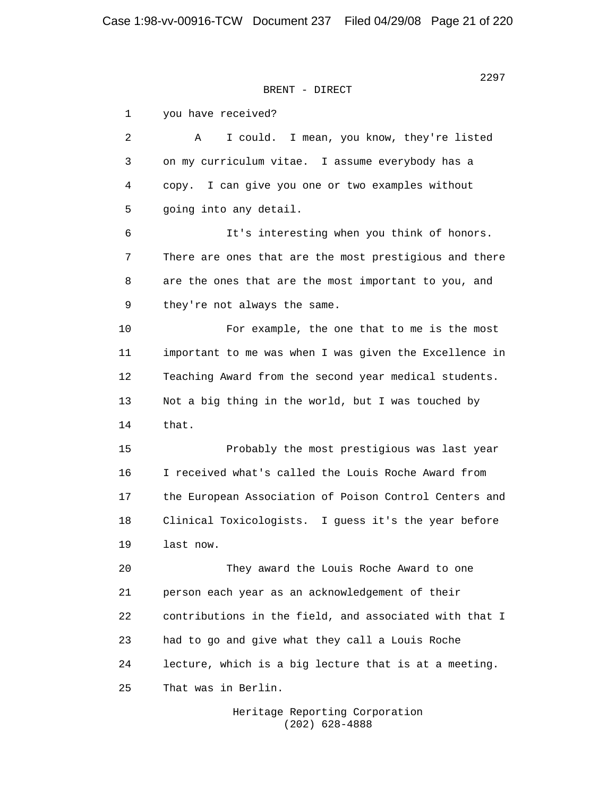<u>2297 година в селото на селото на селото на селото на селото на селото на селото на селото на селото на селото</u>

 1 you have received? 2 A I could. I mean, you know, they're listed 3 on my curriculum vitae. I assume everybody has a 4 copy. I can give you one or two examples without 5 going into any detail. 6 It's interesting when you think of honors. 7 There are ones that are the most prestigious and there 8 are the ones that are the most important to you, and 9 they're not always the same. 10 For example, the one that to me is the most 11 important to me was when I was given the Excellence in 12 Teaching Award from the second year medical students. 13 Not a big thing in the world, but I was touched by 14 that. 15 Probably the most prestigious was last year 16 I received what's called the Louis Roche Award from 17 the European Association of Poison Control Centers and 18 Clinical Toxicologists. I guess it's the year before 19 last now. 20 They award the Louis Roche Award to one 21 person each year as an acknowledgement of their 22 contributions in the field, and associated with that I 23 had to go and give what they call a Louis Roche 24 lecture, which is a big lecture that is at a meeting. 25 That was in Berlin.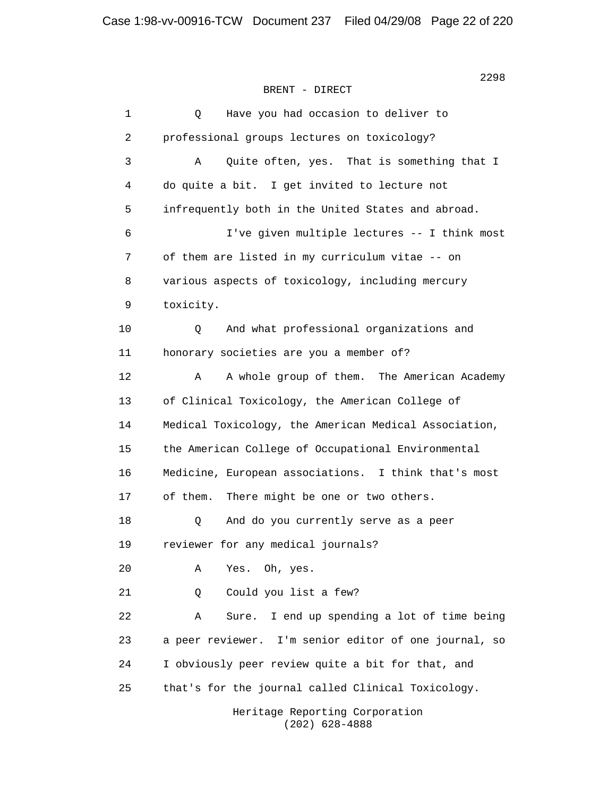1 Q Have you had occasion to deliver to 2 professional groups lectures on toxicology? 3 A Quite often, yes. That is something that I 4 do quite a bit. I get invited to lecture not 5 infrequently both in the United States and abroad. 6 I've given multiple lectures -- I think most 7 of them are listed in my curriculum vitae -- on 8 various aspects of toxicology, including mercury 9 toxicity. 10 Q And what professional organizations and 11 honorary societies are you a member of? 12 A A whole group of them. The American Academy 13 of Clinical Toxicology, the American College of 14 Medical Toxicology, the American Medical Association, 15 the American College of Occupational Environmental 16 Medicine, European associations. I think that's most 17 of them. There might be one or two others. 18 Q And do you currently serve as a peer 19 reviewer for any medical journals? 20 A Yes. Oh, yes. 21 Q Could you list a few? 22 A Sure. I end up spending a lot of time being 23 a peer reviewer. I'm senior editor of one journal, so 24 I obviously peer review quite a bit for that, and 25 that's for the journal called Clinical Toxicology.

 Heritage Reporting Corporation (202) 628-4888

2298 and 2298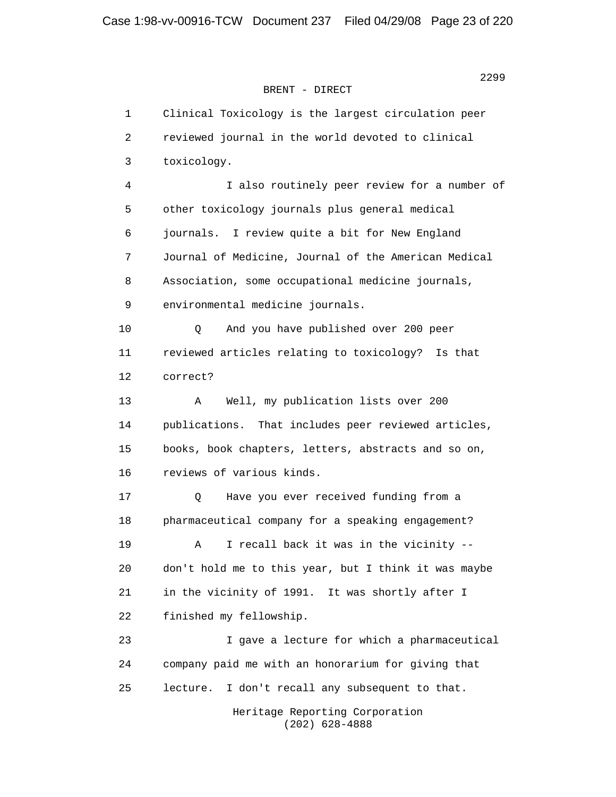1 Clinical Toxicology is the largest circulation peer 2 reviewed journal in the world devoted to clinical 3 toxicology. 4 I also routinely peer review for a number of 5 other toxicology journals plus general medical 6 journals. I review quite a bit for New England 7 Journal of Medicine, Journal of the American Medical 8 Association, some occupational medicine journals, 9 environmental medicine journals. 10 Q And you have published over 200 peer 11 reviewed articles relating to toxicology? Is that 12 correct? 13 A Well, my publication lists over 200 14 publications. That includes peer reviewed articles, 15 books, book chapters, letters, abstracts and so on, 16 reviews of various kinds. 17 Q Have you ever received funding from a 18 pharmaceutical company for a speaking engagement? 19 A I recall back it was in the vicinity -- 20 don't hold me to this year, but I think it was maybe 21 in the vicinity of 1991. It was shortly after I 22 finished my fellowship. 23 I gave a lecture for which a pharmaceutical 24 company paid me with an honorarium for giving that 25 lecture. I don't recall any subsequent to that. Heritage Reporting Corporation (202) 628-4888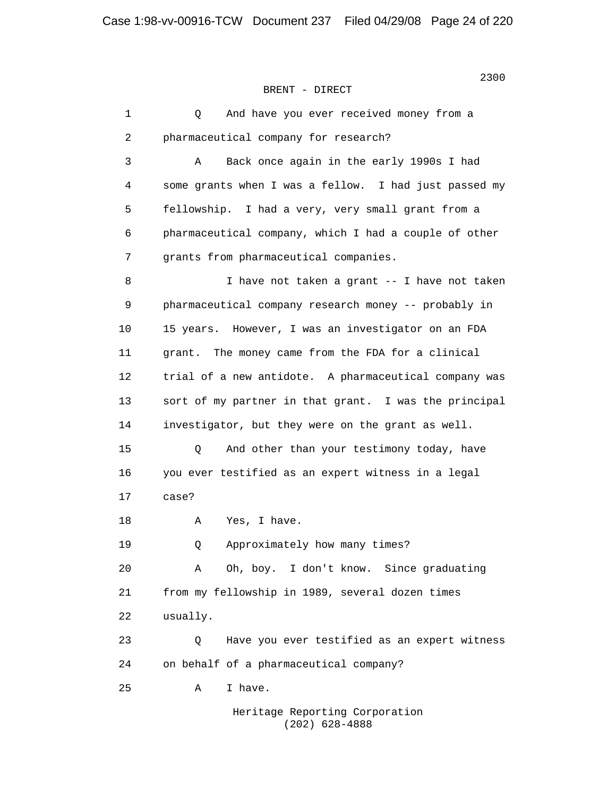| $\mathbf{1}$   | And have you ever received money from a<br>Q          |
|----------------|-------------------------------------------------------|
| 2              | pharmaceutical company for research?                  |
| 3              | Α<br>Back once again in the early 1990s I had         |
| $\overline{4}$ | some grants when I was a fellow. I had just passed my |
| 5              | fellowship. I had a very, very small grant from a     |
| 6              | pharmaceutical company, which I had a couple of other |
| 7              | grants from pharmaceutical companies.                 |
| 8              | I have not taken a grant -- I have not taken          |
| $\mathsf 9$    | pharmaceutical company research money -- probably in  |
| 10             | 15 years. However, I was an investigator on an FDA    |
| 11             | The money came from the FDA for a clinical<br>grant.  |
| 12             | trial of a new antidote. A pharmaceutical company was |
| 13             | sort of my partner in that grant. I was the principal |
| 14             | investigator, but they were on the grant as well.     |
| 15             | And other than your testimony today, have<br>Q        |
| 16             | you ever testified as an expert witness in a legal    |
| 17             | case?                                                 |
| 18             | Yes, I have.<br>Α                                     |
| 19             | Approximately how many times?<br>Q                    |
| 20             | Oh, boy. I don't know. Since graduating<br>Α          |
| 21             | from my fellowship in 1989, several dozen times       |
| 22             | usually.                                              |
| 23             | Have you ever testified as an expert witness<br>Q     |
| 24             | on behalf of a pharmaceutical company?                |
| 25             | I have.<br>Α                                          |
|                | Heritage Reporting Corporation                        |

(202) 628-4888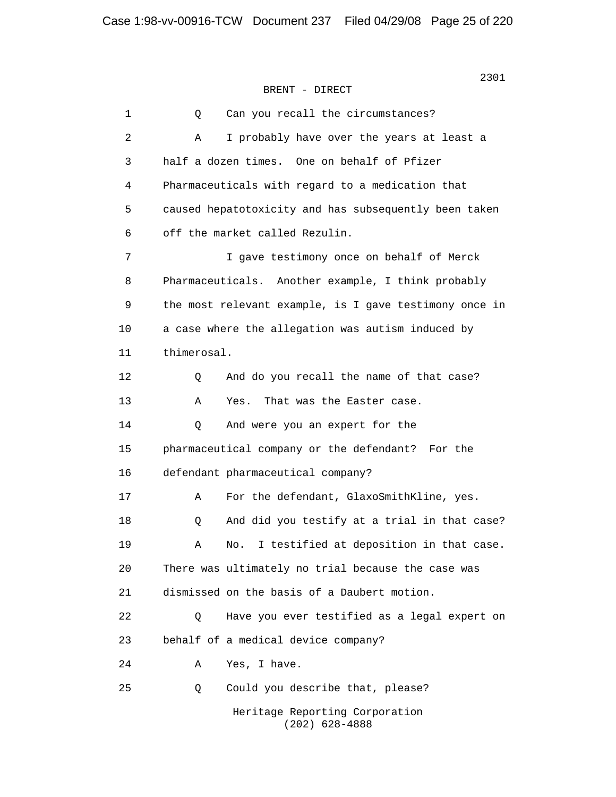1 0 Can you recall the circumstances? 2 A I probably have over the years at least a 3 half a dozen times. One on behalf of Pfizer 4 Pharmaceuticals with regard to a medication that 5 caused hepatotoxicity and has subsequently been taken 6 off the market called Rezulin. 7 I gave testimony once on behalf of Merck 8 Pharmaceuticals. Another example, I think probably 9 the most relevant example, is I gave testimony once in 10 a case where the allegation was autism induced by 11 thimerosal. 12 Q And do you recall the name of that case? 13 A Yes. That was the Easter case. 14 Q And were you an expert for the 15 pharmaceutical company or the defendant? For the 16 defendant pharmaceutical company? 17 A For the defendant, GlaxoSmithKline, yes. 18 Q And did you testify at a trial in that case? 19 A No. I testified at deposition in that case. 20 There was ultimately no trial because the case was 21 dismissed on the basis of a Daubert motion. 22 Q Have you ever testified as a legal expert on 23 behalf of a medical device company? 24 A Yes, I have. 25 Q Could you describe that, please? Heritage Reporting Corporation (202) 628-4888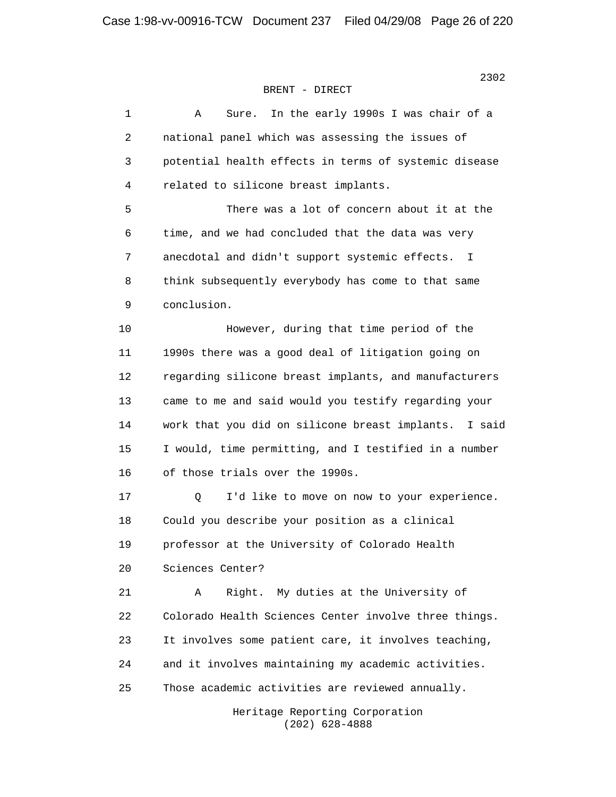| 1  | In the early 1990s I was chair of a<br>Α<br>Sure.        |
|----|----------------------------------------------------------|
| 2  | national panel which was assessing the issues of         |
| 3  | potential health effects in terms of systemic disease    |
| 4  | related to silicone breast implants.                     |
| 5  | There was a lot of concern about it at the               |
| 6  | time, and we had concluded that the data was very        |
| 7  | anecdotal and didn't support systemic effects.<br>I.     |
| 8  | think subsequently everybody has come to that same       |
| 9  | conclusion.                                              |
| 10 | However, during that time period of the                  |
| 11 | 1990s there was a good deal of litigation going on       |
| 12 | regarding silicone breast implants, and manufacturers    |
| 13 | came to me and said would you testify regarding your     |
| 14 | work that you did on silicone breast implants.<br>I said |
| 15 | I would, time permitting, and I testified in a number    |
| 16 | of those trials over the 1990s.                          |
| 17 | I'd like to move on now to your experience.<br>Q         |
| 18 | Could you describe your position as a clinical           |
| 19 | professor at the University of Colorado Health           |
| 20 | Sciences Center?                                         |
| 21 | My duties at the University of<br>Α<br>Right.            |
| 22 | Colorado Health Sciences Center involve three things.    |
| 23 | It involves some patient care, it involves teaching,     |
| 24 | and it involves maintaining my academic activities.      |
| 25 | Those academic activities are reviewed annually.         |
|    | Heritage Reporting Corporation                           |

 $(202)$  628-4888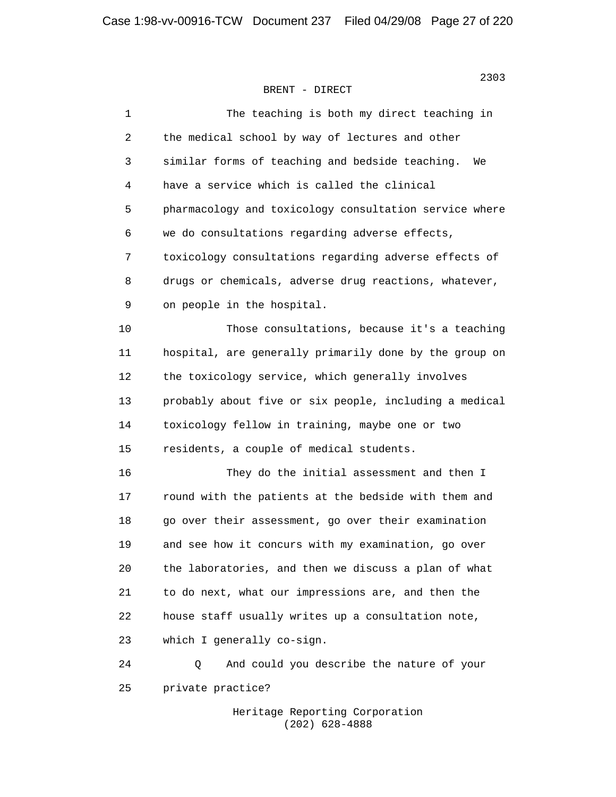| 1  | The teaching is both my direct teaching in             |
|----|--------------------------------------------------------|
| 2  | the medical school by way of lectures and other        |
| 3  | similar forms of teaching and bedside teaching.<br>We  |
| 4  | have a service which is called the clinical            |
| 5  | pharmacology and toxicology consultation service where |
| 6  | we do consultations regarding adverse effects,         |
| 7  | toxicology consultations regarding adverse effects of  |
| 8  | drugs or chemicals, adverse drug reactions, whatever,  |
| 9  | on people in the hospital.                             |
| 10 | Those consultations, because it's a teaching           |
| 11 | hospital, are generally primarily done by the group on |
| 12 | the toxicology service, which generally involves       |
| 13 | probably about five or six people, including a medical |
| 14 | toxicology fellow in training, maybe one or two        |
| 15 | residents, a couple of medical students.               |
| 16 | They do the initial assessment and then I              |
| 17 | round with the patients at the bedside with them and   |
| 18 | go over their assessment, go over their examination    |
| 19 | and see how it concurs with my examination, go over    |
| 20 | the laboratories, and then we discuss a plan of what   |
| 21 | to do next, what our impressions are, and then the     |
| 22 | house staff usually writes up a consultation note,     |
| 23 | which I generally co-sign.                             |
| 24 | And could you describe the nature of your<br>Q         |
| 25 | private practice?                                      |

 Heritage Reporting Corporation (202) 628-4888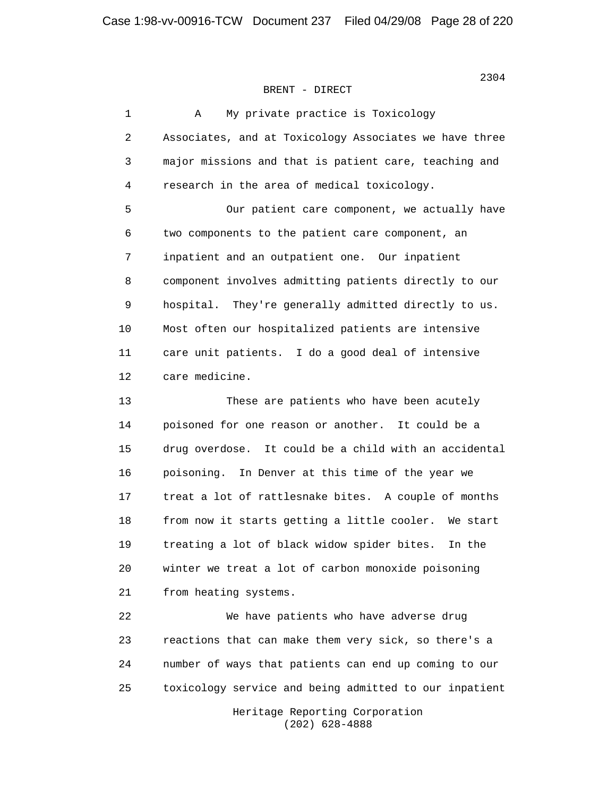| $\mathbf{1}$ | My private practice is Toxicology<br>Α                   |
|--------------|----------------------------------------------------------|
| 2            | Associates, and at Toxicology Associates we have three   |
| 3            | major missions and that is patient care, teaching and    |
| 4            | research in the area of medical toxicology.              |
| 5            | Our patient care component, we actually have             |
| 6            | two components to the patient care component, an         |
| 7            | inpatient and an outpatient one. Our inpatient           |
| 8            | component involves admitting patients directly to our    |
| $\mathsf 9$  | hospital. They're generally admitted directly to us.     |
| 10           | Most often our hospitalized patients are intensive       |
| 11           | care unit patients. I do a good deal of intensive        |
| 12           | care medicine.                                           |
| 13           | These are patients who have been acutely                 |
| 14           | poisoned for one reason or another. It could be a        |
| 15           | drug overdose.<br>It could be a child with an accidental |
| 16           | In Denver at this time of the year we<br>poisoning.      |
| 17           | treat a lot of rattlesnake bites. A couple of months     |
| 18           | from now it starts getting a little cooler. We start     |
| 19           | treating a lot of black widow spider bites.<br>In the    |
| 20           | winter we treat a lot of carbon monoxide poisoning       |
| 21           | from heating systems.                                    |
| 22           | We have patients who have adverse drug                   |
| 23           | reactions that can make them very sick, so there's a     |
| 24           | number of ways that patients can end up coming to our    |
| 25           | toxicology service and being admitted to our inpatient   |
|              | Heritage Reporting Corporation                           |

(202) 628-4888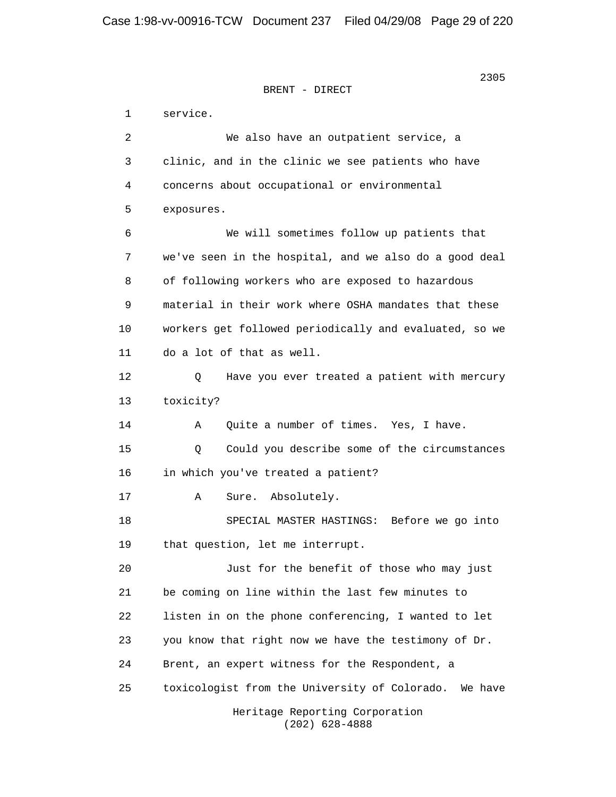2305 **2305** BRENT - DIRECT

> 1 service. 2 We also have an outpatient service, a 3 clinic, and in the clinic we see patients who have 4 concerns about occupational or environmental 5 exposures. 6 We will sometimes follow up patients that 7 we've seen in the hospital, and we also do a good deal 8 of following workers who are exposed to hazardous 9 material in their work where OSHA mandates that these 10 workers get followed periodically and evaluated, so we 11 do a lot of that as well. 12 Q Have you ever treated a patient with mercury 13 toxicity? 14 A Quite a number of times. Yes, I have. 15 Q Could you describe some of the circumstances 16 in which you've treated a patient? 17 A Sure. Absolutely. 18 SPECIAL MASTER HASTINGS: Before we go into 19 that question, let me interrupt. 20 Just for the benefit of those who may just 21 be coming on line within the last few minutes to 22 listen in on the phone conferencing, I wanted to let 23 you know that right now we have the testimony of Dr. 24 Brent, an expert witness for the Respondent, a 25 toxicologist from the University of Colorado. We have Heritage Reporting Corporation

> > (202) 628-4888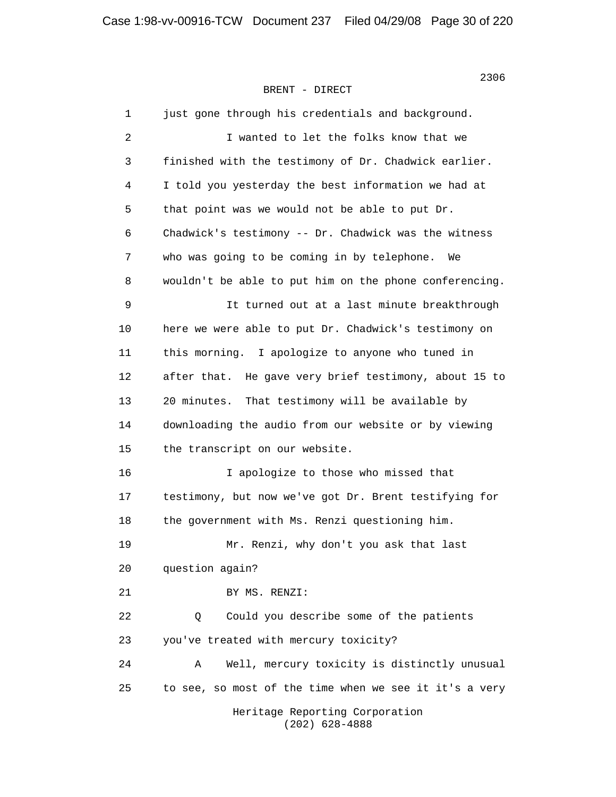1 just gone through his credentials and background. 2 I wanted to let the folks know that we 3 finished with the testimony of Dr. Chadwick earlier. 4 I told you yesterday the best information we had at 5 that point was we would not be able to put Dr. 6 Chadwick's testimony -- Dr. Chadwick was the witness 7 who was going to be coming in by telephone. We 8 wouldn't be able to put him on the phone conferencing. 9 It turned out at a last minute breakthrough 10 here we were able to put Dr. Chadwick's testimony on 11 this morning. I apologize to anyone who tuned in 12 after that. He gave very brief testimony, about 15 to 13 20 minutes. That testimony will be available by 14 downloading the audio from our website or by viewing 15 the transcript on our website. 16 I apologize to those who missed that 17 testimony, but now we've got Dr. Brent testifying for 18 the government with Ms. Renzi questioning him. 19 Mr. Renzi, why don't you ask that last 20 question again? 21 BY MS. RENZI: 22 0 Could you describe some of the patients 23 you've treated with mercury toxicity? 24 A Well, mercury toxicity is distinctly unusual 25 to see, so most of the time when we see it it's a very Heritage Reporting Corporation (202) 628-4888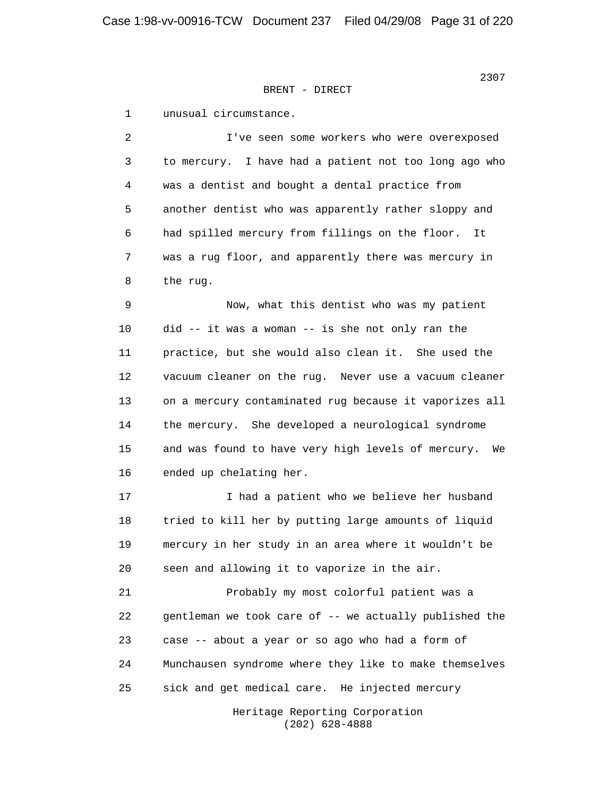1 unusual circumstance.

 2 I've seen some workers who were overexposed 3 to mercury. I have had a patient not too long ago who 4 was a dentist and bought a dental practice from 5 another dentist who was apparently rather sloppy and 6 had spilled mercury from fillings on the floor. It 7 was a rug floor, and apparently there was mercury in 8 the rug.

 9 Now, what this dentist who was my patient 10 did -- it was a woman -- is she not only ran the 11 practice, but she would also clean it. She used the 12 vacuum cleaner on the rug. Never use a vacuum cleaner 13 on a mercury contaminated rug because it vaporizes all 14 the mercury. She developed a neurological syndrome 15 and was found to have very high levels of mercury. We 16 ended up chelating her.

 17 I had a patient who we believe her husband 18 tried to kill her by putting large amounts of liquid 19 mercury in her study in an area where it wouldn't be 20 seen and allowing it to vaporize in the air.

 21 Probably my most colorful patient was a 22 gentleman we took care of -- we actually published the 23 case -- about a year or so ago who had a form of 24 Munchausen syndrome where they like to make themselves 25 sick and get medical care. He injected mercury

> Heritage Reporting Corporation (202) 628-4888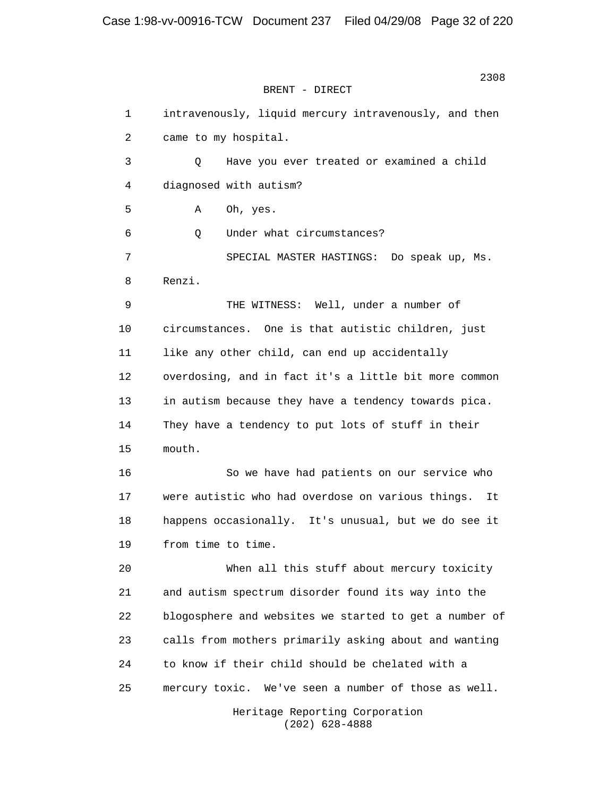> 1 intravenously, liquid mercury intravenously, and then 2 came to my hospital. 3 Q Have you ever treated or examined a child 4 diagnosed with autism? 5 A Oh, yes. 6 Q Under what circumstances? 7 SPECIAL MASTER HASTINGS: Do speak up, Ms. 8 Renzi. 9 THE WITNESS: Well, under a number of 10 circumstances. One is that autistic children, just 11 like any other child, can end up accidentally 12 overdosing, and in fact it's a little bit more common 13 in autism because they have a tendency towards pica. 14 They have a tendency to put lots of stuff in their 15 mouth. 16 So we have had patients on our service who 17 were autistic who had overdose on various things. It 18 happens occasionally. It's unusual, but we do see it 19 from time to time. 20 When all this stuff about mercury toxicity 21 and autism spectrum disorder found its way into the 22 blogosphere and websites we started to get a number of 23 calls from mothers primarily asking about and wanting 24 to know if their child should be chelated with a 25 mercury toxic. We've seen a number of those as well. Heritage Reporting Corporation

> > (202) 628-4888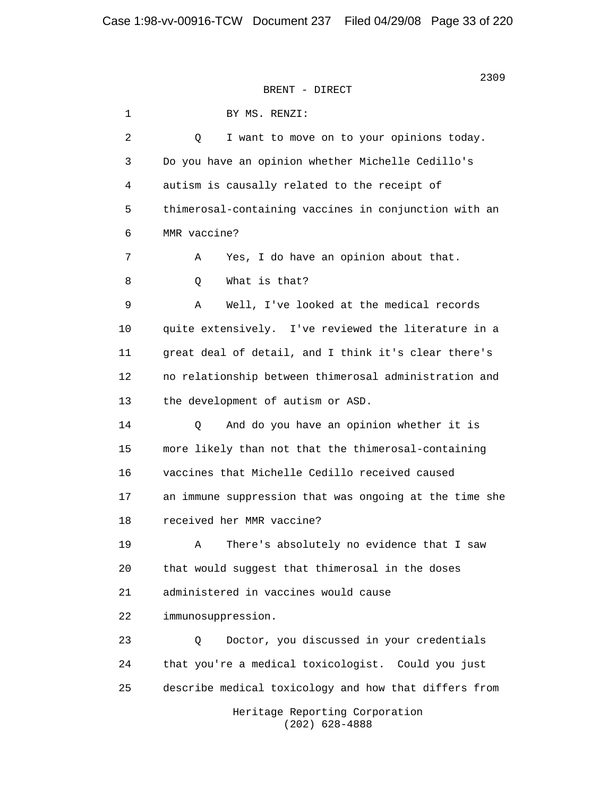1 BY MS. RENZI: 2 Q I want to move on to your opinions today. 3 Do you have an opinion whether Michelle Cedillo's 4 autism is causally related to the receipt of 5 thimerosal-containing vaccines in conjunction with an 6 MMR vaccine? 7 A Yes, I do have an opinion about that. 8 Q What is that? 9 A Well, I've looked at the medical records 10 quite extensively. I've reviewed the literature in a 11 great deal of detail, and I think it's clear there's 12 no relationship between thimerosal administration and 13 the development of autism or ASD. 14 Q And do you have an opinion whether it is 15 more likely than not that the thimerosal-containing 16 vaccines that Michelle Cedillo received caused 17 an immune suppression that was ongoing at the time she 18 received her MMR vaccine? 19 A There's absolutely no evidence that I saw 20 that would suggest that thimerosal in the doses 21 administered in vaccines would cause 22 immunosuppression. 23 Q Doctor, you discussed in your credentials 24 that you're a medical toxicologist. Could you just 25 describe medical toxicology and how that differs from Heritage Reporting Corporation (202) 628-4888

<u>2309 година в техницки представљен под ставите под ставите под ставите под ставите под ставите под ставите по</u>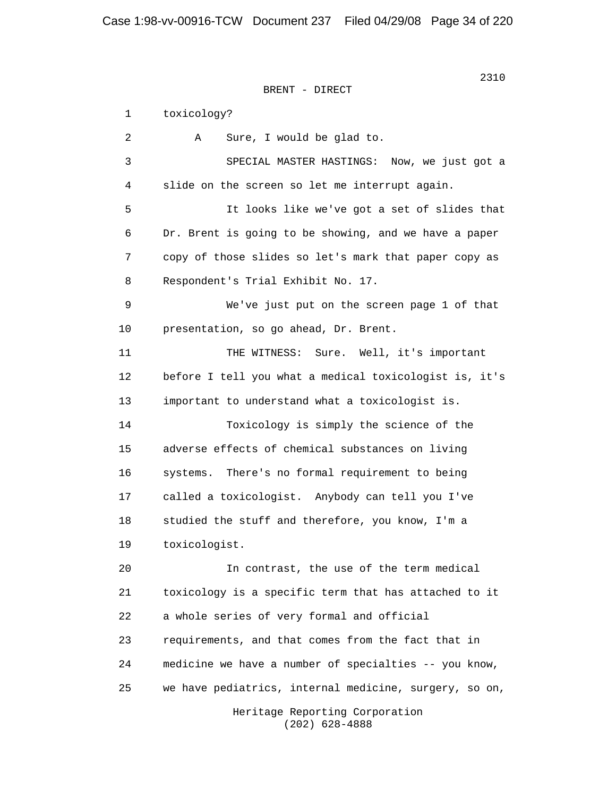1 toxicology? 2 A Sure, I would be glad to. 3 SPECIAL MASTER HASTINGS: Now, we just got a 4 slide on the screen so let me interrupt again. 5 It looks like we've got a set of slides that 6 Dr. Brent is going to be showing, and we have a paper 7 copy of those slides so let's mark that paper copy as 8 Respondent's Trial Exhibit No. 17. 9 We've just put on the screen page 1 of that 10 presentation, so go ahead, Dr. Brent. 11 THE WITNESS: Sure. Well, it's important 12 before I tell you what a medical toxicologist is, it's 13 important to understand what a toxicologist is. 14 Toxicology is simply the science of the 15 adverse effects of chemical substances on living 16 systems. There's no formal requirement to being 17 called a toxicologist. Anybody can tell you I've 18 studied the stuff and therefore, you know, I'm a 19 toxicologist. 20 In contrast, the use of the term medical 21 toxicology is a specific term that has attached to it 22 a whole series of very formal and official 23 requirements, and that comes from the fact that in 24 medicine we have a number of specialties -- you know,

25 we have pediatrics, internal medicine, surgery, so on,

 Heritage Reporting Corporation (202) 628-4888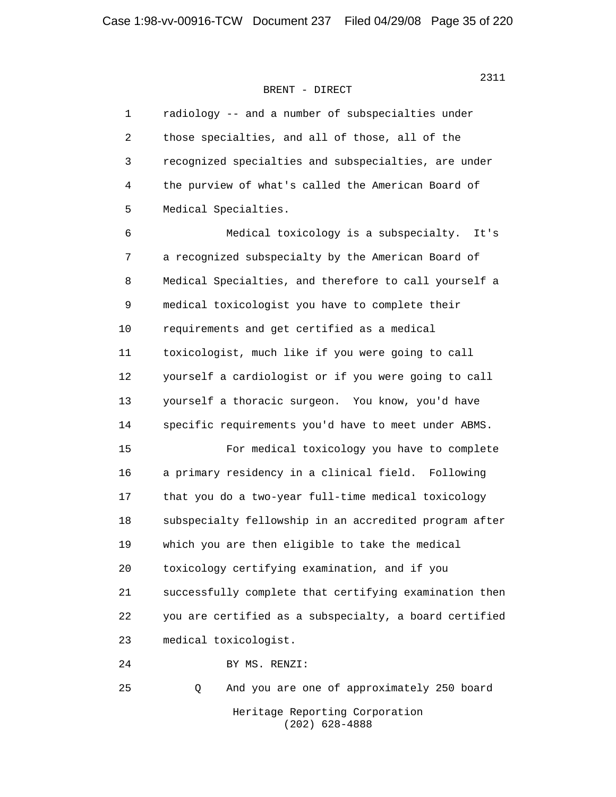1 radiology -- and a number of subspecialties under 2 those specialties, and all of those, all of the 3 recognized specialties and subspecialties, are under 4 the purview of what's called the American Board of 5 Medical Specialties.

 6 Medical toxicology is a subspecialty. It's 7 a recognized subspecialty by the American Board of 8 Medical Specialties, and therefore to call yourself a 9 medical toxicologist you have to complete their 10 requirements and get certified as a medical 11 toxicologist, much like if you were going to call 12 yourself a cardiologist or if you were going to call 13 yourself a thoracic surgeon. You know, you'd have 14 specific requirements you'd have to meet under ABMS.

 15 For medical toxicology you have to complete 16 a primary residency in a clinical field. Following 17 that you do a two-year full-time medical toxicology 18 subspecialty fellowship in an accredited program after 19 which you are then eligible to take the medical 20 toxicology certifying examination, and if you 21 successfully complete that certifying examination then 22 you are certified as a subspecialty, a board certified 23 medical toxicologist.

24 BY MS. RENZI:

25 Q And you are one of approximately 250 board

 Heritage Reporting Corporation (202) 628-4888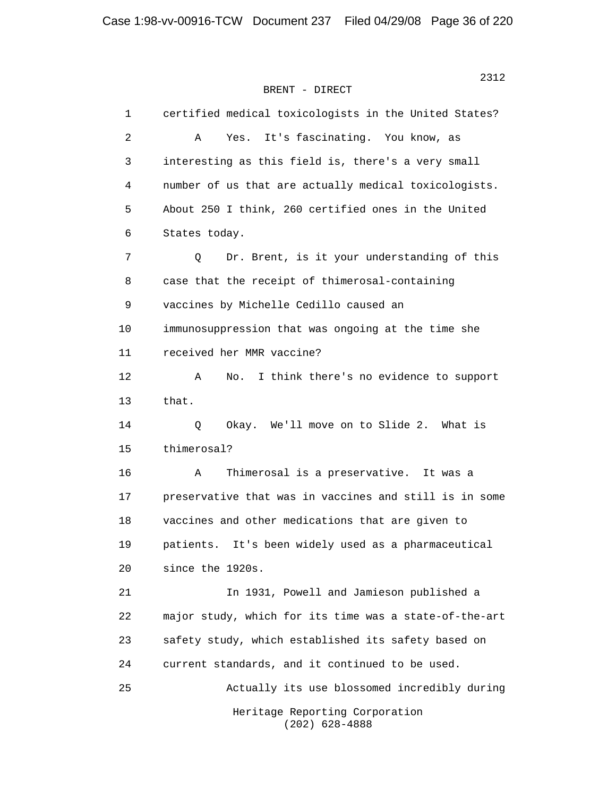1 certified medical toxicologists in the United States? 2 A Yes. It's fascinating. You know, as 3 interesting as this field is, there's a very small 4 number of us that are actually medical toxicologists. 5 About 250 I think, 260 certified ones in the United 6 States today. 7 Q Dr. Brent, is it your understanding of this 8 case that the receipt of thimerosal-containing 9 vaccines by Michelle Cedillo caused an 10 immunosuppression that was ongoing at the time she 11 received her MMR vaccine? 12 A No. I think there's no evidence to support 13 that. 14 Q Okay. We'll move on to Slide 2. What is 15 thimerosal? 16 A Thimerosal is a preservative. It was a 17 preservative that was in vaccines and still is in some 18 vaccines and other medications that are given to 19 patients. It's been widely used as a pharmaceutical 20 since the 1920s. 21 In 1931, Powell and Jamieson published a 22 major study, which for its time was a state-of-the-art 23 safety study, which established its safety based on 24 current standards, and it continued to be used. 25 Actually its use blossomed incredibly during Heritage Reporting Corporation (202) 628-4888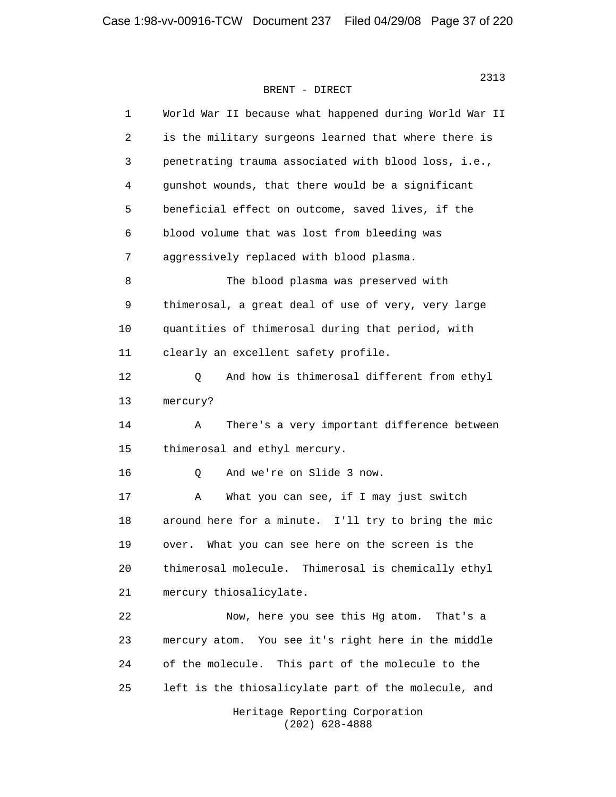| 1  | World War II because what happened during World War II     |
|----|------------------------------------------------------------|
| 2  | is the military surgeons learned that where there is       |
| 3  | penetrating trauma associated with blood loss, i.e.,       |
| 4  | gunshot wounds, that there would be a significant          |
| 5  | beneficial effect on outcome, saved lives, if the          |
| 6  | blood volume that was lost from bleeding was               |
| 7  | aggressively replaced with blood plasma.                   |
| 8  | The blood plasma was preserved with                        |
| 9  | thimerosal, a great deal of use of very, very large        |
| 10 | quantities of thimerosal during that period, with          |
| 11 | clearly an excellent safety profile.                       |
| 12 | And how is thimerosal different from ethyl<br>$\mathsf{Q}$ |
| 13 | mercury?                                                   |
| 14 | There's a very important difference between<br>Α           |
| 15 | thimerosal and ethyl mercury.                              |
| 16 | And we're on Slide 3 now.<br>Q                             |
| 17 | What you can see, if I may just switch<br>Α                |
| 18 | around here for a minute. I'll try to bring the mic        |
| 19 | What you can see here on the screen is the<br>over.        |
| 20 | thimerosal molecule. Thimerosal is chemically ethyl        |
| 21 | mercury thiosalicylate.                                    |
| 22 | Now, here you see this Hg atom.<br>That's a                |
| 23 | mercury atom. You see it's right here in the middle        |
| 24 | of the molecule.<br>This part of the molecule to the       |
| 25 | left is the thiosalicylate part of the molecule, and       |
|    | Heritage Reporting Corporation                             |

(202) 628-4888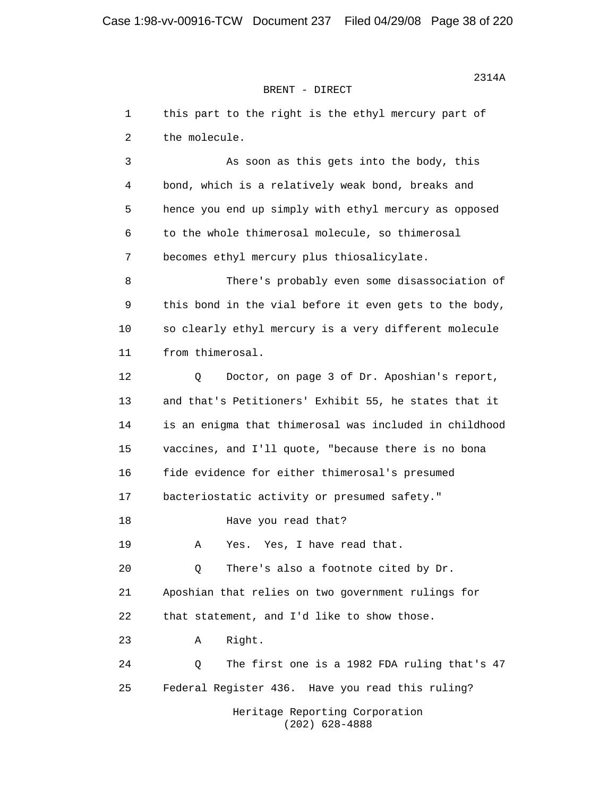1 this part to the right is the ethyl mercury part of 2 the molecule. 3 As soon as this gets into the body, this 4 bond, which is a relatively weak bond, breaks and 5 hence you end up simply with ethyl mercury as opposed 6 to the whole thimerosal molecule, so thimerosal 7 becomes ethyl mercury plus thiosalicylate. 8 There's probably even some disassociation of 9 this bond in the vial before it even gets to the body, 10 so clearly ethyl mercury is a very different molecule 11 from thimerosal. 12 Q Doctor, on page 3 of Dr. Aposhian's report, 13 and that's Petitioners' Exhibit 55, he states that it 14 is an enigma that thimerosal was included in childhood 15 vaccines, and I'll quote, "because there is no bona 16 fide evidence for either thimerosal's presumed 17 bacteriostatic activity or presumed safety." 18 Have you read that? 19 A Yes. Yes, I have read that. 20 Q There's also a footnote cited by Dr. 21 Aposhian that relies on two government rulings for 22 that statement, and I'd like to show those. 23 A Right. 24 Q The first one is a 1982 FDA ruling that's 47 25 Federal Register 436. Have you read this ruling? Heritage Reporting Corporation

(202) 628-4888

 $2314A$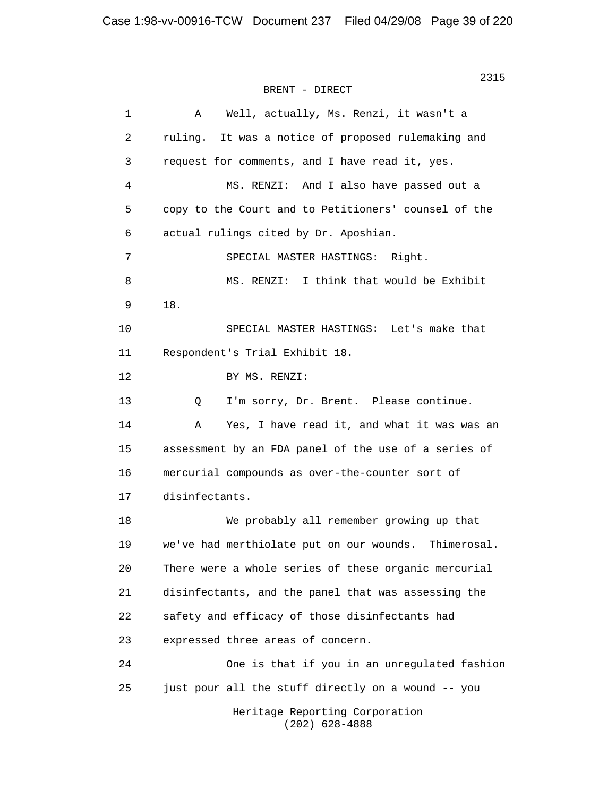| $\mathbf 1$ | Well, actually, Ms. Renzi, it wasn't a<br>Α          |
|-------------|------------------------------------------------------|
| 2           | ruling. It was a notice of proposed rulemaking and   |
| 3           | request for comments, and I have read it, yes.       |
| 4           | MS. RENZI: And I also have passed out a              |
| 5           | copy to the Court and to Petitioners' counsel of the |
| 6           | actual rulings cited by Dr. Aposhian.                |
| 7           | SPECIAL MASTER HASTINGS: Right.                      |
| 8           | MS. RENZI: I think that would be Exhibit             |
| 9           | 18.                                                  |
| 10          | SPECIAL MASTER HASTINGS: Let's make that             |
| 11          | Respondent's Trial Exhibit 18.                       |
| 12          | BY MS. RENZI:                                        |
| 13          | I'm sorry, Dr. Brent. Please continue.<br>Q          |
| 14          | Yes, I have read it, and what it was was an<br>Α     |
| 15          | assessment by an FDA panel of the use of a series of |
| 16          | mercurial compounds as over-the-counter sort of      |
| 17          | disinfectants.                                       |
| 18          | We probably all remember growing up that             |
| 19          | we've had merthiolate put on our wounds. Thimerosal. |
| 20          | There were a whole series of these organic mercurial |
| 21          | disinfectants, and the panel that was assessing the  |
| 22          | safety and efficacy of those disinfectants had       |
| 23          | expressed three areas of concern.                    |
| 24          | One is that if you in an unregulated fashion         |
| 25          | just pour all the stuff directly on a wound -- you   |
|             | Heritage Reporting Corporation<br>$(202)$ 628-4888   |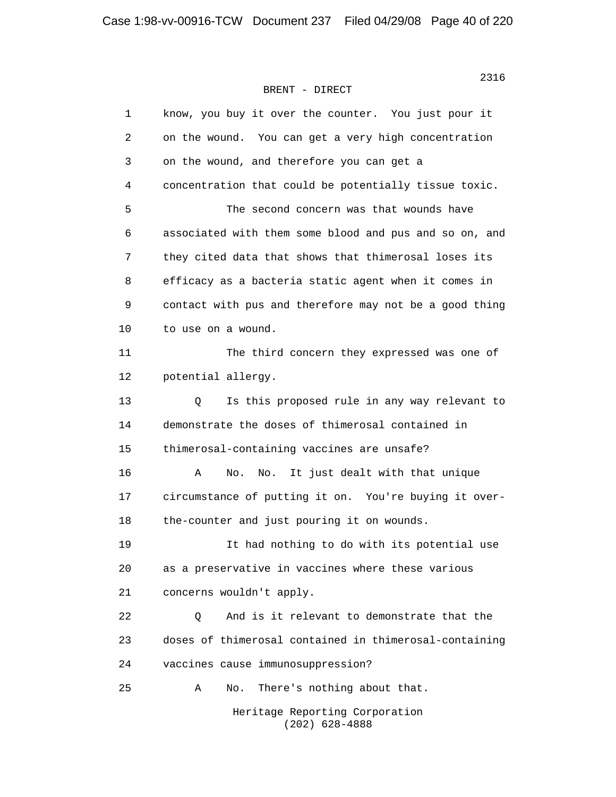| 1  | know, you buy it over the counter. You just pour it    |
|----|--------------------------------------------------------|
| 2  | on the wound. You can get a very high concentration    |
| 3  | on the wound, and therefore you can get a              |
| 4  | concentration that could be potentially tissue toxic.  |
| 5  | The second concern was that wounds have                |
| 6  | associated with them some blood and pus and so on, and |
| 7  | they cited data that shows that thimerosal loses its   |
| 8  | efficacy as a bacteria static agent when it comes in   |
| 9  | contact with pus and therefore may not be a good thing |
| 10 | to use on a wound.                                     |
| 11 | The third concern they expressed was one of            |
| 12 | potential allergy.                                     |
| 13 | Q<br>Is this proposed rule in any way relevant to      |
| 14 | demonstrate the doses of thimerosal contained in       |
| 15 | thimerosal-containing vaccines are unsafe?             |
| 16 | It just dealt with that unique<br>Α<br>No.<br>No.      |
| 17 | circumstance of putting it on. You're buying it over-  |
| 18 | the-counter and just pouring it on wounds.             |
| 19 | It had nothing to do with its potential use            |
| 20 | as a preservative in vaccines where these various      |
| 21 | concerns wouldn't apply.                               |
| 22 | And is it relevant to demonstrate that the<br>Q        |
| 23 | doses of thimerosal contained in thimerosal-containing |
| 24 | vaccines cause immunosuppression?                      |
| 25 | There's nothing about that.<br>Α<br>No.                |
|    | Heritage Reporting Corporation<br>$(202)$ 628-4888     |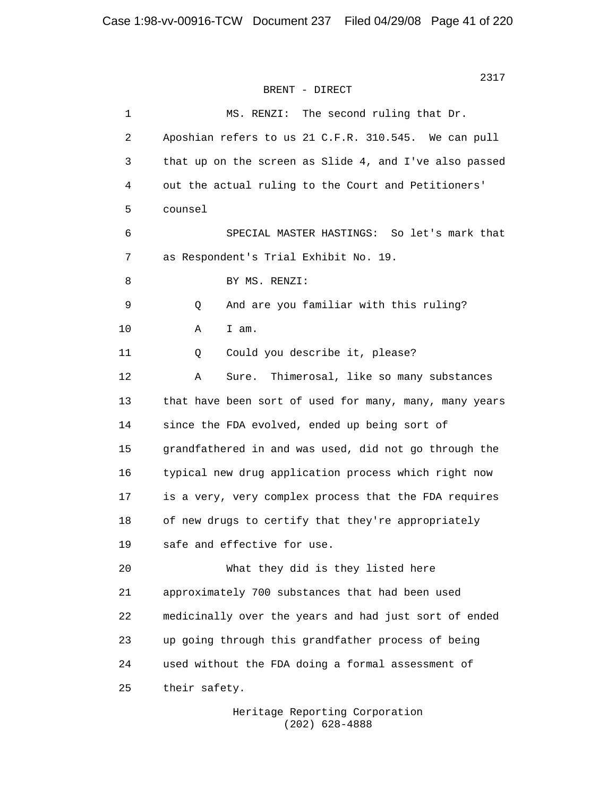```
2317 2317
BRENT - DIRECT
```
 1 MS. RENZI: The second ruling that Dr. 2 Aposhian refers to us 21 C.F.R. 310.545. We can pull 3 that up on the screen as Slide 4, and I've also passed 4 out the actual ruling to the Court and Petitioners' 5 counsel 6 SPECIAL MASTER HASTINGS: So let's mark that 7 as Respondent's Trial Exhibit No. 19. 8 BY MS. RENZI: 9 Q And are you familiar with this ruling? 10 A I am. 11 Q Could you describe it, please? 12 A Sure. Thimerosal, like so many substances 13 that have been sort of used for many, many, many years 14 since the FDA evolved, ended up being sort of 15 grandfathered in and was used, did not go through the 16 typical new drug application process which right now 17 is a very, very complex process that the FDA requires 18 of new drugs to certify that they're appropriately 19 safe and effective for use. 20 What they did is they listed here 21 approximately 700 substances that had been used 22 medicinally over the years and had just sort of ended 23 up going through this grandfather process of being 24 used without the FDA doing a formal assessment of 25 their safety.

> Heritage Reporting Corporation (202) 628-4888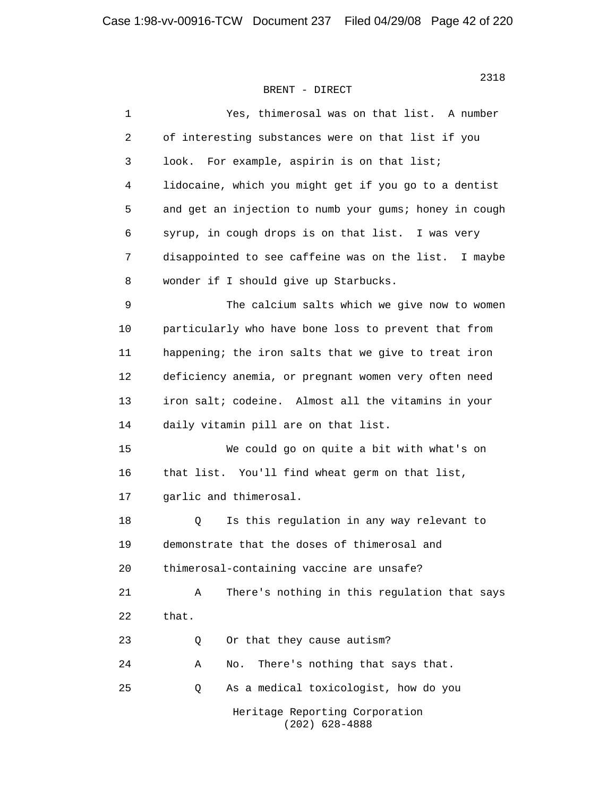| $\mathbf 1$    | Yes, thimerosal was on that list. A number             |
|----------------|--------------------------------------------------------|
| $\overline{c}$ | of interesting substances were on that list if you     |
| 3              | For example, aspirin is on that list;<br>look.         |
| 4              | lidocaine, which you might get if you go to a dentist  |
| 5              | and get an injection to numb your gums; honey in cough |
| 6              | syrup, in cough drops is on that list. I was very      |
| 7              | disappointed to see caffeine was on the list. I maybe  |
| 8              | wonder if I should give up Starbucks.                  |
| 9              | The calcium salts which we give now to women           |
| 10             | particularly who have bone loss to prevent that from   |
| 11             | happening; the iron salts that we give to treat iron   |
| 12             | deficiency anemia, or pregnant women very often need   |
| 13             | iron salt; codeine. Almost all the vitamins in your    |
| 14             | daily vitamin pill are on that list.                   |
| 15             | We could go on quite a bit with what's on              |
| 16             | that list. You'll find wheat germ on that list,        |
| 17             | garlic and thimerosal.                                 |
| 18             | Is this regulation in any way relevant to<br>Q         |
| 19             | demonstrate that the doses of thimerosal and           |
| 20             | thimerosal-containing vaccine are unsafe?              |
| 21             | There's nothing in this regulation that says<br>Α      |
| 22             | that.                                                  |
| 23             | Or that they cause autism?<br>Q                        |
| 24             | There's nothing that says that.<br>Α<br>No.            |
| 25             | As a medical toxicologist, how do you<br>Q             |
|                | Heritage Reporting Corporation<br>$(202)$ 628-4888     |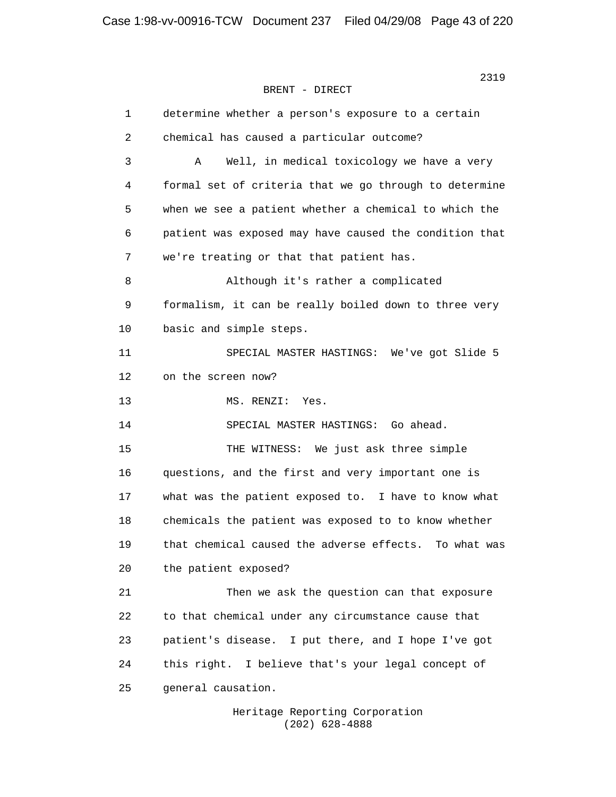1 determine whether a person's exposure to a certain 2 chemical has caused a particular outcome? 3 A Well, in medical toxicology we have a very 4 formal set of criteria that we go through to determine 5 when we see a patient whether a chemical to which the 6 patient was exposed may have caused the condition that 7 we're treating or that that patient has. 8 Although it's rather a complicated 9 formalism, it can be really boiled down to three very 10 basic and simple steps. 11 SPECIAL MASTER HASTINGS: We've got Slide 5 12 on the screen now? 13 MS. RENZI: Yes. 14 SPECIAL MASTER HASTINGS: Go ahead. 15 THE WITNESS: We just ask three simple 16 questions, and the first and very important one is 17 what was the patient exposed to. I have to know what 18 chemicals the patient was exposed to to know whether 19 that chemical caused the adverse effects. To what was 20 the patient exposed? 21 Then we ask the question can that exposure 22 to that chemical under any circumstance cause that 23 patient's disease. I put there, and I hope I've got 24 this right. I believe that's your legal concept of 25 general causation.

> Heritage Reporting Corporation (202) 628-4888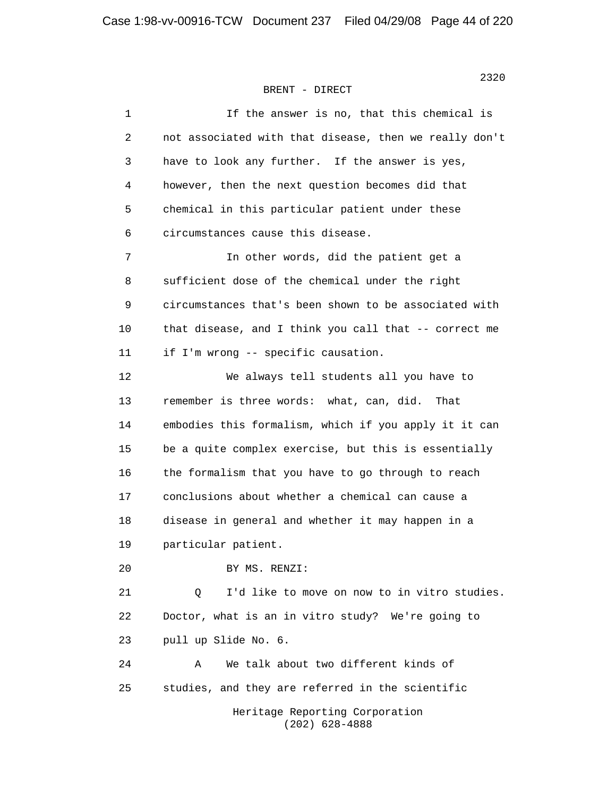| 1  | If the answer is no, that this chemical is             |
|----|--------------------------------------------------------|
| 2  | not associated with that disease, then we really don't |
| 3  | have to look any further. If the answer is yes,        |
| 4  | however, then the next question becomes did that       |
| 5  | chemical in this particular patient under these        |
| 6  | circumstances cause this disease.                      |
| 7  | In other words, did the patient get a                  |
| 8  | sufficient dose of the chemical under the right        |
| 9  | circumstances that's been shown to be associated with  |
| 10 | that disease, and I think you call that -- correct me  |
| 11 | if I'm wrong -- specific causation.                    |
| 12 | We always tell students all you have to                |
| 13 | remember is three words: what, can, did.<br>That       |
| 14 | embodies this formalism, which if you apply it it can  |
| 15 | be a quite complex exercise, but this is essentially   |
| 16 | the formalism that you have to go through to reach     |
| 17 | conclusions about whether a chemical can cause a       |
| 18 | disease in general and whether it may happen in a      |
| 19 | particular patient.                                    |
| 20 | BY MS. RENZI:                                          |
| 21 | I'd like to move on now to in vitro studies.<br>Q      |
| 22 | Doctor, what is an in vitro study? We're going to      |
| 23 | pull up Slide No. 6.                                   |
| 24 | We talk about two different kinds of<br>Α              |
| 25 | studies, and they are referred in the scientific       |
|    | Heritage Reporting Corporation<br>$(202)$ 628-4888     |

2320 and 2320 and 2320 and 2320 and 2320 and 2320 and 2320 and 2320 and 2320 and 2320 and 2320 and 2320 and 23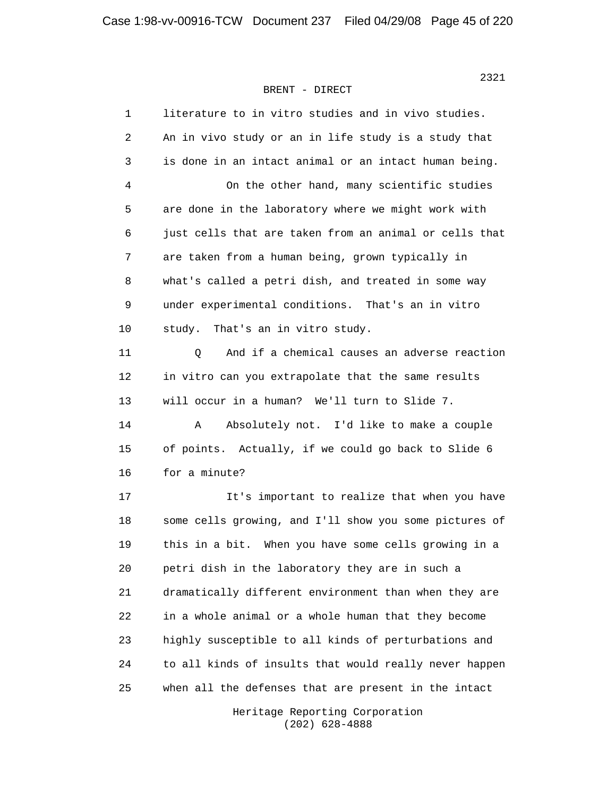| 1  | literature to in vitro studies and in vivo studies.    |
|----|--------------------------------------------------------|
| 2  | An in vivo study or an in life study is a study that   |
| 3  | is done in an intact animal or an intact human being.  |
| 4  | On the other hand, many scientific studies             |
| 5  | are done in the laboratory where we might work with    |
| 6  | just cells that are taken from an animal or cells that |
| 7  | are taken from a human being, grown typically in       |
| 8  | what's called a petri dish, and treated in some way    |
| 9  | under experimental conditions. That's an in vitro      |
| 10 | That's an in vitro study.<br>study.                    |
| 11 | And if a chemical causes an adverse reaction<br>Q      |
| 12 | in vitro can you extrapolate that the same results     |
| 13 | will occur in a human? We'll turn to Slide 7.          |
| 14 | Absolutely not. I'd like to make a couple<br>Α         |
| 15 | of points. Actually, if we could go back to Slide 6    |
| 16 | for a minute?                                          |
| 17 | It's important to realize that when you have           |
| 18 | some cells growing, and I'll show you some pictures of |
| 19 | this in a bit. When you have some cells growing in a   |
| 20 | petri dish in the laboratory they are in such a        |
| 21 | dramatically different environment than when they are  |
| 22 | in a whole animal or a whole human that they become    |
| 23 | highly susceptible to all kinds of perturbations and   |
| 24 | to all kinds of insults that would really never happen |
| 25 | when all the defenses that are present in the intact   |

 Heritage Reporting Corporation (202) 628-4888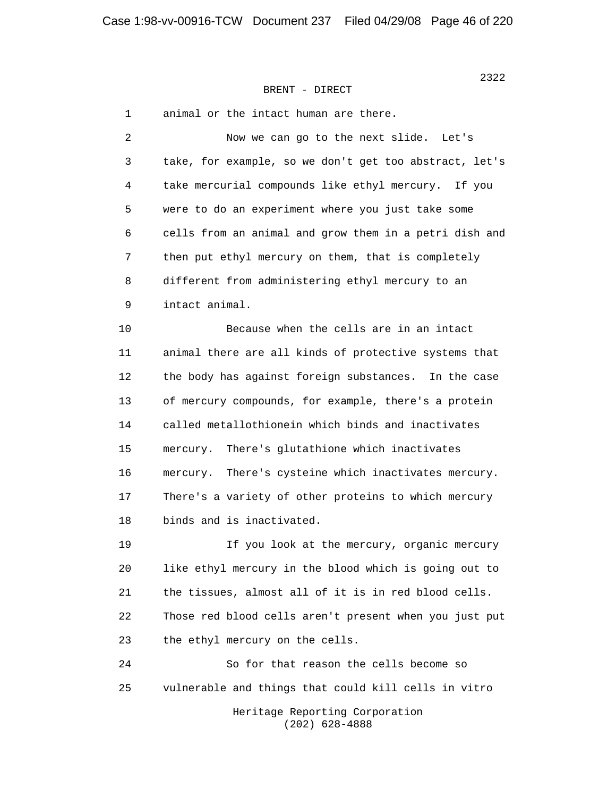2322

## BRENT - DIRECT

| 1  | animal or the intact human are there.                   |
|----|---------------------------------------------------------|
| 2  | Now we can go to the next slide. Let's                  |
| 3  | take, for example, so we don't get too abstract, let's  |
| 4  | take mercurial compounds like ethyl mercury. If you     |
| 5  | were to do an experiment where you just take some       |
| 6  | cells from an animal and grow them in a petri dish and  |
| 7  | then put ethyl mercury on them, that is completely      |
| 8  | different from administering ethyl mercury to an        |
| 9  | intact animal.                                          |
| 10 | Because when the cells are in an intact                 |
| 11 | animal there are all kinds of protective systems that   |
| 12 | the body has against foreign substances. In the case    |
| 13 | of mercury compounds, for example, there's a protein    |
| 14 | called metallothionein which binds and inactivates      |
| 15 | There's glutathione which inactivates<br>mercury.       |
| 16 | There's cysteine which inactivates mercury.<br>mercury. |
| 17 | There's a variety of other proteins to which mercury    |
| 18 | binds and is inactivated.                               |
| 19 | If you look at the mercury, organic mercury             |
| 20 | like ethyl mercury in the blood which is going out to   |
| 21 | the tissues, almost all of it is in red blood cells.    |
| 22 | Those red blood cells aren't present when you just put  |
| 23 | the ethyl mercury on the cells.                         |
| 24 | So for that reason the cells become so                  |
| 25 | vulnerable and things that could kill cells in vitro    |
|    | Heritage Reporting Corporation<br>$(202)$ 628-4888      |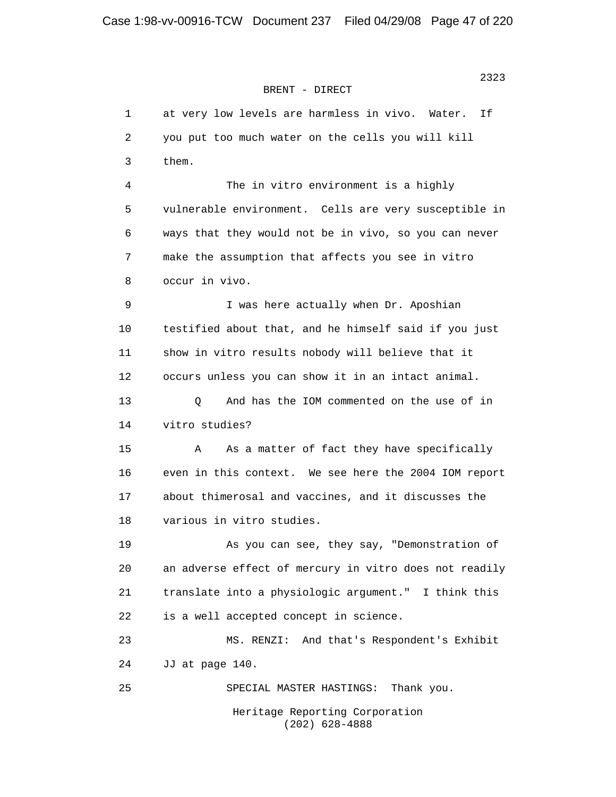1 at very low levels are harmless in vivo. Water. If 2 you put too much water on the cells you will kill 3 them. 4 The in vitro environment is a highly 5 vulnerable environment. Cells are very susceptible in 6 ways that they would not be in vivo, so you can never 7 make the assumption that affects you see in vitro 8 occur in vivo. 9 I was here actually when Dr. Aposhian 10 testified about that, and he himself said if you just 11 show in vitro results nobody will believe that it 12 occurs unless you can show it in an intact animal. 13 Q And has the IOM commented on the use of in 14 vitro studies? 15 A As a matter of fact they have specifically 16 even in this context. We see here the 2004 IOM report 17 about thimerosal and vaccines, and it discusses the 18 various in vitro studies. 19 As you can see, they say, "Demonstration of 20 an adverse effect of mercury in vitro does not readily 21 translate into a physiologic argument." I think this 22 is a well accepted concept in science. 23 MS. RENZI: And that's Respondent's Exhibit 24 JJ at page 140. 25 SPECIAL MASTER HASTINGS: Thank you. Heritage Reporting Corporation (202) 628-4888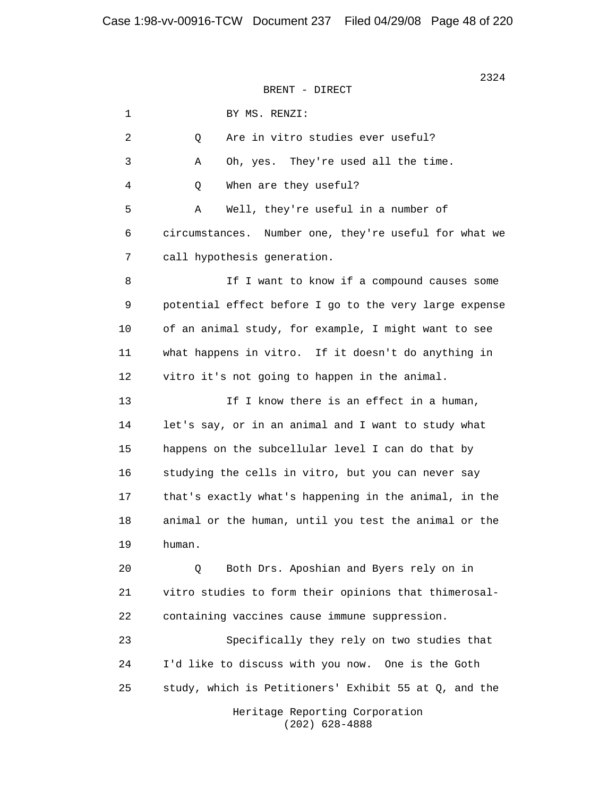1 BY MS. RENZI: 2 0 Are in vitro studies ever useful? 3 A Oh, yes. They're used all the time. 4 Q When are they useful? 5 A Well, they're useful in a number of 6 circumstances. Number one, they're useful for what we 7 call hypothesis generation. 8 If I want to know if a compound causes some 9 potential effect before I go to the very large expense 10 of an animal study, for example, I might want to see 11 what happens in vitro. If it doesn't do anything in 12 vitro it's not going to happen in the animal. 13 13 If I know there is an effect in a human, 14 let's say, or in an animal and I want to study what 15 happens on the subcellular level I can do that by 16 studying the cells in vitro, but you can never say 17 that's exactly what's happening in the animal, in the 18 animal or the human, until you test the animal or the 19 human. 20 Q Both Drs. Aposhian and Byers rely on in 21 vitro studies to form their opinions that thimerosal- 22 containing vaccines cause immune suppression. 23 Specifically they rely on two studies that 24 I'd like to discuss with you now. One is the Goth 25 study, which is Petitioners' Exhibit 55 at Q, and the Heritage Reporting Corporation (202) 628-4888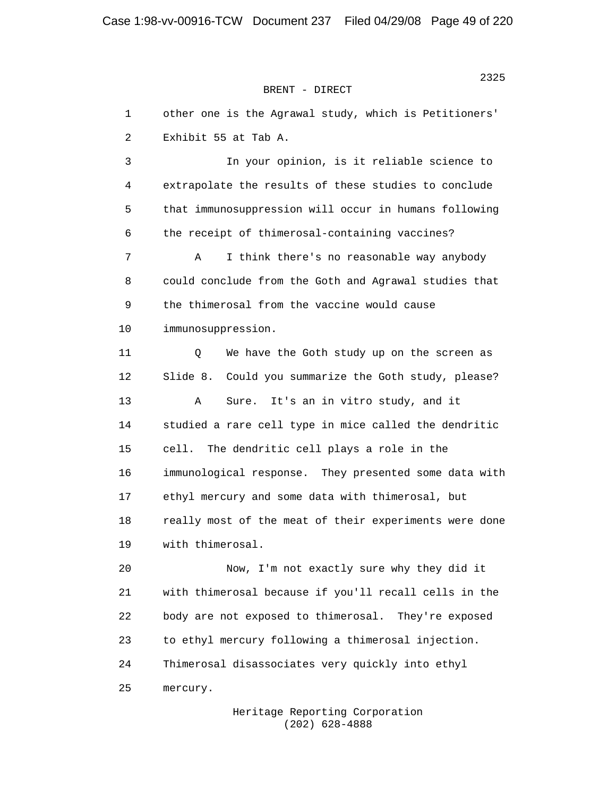1 other one is the Agrawal study, which is Petitioners' 2 Exhibit 55 at Tab A. 3 In your opinion, is it reliable science to 4 extrapolate the results of these studies to conclude 5 that immunosuppression will occur in humans following 6 the receipt of thimerosal-containing vaccines? 7 A I think there's no reasonable way anybody 8 could conclude from the Goth and Agrawal studies that 9 the thimerosal from the vaccine would cause 10 immunosuppression. 11 Q We have the Goth study up on the screen as 12 Slide 8. Could you summarize the Goth study, please? 13 A Sure. It's an in vitro study, and it 14 studied a rare cell type in mice called the dendritic 15 cell. The dendritic cell plays a role in the 16 immunological response. They presented some data with 17 ethyl mercury and some data with thimerosal, but 18 really most of the meat of their experiments were done 19 with thimerosal. 20 Now, I'm not exactly sure why they did it 21 with thimerosal because if you'll recall cells in the 22 body are not exposed to thimerosal. They're exposed 23 to ethyl mercury following a thimerosal injection. 24 Thimerosal disassociates very quickly into ethyl 25 mercury.

> Heritage Reporting Corporation (202) 628-4888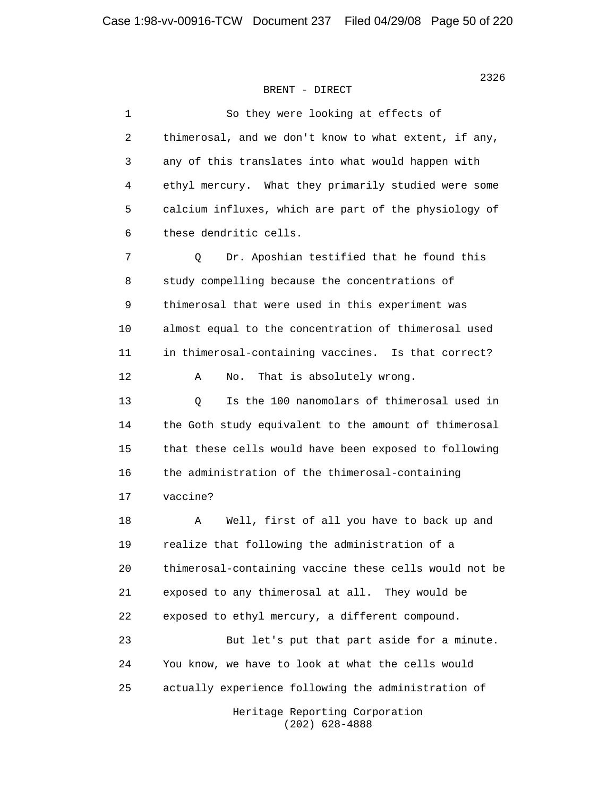| $\mathbf{1}$ | So they were looking at effects of                     |
|--------------|--------------------------------------------------------|
| 2            | thimerosal, and we don't know to what extent, if any,  |
| 3            | any of this translates into what would happen with     |
| 4            | ethyl mercury. What they primarily studied were some   |
| 5            | calcium influxes, which are part of the physiology of  |
| 6            | these dendritic cells.                                 |
| 7            | Dr. Aposhian testified that he found this<br>Q         |
| 8            | study compelling because the concentrations of         |
| 9            | thimerosal that were used in this experiment was       |
| 10           | almost equal to the concentration of thimerosal used   |
| 11           | in thimerosal-containing vaccines. Is that correct?    |
| 12           | That is absolutely wrong.<br>Α<br>No.                  |
| 13           | Is the 100 nanomolars of thimerosal used in<br>Q       |
| 14           | the Goth study equivalent to the amount of thimerosal  |
| 15           | that these cells would have been exposed to following  |
| 16           | the administration of the thimerosal-containing        |
| 17           | vaccine?                                               |
| 18           | Α<br>Well, first of all you have to back up and        |
| 19           | realize that following the administration of a         |
| 20           | thimerosal-containing vaccine these cells would not be |
| 21           | exposed to any thimerosal at all. They would be        |
| 22           | exposed to ethyl mercury, a different compound.        |
| 23           | But let's put that part aside for a minute.            |
| 24           | You know, we have to look at what the cells would      |
| 25           | actually experience following the administration of    |
|              | Heritage Reporting Corporation                         |

 $(202)$  628-4888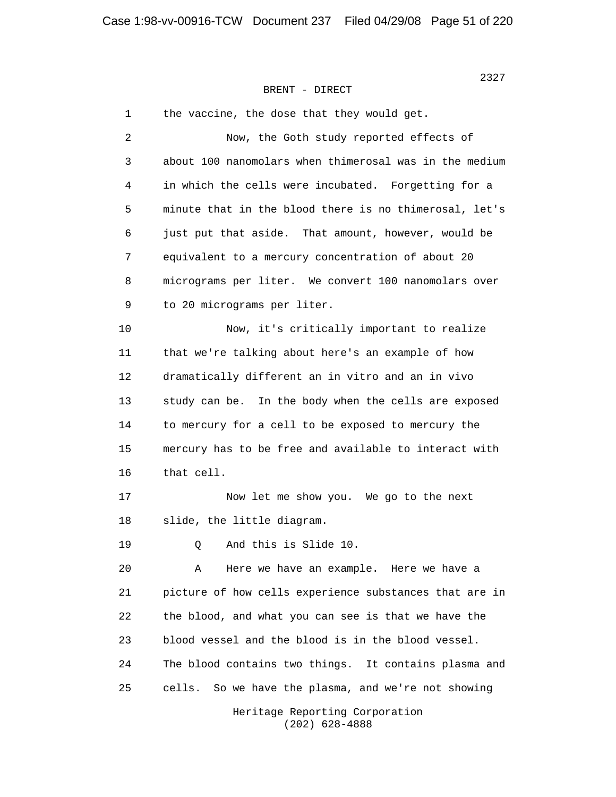2327 **2327** BRENT - DIRECT

> 1 the vaccine, the dose that they would get. 2 Now, the Goth study reported effects of 3 about 100 nanomolars when thimerosal was in the medium 4 in which the cells were incubated. Forgetting for a 5 minute that in the blood there is no thimerosal, let's 6 just put that aside. That amount, however, would be 7 equivalent to a mercury concentration of about 20 8 micrograms per liter. We convert 100 nanomolars over 9 to 20 micrograms per liter. 10 Now, it's critically important to realize 11 that we're talking about here's an example of how 12 dramatically different an in vitro and an in vivo 13 study can be. In the body when the cells are exposed 14 to mercury for a cell to be exposed to mercury the 15 mercury has to be free and available to interact with 16 that cell. 17 Now let me show you. We go to the next 18 slide, the little diagram. 19 0 And this is Slide 10. 20 A Here we have an example. Here we have a 21 picture of how cells experience substances that are in 22 the blood, and what you can see is that we have the 23 blood vessel and the blood is in the blood vessel. 24 The blood contains two things. It contains plasma and 25 cells. So we have the plasma, and we're not showing Heritage Reporting Corporation

(202) 628-4888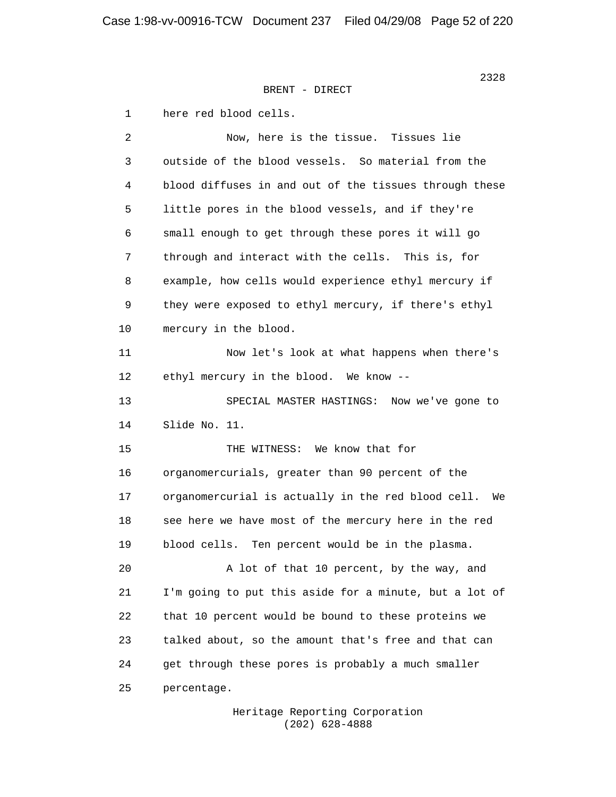1 here red blood cells.

 2 Now, here is the tissue. Tissues lie 3 outside of the blood vessels. So material from the 4 blood diffuses in and out of the tissues through these 5 little pores in the blood vessels, and if they're 6 small enough to get through these pores it will go 7 through and interact with the cells. This is, for 8 example, how cells would experience ethyl mercury if 9 they were exposed to ethyl mercury, if there's ethyl 10 mercury in the blood. 11 Now let's look at what happens when there's 12 ethyl mercury in the blood. We know -- 13 SPECIAL MASTER HASTINGS: Now we've gone to 14 Slide No. 11. 15 THE WITNESS: We know that for 16 organomercurials, greater than 90 percent of the 17 organomercurial is actually in the red blood cell. We 18 see here we have most of the mercury here in the red 19 blood cells. Ten percent would be in the plasma. 20 A lot of that 10 percent, by the way, and 21 I'm going to put this aside for a minute, but a lot of 22 that 10 percent would be bound to these proteins we 23 talked about, so the amount that's free and that can 24 get through these pores is probably a much smaller 25 percentage.

> Heritage Reporting Corporation (202) 628-4888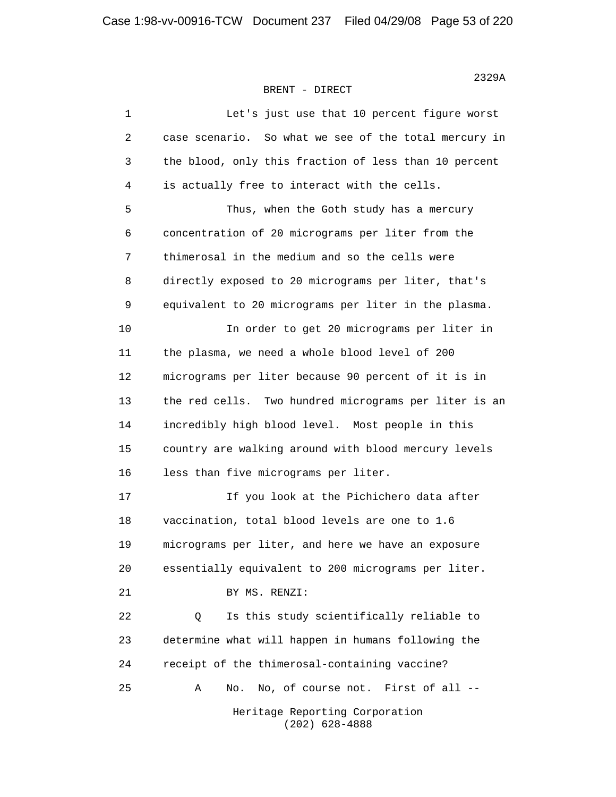| 1  | Let's just use that 10 percent figure worst           |
|----|-------------------------------------------------------|
| 2  | case scenario. So what we see of the total mercury in |
| 3  | the blood, only this fraction of less than 10 percent |
| 4  | is actually free to interact with the cells.          |
| 5  | Thus, when the Goth study has a mercury               |
| 6  | concentration of 20 micrograms per liter from the     |
| 7  | thimerosal in the medium and so the cells were        |
| 8  | directly exposed to 20 micrograms per liter, that's   |
| 9  | equivalent to 20 micrograms per liter in the plasma.  |
| 10 | In order to get 20 micrograms per liter in            |
| 11 | the plasma, we need a whole blood level of 200        |
| 12 | micrograms per liter because 90 percent of it is in   |
| 13 | the red cells. Two hundred micrograms per liter is an |
| 14 | incredibly high blood level. Most people in this      |
| 15 | country are walking around with blood mercury levels  |
| 16 | less than five micrograms per liter.                  |
| 17 | If you look at the Pichichero data after              |
| 18 | vaccination, total blood levels are one to 1.6        |
| 19 | micrograms per liter, and here we have an exposure    |
| 20 | essentially equivalent to 200 micrograms per liter.   |
| 21 | BY MS. RENZI:                                         |
| 22 | Is this study scientifically reliable to<br>Q         |
| 23 | determine what will happen in humans following the    |
| 24 | receipt of the thimerosal-containing vaccine?         |
| 25 | No, of course not. First of all --<br>Α<br>No.        |
|    | Heritage Reporting Corporation<br>$(202)$ 628-4888    |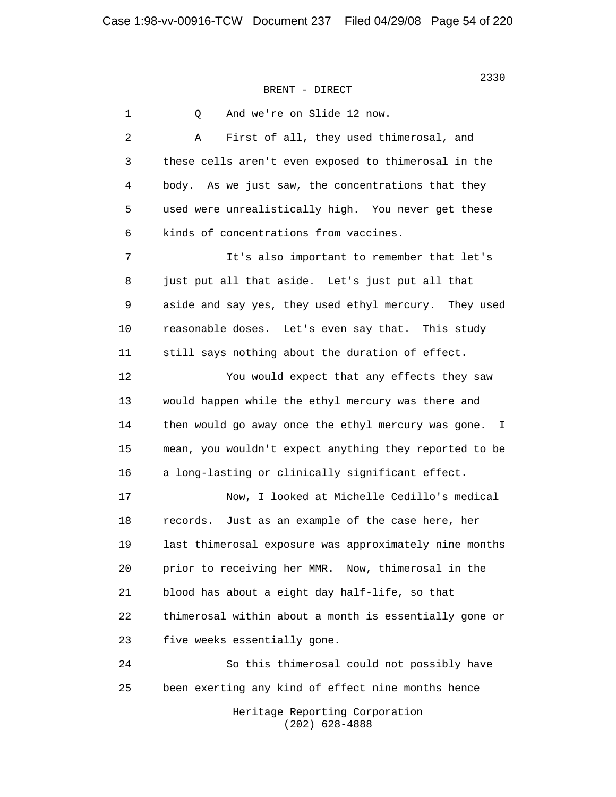1 Q And we're on Slide 12 now. 2 A First of all, they used thimerosal, and 3 these cells aren't even exposed to thimerosal in the 4 body. As we just saw, the concentrations that they 5 used were unrealistically high. You never get these 6 kinds of concentrations from vaccines. 7 It's also important to remember that let's 8 just put all that aside. Let's just put all that 9 aside and say yes, they used ethyl mercury. They used 10 reasonable doses. Let's even say that. This study 11 still says nothing about the duration of effect. 12 You would expect that any effects they saw 13 would happen while the ethyl mercury was there and 14 then would go away once the ethyl mercury was gone. I 15 mean, you wouldn't expect anything they reported to be 16 a long-lasting or clinically significant effect. 17 Now, I looked at Michelle Cedillo's medical 18 records. Just as an example of the case here, her 19 last thimerosal exposure was approximately nine months 20 prior to receiving her MMR. Now, thimerosal in the 21 blood has about a eight day half-life, so that 22 thimerosal within about a month is essentially gone or 23 five weeks essentially gone. 24 So this thimerosal could not possibly have 25 been exerting any kind of effect nine months hence Heritage Reporting Corporation (202) 628-4888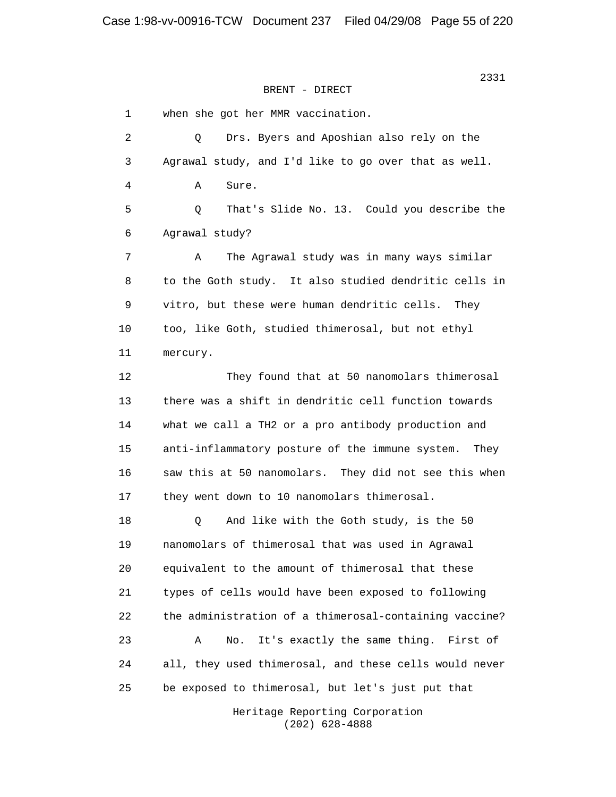1 when she got her MMR vaccination. 2 Q Drs. Byers and Aposhian also rely on the 3 Agrawal study, and I'd like to go over that as well. 4 A Sure. 5 Q That's Slide No. 13. Could you describe the 6 Agrawal study? 7 A The Agrawal study was in many ways similar 8 to the Goth study. It also studied dendritic cells in 9 vitro, but these were human dendritic cells. They 10 too, like Goth, studied thimerosal, but not ethyl 11 mercury. 12 They found that at 50 nanomolars thimerosal 13 there was a shift in dendritic cell function towards 14 what we call a TH2 or a pro antibody production and 15 anti-inflammatory posture of the immune system. They 16 saw this at 50 nanomolars. They did not see this when 17 they went down to 10 nanomolars thimerosal. 18 Q And like with the Goth study, is the 50 19 nanomolars of thimerosal that was used in Agrawal 20 equivalent to the amount of thimerosal that these 21 types of cells would have been exposed to following 22 the administration of a thimerosal-containing vaccine? 23 A No. It's exactly the same thing. First of 24 all, they used thimerosal, and these cells would never 25 be exposed to thimerosal, but let's just put that

> Heritage Reporting Corporation (202) 628-4888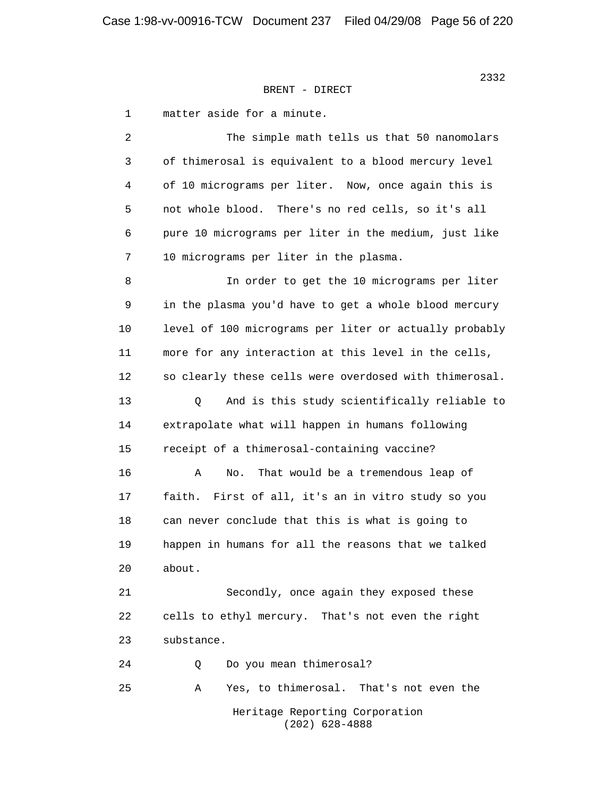1 matter aside for a minute.

 2 The simple math tells us that 50 nanomolars 3 of thimerosal is equivalent to a blood mercury level 4 of 10 micrograms per liter. Now, once again this is 5 not whole blood. There's no red cells, so it's all 6 pure 10 micrograms per liter in the medium, just like 7 10 micrograms per liter in the plasma. 8 In order to get the 10 micrograms per liter 9 in the plasma you'd have to get a whole blood mercury 10 level of 100 micrograms per liter or actually probably 11 more for any interaction at this level in the cells, 12 so clearly these cells were overdosed with thimerosal. 13 Q And is this study scientifically reliable to 14 extrapolate what will happen in humans following 15 receipt of a thimerosal-containing vaccine? 16 A No. That would be a tremendous leap of 17 faith. First of all, it's an in vitro study so you 18 can never conclude that this is what is going to 19 happen in humans for all the reasons that we talked 20 about. 21 Secondly, once again they exposed these 22 cells to ethyl mercury. That's not even the right 23 substance. 24 Q Do you mean thimerosal? 25 A Yes, to thimerosal. That's not even the

 Heritage Reporting Corporation (202) 628-4888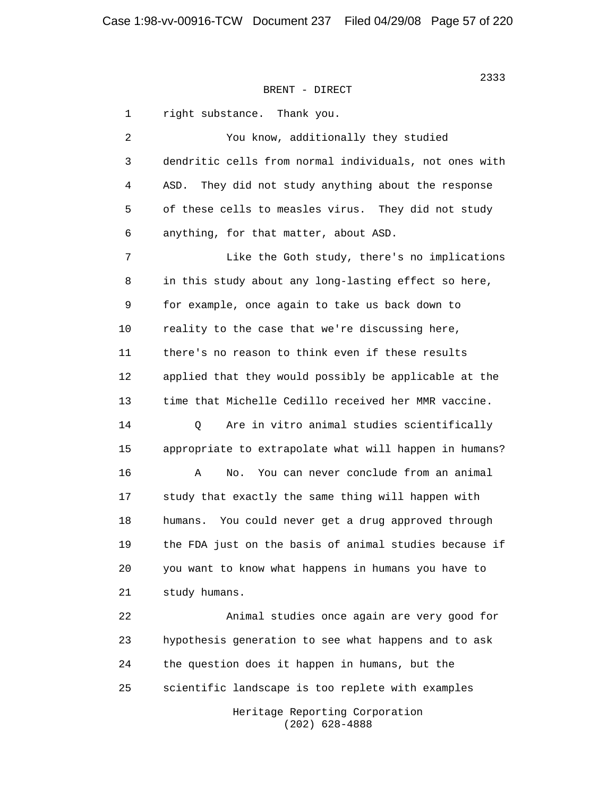1 right substance. Thank you. 2 You know, additionally they studied 3 dendritic cells from normal individuals, not ones with 4 ASD. They did not study anything about the response 5 of these cells to measles virus. They did not study 6 anything, for that matter, about ASD. 7 Like the Goth study, there's no implications 8 in this study about any long-lasting effect so here, 9 for example, once again to take us back down to 10 reality to the case that we're discussing here, 11 there's no reason to think even if these results 12 applied that they would possibly be applicable at the 13 time that Michelle Cedillo received her MMR vaccine. 14 Q Are in vitro animal studies scientifically 15 appropriate to extrapolate what will happen in humans? 16 A No. You can never conclude from an animal 17 study that exactly the same thing will happen with 18 humans. You could never get a drug approved through 19 the FDA just on the basis of animal studies because if 20 you want to know what happens in humans you have to 21 study humans. 22 Animal studies once again are very good for 23 hypothesis generation to see what happens and to ask 24 the question does it happen in humans, but the 25 scientific landscape is too replete with examples Heritage Reporting Corporation

(202) 628-4888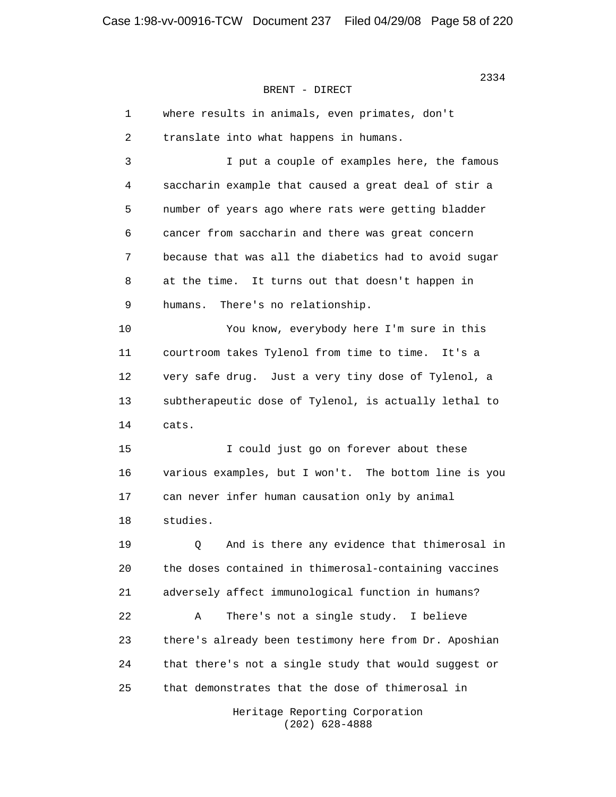| 1  | where results in animals, even primates, don't        |
|----|-------------------------------------------------------|
| 2  | translate into what happens in humans.                |
| 3  | I put a couple of examples here, the famous           |
| 4  | saccharin example that caused a great deal of stir a  |
| 5  | number of years ago where rats were getting bladder   |
| 6  | cancer from saccharin and there was great concern     |
| 7  | because that was all the diabetics had to avoid sugar |
| 8  | at the time. It turns out that doesn't happen in      |
| 9  | There's no relationship.<br>humans.                   |
| 10 | You know, everybody here I'm sure in this             |
| 11 | courtroom takes Tylenol from time to time. It's a     |
| 12 | very safe drug. Just a very tiny dose of Tylenol, a   |
| 13 | subtherapeutic dose of Tylenol, is actually lethal to |
| 14 | cats.                                                 |
| 15 | I could just go on forever about these                |
| 16 | various examples, but I won't. The bottom line is you |
| 17 | can never infer human causation only by animal        |
| 18 | studies.                                              |
| 19 | And is there any evidence that thimerosal in<br>Q     |
| 20 | the doses contained in thimerosal-containing vaccines |
| 21 | adversely affect immunological function in humans?    |
| 22 | There's not a single study.<br>Α<br>I believe         |
| 23 | there's already been testimony here from Dr. Aposhian |
| 24 | that there's not a single study that would suggest or |
| 25 | that demonstrates that the dose of thimerosal in      |
|    | Heritage Reporting Corporation                        |

 $(202)$  628-4888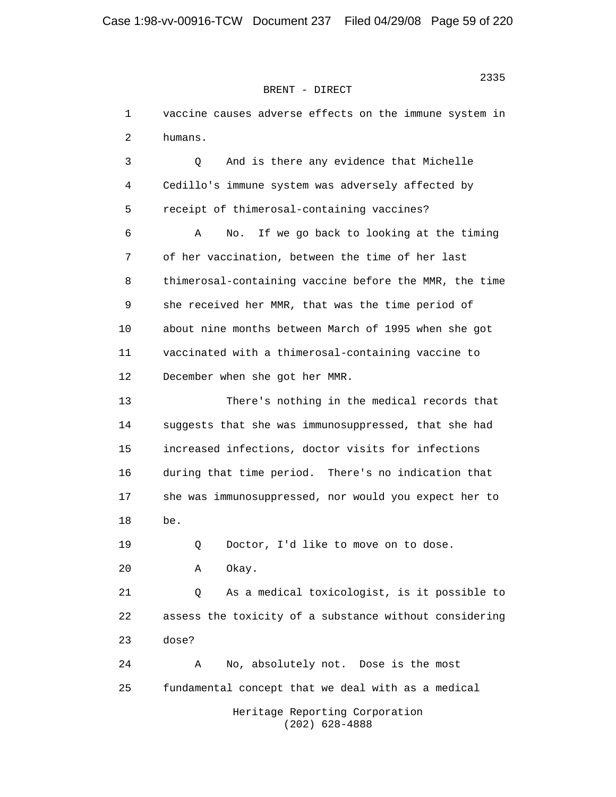1 vaccine causes adverse effects on the immune system in 2 humans. 3 Q And is there any evidence that Michelle 4 Cedillo's immune system was adversely affected by 5 receipt of thimerosal-containing vaccines? 6 A No. If we go back to looking at the timing 7 of her vaccination, between the time of her last 8 thimerosal-containing vaccine before the MMR, the time 9 she received her MMR, that was the time period of 10 about nine months between March of 1995 when she got 11 vaccinated with a thimerosal-containing vaccine to 12 December when she got her MMR. 13 There's nothing in the medical records that 14 suggests that she was immunosuppressed, that she had 15 increased infections, doctor visits for infections 16 during that time period. There's no indication that 17 she was immunosuppressed, nor would you expect her to 18 be. 19 Q Doctor, I'd like to move on to dose. 20 A Okay. 21 Q As a medical toxicologist, is it possible to 22 assess the toxicity of a substance without considering 23 dose? 24 A No, absolutely not. Dose is the most 25 fundamental concept that we deal with as a medical Heritage Reporting Corporation (202) 628-4888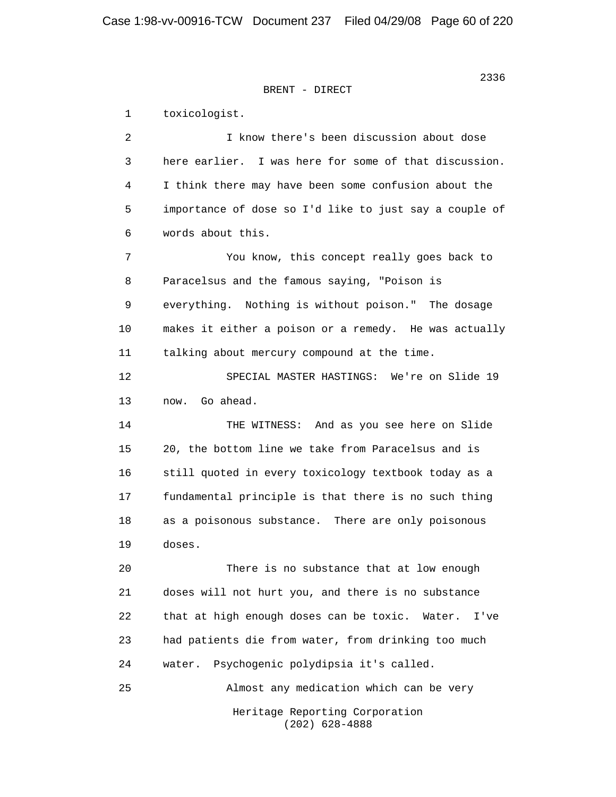1 toxicologist. 2 I know there's been discussion about dose 3 here earlier. I was here for some of that discussion. 4 I think there may have been some confusion about the 5 importance of dose so I'd like to just say a couple of 6 words about this. 7 You know, this concept really goes back to 8 Paracelsus and the famous saying, "Poison is 9 everything. Nothing is without poison." The dosage 10 makes it either a poison or a remedy. He was actually 11 talking about mercury compound at the time. 12 SPECIAL MASTER HASTINGS: We're on Slide 19 13 now. Go ahead. 14 THE WITNESS: And as you see here on Slide 15 20, the bottom line we take from Paracelsus and is 16 still quoted in every toxicology textbook today as a 17 fundamental principle is that there is no such thing 18 as a poisonous substance. There are only poisonous 19 doses. 20 There is no substance that at low enough 21 doses will not hurt you, and there is no substance 22 that at high enough doses can be toxic. Water. I've 23 had patients die from water, from drinking too much 24 water. Psychogenic polydipsia it's called. 25 Almost any medication which can be very Heritage Reporting Corporation (202) 628-4888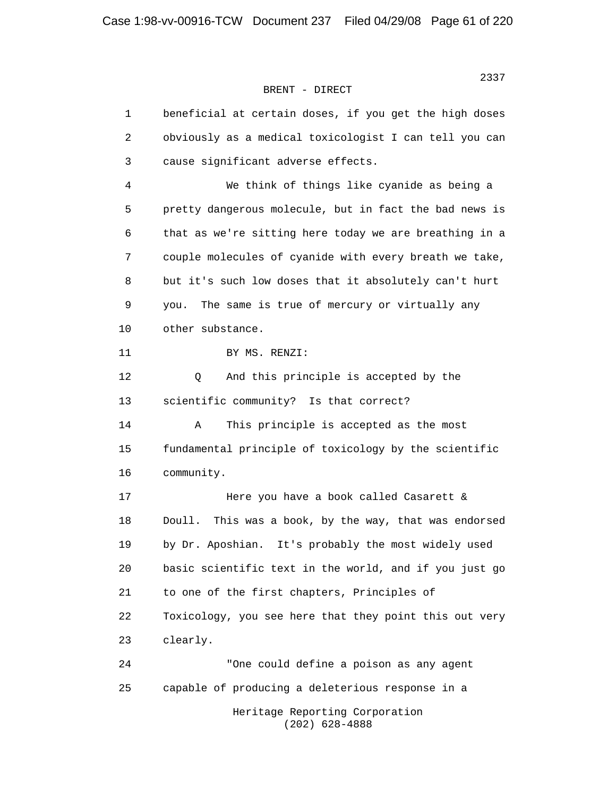2337 **2337** BRENT - DIRECT

| $\mathbf{1}$ | beneficial at certain doses, if you get the high doses   |
|--------------|----------------------------------------------------------|
| 2            | obviously as a medical toxicologist I can tell you can   |
| 3            | cause significant adverse effects.                       |
| 4            | We think of things like cyanide as being a               |
| 5            | pretty dangerous molecule, but in fact the bad news is   |
| 6            | that as we're sitting here today we are breathing in a   |
| 7            | couple molecules of cyanide with every breath we take,   |
| 8            | but it's such low doses that it absolutely can't hurt    |
| $\mathsf 9$  | The same is true of mercury or virtually any<br>you.     |
| 10           | other substance.                                         |
| 11           | BY MS. RENZI:                                            |
| 12           | And this principle is accepted by the<br>Q               |
| 13           | scientific community? Is that correct?                   |
| 14           | Α<br>This principle is accepted as the most              |
| 15           | fundamental principle of toxicology by the scientific    |
| 16           | community.                                               |
| 17           | Here you have a book called Casarett &                   |
| 18           | This was a book, by the way, that was endorsed<br>Doull. |
| 19           | by Dr. Aposhian.<br>It's probably the most widely used   |
| 20           | basic scientific text in the world, and if you just go   |
| 21           | to one of the first chapters, Principles of              |
| 22           | Toxicology, you see here that they point this out very   |
| 23           | clearly.                                                 |
| 24           | "One could define a poison as any agent                  |
| 25           | capable of producing a deleterious response in a         |
|              | Heritage Reporting Corporation                           |

(202) 628-4888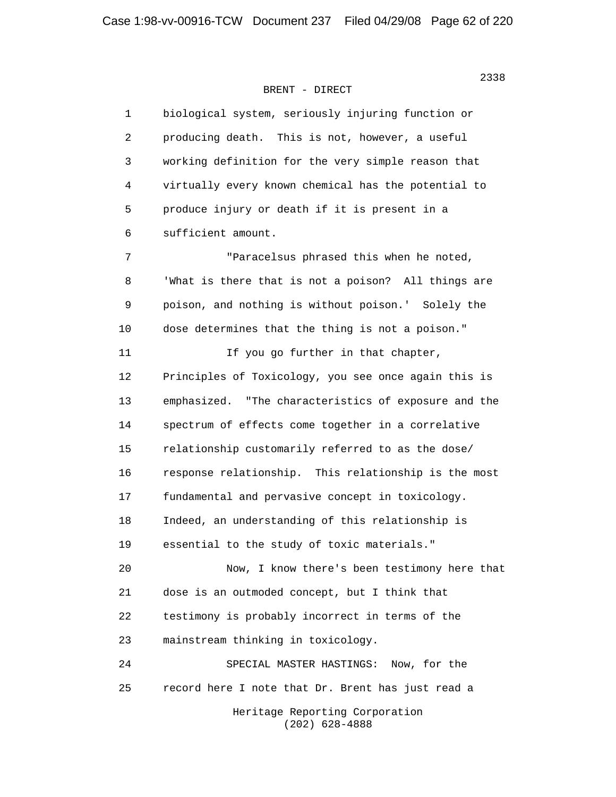| $\mathbf{1}$ | biological system, seriously injuring function or    |
|--------------|------------------------------------------------------|
| 2            | producing death. This is not, however, a useful      |
| 3            | working definition for the very simple reason that   |
| 4            | virtually every known chemical has the potential to  |
| 5            | produce injury or death if it is present in a        |
| 6            | sufficient amount.                                   |
| 7            | "Paracelsus phrased this when he noted,              |
| 8            | 'What is there that is not a poison? All things are  |
| 9            | poison, and nothing is without poison.' Solely the   |
| 10           | dose determines that the thing is not a poison."     |
| 11           | If you go further in that chapter,                   |
| 12           | Principles of Toxicology, you see once again this is |
| 13           | emphasized. "The characteristics of exposure and the |
| 14           | spectrum of effects come together in a correlative   |
| 15           | relationship customarily referred to as the dose/    |
| 16           | response relationship. This relationship is the most |
| 17           | fundamental and pervasive concept in toxicology.     |
| 18           | Indeed, an understanding of this relationship is     |
| 19           | essential to the study of toxic materials."          |
| 20           | Now, I know there's been testimony here that         |
| 21           | dose is an outmoded concept, but I think that        |
| 22           | testimony is probably incorrect in terms of the      |
| 23           | mainstream thinking in toxicology.                   |
| 24           | SPECIAL MASTER HASTINGS: Now, for the                |
| 25           | record here I note that Dr. Brent has just read a    |
|              | Heritage Reporting Corporation<br>$(202)$ 628-4888   |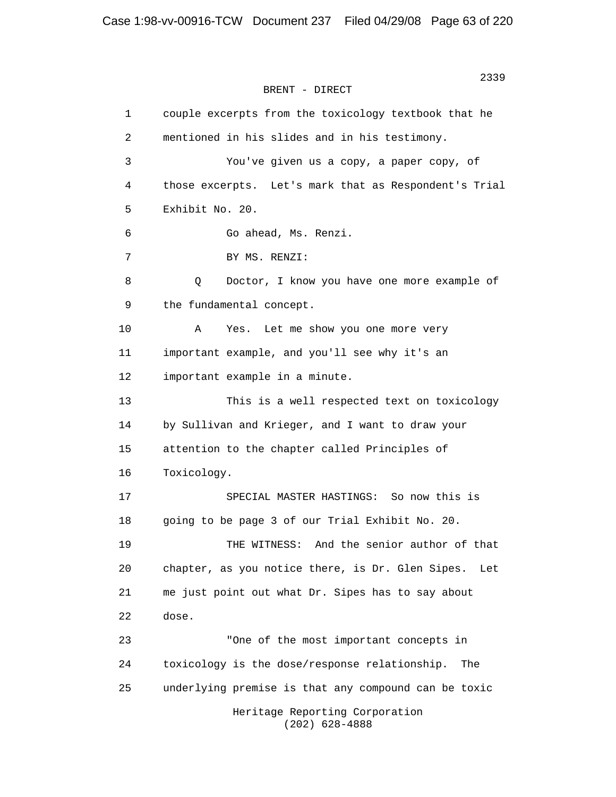> 1 couple excerpts from the toxicology textbook that he 2 mentioned in his slides and in his testimony. 3 You've given us a copy, a paper copy, of 4 those excerpts. Let's mark that as Respondent's Trial 5 Exhibit No. 20. 6 Go ahead, Ms. Renzi. 7 BY MS. RENZI: 8 Q Doctor, I know you have one more example of 9 the fundamental concept. 10 A Yes. Let me show you one more very 11 important example, and you'll see why it's an 12 important example in a minute. 13 This is a well respected text on toxicology 14 by Sullivan and Krieger, and I want to draw your 15 attention to the chapter called Principles of 16 Toxicology. 17 SPECIAL MASTER HASTINGS: So now this is 18 going to be page 3 of our Trial Exhibit No. 20. 19 THE WITNESS: And the senior author of that 20 chapter, as you notice there, is Dr. Glen Sipes. Let 21 me just point out what Dr. Sipes has to say about 22 dose. 23 "One of the most important concepts in 24 toxicology is the dose/response relationship. The 25 underlying premise is that any compound can be toxic Heritage Reporting Corporation (202) 628-4888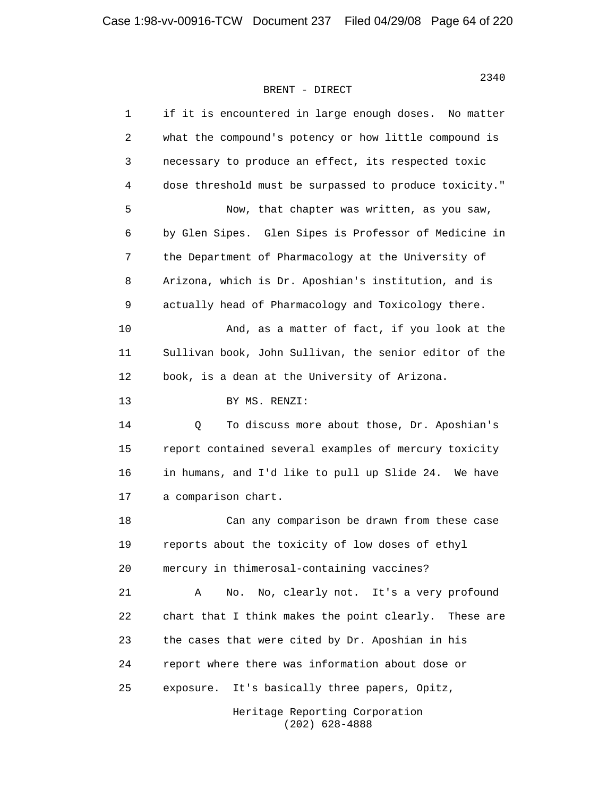| $\mathbf 1$ | if it is encountered in large enough doses. No matter    |
|-------------|----------------------------------------------------------|
| 2           | what the compound's potency or how little compound is    |
| 3           | necessary to produce an effect, its respected toxic      |
| 4           | dose threshold must be surpassed to produce toxicity."   |
| 5           | Now, that chapter was written, as you saw,               |
| 6           | by Glen Sipes. Glen Sipes is Professor of Medicine in    |
| 7           | the Department of Pharmacology at the University of      |
| 8           | Arizona, which is Dr. Aposhian's institution, and is     |
| $\mathsf 9$ | actually head of Pharmacology and Toxicology there.      |
| 10          | And, as a matter of fact, if you look at the             |
| 11          | Sullivan book, John Sullivan, the senior editor of the   |
| 12          | book, is a dean at the University of Arizona.            |
| 13          | BY MS. RENZI:                                            |
| 14          | To discuss more about those, Dr. Aposhian's<br>Q         |
| 15          | report contained several examples of mercury toxicity    |
| 16          | in humans, and I'd like to pull up Slide 24. We have     |
| 17          | a comparison chart.                                      |
| 18          | Can any comparison be drawn from these case              |
| 19          | reports about the toxicity of low doses of ethyl         |
| 20          | mercury in thimerosal-containing vaccines?               |
| 21          | No, clearly not. It's a very profound<br>Α<br>No.        |
| 22          | chart that I think makes the point clearly.<br>These are |
| 23          | the cases that were cited by Dr. Aposhian in his         |
| 24          | report where there was information about dose or         |
| 25          | It's basically three papers, Opitz,<br>exposure.         |
|             | Heritage Reporting Corporation                           |

(202) 628-4888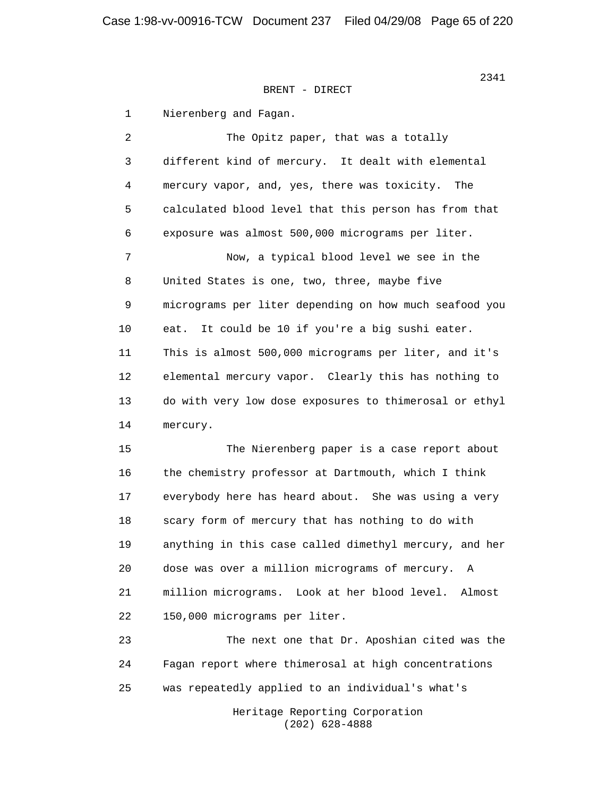1 Nierenberg and Fagan.

2 The Opitz paper, that was a totally 3 different kind of mercury. It dealt with elemental 4 mercury vapor, and, yes, there was toxicity. The 5 calculated blood level that this person has from that 6 exposure was almost 500,000 micrograms per liter. 7 Now, a typical blood level we see in the 8 United States is one, two, three, maybe five 9 micrograms per liter depending on how much seafood you 10 eat. It could be 10 if you're a big sushi eater. 11 This is almost 500,000 micrograms per liter, and it's 12 elemental mercury vapor. Clearly this has nothing to 13 do with very low dose exposures to thimerosal or ethyl 14 mercury. 15 The Nierenberg paper is a case report about

 16 the chemistry professor at Dartmouth, which I think 17 everybody here has heard about. She was using a very 18 scary form of mercury that has nothing to do with 19 anything in this case called dimethyl mercury, and her 20 dose was over a million micrograms of mercury. A 21 million micrograms. Look at her blood level. Almost 22 150,000 micrograms per liter.

 23 The next one that Dr. Aposhian cited was the 24 Fagan report where thimerosal at high concentrations 25 was repeatedly applied to an individual's what's

> Heritage Reporting Corporation (202) 628-4888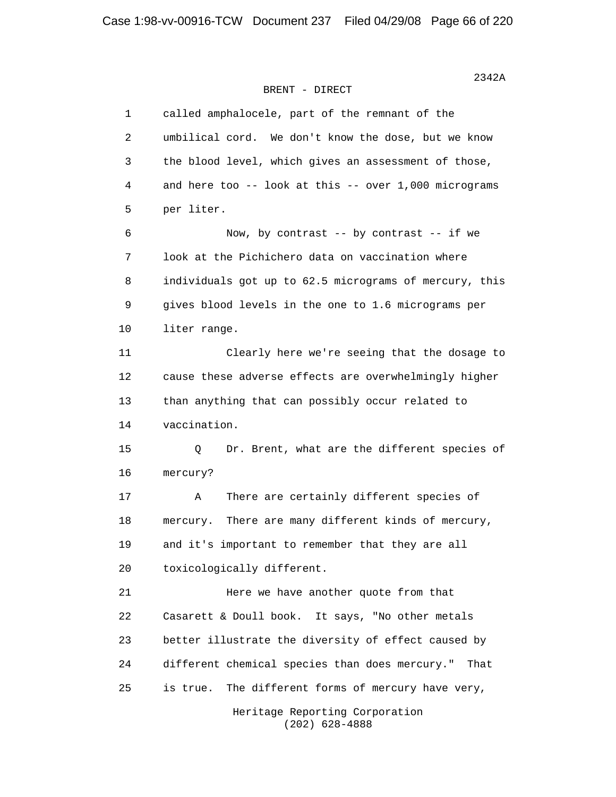| 1  | called amphalocele, part of the remnant of the         |
|----|--------------------------------------------------------|
| 2  | umbilical cord. We don't know the dose, but we know    |
| 3  | the blood level, which gives an assessment of those,   |
| 4  | and here too -- look at this -- over 1,000 micrograms  |
| 5  | per liter.                                             |
| 6  | Now, by contrast -- by contrast -- if we               |
| 7  | look at the Pichichero data on vaccination where       |
| 8  | individuals got up to 62.5 micrograms of mercury, this |
| 9  | gives blood levels in the one to 1.6 micrograms per    |
| 10 | liter range.                                           |
| 11 | Clearly here we're seeing that the dosage to           |
| 12 | cause these adverse effects are overwhelmingly higher  |
| 13 | than anything that can possibly occur related to       |
| 14 | vaccination.                                           |
| 15 | Q<br>Dr. Brent, what are the different species of      |
| 16 | mercury?                                               |
| 17 | There are certainly different species of<br>Α          |
| 18 | There are many different kinds of mercury,<br>mercury. |
| 19 | and it's important to remember that they are all       |
| 20 | toxicologically different.                             |
| 21 | Here we have another quote from that                   |
| 22 | Casarett & Doull book. It says, "No other metals       |
| 23 | better illustrate the diversity of effect caused by    |
| 24 | different chemical species than does mercury."<br>That |
| 25 | The different forms of mercury have very,<br>is true.  |
|    | Heritage Reporting Corporation                         |

(202) 628-4888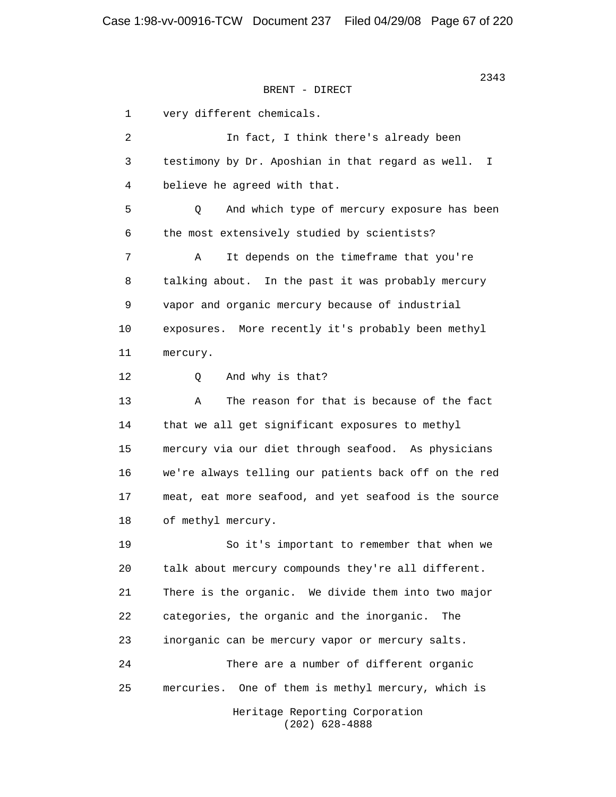```
BRENT - DIRECT
```
 1 very different chemicals. 2 In fact, I think there's already been 3 testimony by Dr. Aposhian in that regard as well. I 4 believe he agreed with that. 5 Q And which type of mercury exposure has been 6 the most extensively studied by scientists? 7 A It depends on the timeframe that you're 8 talking about. In the past it was probably mercury 9 vapor and organic mercury because of industrial 10 exposures. More recently it's probably been methyl 11 mercury. 12 Q And why is that? 13 A The reason for that is because of the fact 14 that we all get significant exposures to methyl 15 mercury via our diet through seafood. As physicians 16 we're always telling our patients back off on the red 17 meat, eat more seafood, and yet seafood is the source 18 of methyl mercury. 19 So it's important to remember that when we 20 talk about mercury compounds they're all different. 21 There is the organic. We divide them into two major 22 categories, the organic and the inorganic. The 23 inorganic can be mercury vapor or mercury salts. 24 There are a number of different organic 25 mercuries. One of them is methyl mercury, which is Heritage Reporting Corporation (202) 628-4888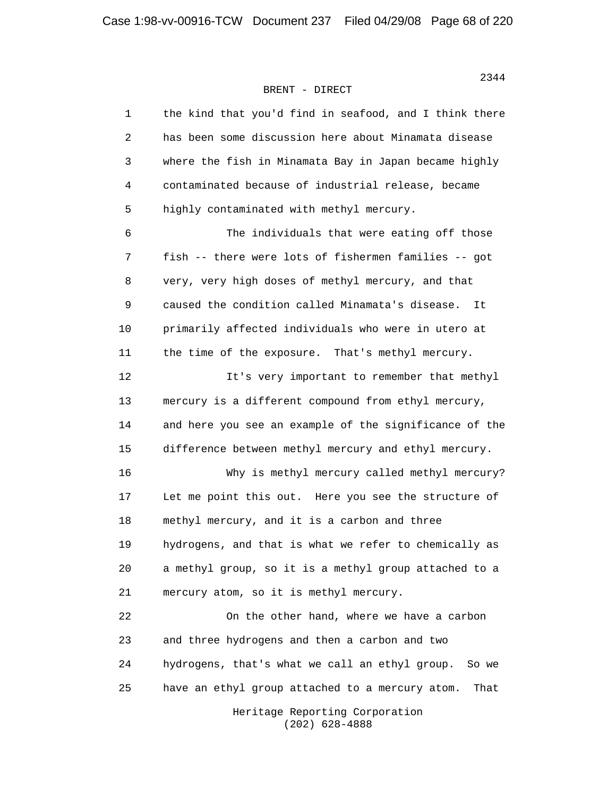| 1              | the kind that you'd find in seafood, and I think there  |
|----------------|---------------------------------------------------------|
| $\overline{2}$ | has been some discussion here about Minamata disease    |
| 3              | where the fish in Minamata Bay in Japan became highly   |
| 4              | contaminated because of industrial release, became      |
| 5              | highly contaminated with methyl mercury.                |
| 6              | The individuals that were eating off those              |
| 7              | fish -- there were lots of fishermen families -- got    |
| 8              | very, very high doses of methyl mercury, and that       |
| 9              | caused the condition called Minamata's disease.<br>It   |
| 10             | primarily affected individuals who were in utero at     |
| 11             | the time of the exposure. That's methyl mercury.        |
| 12             | It's very important to remember that methyl             |
| 13             | mercury is a different compound from ethyl mercury,     |
| 14             | and here you see an example of the significance of the  |
| 15             | difference between methyl mercury and ethyl mercury.    |
| 16             | Why is methyl mercury called methyl mercury?            |
| 17             | Let me point this out. Here you see the structure of    |
| 18             | methyl mercury, and it is a carbon and three            |
| 19             | hydrogens, and that is what we refer to chemically as   |
| 20             | a methyl group, so it is a methyl group attached to a   |
| 21             | mercury atom, so it is methyl mercury.                  |
| 22             | On the other hand, where we have a carbon               |
| 23             | and three hydrogens and then a carbon and two           |
| 24             | hydrogens, that's what we call an ethyl group.<br>So we |
| 25             | have an ethyl group attached to a mercury atom.<br>That |
|                | Heritage Reporting Corporation                          |

(202) 628-4888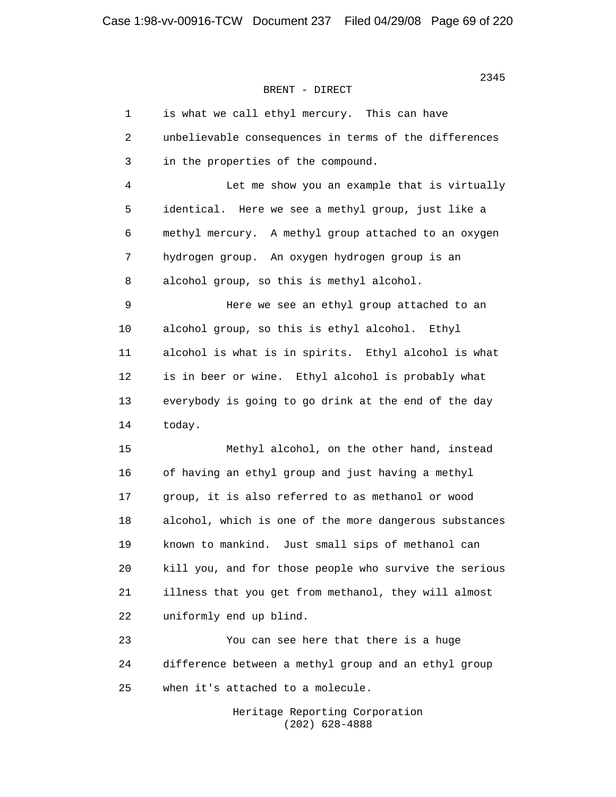| $\mathbf 1$ | is what we call ethyl mercury. This can have           |
|-------------|--------------------------------------------------------|
| 2           | unbelievable consequences in terms of the differences  |
| 3           | in the properties of the compound.                     |
| 4           | Let me show you an example that is virtually           |
| 5           | identical. Here we see a methyl group, just like a     |
| 6           | methyl mercury. A methyl group attached to an oxygen   |
| 7           | hydrogen group. An oxygen hydrogen group is an         |
| 8           | alcohol group, so this is methyl alcohol.              |
| 9           | Here we see an ethyl group attached to an              |
| 10          | alcohol group, so this is ethyl alcohol. Ethyl         |
| 11          | alcohol is what is in spirits. Ethyl alcohol is what   |
| 12          | is in beer or wine. Ethyl alcohol is probably what     |
| 13          | everybody is going to go drink at the end of the day   |
| 14          | today.                                                 |
| 15          | Methyl alcohol, on the other hand, instead             |
| 16          | of having an ethyl group and just having a methyl      |
| 17          | group, it is also referred to as methanol or wood      |
| 18          | alcohol, which is one of the more dangerous substances |
| 19          | known to mankind. Just small sips of methanol can      |
| 20          | kill you, and for those people who survive the serious |
| 21          | illness that you get from methanol, they will almost   |
| 22          | uniformly end up blind.                                |
| 23          | You can see here that there is a huge                  |
| 24          | difference between a methyl group and an ethyl group   |
| 25          | when it's attached to a molecule.                      |
|             | Heritage Reporting Corporation<br>$(202)$ 628-4888     |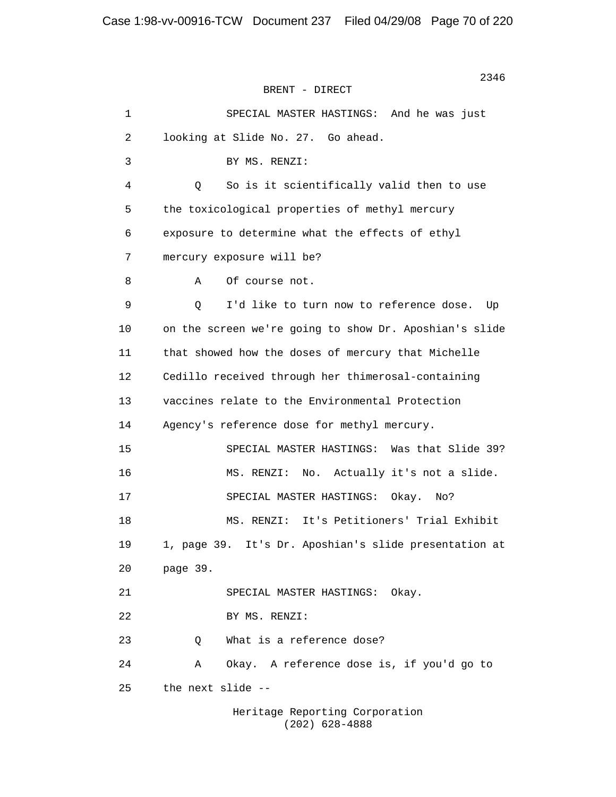2346 BRENT - DIRECT 1 SPECIAL MASTER HASTINGS: And he was just 2 looking at Slide No. 27. Go ahead. 3 BY MS. RENZI: 4 Q So is it scientifically valid then to use 5 the toxicological properties of methyl mercury 6 exposure to determine what the effects of ethyl 7 mercury exposure will be? 8 A Of course not. 9 Q I'd like to turn now to reference dose. Up 10 on the screen we're going to show Dr. Aposhian's slide 11 that showed how the doses of mercury that Michelle 12 Cedillo received through her thimerosal-containing 13 vaccines relate to the Environmental Protection 14 Agency's reference dose for methyl mercury. 15 SPECIAL MASTER HASTINGS: Was that Slide 39? 16 MS. RENZI: No. Actually it's not a slide. 17 SPECIAL MASTER HASTINGS: Okay. No? 18 MS. RENZI: It's Petitioners' Trial Exhibit 19 1, page 39. It's Dr. Aposhian's slide presentation at 20 page 39. 21 SPECIAL MASTER HASTINGS: Okay. 22 BY MS. RENZI: 23 Q What is a reference dose? 24 A Okay. A reference dose is, if you'd go to 25 the next slide -- Heritage Reporting Corporation

(202) 628-4888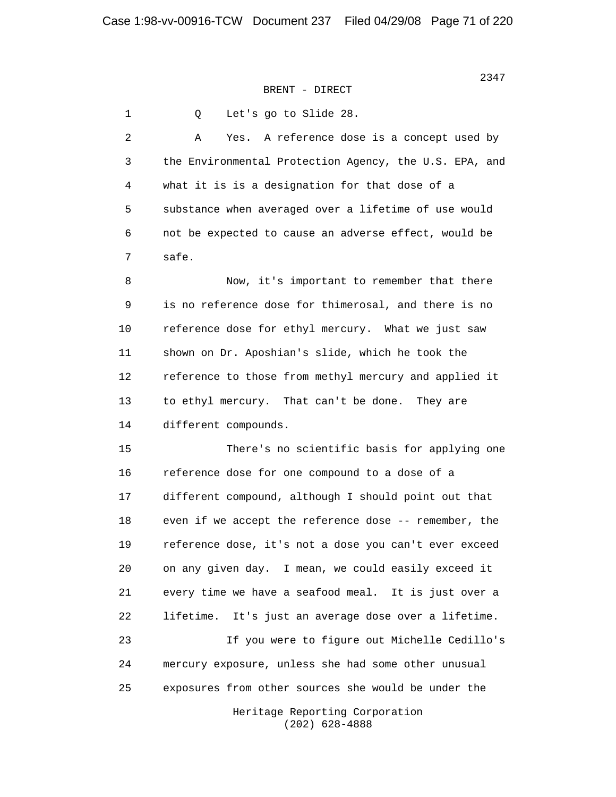1 Q Let's go to Slide 28. 2 A Yes. A reference dose is a concept used by 3 the Environmental Protection Agency, the U.S. EPA, and 4 what it is is a designation for that dose of a 5 substance when averaged over a lifetime of use would 6 not be expected to cause an adverse effect, would be 7 safe. 8 Now, it's important to remember that there 9 is no reference dose for thimerosal, and there is no 10 reference dose for ethyl mercury. What we just saw 11 shown on Dr. Aposhian's slide, which he took the 12 reference to those from methyl mercury and applied it 13 to ethyl mercury. That can't be done. They are 14 different compounds. 15 There's no scientific basis for applying one 16 reference dose for one compound to a dose of a 17 different compound, although I should point out that 18 even if we accept the reference dose -- remember, the 19 reference dose, it's not a dose you can't ever exceed 20 on any given day. I mean, we could easily exceed it 21 every time we have a seafood meal. It is just over a 22 lifetime. It's just an average dose over a lifetime. 23 If you were to figure out Michelle Cedillo's 24 mercury exposure, unless she had some other unusual 25 exposures from other sources she would be under the Heritage Reporting Corporation (202) 628-4888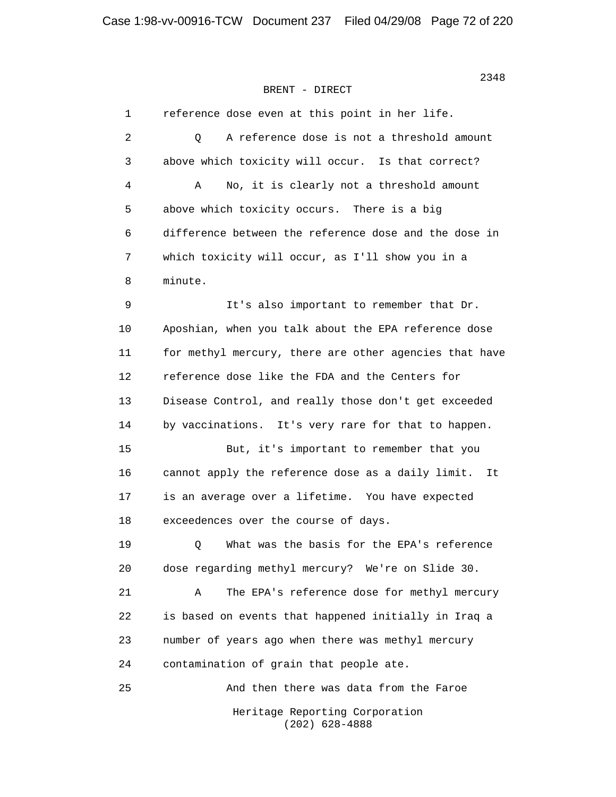| 1  | reference dose even at this point in her life.         |
|----|--------------------------------------------------------|
| 2  | A reference dose is not a threshold amount<br>Q        |
| 3  | above which toxicity will occur. Is that correct?      |
| 4  | No, it is clearly not a threshold amount<br>Α          |
| 5  | above which toxicity occurs. There is a big            |
| 6  | difference between the reference dose and the dose in  |
| 7  | which toxicity will occur, as I'll show you in a       |
| 8  | minute.                                                |
| 9  | It's also important to remember that Dr.               |
| 10 | Aposhian, when you talk about the EPA reference dose   |
| 11 | for methyl mercury, there are other agencies that have |
| 12 | reference dose like the FDA and the Centers for        |
| 13 | Disease Control, and really those don't get exceeded   |
| 14 | by vaccinations. It's very rare for that to happen.    |
| 15 | But, it's important to remember that you               |
| 16 | cannot apply the reference dose as a daily limit. It   |
| 17 | is an average over a lifetime. You have expected       |
| 18 | exceedences over the course of days.                   |
| 19 | What was the basis for the EPA's reference<br>Q        |
| 20 | dose regarding methyl mercury? We're on Slide 30.      |
| 21 | The EPA's reference dose for methyl mercury<br>Α       |
| 22 | is based on events that happened initially in Iraq a   |
| 23 | number of years ago when there was methyl mercury      |
| 24 | contamination of grain that people ate.                |
| 25 | And then there was data from the Faroe                 |
|    | Heritage Reporting Corporation                         |

(202) 628-4888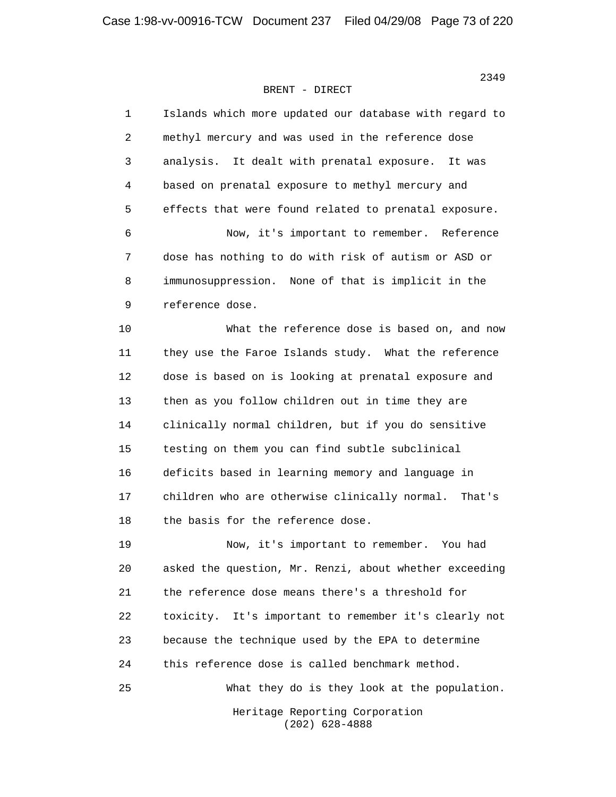| 1  | Islands which more updated our database with regard to  |
|----|---------------------------------------------------------|
| 2  | methyl mercury and was used in the reference dose       |
| 3  | analysis. It dealt with prenatal exposure.<br>It was    |
| 4  | based on prenatal exposure to methyl mercury and        |
| 5  | effects that were found related to prenatal exposure.   |
| 6  | Now, it's important to remember. Reference              |
| 7  | dose has nothing to do with risk of autism or ASD or    |
| 8  | immunosuppression. None of that is implicit in the      |
| 9  | reference dose.                                         |
| 10 | What the reference dose is based on, and now            |
| 11 | they use the Faroe Islands study. What the reference    |
| 12 | dose is based on is looking at prenatal exposure and    |
| 13 | then as you follow children out in time they are        |
| 14 | clinically normal children, but if you do sensitive     |
| 15 | testing on them you can find subtle subclinical         |
| 16 | deficits based in learning memory and language in       |
| 17 | children who are otherwise clinically normal.<br>That's |
| 18 | the basis for the reference dose.                       |
| 19 | Now, it's important to remember. You had                |
| 20 | asked the question, Mr. Renzi, about whether exceeding  |
| 21 | the reference dose means there's a threshold for        |
| 22 | toxicity. It's important to remember it's clearly not   |
| 23 | because the technique used by the EPA to determine      |
| 24 | this reference dose is called benchmark method.         |
| 25 | What they do is they look at the population.            |
|    | Heritage Reporting Corporation<br>$(202)$ 628-4888      |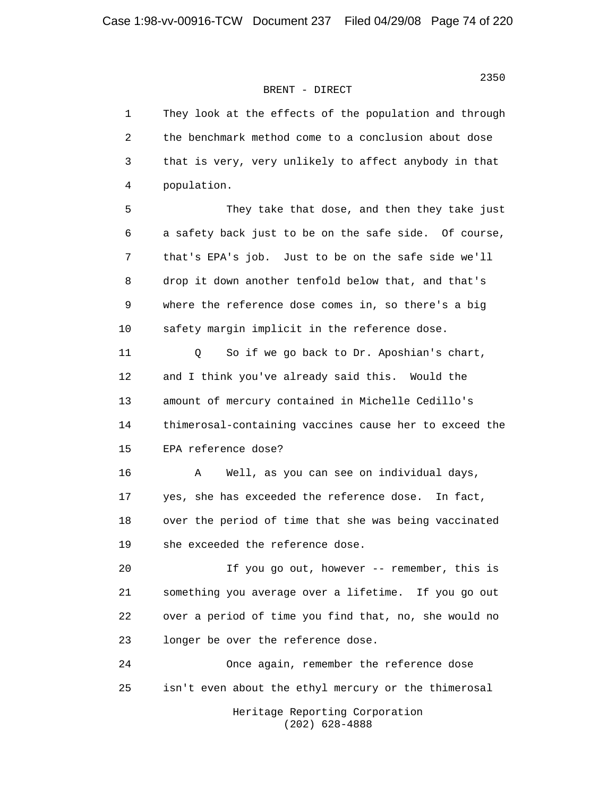| $\mathbf{1}$ | They look at the effects of the population and through |
|--------------|--------------------------------------------------------|
| 2            | the benchmark method come to a conclusion about dose   |
| 3            | that is very, very unlikely to affect anybody in that  |
| 4            | population.                                            |
| 5            | They take that dose, and then they take just           |
| 6            | a safety back just to be on the safe side. Of course,  |
| 7            | that's EPA's job. Just to be on the safe side we'll    |
| 8            | drop it down another tenfold below that, and that's    |
| $\mathsf 9$  | where the reference dose comes in, so there's a big    |
| 10           | safety margin implicit in the reference dose.          |
| 11           | So if we go back to Dr. Aposhian's chart,<br>Q         |
| 12           | and I think you've already said this. Would the        |
| 13           | amount of mercury contained in Michelle Cedillo's      |
| 14           | thimerosal-containing vaccines cause her to exceed the |
| 15           | EPA reference dose?                                    |
| 16           | Α<br>Well, as you can see on individual days,          |
| 17           | yes, she has exceeded the reference dose. In fact,     |
| 18           | over the period of time that she was being vaccinated  |
| 19           | she exceeded the reference dose.                       |
| 20           | If you go out, however -- remember, this is            |
| 21           | something you average over a lifetime. If you go out   |
| 22           | over a period of time you find that, no, she would no  |
| 23           | longer be over the reference dose.                     |
| 24           | Once again, remember the reference dose                |
| 25           | isn't even about the ethyl mercury or the thimerosal   |
|              | Heritage Reporting Corporation<br>$(202)$ 628-4888     |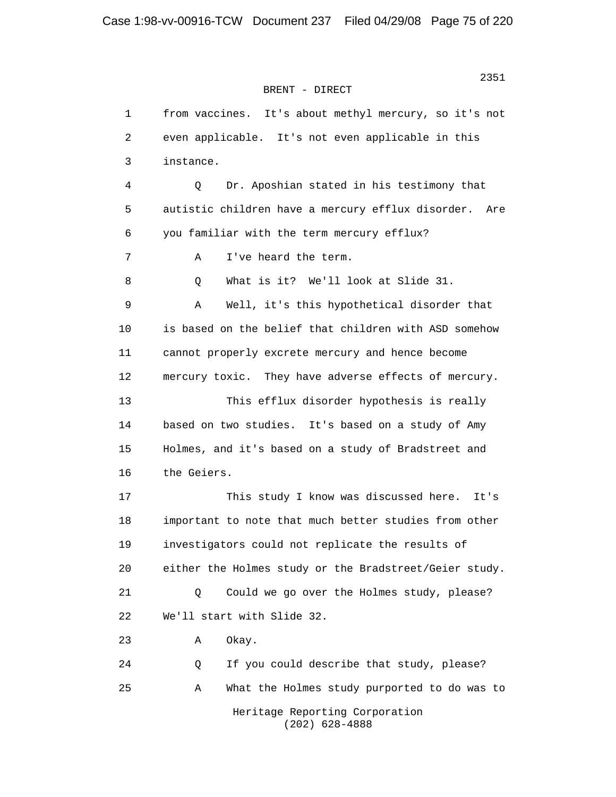```
 2351
BRENT - DIRECT
```
 1 from vaccines. It's about methyl mercury, so it's not 2 even applicable. It's not even applicable in this 3 instance. 4 Q Dr. Aposhian stated in his testimony that 5 autistic children have a mercury efflux disorder. Are 6 you familiar with the term mercury efflux? 7 A I've heard the term. 8 Q What is it? We'll look at Slide 31. 9 A Well, it's this hypothetical disorder that 10 is based on the belief that children with ASD somehow 11 cannot properly excrete mercury and hence become 12 mercury toxic. They have adverse effects of mercury. 13 This efflux disorder hypothesis is really 14 based on two studies. It's based on a study of Amy 15 Holmes, and it's based on a study of Bradstreet and 16 the Geiers. 17 This study I know was discussed here. It's 18 important to note that much better studies from other 19 investigators could not replicate the results of 20 either the Holmes study or the Bradstreet/Geier study. 21 Q Could we go over the Holmes study, please? 22 We'll start with Slide 32. 23 A Okay. 24 Q If you could describe that study, please? 25 A What the Holmes study purported to do was to Heritage Reporting Corporation (202) 628-4888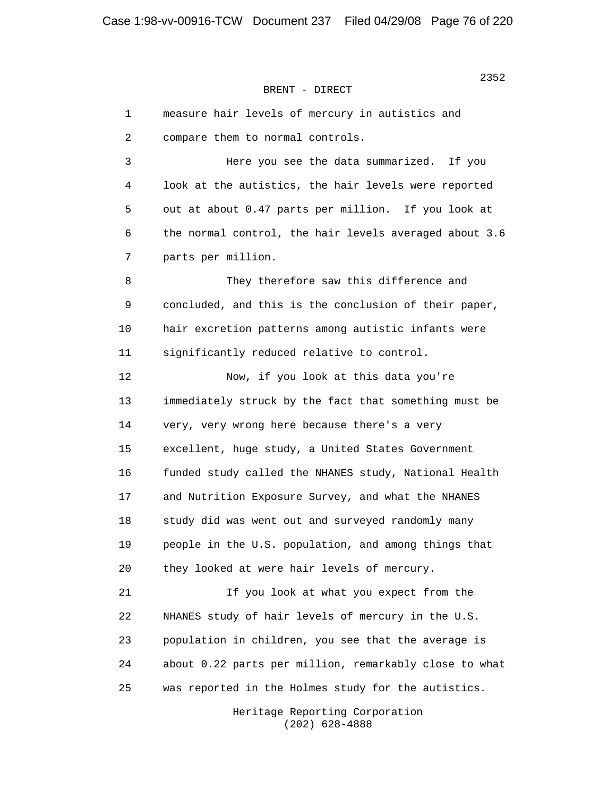|    | 1 | measure hair levels of mercury in autistics and        |
|----|---|--------------------------------------------------------|
|    | 2 | compare them to normal controls.                       |
|    | 3 | Here you see the data summarized. If you               |
|    | 4 | look at the autistics, the hair levels were reported   |
|    | 5 | out at about 0.47 parts per million. If you look at    |
|    | 6 | the normal control, the hair levels averaged about 3.6 |
|    | 7 | parts per million.                                     |
|    | 8 | They therefore saw this difference and                 |
|    | 9 | concluded, and this is the conclusion of their paper,  |
| 10 |   | hair excretion patterns among autistic infants were    |
| 11 |   | significantly reduced relative to control.             |
| 12 |   | Now, if you look at this data you're                   |
| 13 |   | immediately struck by the fact that something must be  |
| 14 |   | very, very wrong here because there's a very           |
| 15 |   | excellent, huge study, a United States Government      |
| 16 |   | funded study called the NHANES study, National Health  |
| 17 |   | and Nutrition Exposure Survey, and what the NHANES     |
| 18 |   | study did was went out and surveyed randomly many      |
| 19 |   | people in the U.S. population, and among things that   |
| 20 |   | they looked at were hair levels of mercury.            |
| 21 |   | If you look at what you expect from the                |
| 22 |   | NHANES study of hair levels of mercury in the U.S.     |
| 23 |   | population in children, you see that the average is    |
| 24 |   | about 0.22 parts per million, remarkably close to what |
| 25 |   | was reported in the Holmes study for the autistics.    |
|    |   |                                                        |

 Heritage Reporting Corporation (202) 628-4888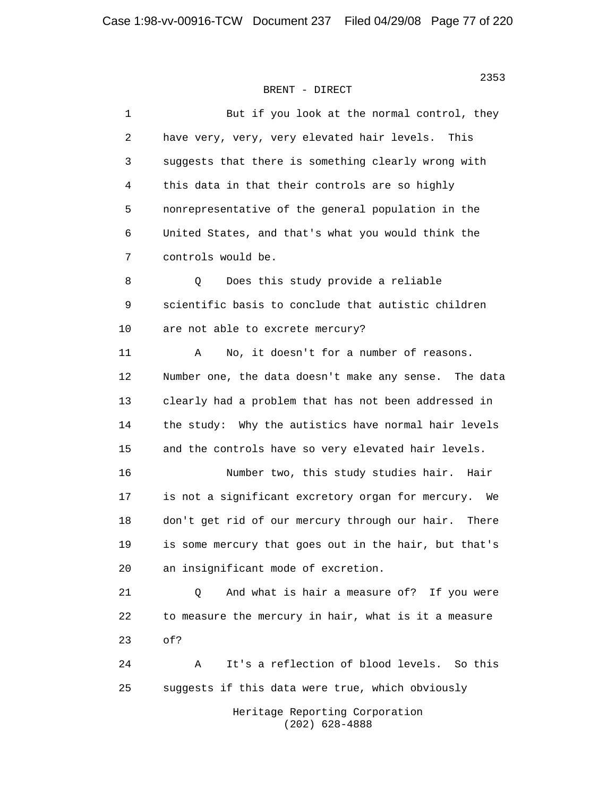| $\mathbf 1$ | But if you look at the normal control, they             |
|-------------|---------------------------------------------------------|
| 2           | have very, very, very elevated hair levels.<br>This     |
| 3           | suggests that there is something clearly wrong with     |
| 4           | this data in that their controls are so highly          |
| 5           | nonrepresentative of the general population in the      |
| 6           | United States, and that's what you would think the      |
| 7           | controls would be.                                      |
| 8           | Does this study provide a reliable<br>Q                 |
| 9           | scientific basis to conclude that autistic children     |
| 10          | are not able to excrete mercury?                        |
| 11          | No, it doesn't for a number of reasons.<br>Α            |
| 12          | Number one, the data doesn't make any sense. The data   |
| 13          | clearly had a problem that has not been addressed in    |
| 14          | the study: Why the autistics have normal hair levels    |
| 15          | and the controls have so very elevated hair levels.     |
| 16          | Number two, this study studies hair.<br>Hair            |
| 17          | is not a significant excretory organ for mercury.<br>We |
| 18          | don't get rid of our mercury through our hair.<br>There |
| 19          | is some mercury that goes out in the hair, but that's   |
| 20          | an insignificant mode of excretion.                     |
| 21          | And what is hair a measure of? If you were<br>Q         |
| 22          | to measure the mercury in hair, what is it a measure    |
| 23          | of?                                                     |
| 24          | It's a reflection of blood levels. So this<br>Α         |
| 25          | suggests if this data were true, which obviously        |
|             | Heritage Reporting Corporation                          |

 $(202)$  628-4888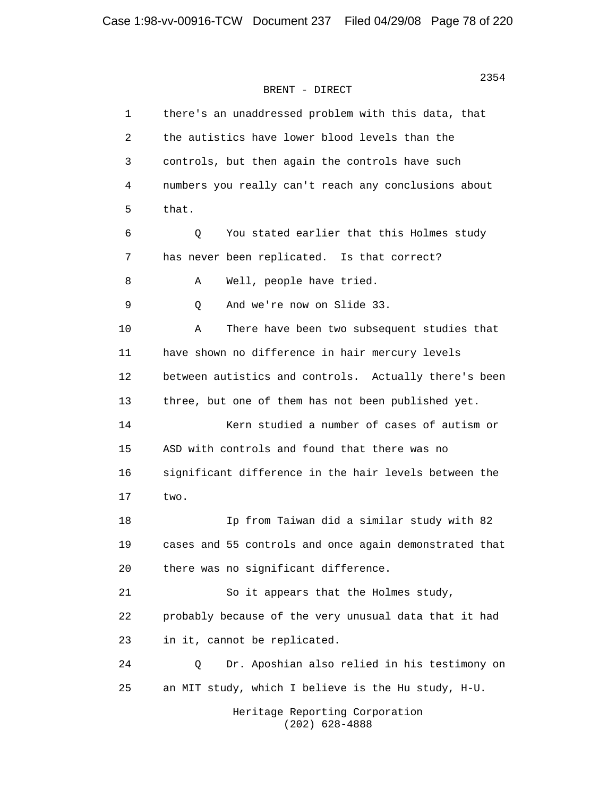| 1  | there's an unaddressed problem with this data, that    |
|----|--------------------------------------------------------|
| 2  | the autistics have lower blood levels than the         |
| 3  | controls, but then again the controls have such        |
| 4  | numbers you really can't reach any conclusions about   |
| 5  | that.                                                  |
| 6  | You stated earlier that this Holmes study<br>Q         |
| 7  | has never been replicated. Is that correct?            |
| 8  | Well, people have tried.<br>Α                          |
| 9  | And we're now on Slide 33.<br>Q                        |
| 10 | There have been two subsequent studies that<br>Α       |
| 11 | have shown no difference in hair mercury levels        |
| 12 | between autistics and controls. Actually there's been  |
| 13 | three, but one of them has not been published yet.     |
| 14 | Kern studied a number of cases of autism or            |
| 15 | ASD with controls and found that there was no          |
| 16 | significant difference in the hair levels between the  |
| 17 | two.                                                   |
| 18 | Ip from Taiwan did a similar study with 82             |
| 19 | cases and 55 controls and once again demonstrated that |
| 20 | there was no significant difference.                   |
| 21 | So it appears that the Holmes study,                   |
| 22 | probably because of the very unusual data that it had  |
| 23 | in it, cannot be replicated.                           |
| 24 | Dr. Aposhian also relied in his testimony on<br>Q      |
| 25 | an MIT study, which I believe is the Hu study, H-U.    |
|    | Heritage Reporting Corporation                         |

(202) 628-4888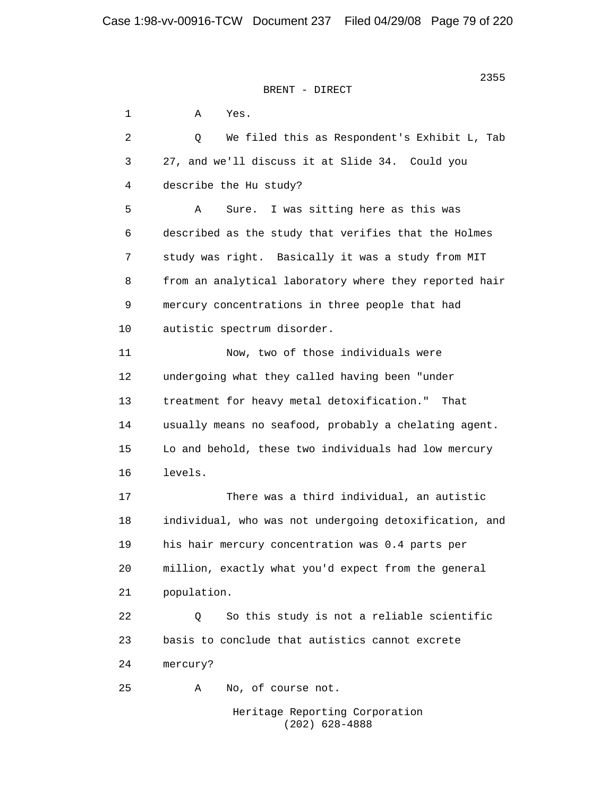2355 **2355** BRENT - DIRECT

 1 A Yes. 2 Q We filed this as Respondent's Exhibit L, Tab 3 27, and we'll discuss it at Slide 34. Could you 4 describe the Hu study? 5 A Sure. I was sitting here as this was 6 described as the study that verifies that the Holmes 7 study was right. Basically it was a study from MIT 8 from an analytical laboratory where they reported hair 9 mercury concentrations in three people that had 10 autistic spectrum disorder. 11 Now, two of those individuals were 12 undergoing what they called having been "under 13 treatment for heavy metal detoxification." That 14 usually means no seafood, probably a chelating agent. 15 Lo and behold, these two individuals had low mercury 16 levels. 17 There was a third individual, an autistic 18 individual, who was not undergoing detoxification, and 19 his hair mercury concentration was 0.4 parts per 20 million, exactly what you'd expect from the general 21 population. 22 0 So this study is not a reliable scientific 23 basis to conclude that autistics cannot excrete 24 mercury? 25 A No, of course not. Heritage Reporting Corporation

(202) 628-4888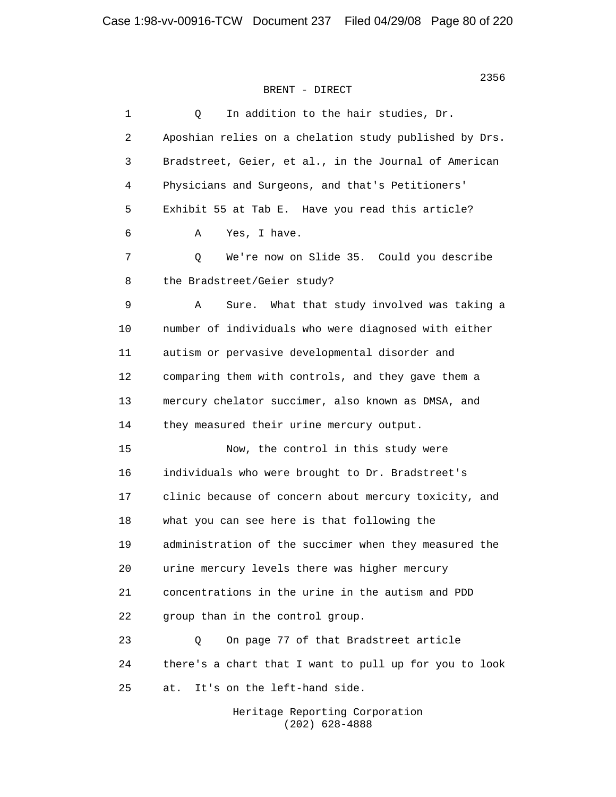| 1  | In addition to the hair studies, Dr.<br>Q              |
|----|--------------------------------------------------------|
| 2  | Aposhian relies on a chelation study published by Drs. |
| 3  | Bradstreet, Geier, et al., in the Journal of American  |
| 4  | Physicians and Surgeons, and that's Petitioners'       |
| 5  | Exhibit 55 at Tab E. Have you read this article?       |
| 6  | Yes, I have.<br>Α                                      |
| 7  | We're now on Slide 35. Could you describe<br>Q         |
| 8  | the Bradstreet/Geier study?                            |
| 9  | What that study involved was taking a<br>Α<br>Sure.    |
| 10 | number of individuals who were diagnosed with either   |
| 11 | autism or pervasive developmental disorder and         |
| 12 | comparing them with controls, and they gave them a     |
| 13 | mercury chelator succimer, also known as DMSA, and     |
| 14 | they measured their urine mercury output.              |
| 15 | Now, the control in this study were                    |
| 16 | individuals who were brought to Dr. Bradstreet's       |
| 17 | clinic because of concern about mercury toxicity, and  |
| 18 | what you can see here is that following the            |
| 19 | administration of the succimer when they measured the  |
| 20 | urine mercury levels there was higher mercury          |
| 21 | concentrations in the urine in the autism and PDD      |
| 22 | group than in the control group.                       |
| 23 | On page 77 of that Bradstreet article<br>Q             |
| 24 | there's a chart that I want to pull up for you to look |
| 25 | It's on the left-hand side.<br>at.                     |
|    |                                                        |

 Heritage Reporting Corporation (202) 628-4888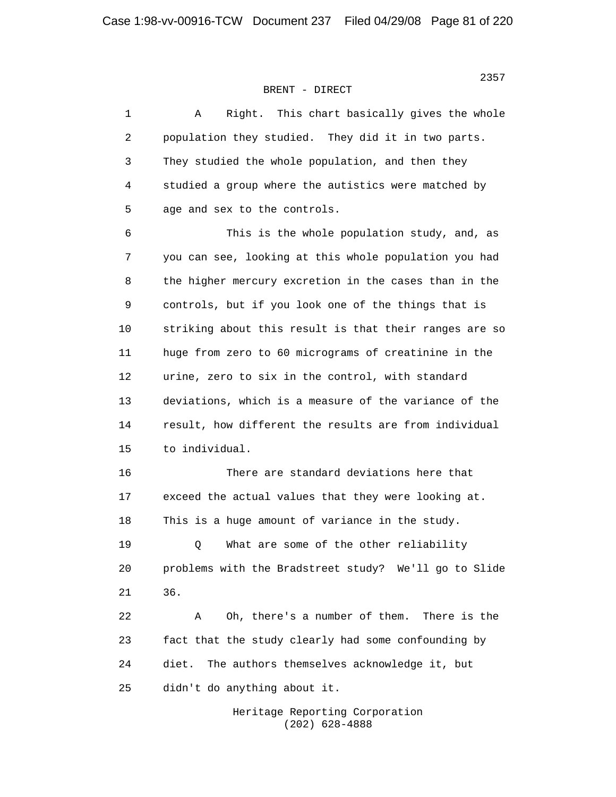| 1  | Right. This chart basically gives the whole<br>Α       |
|----|--------------------------------------------------------|
| 2  | population they studied. They did it in two parts.     |
| 3  | They studied the whole population, and then they       |
| 4  | studied a group where the autistics were matched by    |
| 5  | age and sex to the controls.                           |
| 6  | This is the whole population study, and, as            |
| 7  | you can see, looking at this whole population you had  |
| 8  | the higher mercury excretion in the cases than in the  |
| 9  | controls, but if you look one of the things that is    |
| 10 | striking about this result is that their ranges are so |
| 11 | huge from zero to 60 micrograms of creatinine in the   |
| 12 | urine, zero to six in the control, with standard       |
| 13 | deviations, which is a measure of the variance of the  |
| 14 | result, how different the results are from individual  |
| 15 | to individual.                                         |
| 16 | There are standard deviations here that                |
| 17 | exceed the actual values that they were looking at.    |
| 18 | This is a huge amount of variance in the study.        |
| 19 | What are some of the other reliability<br>Q            |
| 20 | problems with the Bradstreet study? We'll go to Slide  |
| 21 | 36.                                                    |
| 22 | Oh, there's a number of them. There is the<br>Α        |
| 23 | fact that the study clearly had some confounding by    |
| 24 | diet.<br>The authors themselves acknowledge it, but    |
| 25 | didn't do anything about it.                           |
|    |                                                        |

 Heritage Reporting Corporation (202) 628-4888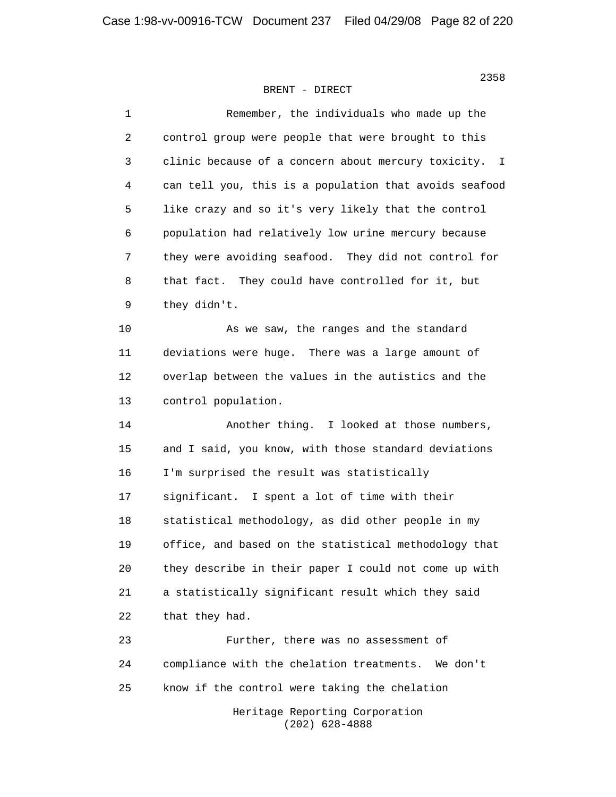> 1 Remember, the individuals who made up the 2 control group were people that were brought to this 3 clinic because of a concern about mercury toxicity. I 4 can tell you, this is a population that avoids seafood 5 like crazy and so it's very likely that the control 6 population had relatively low urine mercury because 7 they were avoiding seafood. They did not control for 8 that fact. They could have controlled for it, but 9 they didn't. 10 As we saw, the ranges and the standard 11 deviations were huge. There was a large amount of 12 overlap between the values in the autistics and the 13 control population. 14 Another thing. I looked at those numbers, 15 and I said, you know, with those standard deviations 16 I'm surprised the result was statistically 17 significant. I spent a lot of time with their 18 statistical methodology, as did other people in my 19 office, and based on the statistical methodology that 20 they describe in their paper I could not come up with 21 a statistically significant result which they said 22 that they had. 23 Further, there was no assessment of 24 compliance with the chelation treatments. We don't 25 know if the control were taking the chelation

 Heritage Reporting Corporation (202) 628-4888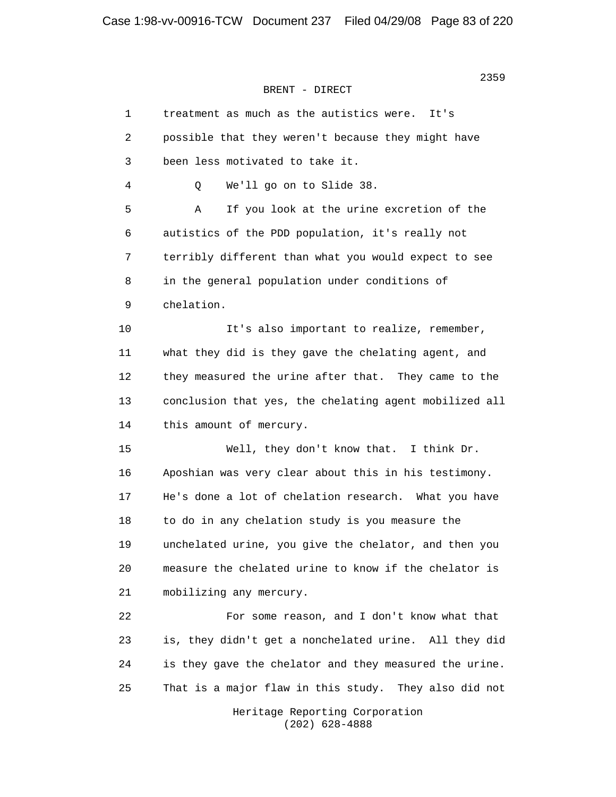| 1  | treatment as much as the autistics were.<br>It's       |
|----|--------------------------------------------------------|
| 2  | possible that they weren't because they might have     |
| 3  | been less motivated to take it.                        |
| 4  | We'll go on to Slide 38.<br>Q                          |
| 5  | If you look at the urine excretion of the<br>Α         |
| 6  | autistics of the PDD population, it's really not       |
| 7  | terribly different than what you would expect to see   |
| 8  | in the general population under conditions of          |
| 9  | chelation.                                             |
| 10 | It's also important to realize, remember,              |
| 11 | what they did is they gave the chelating agent, and    |
| 12 | they measured the urine after that. They came to the   |
| 13 | conclusion that yes, the chelating agent mobilized all |
| 14 | this amount of mercury.                                |
| 15 | Well, they don't know that. I think Dr.                |
| 16 | Aposhian was very clear about this in his testimony.   |
| 17 | He's done a lot of chelation research. What you have   |
| 18 | to do in any chelation study is you measure the        |
| 19 | unchelated urine, you give the chelator, and then you  |
| 20 | measure the chelated urine to know if the chelator is  |
| 21 | mobilizing any mercury.                                |
| 22 | For some reason, and I don't know what that            |
| 23 | is, they didn't get a nonchelated urine. All they did  |
| 24 | is they gave the chelator and they measured the urine. |
| 25 | That is a major flaw in this study. They also did not  |
|    | Heritage Reporting Corporation                         |

(202) 628-4888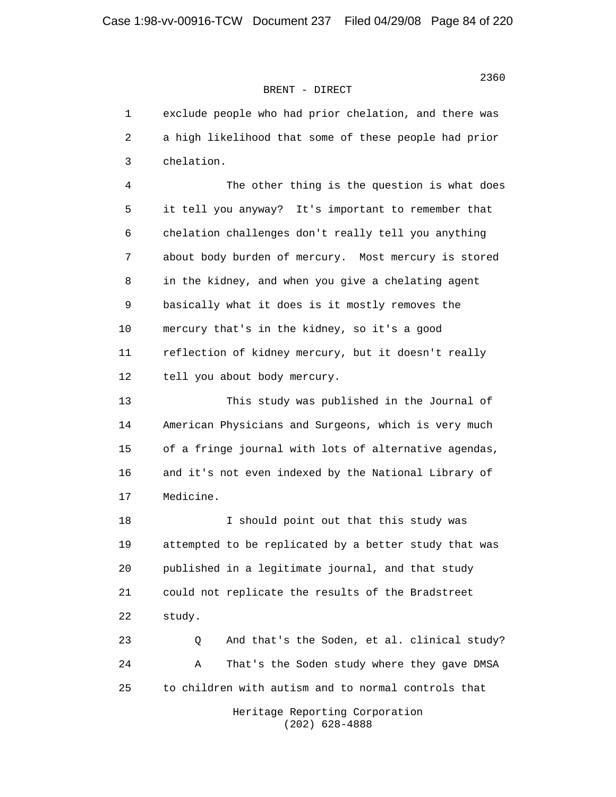1 exclude people who had prior chelation, and there was 2 a high likelihood that some of these people had prior 3 chelation. 4 The other thing is the question is what does 5 it tell you anyway? It's important to remember that 6 chelation challenges don't really tell you anything 7 about body burden of mercury. Most mercury is stored 8 in the kidney, and when you give a chelating agent 9 basically what it does is it mostly removes the 10 mercury that's in the kidney, so it's a good 11 reflection of kidney mercury, but it doesn't really 12 tell you about body mercury. 13 This study was published in the Journal of 14 American Physicians and Surgeons, which is very much 15 of a fringe journal with lots of alternative agendas, 16 and it's not even indexed by the National Library of 17 Medicine. 18 I should point out that this study was 19 attempted to be replicated by a better study that was 20 published in a legitimate journal, and that study 21 could not replicate the results of the Bradstreet 22 study. 23 Q And that's the Soden, et al. clinical study? 24 A That's the Soden study where they gave DMSA 25 to children with autism and to normal controls that

 Heritage Reporting Corporation (202) 628-4888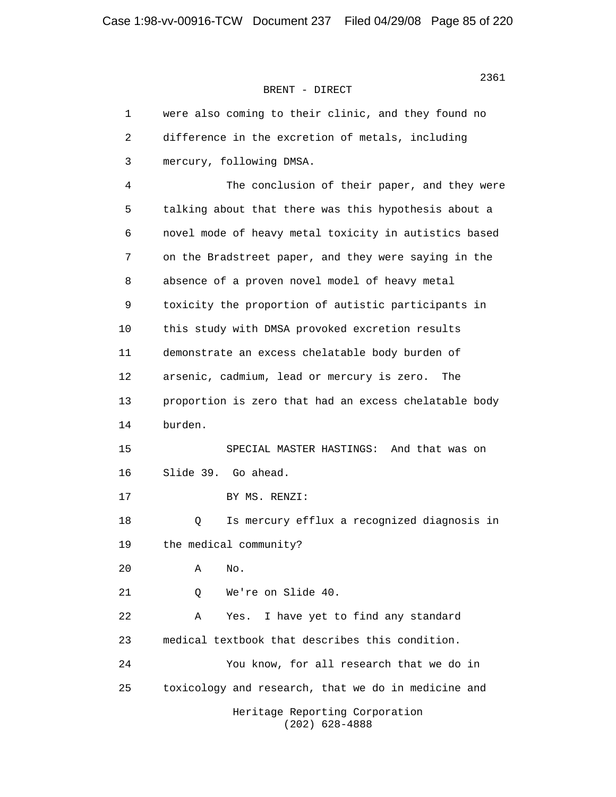| 1  | were also coming to their clinic, and they found no   |
|----|-------------------------------------------------------|
| 2  | difference in the excretion of metals, including      |
| 3  | mercury, following DMSA.                              |
| 4  | The conclusion of their paper, and they were          |
| 5  | talking about that there was this hypothesis about a  |
| 6  | novel mode of heavy metal toxicity in autistics based |
| 7  | on the Bradstreet paper, and they were saying in the  |
| 8  | absence of a proven novel model of heavy metal        |
| 9  | toxicity the proportion of autistic participants in   |
| 10 | this study with DMSA provoked excretion results       |
| 11 | demonstrate an excess chelatable body burden of       |
| 12 | arsenic, cadmium, lead or mercury is zero.<br>The     |
| 13 | proportion is zero that had an excess chelatable body |
| 14 | burden.                                               |
| 15 | And that was on<br>SPECIAL MASTER HASTINGS:           |
| 16 | Slide 39. Go ahead.                                   |
| 17 | BY MS. RENZI:                                         |
| 18 | Is mercury efflux a recognized diagnosis in<br>Q      |
| 19 | the medical community?                                |
| 20 | Α<br>No.                                              |
| 21 | We're on Slide 40.<br>Q                               |
| 22 | I have yet to find any standard<br>Α<br>Yes.          |
| 23 | medical textbook that describes this condition.       |
| 24 | You know, for all research that we do in              |
| 25 | toxicology and research, that we do in medicine and   |
|    | Heritage Reporting Corporation<br>$(202)$ 628-4888    |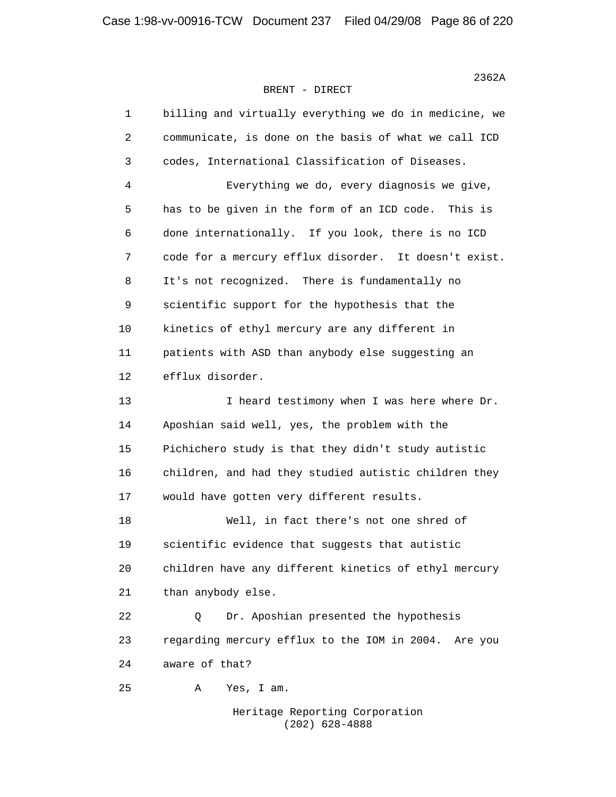> 1 billing and virtually everything we do in medicine, we 2 communicate, is done on the basis of what we call ICD 3 codes, International Classification of Diseases. 4 Everything we do, every diagnosis we give, 5 has to be given in the form of an ICD code. This is 6 done internationally. If you look, there is no ICD 7 code for a mercury efflux disorder. It doesn't exist. 8 It's not recognized. There is fundamentally no 9 scientific support for the hypothesis that the 10 kinetics of ethyl mercury are any different in 11 patients with ASD than anybody else suggesting an 12 efflux disorder. 13 13 I heard testimony when I was here where Dr. 14 Aposhian said well, yes, the problem with the 15 Pichichero study is that they didn't study autistic 16 children, and had they studied autistic children they 17 would have gotten very different results. 18 Well, in fact there's not one shred of 19 scientific evidence that suggests that autistic 20 children have any different kinetics of ethyl mercury 21 than anybody else. 22 Q Dr. Aposhian presented the hypothesis 23 regarding mercury efflux to the IOM in 2004. Are you 24 aware of that? 25 A Yes, I am.

> > Heritage Reporting Corporation (202) 628-4888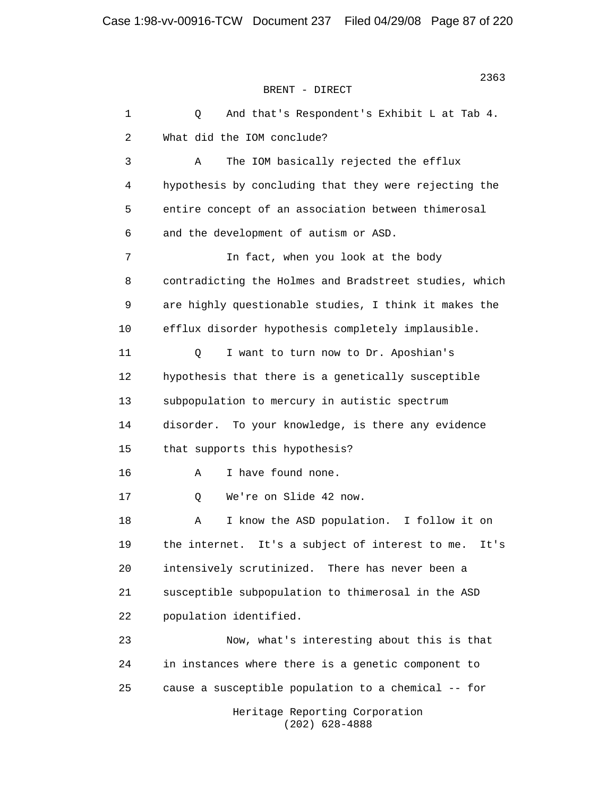1 Q And that's Respondent's Exhibit L at Tab 4. 2 What did the IOM conclude? 3 A The IOM basically rejected the efflux 4 hypothesis by concluding that they were rejecting the 5 entire concept of an association between thimerosal 6 and the development of autism or ASD. 7 In fact, when you look at the body 8 contradicting the Holmes and Bradstreet studies, which 9 are highly questionable studies, I think it makes the 10 efflux disorder hypothesis completely implausible. 11 Q I want to turn now to Dr. Aposhian's 12 hypothesis that there is a genetically susceptible 13 subpopulation to mercury in autistic spectrum 14 disorder. To your knowledge, is there any evidence 15 that supports this hypothesis? 16 A I have found none. 17 Q We're on Slide 42 now. 18 A I know the ASD population. I follow it on 19 the internet. It's a subject of interest to me. It's 20 intensively scrutinized. There has never been a 21 susceptible subpopulation to thimerosal in the ASD 22 population identified. 23 Now, what's interesting about this is that 24 in instances where there is a genetic component to 25 cause a susceptible population to a chemical -- for Heritage Reporting Corporation (202) 628-4888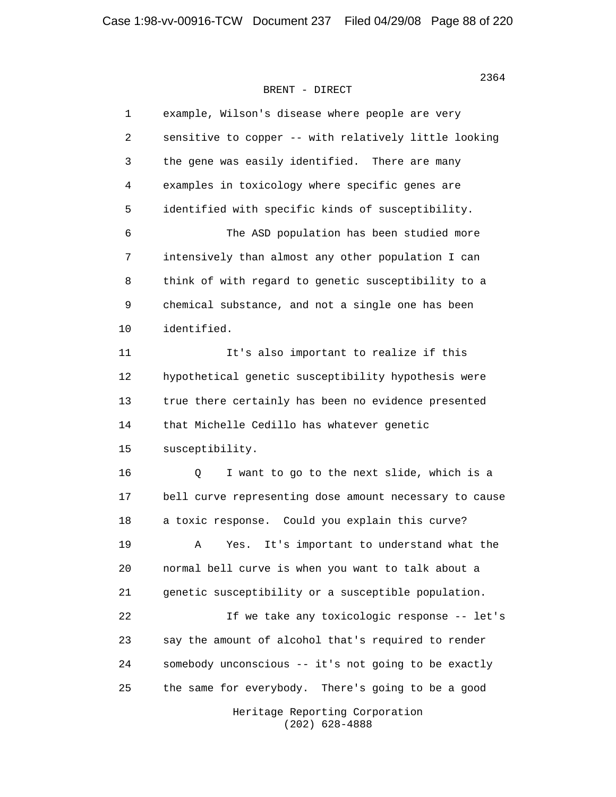| 1  | example, Wilson's disease where people are very        |
|----|--------------------------------------------------------|
| 2  | sensitive to copper -- with relatively little looking  |
| 3  | the gene was easily identified. There are many         |
| 4  | examples in toxicology where specific genes are        |
| 5  | identified with specific kinds of susceptibility.      |
| 6  | The ASD population has been studied more               |
| 7  | intensively than almost any other population I can     |
| 8  | think of with regard to genetic susceptibility to a    |
| 9  | chemical substance, and not a single one has been      |
| 10 | identified.                                            |
| 11 | It's also important to realize if this                 |
| 12 | hypothetical genetic susceptibility hypothesis were    |
| 13 | true there certainly has been no evidence presented    |
| 14 | that Michelle Cedillo has whatever genetic             |
| 15 | susceptibility.                                        |
| 16 | I want to go to the next slide, which is a<br>Q        |
| 17 | bell curve representing dose amount necessary to cause |
| 18 | a toxic response. Could you explain this curve?        |
| 19 | It's important to understand what the<br>Α<br>Yes.     |
| 20 | normal bell curve is when you want to talk about a     |
| 21 | genetic susceptibility or a susceptible population.    |
| 22 | If we take any toxicologic response -- let's           |
| 23 | say the amount of alcohol that's required to render    |
| 24 | somebody unconscious -- it's not going to be exactly   |
| 25 | the same for everybody. There's going to be a good     |
|    | Heritage Reporting Corporation<br>$(202)$ 628-4888     |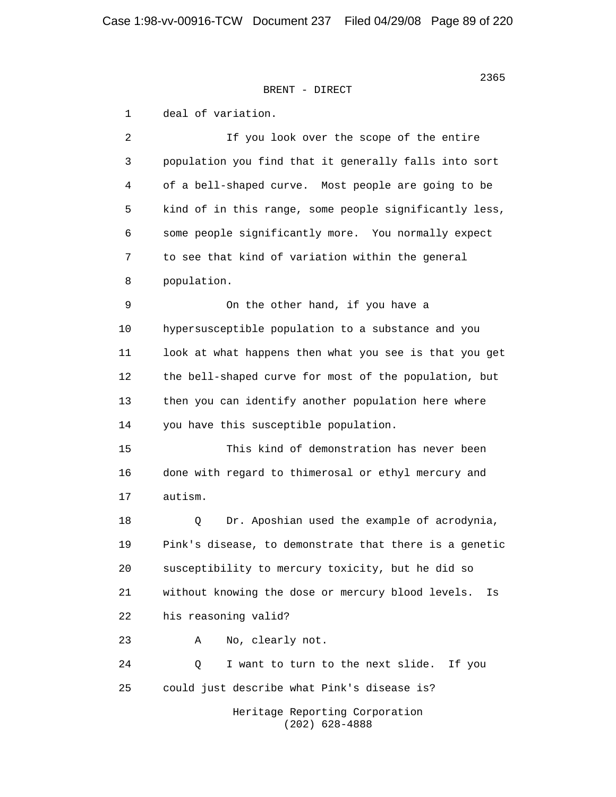1 deal of variation. 2 If you look over the scope of the entire 3 population you find that it generally falls into sort 4 of a bell-shaped curve. Most people are going to be 5 kind of in this range, some people significantly less, 6 some people significantly more. You normally expect 7 to see that kind of variation within the general 8 population. 9 On the other hand, if you have a 10 hypersusceptible population to a substance and you 11 look at what happens then what you see is that you get 12 the bell-shaped curve for most of the population, but 13 then you can identify another population here where 14 you have this susceptible population. 15 This kind of demonstration has never been 16 done with regard to thimerosal or ethyl mercury and 17 autism. 18 Q Dr. Aposhian used the example of acrodynia, 19 Pink's disease, to demonstrate that there is a genetic 20 susceptibility to mercury toxicity, but he did so 21 without knowing the dose or mercury blood levels. Is 22 his reasoning valid? 23 A No, clearly not. 24 Q I want to turn to the next slide. If you 25 could just describe what Pink's disease is? Heritage Reporting Corporation (202) 628-4888

<u>2365</u><br>2365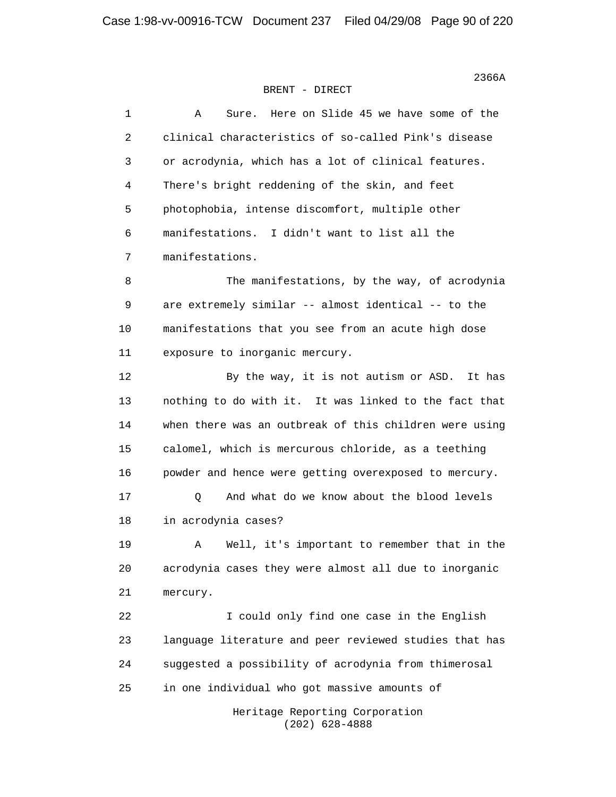| $1\,$ | Here on Slide 45 we have some of the<br>Α<br>Sure.     |
|-------|--------------------------------------------------------|
| 2     | clinical characteristics of so-called Pink's disease   |
| 3     | or acrodynia, which has a lot of clinical features.    |
| 4     | There's bright reddening of the skin, and feet         |
| 5     | photophobia, intense discomfort, multiple other        |
| 6     | manifestations. I didn't want to list all the          |
| 7     | manifestations.                                        |
| 8     | The manifestations, by the way, of acrodynia           |
| 9     | are extremely similar -- almost identical -- to the    |
| 10    | manifestations that you see from an acute high dose    |
| 11    | exposure to inorganic mercury.                         |
| 12    | By the way, it is not autism or ASD. It has            |
| 13    | nothing to do with it. It was linked to the fact that  |
| 14    | when there was an outbreak of this children were using |
| 15    | calomel, which is mercurous chloride, as a teething    |
| 16    | powder and hence were getting overexposed to mercury.  |
| 17    | And what do we know about the blood levels<br>Q        |
| 18    | in acrodynia cases?                                    |
| 19    | Well, it's important to remember that in the<br>Α      |
| 20    | acrodynia cases they were almost all due to inorganic  |
| 21    | mercury.                                               |
| 22    | I could only find one case in the English              |
| 23    | language literature and peer reviewed studies that has |
| 24    | suggested a possibility of acrodynia from thimerosal   |
| 25    | in one individual who got massive amounts of           |
|       | Heritage Reporting Corporation<br>$(202)$ 628-4888     |

 $2366A$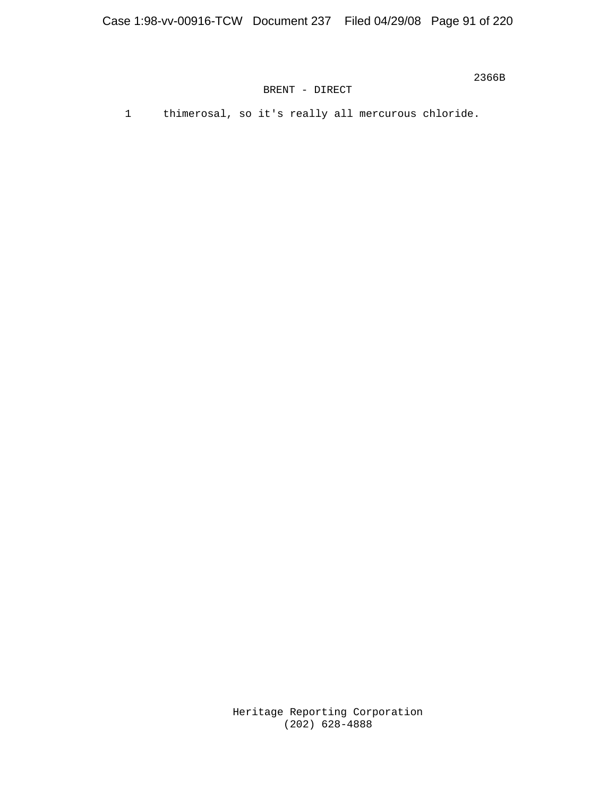$2366B$ 

BRENT - DIRECT

1 thimerosal, so it's really all mercurous chloride.

 Heritage Reporting Corporation (202) 628-4888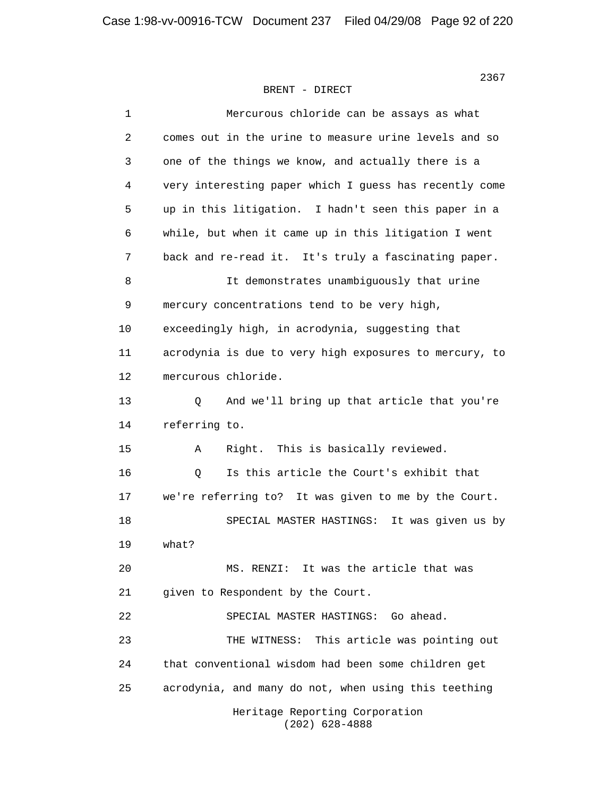1 Mercurous chloride can be assays as what 2 comes out in the urine to measure urine levels and so 3 one of the things we know, and actually there is a 4 very interesting paper which I guess has recently come 5 up in this litigation. I hadn't seen this paper in a 6 while, but when it came up in this litigation I went 7 back and re-read it. It's truly a fascinating paper. 8 It demonstrates unambiguously that urine 9 mercury concentrations tend to be very high, 10 exceedingly high, in acrodynia, suggesting that 11 acrodynia is due to very high exposures to mercury, to 12 mercurous chloride. 13 Q And we'll bring up that article that you're 14 referring to. 15 A Right. This is basically reviewed. 16 Q Is this article the Court's exhibit that 17 we're referring to? It was given to me by the Court. 18 SPECIAL MASTER HASTINGS: It was given us by 19 what? 20 MS. RENZI: It was the article that was 21 given to Respondent by the Court. 22 SPECIAL MASTER HASTINGS: Go ahead. 23 THE WITNESS: This article was pointing out 24 that conventional wisdom had been some children get 25 acrodynia, and many do not, when using this teething Heritage Reporting Corporation (202) 628-4888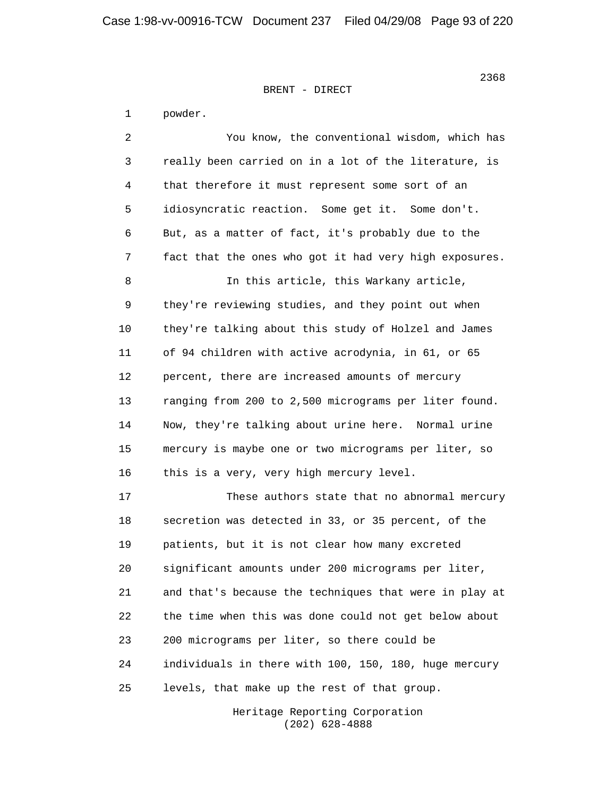1 powder. 2 You know, the conventional wisdom, which has 3 really been carried on in a lot of the literature, is 4 that therefore it must represent some sort of an 5 idiosyncratic reaction. Some get it. Some don't. 6 But, as a matter of fact, it's probably due to the 7 fact that the ones who got it had very high exposures. 8 In this article, this Warkany article, 9 they're reviewing studies, and they point out when 10 they're talking about this study of Holzel and James 11 of 94 children with active acrodynia, in 61, or 65 12 percent, there are increased amounts of mercury 13 ranging from 200 to 2,500 micrograms per liter found. 14 Now, they're talking about urine here. Normal urine 15 mercury is maybe one or two micrograms per liter, so 16 this is a very, very high mercury level. 17 These authors state that no abnormal mercury 18 secretion was detected in 33, or 35 percent, of the 19 patients, but it is not clear how many excreted 20 significant amounts under 200 micrograms per liter, 21 and that's because the techniques that were in play at 22 the time when this was done could not get below about 23 200 micrograms per liter, so there could be 24 individuals in there with 100, 150, 180, huge mercury 25 levels, that make up the rest of that group.

> Heritage Reporting Corporation (202) 628-4888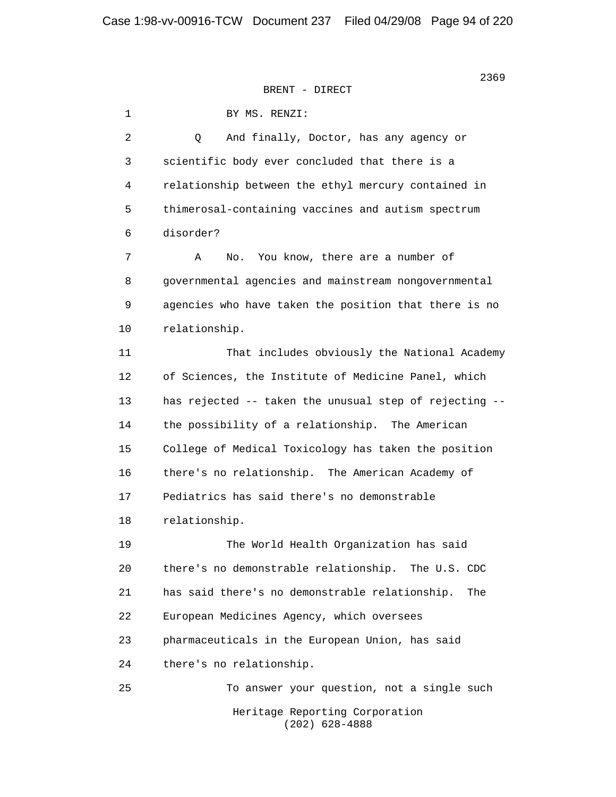1 BY MS. RENZI: 2 Q And finally, Doctor, has any agency or 3 scientific body ever concluded that there is a 4 relationship between the ethyl mercury contained in 5 thimerosal-containing vaccines and autism spectrum 6 disorder? 7 A No. You know, there are a number of 8 governmental agencies and mainstream nongovernmental 9 agencies who have taken the position that there is no 10 relationship. 11 That includes obviously the National Academy 12 of Sciences, the Institute of Medicine Panel, which 13 has rejected -- taken the unusual step of rejecting -- 14 the possibility of a relationship. The American 15 College of Medical Toxicology has taken the position 16 there's no relationship. The American Academy of 17 Pediatrics has said there's no demonstrable 18 relationship. 19 The World Health Organization has said 20 there's no demonstrable relationship. The U.S. CDC 21 has said there's no demonstrable relationship. The 22 European Medicines Agency, which oversees 23 pharmaceuticals in the European Union, has said 24 there's no relationship. 25 To answer your question, not a single such Heritage Reporting Corporation (202) 628-4888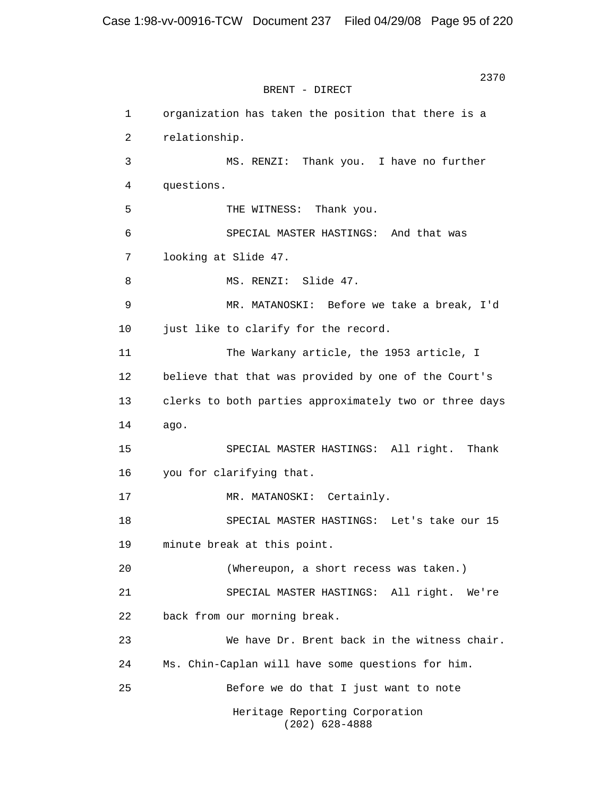2370 BRENT - DIRECT 1 organization has taken the position that there is a 2 relationship. 3 MS. RENZI: Thank you. I have no further 4 questions. 5 THE WITNESS: Thank you. 6 SPECIAL MASTER HASTINGS: And that was 7 looking at Slide 47. 8 MS. RENZI: Slide 47. 9 MR. MATANOSKI: Before we take a break, I'd 10 just like to clarify for the record. 11 The Warkany article, the 1953 article, I 12 believe that that was provided by one of the Court's 13 clerks to both parties approximately two or three days 14 ago. 15 SPECIAL MASTER HASTINGS: All right. Thank 16 you for clarifying that. 17 MR. MATANOSKI: Certainly. 18 SPECIAL MASTER HASTINGS: Let's take our 15 19 minute break at this point. 20 (Whereupon, a short recess was taken.) 21 SPECIAL MASTER HASTINGS: All right. We're 22 back from our morning break. 23 We have Dr. Brent back in the witness chair. 24 Ms. Chin-Caplan will have some questions for him. 25 Before we do that I just want to note Heritage Reporting Corporation (202) 628-4888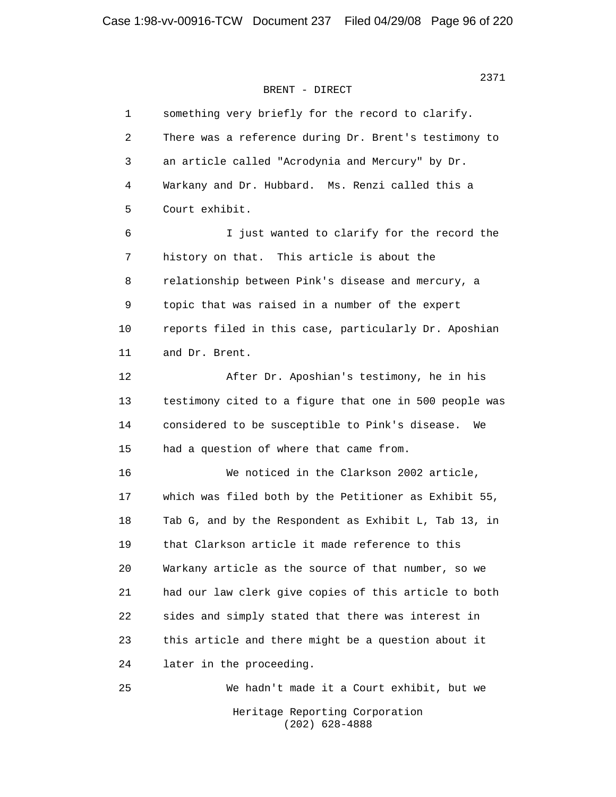| 1  | something very briefly for the record to clarify.      |
|----|--------------------------------------------------------|
| 2  | There was a reference during Dr. Brent's testimony to  |
| 3  | an article called "Acrodynia and Mercury" by Dr.       |
| 4  | Warkany and Dr. Hubbard. Ms. Renzi called this a       |
| 5  | Court exhibit.                                         |
| 6  | I just wanted to clarify for the record the            |
| 7  | history on that. This article is about the             |
| 8  | relationship between Pink's disease and mercury, a     |
| 9  | topic that was raised in a number of the expert        |
| 10 | reports filed in this case, particularly Dr. Aposhian  |
| 11 | and Dr. Brent.                                         |
| 12 | After Dr. Aposhian's testimony, he in his              |
| 13 | testimony cited to a figure that one in 500 people was |
| 14 | considered to be susceptible to Pink's disease.<br>We  |
| 15 | had a question of where that came from.                |
| 16 | We noticed in the Clarkson 2002 article,               |
| 17 | which was filed both by the Petitioner as Exhibit 55,  |
| 18 | Tab G, and by the Respondent as Exhibit L, Tab 13, in  |
| 19 | that Clarkson article it made reference to this        |
| 20 | Warkany article as the source of that number, so we    |
| 21 | had our law clerk give copies of this article to both  |
| 22 | sides and simply stated that there was interest in     |
| 23 | this article and there might be a question about it    |
| 24 | later in the proceeding.                               |
| 25 | We hadn't made it a Court exhibit, but we              |
|    | Heritage Reporting Corporation<br>$(202)$ 628-4888     |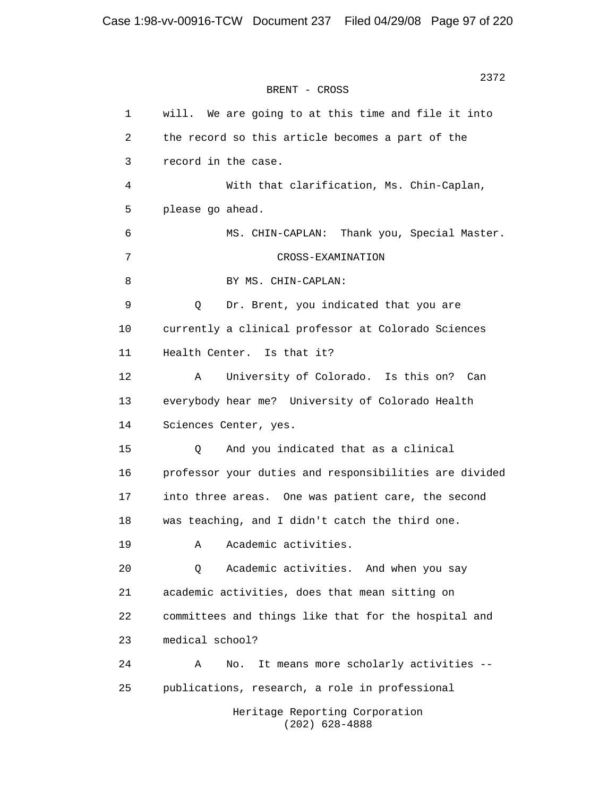2372 **2372** BRENT - CROSS

> 1 will. We are going to at this time and file it into 2 the record so this article becomes a part of the 3 record in the case. 4 With that clarification, Ms. Chin-Caplan, 5 please go ahead. 6 MS. CHIN-CAPLAN: Thank you, Special Master. 7 CROSS-EXAMINATION 8 BY MS. CHIN-CAPLAN: 9 Q Dr. Brent, you indicated that you are 10 currently a clinical professor at Colorado Sciences 11 Health Center. Is that it? 12 A University of Colorado. Is this on? Can 13 everybody hear me? University of Colorado Health 14 Sciences Center, yes. 15 Q And you indicated that as a clinical 16 professor your duties and responsibilities are divided 17 into three areas. One was patient care, the second 18 was teaching, and I didn't catch the third one. 19 A Academic activities. 20 Q Academic activities. And when you say 21 academic activities, does that mean sitting on 22 committees and things like that for the hospital and 23 medical school? 24 A No. It means more scholarly activities -- 25 publications, research, a role in professional Heritage Reporting Corporation (202) 628-4888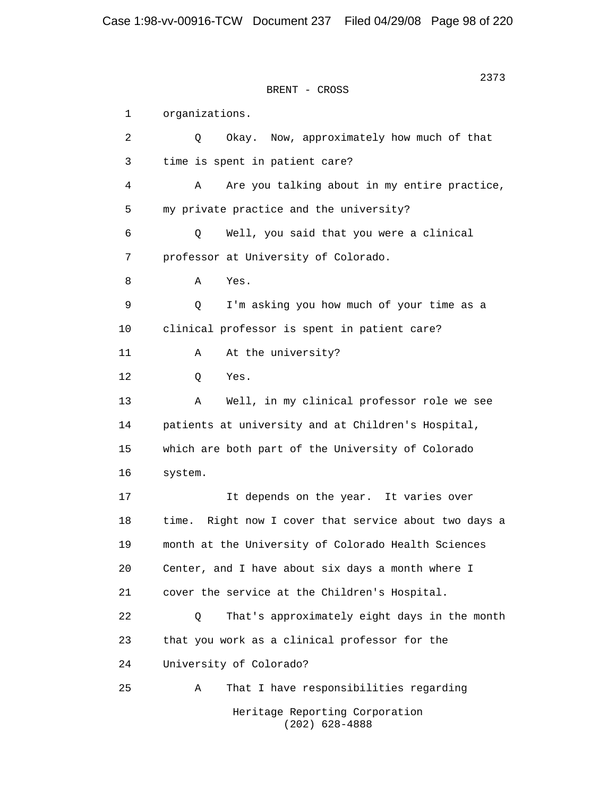2373 **2373** BRENT - CROSS 1 organizations. 2 Q Okay. Now, approximately how much of that 3 time is spent in patient care? 4 A Are you talking about in my entire practice, 5 my private practice and the university? 6 Q Well, you said that you were a clinical 7 professor at University of Colorado. 8 A Yes. 9 Q I'm asking you how much of your time as a 10 clinical professor is spent in patient care? 11 A At the university? 12 Q Yes. 13 A Well, in my clinical professor role we see 14 patients at university and at Children's Hospital, 15 which are both part of the University of Colorado 16 system. 17 It depends on the year. It varies over 18 time. Right now I cover that service about two days a 19 month at the University of Colorado Health Sciences 20 Center, and I have about six days a month where I 21 cover the service at the Children's Hospital. 22 0 That's approximately eight days in the month 23 that you work as a clinical professor for the 24 University of Colorado? 25 A That I have responsibilities regarding Heritage Reporting Corporation (202) 628-4888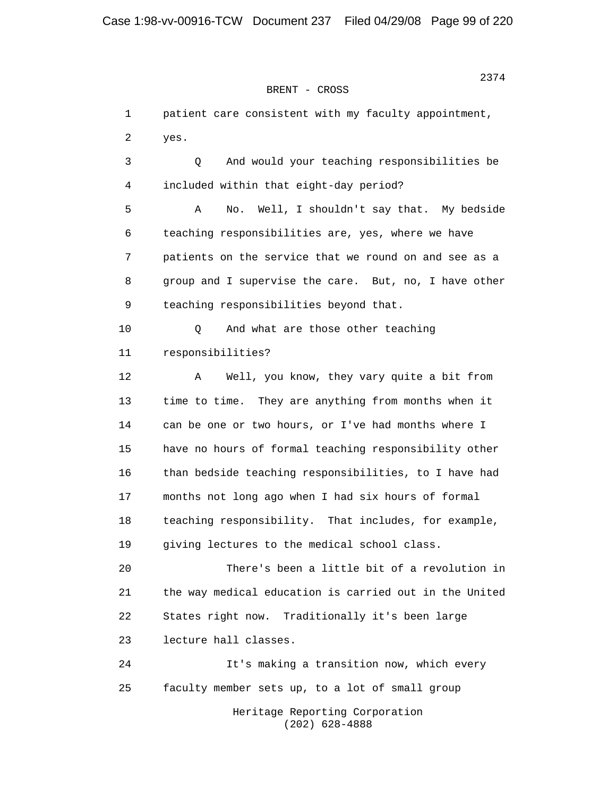BRENT - CROSS

 1 patient care consistent with my faculty appointment, 2 yes. 3 Q And would your teaching responsibilities be 4 included within that eight-day period? 5 A No. Well, I shouldn't say that. My bedside 6 teaching responsibilities are, yes, where we have 7 patients on the service that we round on and see as a 8 group and I supervise the care. But, no, I have other 9 teaching responsibilities beyond that. 10 Q And what are those other teaching 11 responsibilities? 12 A Well, you know, they vary quite a bit from 13 time to time. They are anything from months when it 14 can be one or two hours, or I've had months where I 15 have no hours of formal teaching responsibility other 16 than bedside teaching responsibilities, to I have had 17 months not long ago when I had six hours of formal 18 teaching responsibility. That includes, for example, 19 giving lectures to the medical school class. 20 There's been a little bit of a revolution in 21 the way medical education is carried out in the United 22 States right now. Traditionally it's been large 23 lecture hall classes. 24 It's making a transition now, which every 25 faculty member sets up, to a lot of small group Heritage Reporting Corporation (202) 628-4888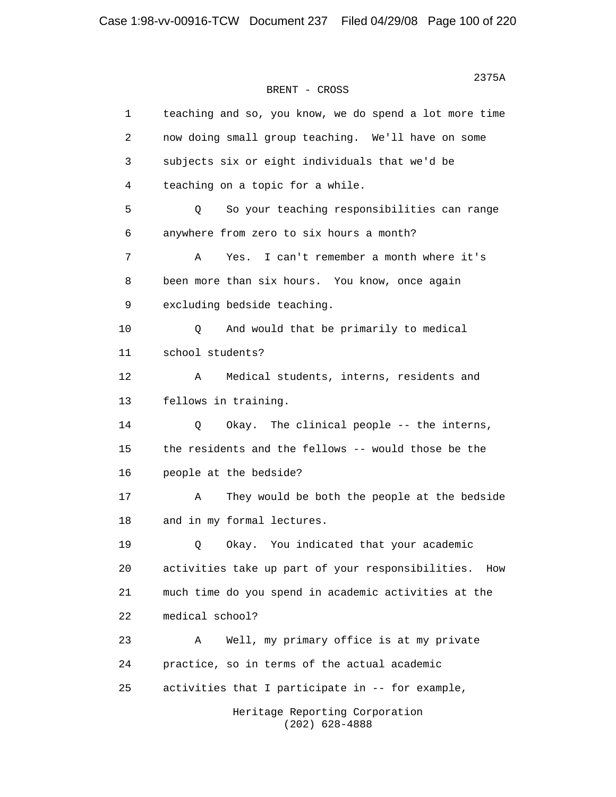2375A BRENT - CROSS 1 teaching and so, you know, we do spend a lot more time 2 now doing small group teaching. We'll have on some 3 subjects six or eight individuals that we'd be 4 teaching on a topic for a while. 5 Q So your teaching responsibilities can range 6 anywhere from zero to six hours a month? 7 A Yes. I can't remember a month where it's 8 been more than six hours. You know, once again 9 excluding bedside teaching. 10 Q And would that be primarily to medical 11 school students? 12 A Medical students, interns, residents and 13 fellows in training. 14 Q Okay. The clinical people -- the interns, 15 the residents and the fellows -- would those be the 16 people at the bedside? 17 A They would be both the people at the bedside 18 and in my formal lectures. 19 Q Okay. You indicated that your academic 20 activities take up part of your responsibilities. How 21 much time do you spend in academic activities at the 22 medical school? 23 A Well, my primary office is at my private 24 practice, so in terms of the actual academic 25 activities that I participate in -- for example, Heritage Reporting Corporation (202) 628-4888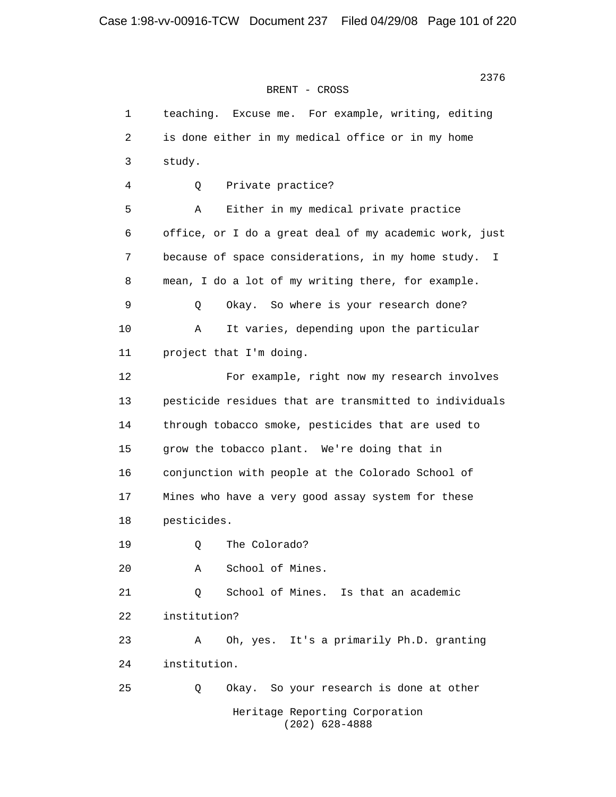2376 BRENT - CROSS

> 1 teaching. Excuse me. For example, writing, editing 2 is done either in my medical office or in my home 3 study. 4 Q Private practice? 5 A Either in my medical private practice 6 office, or I do a great deal of my academic work, just 7 because of space considerations, in my home study. I 8 mean, I do a lot of my writing there, for example. 9 Q Okay. So where is your research done? 10 A It varies, depending upon the particular 11 project that I'm doing. 12 For example, right now my research involves 13 pesticide residues that are transmitted to individuals 14 through tobacco smoke, pesticides that are used to 15 grow the tobacco plant. We're doing that in 16 conjunction with people at the Colorado School of 17 Mines who have a very good assay system for these 18 pesticides. 19 O The Colorado? 20 A School of Mines. 21 Q School of Mines. Is that an academic 22 institution? 23 A Oh, yes. It's a primarily Ph.D. granting 24 institution. 25 Q Okay. So your research is done at other Heritage Reporting Corporation (202) 628-4888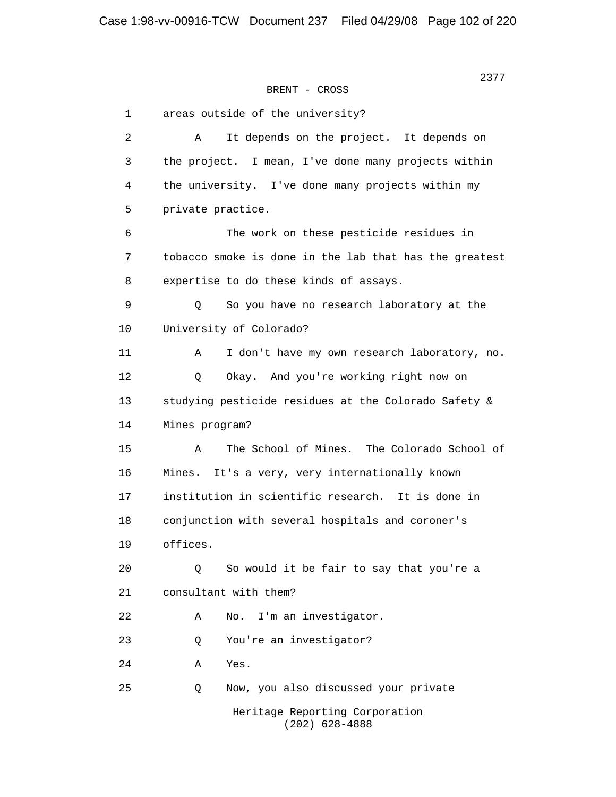```
BRENT - CROSS
```
 1 areas outside of the university? 2 A It depends on the project. It depends on 3 the project. I mean, I've done many projects within 4 the university. I've done many projects within my 5 private practice. 6 The work on these pesticide residues in 7 tobacco smoke is done in the lab that has the greatest 8 expertise to do these kinds of assays. 9 Q So you have no research laboratory at the 10 University of Colorado? 11 A I don't have my own research laboratory, no. 12 Q Okay. And you're working right now on 13 studying pesticide residues at the Colorado Safety & 14 Mines program? 15 A The School of Mines. The Colorado School of 16 Mines. It's a very, very internationally known 17 institution in scientific research. It is done in 18 conjunction with several hospitals and coroner's 19 offices. 20 Q So would it be fair to say that you're a 21 consultant with them? 22 A No. I'm an investigator. 23 Q You're an investigator? 24 A Yes. 25 Q Now, you also discussed your private Heritage Reporting Corporation (202) 628-4888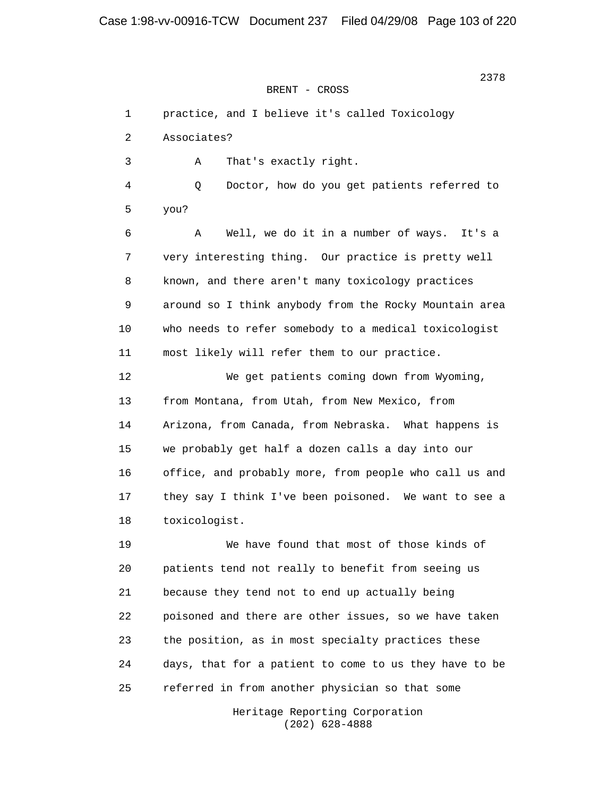BRENT - CROSS

 1 practice, and I believe it's called Toxicology 2 Associates? 3 A That's exactly right. 4 Q Doctor, how do you get patients referred to 5 you? 6 A Well, we do it in a number of ways. It's a 7 very interesting thing. Our practice is pretty well 8 known, and there aren't many toxicology practices 9 around so I think anybody from the Rocky Mountain area 10 who needs to refer somebody to a medical toxicologist 11 most likely will refer them to our practice. 12 We get patients coming down from Wyoming, 13 from Montana, from Utah, from New Mexico, from 14 Arizona, from Canada, from Nebraska. What happens is 15 we probably get half a dozen calls a day into our 16 office, and probably more, from people who call us and 17 they say I think I've been poisoned. We want to see a 18 toxicologist. 19 We have found that most of those kinds of 20 patients tend not really to benefit from seeing us 21 because they tend not to end up actually being 22 poisoned and there are other issues, so we have taken 23 the position, as in most specialty practices these 24 days, that for a patient to come to us they have to be 25 referred in from another physician so that some

> Heritage Reporting Corporation (202) 628-4888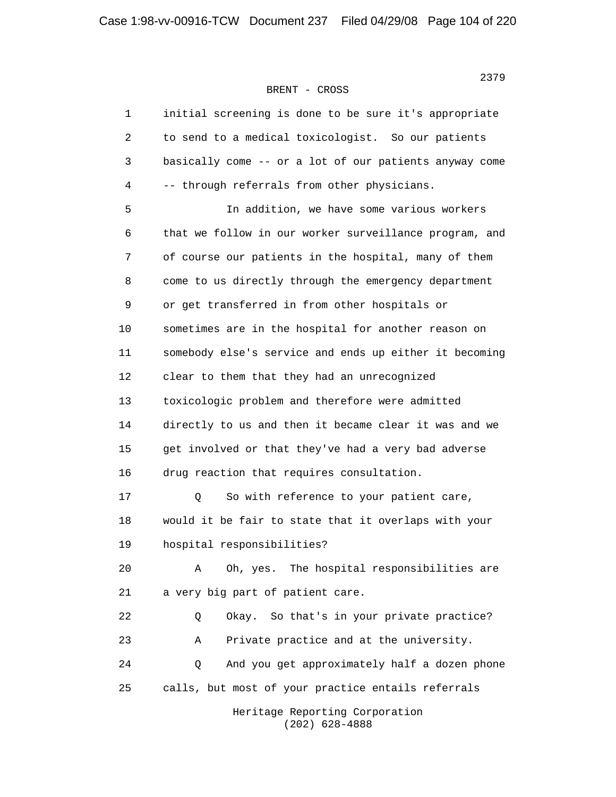2379 BRENT - CROSS

| $\mathbf{1}$ | initial screening is done to be sure it's appropriate  |
|--------------|--------------------------------------------------------|
| 2            | to send to a medical toxicologist. So our patients     |
| 3            | basically come -- or a lot of our patients anyway come |
| 4            | -- through referrals from other physicians.            |
| 5            | In addition, we have some various workers              |
| 6            | that we follow in our worker surveillance program, and |
| 7            | of course our patients in the hospital, many of them   |
| 8            | come to us directly through the emergency department   |
| 9            | or get transferred in from other hospitals or          |
| 10           | sometimes are in the hospital for another reason on    |
| 11           | somebody else's service and ends up either it becoming |
| 12           | clear to them that they had an unrecognized            |
| 13           | toxicologic problem and therefore were admitted        |
| 14           | directly to us and then it became clear it was and we  |
| 15           | get involved or that they've had a very bad adverse    |
| 16           | drug reaction that requires consultation.              |
| 17           | So with reference to your patient care,<br>Q           |
| 18           | would it be fair to state that it overlaps with your   |
| 19           | hospital responsibilities?                             |
| 20           | The hospital responsibilities are<br>Α<br>Oh, yes.     |
| 21           | a very big part of patient care.                       |
| 22           | So that's in your private practice?<br>Q<br>Okay.      |
| 23           | Private practice and at the university.<br>Α           |
| 24           | And you get approximately half a dozen phone<br>Q      |
| 25           | calls, but most of your practice entails referrals     |
|              | Heritage Reporting Corporation                         |

(202) 628-4888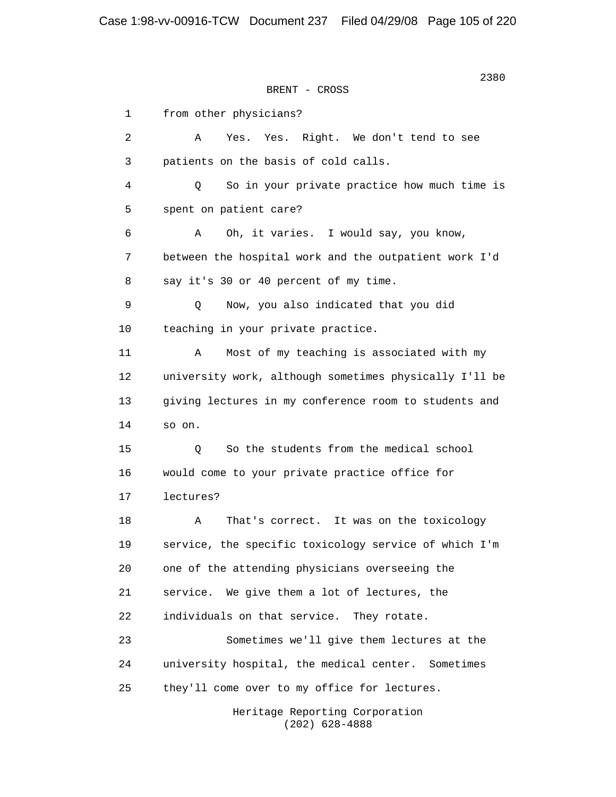2380 **2380** BRENT - CROSS 1 from other physicians? 2 A Yes. Yes. Right. We don't tend to see 3 patients on the basis of cold calls. 4 Q So in your private practice how much time is 5 spent on patient care? 6 A Oh, it varies. I would say, you know, 7 between the hospital work and the outpatient work I'd 8 say it's 30 or 40 percent of my time. 9 Q Now, you also indicated that you did 10 teaching in your private practice. 11 A Most of my teaching is associated with my 12 university work, although sometimes physically I'll be 13 giving lectures in my conference room to students and 14 so on. 15 Q So the students from the medical school 16 would come to your private practice office for 17 lectures? 18 A That's correct. It was on the toxicology 19 service, the specific toxicology service of which I'm 20 one of the attending physicians overseeing the 21 service. We give them a lot of lectures, the 22 individuals on that service. They rotate. 23 Sometimes we'll give them lectures at the 24 university hospital, the medical center. Sometimes 25 they'll come over to my office for lectures.

 Heritage Reporting Corporation (202) 628-4888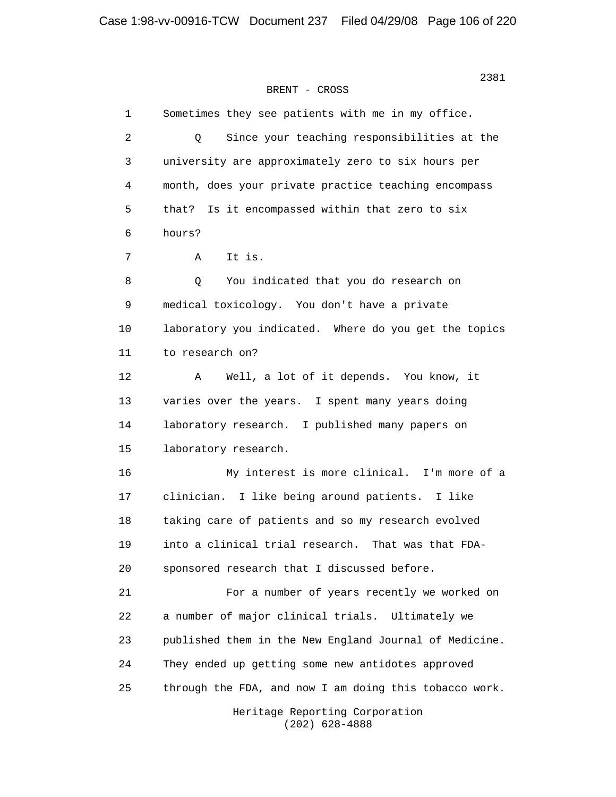#### BRENT - CROSS

 1 Sometimes they see patients with me in my office. 2 Q Since your teaching responsibilities at the 3 university are approximately zero to six hours per 4 month, does your private practice teaching encompass 5 that? Is it encompassed within that zero to six 6 hours? 7 A It is. 8 Q You indicated that you do research on 9 medical toxicology. You don't have a private 10 laboratory you indicated. Where do you get the topics 11 to research on? 12 A Well, a lot of it depends. You know, it 13 varies over the years. I spent many years doing 14 laboratory research. I published many papers on 15 laboratory research. 16 My interest is more clinical. I'm more of a 17 clinician. I like being around patients. I like 18 taking care of patients and so my research evolved 19 into a clinical trial research. That was that FDA- 20 sponsored research that I discussed before. 21 For a number of years recently we worked on 22 a number of major clinical trials. Ultimately we 23 published them in the New England Journal of Medicine. 24 They ended up getting some new antidotes approved 25 through the FDA, and now I am doing this tobacco work. Heritage Reporting Corporation

(202) 628-4888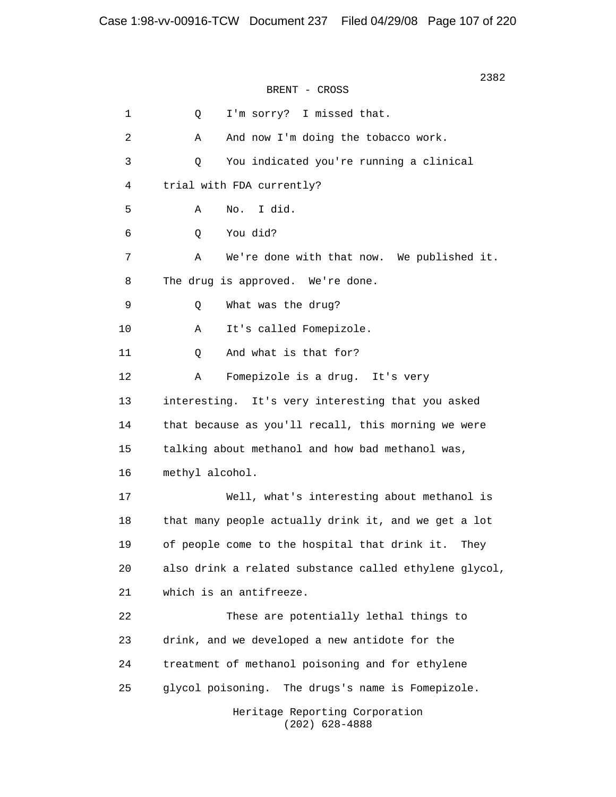2382 BRENT - CROSS 1 0 I'm sorry? I missed that. 2 A And now I'm doing the tobacco work. 3 Q You indicated you're running a clinical 4 trial with FDA currently? 5 A No. I did. 6 Q You did? 7 A We're done with that now. We published it. 8 The drug is approved. We're done. 9 Q What was the drug? 10 A It's called Fomepizole. 11 0 And what is that for? 12 A Fomepizole is a drug. It's very 13 interesting. It's very interesting that you asked 14 that because as you'll recall, this morning we were 15 talking about methanol and how bad methanol was, 16 methyl alcohol. 17 Well, what's interesting about methanol is 18 that many people actually drink it, and we get a lot 19 of people come to the hospital that drink it. They 20 also drink a related substance called ethylene glycol, 21 which is an antifreeze. 22 These are potentially lethal things to 23 drink, and we developed a new antidote for the 24 treatment of methanol poisoning and for ethylene 25 glycol poisoning. The drugs's name is Fomepizole. Heritage Reporting Corporation (202) 628-4888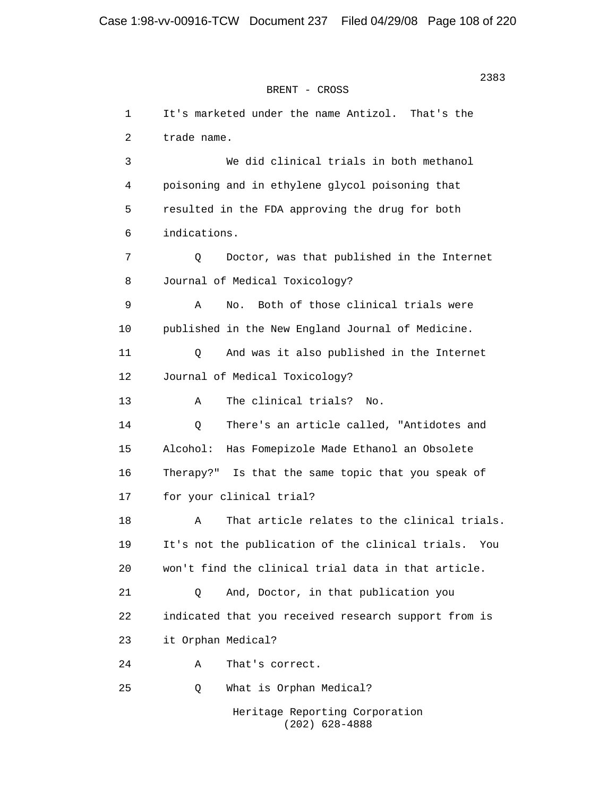#### BRENT - CROSS

 1 It's marketed under the name Antizol. That's the 2 trade name. 3 We did clinical trials in both methanol 4 poisoning and in ethylene glycol poisoning that 5 resulted in the FDA approving the drug for both 6 indications. 7 Q Doctor, was that published in the Internet 8 Journal of Medical Toxicology? 9 A No. Both of those clinical trials were 10 published in the New England Journal of Medicine. 11 Q And was it also published in the Internet 12 Journal of Medical Toxicology? 13 A The clinical trials? No. 14 Q There's an article called, "Antidotes and 15 Alcohol: Has Fomepizole Made Ethanol an Obsolete 16 Therapy?" Is that the same topic that you speak of 17 for your clinical trial? 18 A That article relates to the clinical trials. 19 It's not the publication of the clinical trials. You 20 won't find the clinical trial data in that article. 21 Q And, Doctor, in that publication you 22 indicated that you received research support from is 23 it Orphan Medical? 24 A That's correct. 25 Q What is Orphan Medical? Heritage Reporting Corporation

(202) 628-4888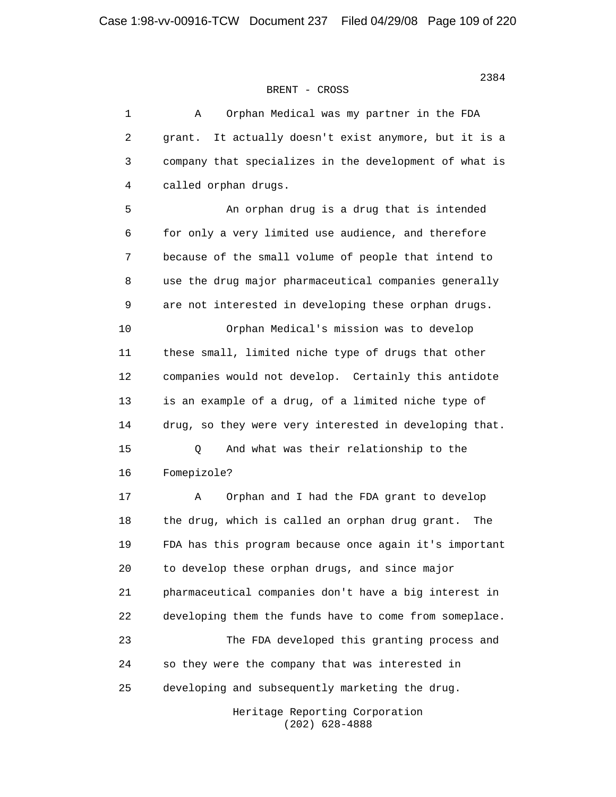| $\mathbf 1$ | Orphan Medical was my partner in the FDA<br>Α            |
|-------------|----------------------------------------------------------|
| 2           | It actually doesn't exist anymore, but it is a<br>grant. |
| 3           | company that specializes in the development of what is   |
| 4           | called orphan drugs.                                     |
| 5           | An orphan drug is a drug that is intended                |
| 6           | for only a very limited use audience, and therefore      |
| 7           | because of the small volume of people that intend to     |
| 8           | use the drug major pharmaceutical companies generally    |
| 9           | are not interested in developing these orphan drugs.     |
| 10          | Orphan Medical's mission was to develop                  |
| 11          | these small, limited niche type of drugs that other      |
| 12          | companies would not develop. Certainly this antidote     |
| 13          | is an example of a drug, of a limited niche type of      |
| 14          | drug, so they were very interested in developing that.   |
| 15          | And what was their relationship to the<br>Q              |
| 16          | Fomepizole?                                              |
| 17          | Orphan and I had the FDA grant to develop<br>Α           |
| 18          | the drug, which is called an orphan drug grant.<br>The   |
| 19          | FDA has this program because once again it's important   |
| 20          | to develop these orphan drugs, and since major           |
| 21          | pharmaceutical companies don't have a big interest in    |
| 22          | developing them the funds have to come from someplace.   |
| 23          | The FDA developed this granting process and              |
| 24          | so they were the company that was interested in          |
| 25          | developing and subsequently marketing the drug.          |
|             |                                                          |

 Heritage Reporting Corporation (202) 628-4888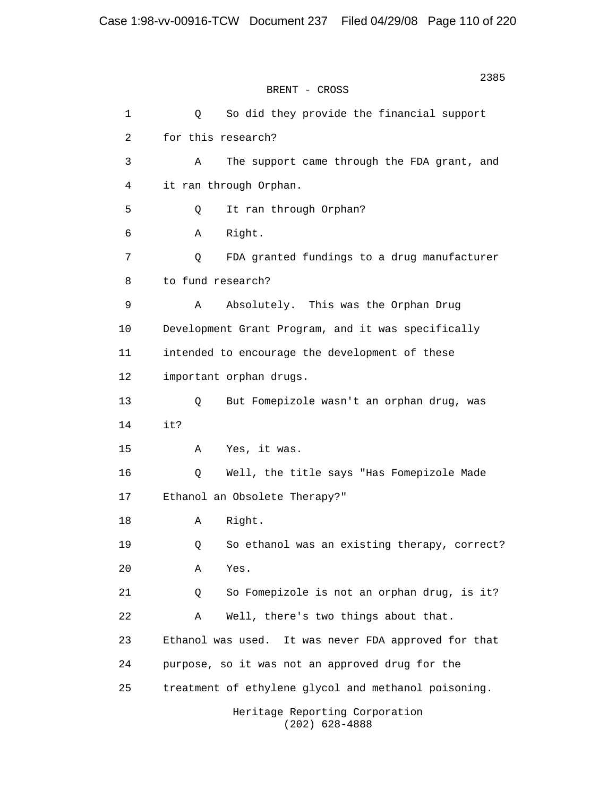2385 **2385** BRENT - CROSS 1 Q So did they provide the financial support 2 for this research? 3 A The support came through the FDA grant, and 4 it ran through Orphan. 5 Q It ran through Orphan? 6 A Right. 7 Q FDA granted fundings to a drug manufacturer 8 to fund research? 9 A Absolutely. This was the Orphan Drug 10 Development Grant Program, and it was specifically 11 intended to encourage the development of these 12 important orphan drugs. 13 Q But Fomepizole wasn't an orphan drug, was 14 it? 15 A Yes, it was. 16 Q Well, the title says "Has Fomepizole Made 17 Ethanol an Obsolete Therapy?" 18 A Right. 19 Q So ethanol was an existing therapy, correct? 20 A Yes. 21 Q So Fomepizole is not an orphan drug, is it? 22 A Well, there's two things about that. 23 Ethanol was used. It was never FDA approved for that 24 purpose, so it was not an approved drug for the 25 treatment of ethylene glycol and methanol poisoning. Heritage Reporting Corporation

(202) 628-4888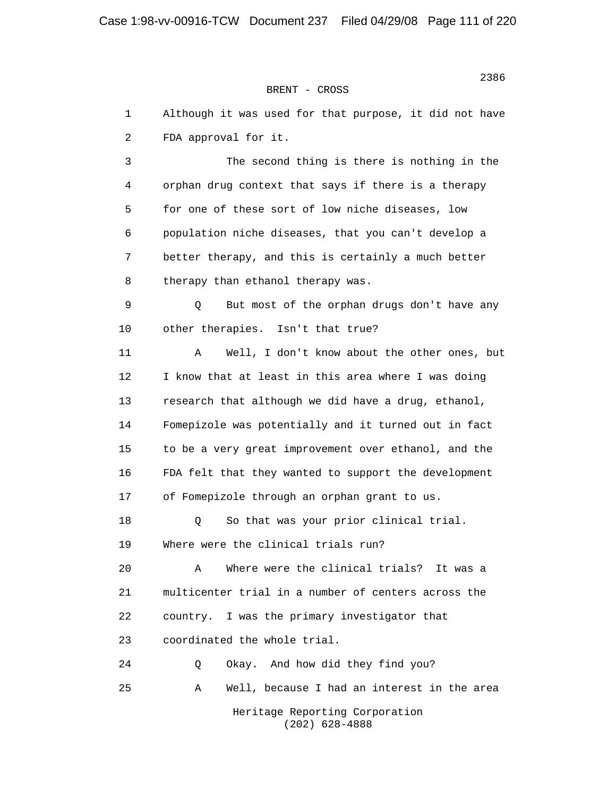1 Although it was used for that purpose, it did not have 2 FDA approval for it. 3 The second thing is there is nothing in the 4 orphan drug context that says if there is a therapy 5 for one of these sort of low niche diseases, low 6 population niche diseases, that you can't develop a 7 better therapy, and this is certainly a much better 8 therapy than ethanol therapy was. 9 Q But most of the orphan drugs don't have any 10 other therapies. Isn't that true? 11 A Well, I don't know about the other ones, but 12 I know that at least in this area where I was doing 13 research that although we did have a drug, ethanol, 14 Fomepizole was potentially and it turned out in fact 15 to be a very great improvement over ethanol, and the 16 FDA felt that they wanted to support the development 17 of Fomepizole through an orphan grant to us. 18 Q So that was your prior clinical trial. 19 Where were the clinical trials run? 20 A Where were the clinical trials? It was a 21 multicenter trial in a number of centers across the 22 country. I was the primary investigator that 23 coordinated the whole trial. 24 Q Okay. And how did they find you? 25 A Well, because I had an interest in the area Heritage Reporting Corporation (202) 628-4888

последници производите на 1938 године в 1938 године и 1938 године в 1938 године и 1938 године в 1938 године и<br>В 1938 године в 1938 године в 1938 године в 1938 године в 1938 године в 1938 године в 1938 године в 1938 годин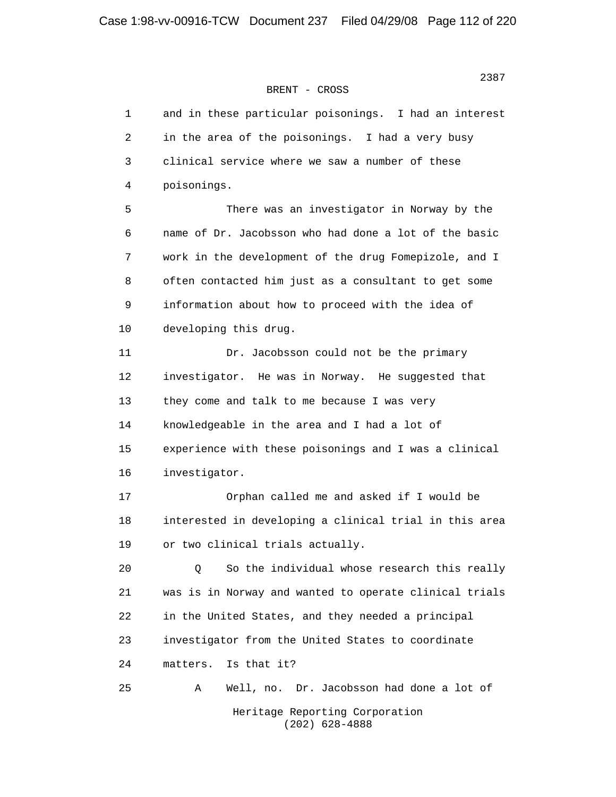| 1  | and in these particular poisonings. I had an interest  |
|----|--------------------------------------------------------|
| 2  | in the area of the poisonings. I had a very busy       |
| 3  | clinical service where we saw a number of these        |
| 4  | poisonings.                                            |
| 5  | There was an investigator in Norway by the             |
| 6  | name of Dr. Jacobsson who had done a lot of the basic  |
| 7  | work in the development of the drug Fomepizole, and I  |
| 8  | often contacted him just as a consultant to get some   |
| 9  | information about how to proceed with the idea of      |
| 10 | developing this drug.                                  |
| 11 | Dr. Jacobsson could not be the primary                 |
| 12 | investigator. He was in Norway. He suggested that      |
| 13 | they come and talk to me because I was very            |
| 14 | knowledgeable in the area and I had a lot of           |
| 15 | experience with these poisonings and I was a clinical  |
| 16 | investigator.                                          |
| 17 | Orphan called me and asked if I would be               |
| 18 | interested in developing a clinical trial in this area |
| 19 | or two clinical trials actually.                       |
| 20 | So the individual whose research this really<br>Q      |
| 21 | was is in Norway and wanted to operate clinical trials |
| 22 | in the United States, and they needed a principal      |
| 23 | investigator from the United States to coordinate      |
| 24 | Is that it?<br>matters.                                |
| 25 | Dr. Jacobsson had done a lot of<br>Α<br>Well, no.      |
|    | Heritage Reporting Corporation<br>$(202)$ 628-4888     |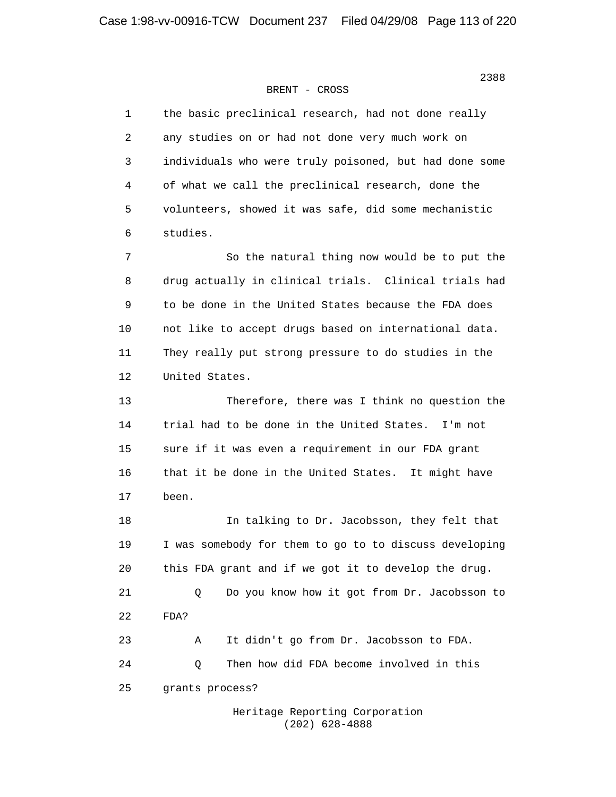| 1  | the basic preclinical research, had not done really    |
|----|--------------------------------------------------------|
| 2  | any studies on or had not done very much work on       |
| 3  | individuals who were truly poisoned, but had done some |
| 4  | of what we call the preclinical research, done the     |
| 5  | volunteers, showed it was safe, did some mechanistic   |
| 6  | studies.                                               |
| 7  | So the natural thing now would be to put the           |
| 8  | drug actually in clinical trials. Clinical trials had  |
| 9  | to be done in the United States because the FDA does   |
| 10 | not like to accept drugs based on international data.  |
| 11 | They really put strong pressure to do studies in the   |
| 12 | United States.                                         |
| 13 | Therefore, there was I think no question the           |
| 14 | trial had to be done in the United States. I'm not     |
| 15 | sure if it was even a requirement in our FDA grant     |
| 16 | that it be done in the United States. It might have    |
| 17 | been.                                                  |
| 18 | In talking to Dr. Jacobsson, they felt that            |
| 19 | I was somebody for them to go to to discuss developing |
| 20 | this FDA grant and if we got it to develop the drug.   |
| 21 | Do you know how it got from Dr. Jacobsson to<br>Q      |
| 22 | FDA?                                                   |
| 23 | It didn't go from Dr. Jacobsson to FDA.<br>Α           |
| 24 | Then how did FDA become involved in this<br>Q          |
| 25 | grants process?                                        |
|    |                                                        |

 Heritage Reporting Corporation (202) 628-4888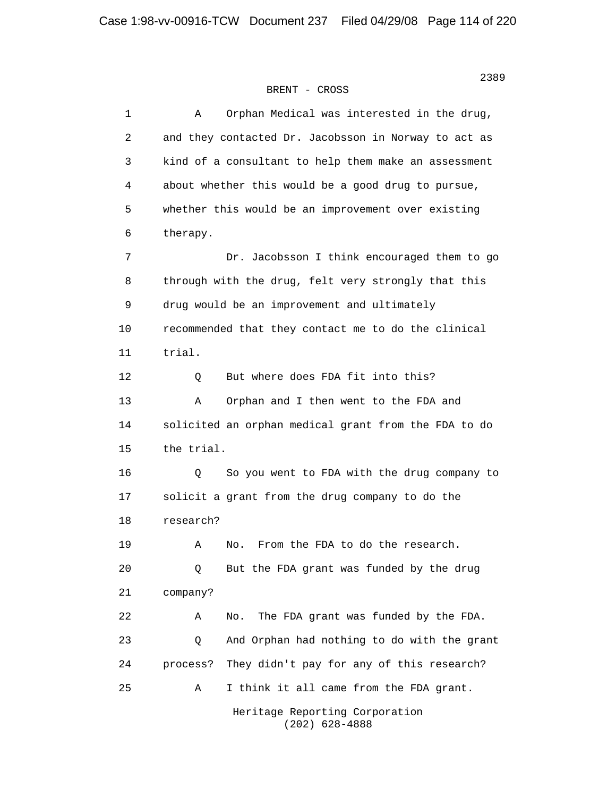#### 2389 Samuel State Street (1986) Section 2008 Section 1996 Section 1996 Section 1996 Section 1997 Section 1997 BRENT - CROSS

| $\mathbf 1$ | Orphan Medical was interested in the drug,<br>Α       |
|-------------|-------------------------------------------------------|
| 2           | and they contacted Dr. Jacobsson in Norway to act as  |
| 3           | kind of a consultant to help them make an assessment  |
| 4           | about whether this would be a good drug to pursue,    |
| 5           | whether this would be an improvement over existing    |
| 6           | therapy.                                              |
| 7           | Dr. Jacobsson I think encouraged them to go           |
| 8           | through with the drug, felt very strongly that this   |
| 9           | drug would be an improvement and ultimately           |
| 10          | recommended that they contact me to do the clinical   |
| 11          | trial.                                                |
| 12          | But where does FDA fit into this?<br>Q                |
| 13          | Orphan and I then went to the FDA and<br>Α            |
| 14          | solicited an orphan medical grant from the FDA to do  |
| 15          | the trial.                                            |
| 16          | So you went to FDA with the drug company to<br>Q      |
| 17          | solicit a grant from the drug company to do the       |
| 18          | research?                                             |
| 19          | From the FDA to do the research.<br>Α<br>No.          |
| 20          | But the FDA grant was funded by the drug<br>Q         |
| 21          | company?                                              |
| 22          | The FDA grant was funded by the FDA.<br>No.<br>Α      |
| 23          | And Orphan had nothing to do with the grant<br>Q      |
| 24          | They didn't pay for any of this research?<br>process? |
| 25          | I think it all came from the FDA grant.<br>Α          |
|             | Heritage Reporting Corporation<br>$(202)$ 628-4888    |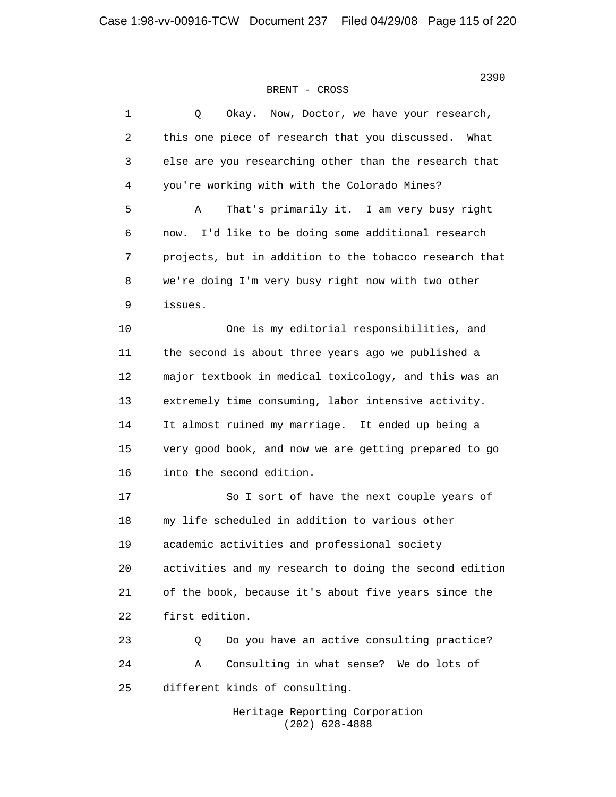| $\mathbf 1$ | Now, Doctor, we have your research,<br>Q<br>Okay.      |
|-------------|--------------------------------------------------------|
| 2           | this one piece of research that you discussed.<br>What |
| 3           | else are you researching other than the research that  |
| 4           | you're working with with the Colorado Mines?           |
| 5           | That's primarily it. I am very busy right<br>Α         |
| 6           | I'd like to be doing some additional research<br>now.  |
| 7           | projects, but in addition to the tobacco research that |
| 8           | we're doing I'm very busy right now with two other     |
| $\mathsf 9$ | issues.                                                |
| 10          | One is my editorial responsibilities, and              |
| 11          | the second is about three years ago we published a     |
| 12          | major textbook in medical toxicology, and this was an  |
| 13          | extremely time consuming, labor intensive activity.    |
| 14          | It almost ruined my marriage. It ended up being a      |
| 15          | very good book, and now we are getting prepared to go  |
| 16          | into the second edition.                               |
| 17          | So I sort of have the next couple years of             |
| 18          | my life scheduled in addition to various other         |
| 19          | academic activities and professional society           |
| 20          | activities and my research to doing the second edition |
| 21          | of the book, because it's about five years since the   |
| 22          | first edition.                                         |
| 23          | Do you have an active consulting practice?<br>Q        |
| 24          | Consulting in what sense? We do lots of<br>Α           |
| 25          | different kinds of consulting.                         |
|             | Heritage Reporting Corporation                         |

(202) 628-4888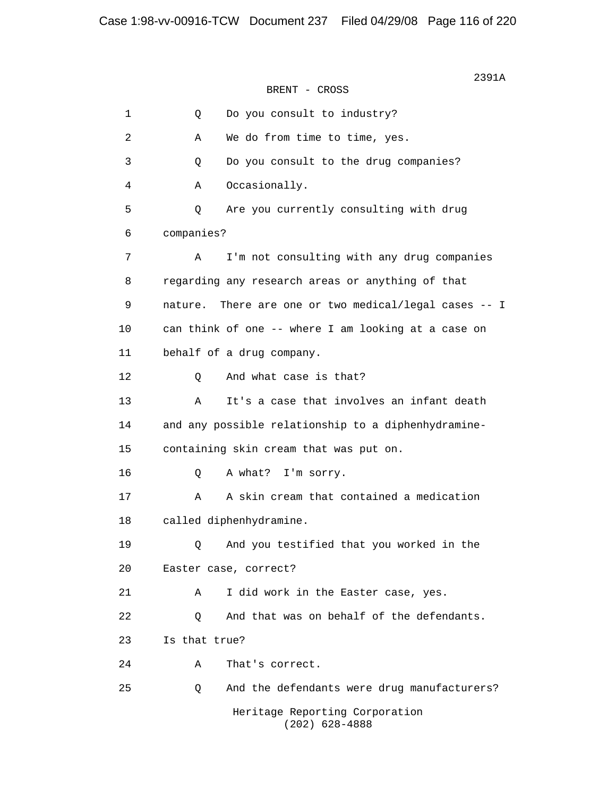$2391A$ BRENT - CROSS 1 Q Do you consult to industry? 2 A We do from time to time, yes. 3 Q Do you consult to the drug companies? 4 A Occasionally. 5 Q Are you currently consulting with drug 6 companies? 7 A I'm not consulting with any drug companies 8 regarding any research areas or anything of that 9 nature. There are one or two medical/legal cases -- I 10 can think of one -- where I am looking at a case on 11 behalf of a drug company. 12 O And what case is that? 13 A It's a case that involves an infant death 14 and any possible relationship to a diphenhydramine- 15 containing skin cream that was put on. 16 Q A what? I'm sorry. 17 A A skin cream that contained a medication 18 called diphenhydramine. 19 Q And you testified that you worked in the 20 Easter case, correct? 21 A I did work in the Easter case, yes. 22 0 And that was on behalf of the defendants. 23 Is that true? 24 A That's correct. 25 Q And the defendants were drug manufacturers? Heritage Reporting Corporation (202) 628-4888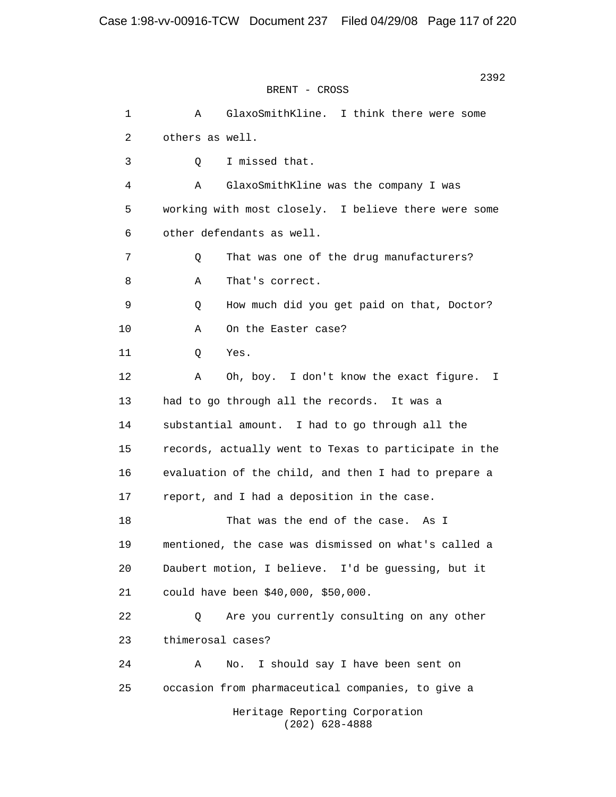2392 BRENT - CROSS 1 A GlaxoSmithKline. I think there were some 2 others as well. 3 Q I missed that. 4 A GlaxoSmithKline was the company I was 5 working with most closely. I believe there were some 6 other defendants as well. 7 0 That was one of the drug manufacturers? 8 A That's correct. 9 Q How much did you get paid on that, Doctor? 10 A On the Easter case? 11 Q Yes. 12 A Oh, boy. I don't know the exact figure. I 13 had to go through all the records. It was a 14 substantial amount. I had to go through all the 15 records, actually went to Texas to participate in the 16 evaluation of the child, and then I had to prepare a 17 report, and I had a deposition in the case. 18 That was the end of the case. As I 19 mentioned, the case was dismissed on what's called a 20 Daubert motion, I believe. I'd be guessing, but it 21 could have been \$40,000, \$50,000. 22 Q Are you currently consulting on any other 23 thimerosal cases? 24 A No. I should say I have been sent on 25 occasion from pharmaceutical companies, to give a Heritage Reporting Corporation

(202) 628-4888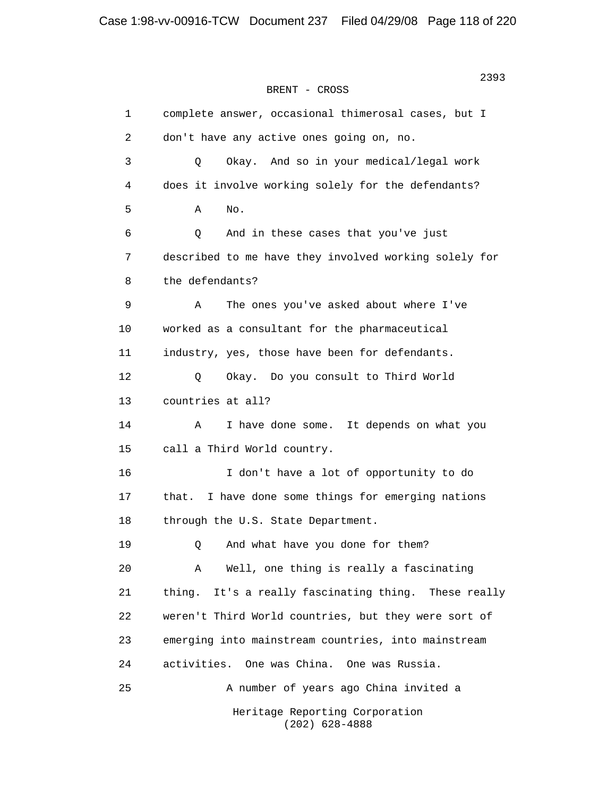```
2393 2393
BRENT - CROSS
```
 1 complete answer, occasional thimerosal cases, but I 2 don't have any active ones going on, no. 3 Q Okay. And so in your medical/legal work 4 does it involve working solely for the defendants?  $5$  A No. 6 Q And in these cases that you've just 7 described to me have they involved working solely for 8 the defendants? 9 A The ones you've asked about where I've 10 worked as a consultant for the pharmaceutical 11 industry, yes, those have been for defendants. 12 Q Okay. Do you consult to Third World 13 countries at all? 14 A I have done some. It depends on what you 15 call a Third World country. 16 I don't have a lot of opportunity to do 17 that. I have done some things for emerging nations 18 through the U.S. State Department. 19 Q And what have you done for them? 20 A Well, one thing is really a fascinating 21 thing. It's a really fascinating thing. These really 22 weren't Third World countries, but they were sort of 23 emerging into mainstream countries, into mainstream 24 activities. One was China. One was Russia. 25 A number of years ago China invited a Heritage Reporting Corporation (202) 628-4888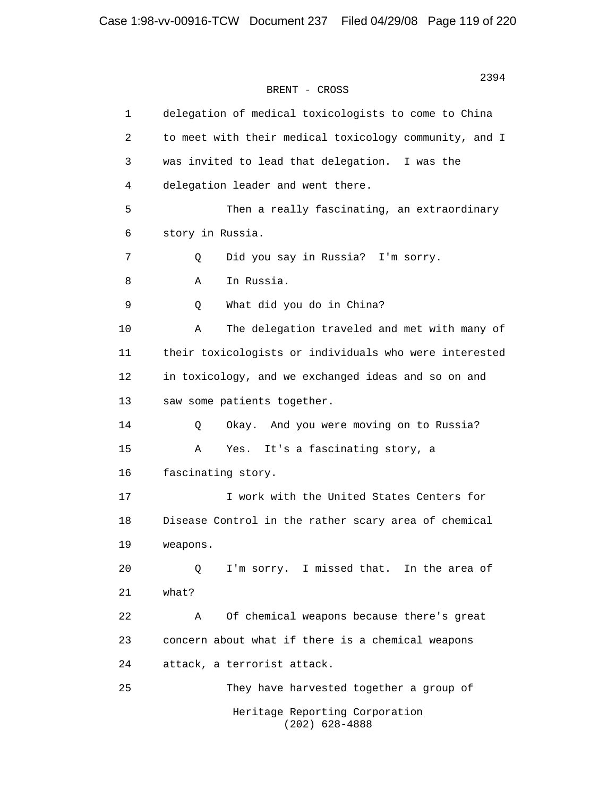| $\mathbf 1$ | delegation of medical toxicologists to come to China   |
|-------------|--------------------------------------------------------|
| 2           | to meet with their medical toxicology community, and I |
| 3           | was invited to lead that delegation. I was the         |
| 4           | delegation leader and went there.                      |
| 5           | Then a really fascinating, an extraordinary            |
| 6           | story in Russia.                                       |
| 7           | Did you say in Russia? I'm sorry.<br>Q                 |
| 8           | In Russia.<br>Α                                        |
| 9           | What did you do in China?<br>Q                         |
| 10          | The delegation traveled and met with many of<br>Α      |
| 11          | their toxicologists or individuals who were interested |
| 12          | in toxicology, and we exchanged ideas and so on and    |
| 13          | saw some patients together.                            |
| 14          | Okay. And you were moving on to Russia?<br>Q           |
| 15          | It's a fascinating story, a<br>Α<br>Yes.               |
| 16          | fascinating story.                                     |
| 17          | I work with the United States Centers for              |
| 18          | Disease Control in the rather scary area of chemical   |
| 19          | weapons.                                               |
| 20          | I'm sorry. I missed that. In the area of<br>Q          |
| 21          | what?                                                  |
| 22          | Of chemical weapons because there's great<br>Α         |
| 23          | concern about what if there is a chemical weapons      |
| 24          | attack, a terrorist attack.                            |
| 25          | They have harvested together a group of                |
|             | Heritage Reporting Corporation<br>$(202)$ 628-4888     |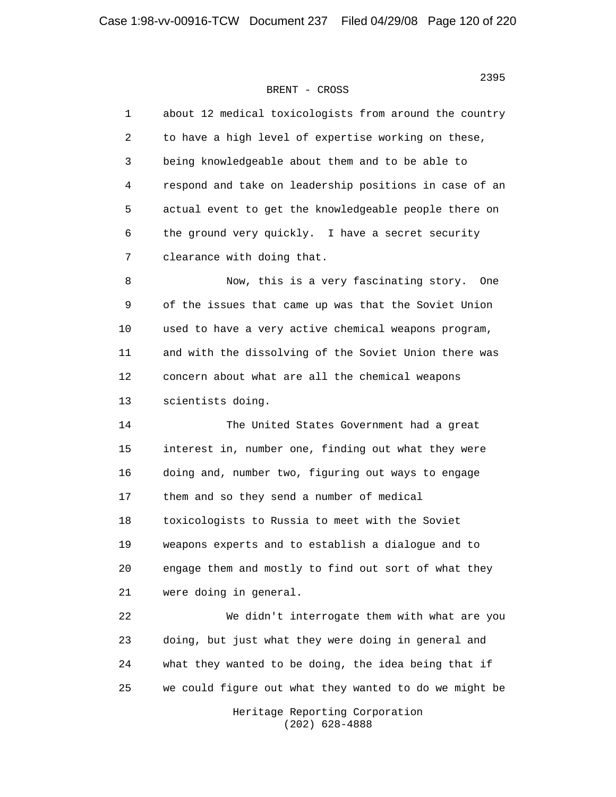| $\mathbf{1}$ | about 12 medical toxicologists from around the country |
|--------------|--------------------------------------------------------|
| 2            | to have a high level of expertise working on these,    |
| 3            | being knowledgeable about them and to be able to       |
| 4            | respond and take on leadership positions in case of an |
| 5            | actual event to get the knowledgeable people there on  |
| 6            | the ground very quickly. I have a secret security      |
| 7            | clearance with doing that.                             |
| 8            | Now, this is a very fascinating story.<br>One          |
| 9            | of the issues that came up was that the Soviet Union   |
| 10           | used to have a very active chemical weapons program,   |
| 11           | and with the dissolving of the Soviet Union there was  |
| 12           | concern about what are all the chemical weapons        |
| 13           | scientists doing.                                      |
| 14           | The United States Government had a great               |
| 15           | interest in, number one, finding out what they were    |
| 16           | doing and, number two, figuring out ways to engage     |
| 17           | them and so they send a number of medical              |
| 18           | toxicologists to Russia to meet with the Soviet        |
| 19           | weapons experts and to establish a dialogue and to     |
| 20           | engage them and mostly to find out sort of what they   |
| 21           | were doing in general.                                 |
| 22           | We didn't interrogate them with what are you           |
| 23           | doing, but just what they were doing in general and    |
| 24           | what they wanted to be doing, the idea being that if   |
| 25           | we could figure out what they wanted to do we might be |
|              | Heritage Reporting Corporation<br>$(202)$ 628-4888     |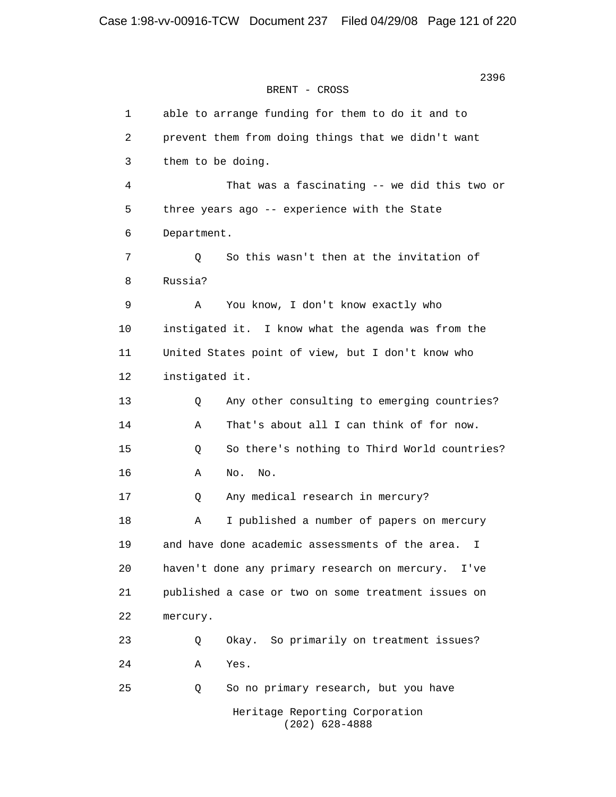2396 BRENT - CROSS 1 able to arrange funding for them to do it and to 2 prevent them from doing things that we didn't want 3 them to be doing. 4 That was a fascinating -- we did this two or 5 three years ago -- experience with the State 6 Department. 7 Q So this wasn't then at the invitation of 8 Russia? 9 A You know, I don't know exactly who 10 instigated it. I know what the agenda was from the 11 United States point of view, but I don't know who 12 instigated it. 13 Q Any other consulting to emerging countries? 14 A That's about all I can think of for now. 15 Q So there's nothing to Third World countries? 16 A No. No. 17 Q Any medical research in mercury? 18 A I published a number of papers on mercury 19 and have done academic assessments of the area. I 20 haven't done any primary research on mercury. I've 21 published a case or two on some treatment issues on 22 mercury. 23 Q Okay. So primarily on treatment issues? 24 A Yes. 25 Q So no primary research, but you have Heritage Reporting Corporation

(202) 628-4888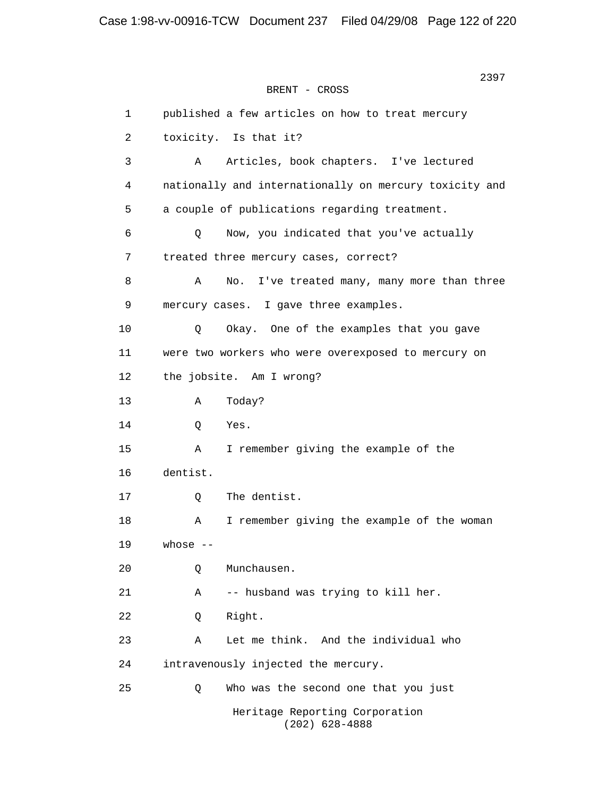2397 **2397** BRENT - CROSS 1 published a few articles on how to treat mercury 2 toxicity. Is that it? 3 A Articles, book chapters. I've lectured 4 nationally and internationally on mercury toxicity and 5 a couple of publications regarding treatment. 6 Q Now, you indicated that you've actually 7 treated three mercury cases, correct? 8 A No. I've treated many, many more than three 9 mercury cases. I gave three examples. 10 Q Okay. One of the examples that you gave 11 were two workers who were overexposed to mercury on 12 the jobsite. Am I wrong? 13 A Today? 14 Q Yes. 15 A I remember giving the example of the 16 dentist. 17 Q The dentist. 18 A I remember giving the example of the woman 19 whose -- 20 Q Munchausen. 21 A -- husband was trying to kill her. 22 Q Right. 23 A Let me think. And the individual who 24 intravenously injected the mercury. 25 Q Who was the second one that you just Heritage Reporting Corporation

(202) 628-4888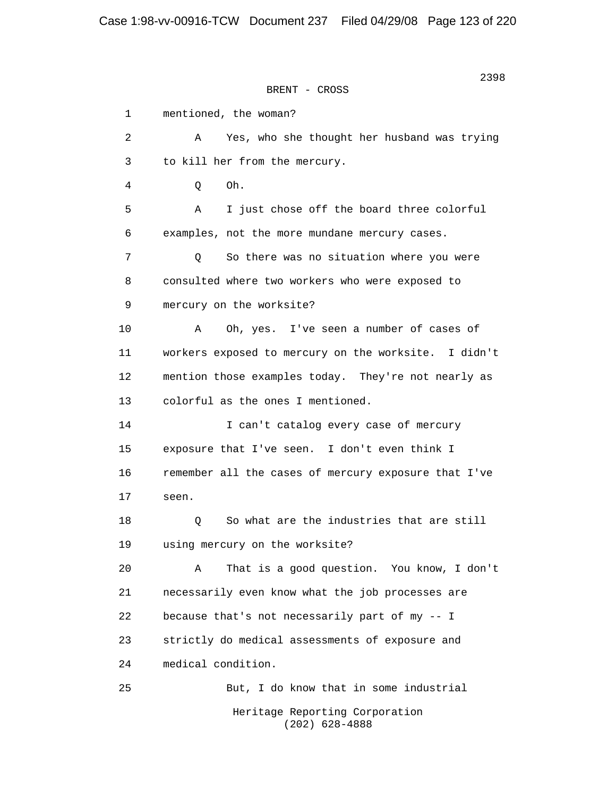| 1  | mentioned, the woman?                                |
|----|------------------------------------------------------|
| 2  | Yes, who she thought her husband was trying<br>Α     |
| 3  | to kill her from the mercury.                        |
| 4  | Oh.<br>Q                                             |
| 5  | I just chose off the board three colorful<br>Α       |
| 6  | examples, not the more mundane mercury cases.        |
| 7  | So there was no situation where you were<br>Q        |
| 8  | consulted where two workers who were exposed to      |
| 9  | mercury on the worksite?                             |
| 10 | Oh, yes. I've seen a number of cases of<br>Α         |
| 11 | workers exposed to mercury on the worksite. I didn't |
| 12 | mention those examples today. They're not nearly as  |
| 13 | colorful as the ones I mentioned.                    |
| 14 | I can't catalog every case of mercury                |
| 15 | exposure that I've seen. I don't even think I        |
| 16 | remember all the cases of mercury exposure that I've |
| 17 | seen.                                                |
| 18 | So what are the industries that are still<br>Q       |
| 19 | using mercury on the worksite?                       |
| 20 | That is a good question. You know, I don't<br>Α      |
| 21 | necessarily even know what the job processes are     |
| 22 | because that's not necessarily part of my -- I       |
| 23 | strictly do medical assessments of exposure and      |
| 24 | medical condition.                                   |
| 25 | But, I do know that in some industrial               |
|    | Heritage Reporting Corporation<br>$(202)$ 628-4888   |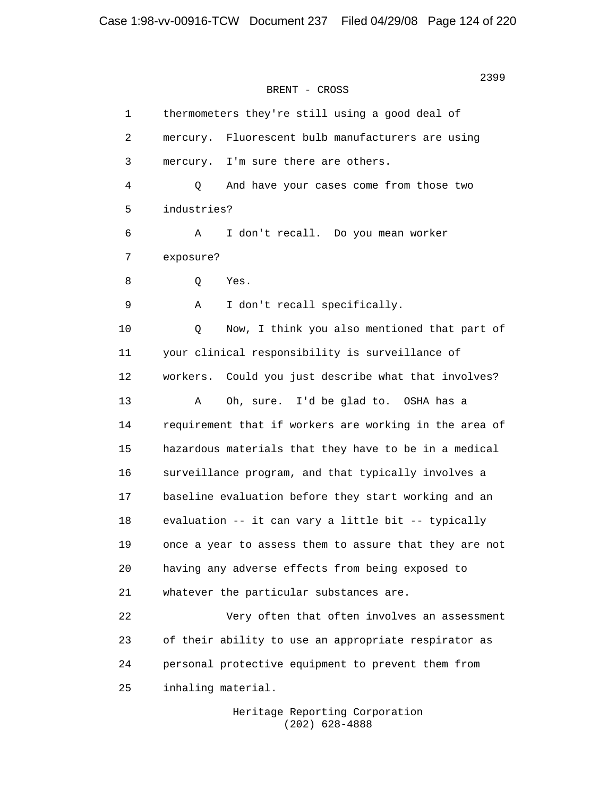1 thermometers they're still using a good deal of 2 mercury. Fluorescent bulb manufacturers are using 3 mercury. I'm sure there are others. 4 Q And have your cases come from those two 5 industries? 6 A I don't recall. Do you mean worker 7 exposure? 8 Q Yes. 9 A I don't recall specifically. 10 Q Now, I think you also mentioned that part of 11 your clinical responsibility is surveillance of 12 workers. Could you just describe what that involves? 13 A Oh, sure. I'd be glad to. OSHA has a 14 requirement that if workers are working in the area of 15 hazardous materials that they have to be in a medical 16 surveillance program, and that typically involves a 17 baseline evaluation before they start working and an 18 evaluation -- it can vary a little bit -- typically 19 once a year to assess them to assure that they are not 20 having any adverse effects from being exposed to 21 whatever the particular substances are. 22 Very often that often involves an assessment 23 of their ability to use an appropriate respirator as 24 personal protective equipment to prevent them from 25 inhaling material.

> Heritage Reporting Corporation (202) 628-4888

<u>2399</u><br>2399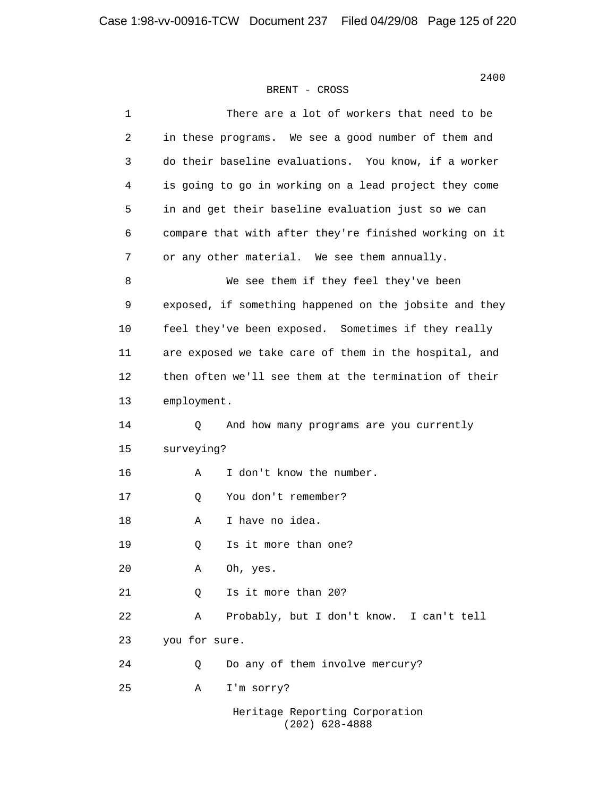| $\mathbf 1$ | There are a lot of workers that need to be             |
|-------------|--------------------------------------------------------|
| 2           | in these programs. We see a good number of them and    |
| 3           | do their baseline evaluations. You know, if a worker   |
| 4           | is going to go in working on a lead project they come  |
| 5           | in and get their baseline evaluation just so we can    |
| 6           | compare that with after they're finished working on it |
| 7           | or any other material. We see them annually.           |
| 8           | We see them if they feel they've been                  |
| 9           | exposed, if something happened on the jobsite and they |
| 10          | feel they've been exposed. Sometimes if they really    |
| 11          | are exposed we take care of them in the hospital, and  |
| 12          | then often we'll see them at the termination of their  |
| 13          | employment.                                            |
| 14          | And how many programs are you currently<br>Q           |
| 15          | surveying?                                             |
| 16          | I don't know the number.<br>Α                          |
| 17          | You don't remember?<br>Q                               |
| 18          | I have no idea.<br>Α                                   |
| 19          | Is it more than one?<br>Q                              |
| 20          | Oh, yes.<br>Α                                          |
| 21          | Is it more than 20?<br>Q                               |
| 22          | Probably, but I don't know. I can't tell<br>Α          |
| 23          | you for sure.                                          |
| 24          | Do any of them involve mercury?<br>Q                   |
| 25          | I'm sorry?<br>Α                                        |
|             | Heritage Reporting Corporation<br>$(202)$ 628-4888     |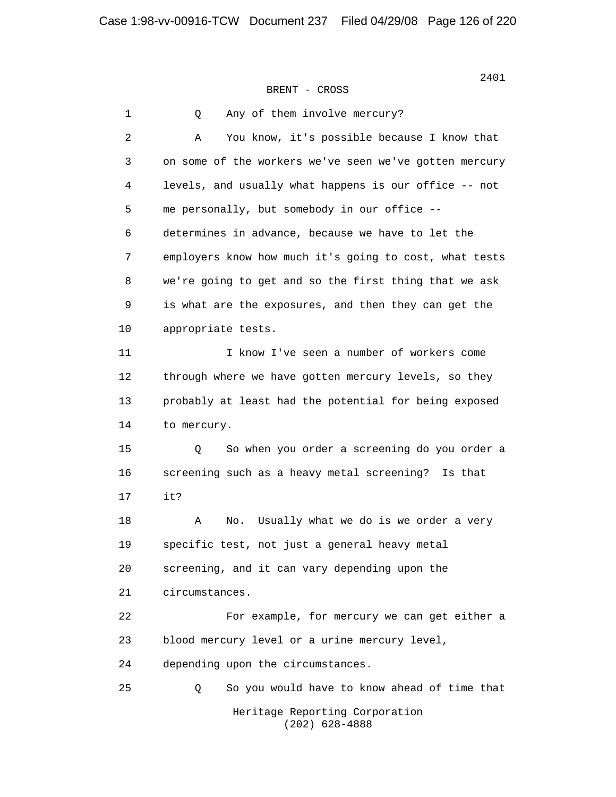2401

1 0 Any of them involve mercury? 2 A You know, it's possible because I know that 3 on some of the workers we've seen we've gotten mercury 4 levels, and usually what happens is our office -- not 5 me personally, but somebody in our office -- 6 determines in advance, because we have to let the 7 employers know how much it's going to cost, what tests 8 we're going to get and so the first thing that we ask 9 is what are the exposures, and then they can get the 10 appropriate tests. 11 I know I've seen a number of workers come 12 through where we have gotten mercury levels, so they 13 probably at least had the potential for being exposed 14 to mercury. 15 Q So when you order a screening do you order a 16 screening such as a heavy metal screening? Is that 17 it? 18 A No. Usually what we do is we order a very 19 specific test, not just a general heavy metal 20 screening, and it can vary depending upon the 21 circumstances. 22 For example, for mercury we can get either a 23 blood mercury level or a urine mercury level, 24 depending upon the circumstances. 25 Q So you would have to know ahead of time that Heritage Reporting Corporation (202) 628-4888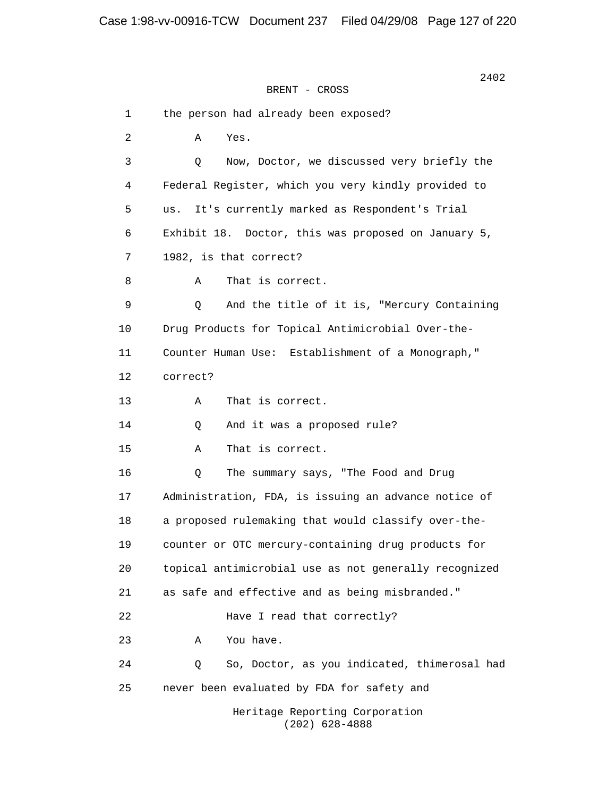2402 BRENT - CROSS 1 the person had already been exposed? 2 A Yes. 3 Q Now, Doctor, we discussed very briefly the 4 Federal Register, which you very kindly provided to 5 us. It's currently marked as Respondent's Trial 6 Exhibit 18. Doctor, this was proposed on January 5, 7 1982, is that correct? 8 A That is correct. 9 Q And the title of it is, "Mercury Containing 10 Drug Products for Topical Antimicrobial Over-the- 11 Counter Human Use: Establishment of a Monograph," 12 correct? 13 A That is correct. 14 Q And it was a proposed rule? 15 A That is correct. 16 Q The summary says, "The Food and Drug 17 Administration, FDA, is issuing an advance notice of 18 a proposed rulemaking that would classify over-the- 19 counter or OTC mercury-containing drug products for 20 topical antimicrobial use as not generally recognized 21 as safe and effective and as being misbranded." 22 Have I read that correctly? 23 A You have. 24 Q So, Doctor, as you indicated, thimerosal had 25 never been evaluated by FDA for safety and Heritage Reporting Corporation (202) 628-4888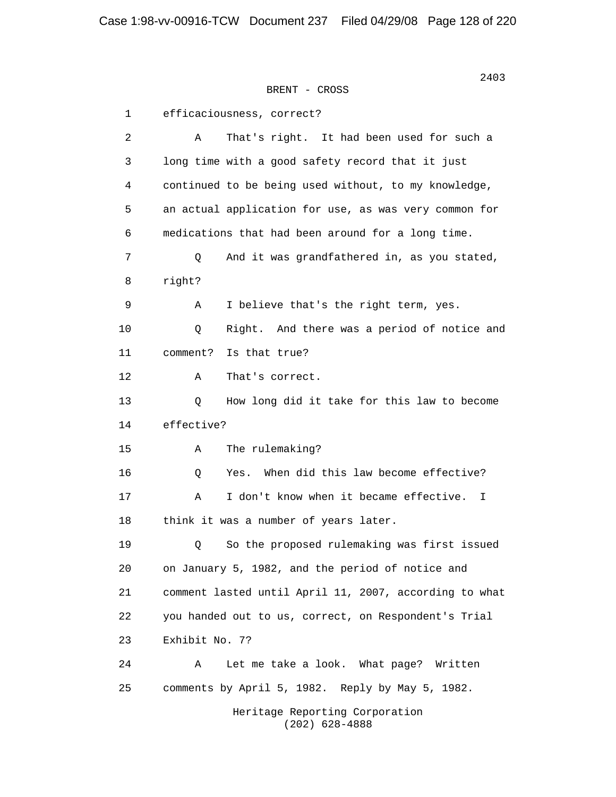> 1 efficaciousness, correct? 2 A That's right. It had been used for such a 3 long time with a good safety record that it just 4 continued to be being used without, to my knowledge, 5 an actual application for use, as was very common for 6 medications that had been around for a long time. 7 0 And it was grandfathered in, as you stated, 8 right? 9 A I believe that's the right term, yes. 10 Q Right. And there was a period of notice and 11 comment? Is that true? 12 A That's correct. 13 Q How long did it take for this law to become 14 effective? 15 A The rulemaking? 16 0 Yes. When did this law become effective? 17 A I don't know when it became effective. I 18 think it was a number of years later. 19 Q So the proposed rulemaking was first issued 20 on January 5, 1982, and the period of notice and 21 comment lasted until April 11, 2007, according to what 22 you handed out to us, correct, on Respondent's Trial 23 Exhibit No. 7? 24 A Let me take a look. What page? Written 25 comments by April 5, 1982. Reply by May 5, 1982. Heritage Reporting Corporation (202) 628-4888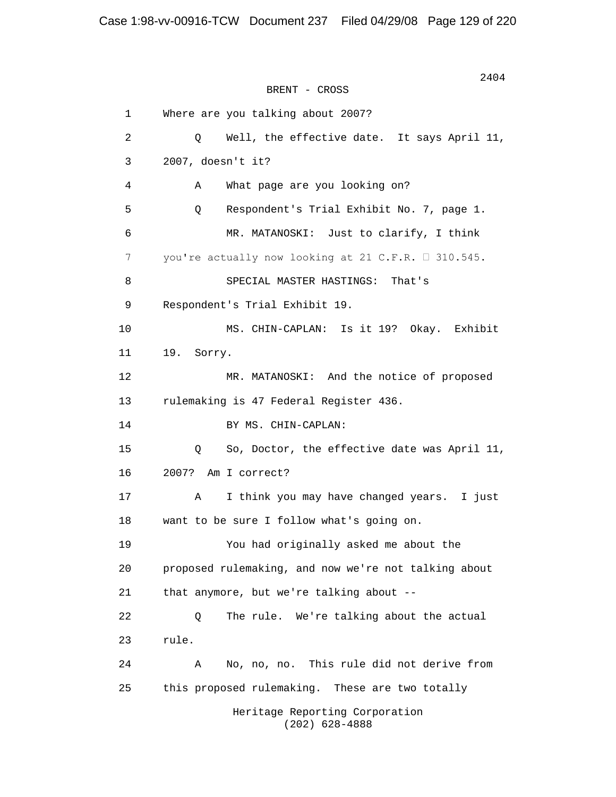2404 BRENT - CROSS 1 Where are you talking about 2007? 2 Q Well, the effective date. It says April 11, 3 2007, doesn't it? 4 A What page are you looking on? 5 Q Respondent's Trial Exhibit No. 7, page 1. 6 MR. MATANOSKI: Just to clarify, I think 7 vou're actually now looking at 21 C.F.R.  $\Box$  310.545. 8 SPECIAL MASTER HASTINGS: That's 9 Respondent's Trial Exhibit 19. 10 MS. CHIN-CAPLAN: Is it 19? Okay. Exhibit 11 19. Sorry. 12 MR. MATANOSKI: And the notice of proposed 13 rulemaking is 47 Federal Register 436. 14 BY MS. CHIN-CAPLAN: 15 Q So, Doctor, the effective date was April 11, 16 2007? Am I correct? 17 A I think you may have changed years. I just 18 want to be sure I follow what's going on. 19 You had originally asked me about the 20 proposed rulemaking, and now we're not talking about 21 that anymore, but we're talking about -- 22 Q The rule. We're talking about the actual 23 rule. 24 A No, no, no. This rule did not derive from 25 this proposed rulemaking. These are two totally Heritage Reporting Corporation (202) 628-4888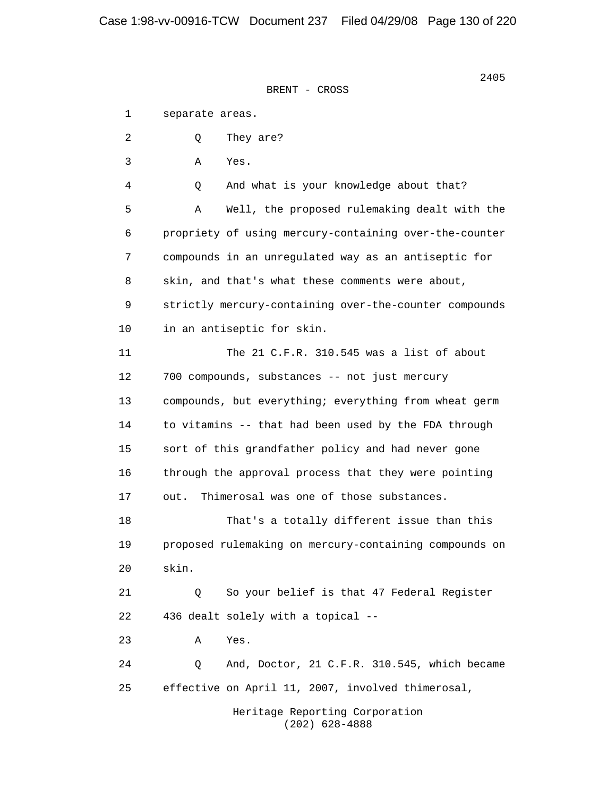1 separate areas. 2 0 They are? 3 A Yes. 4 Q And what is your knowledge about that? 5 A Well, the proposed rulemaking dealt with the 6 propriety of using mercury-containing over-the-counter 7 compounds in an unregulated way as an antiseptic for 8 skin, and that's what these comments were about, 9 strictly mercury-containing over-the-counter compounds 10 in an antiseptic for skin. 11 The 21 C.F.R. 310.545 was a list of about 12 700 compounds, substances -- not just mercury 13 compounds, but everything; everything from wheat germ 14 to vitamins -- that had been used by the FDA through 15 sort of this grandfather policy and had never gone 16 through the approval process that they were pointing 17 out. Thimerosal was one of those substances. 18 That's a totally different issue than this 19 proposed rulemaking on mercury-containing compounds on 20 skin. 21 Q So your belief is that 47 Federal Register 22 436 dealt solely with a topical -- 23 A Yes. 24 Q And, Doctor, 21 C.F.R. 310.545, which became 25 effective on April 11, 2007, involved thimerosal, Heritage Reporting Corporation (202) 628-4888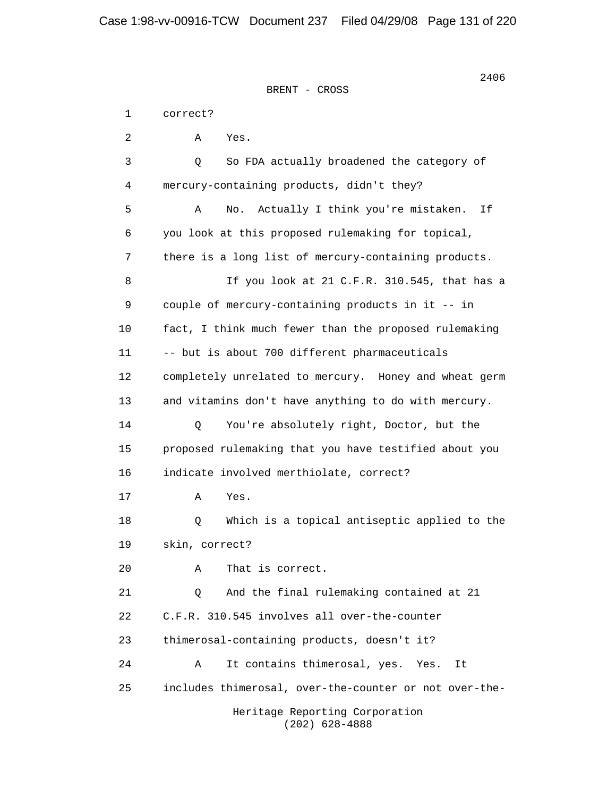2406

 1 correct? 2 A Yes. 3 Q So FDA actually broadened the category of 4 mercury-containing products, didn't they? 5 A No. Actually I think you're mistaken. If 6 you look at this proposed rulemaking for topical, 7 there is a long list of mercury-containing products. 8 If you look at 21 C.F.R. 310.545, that has a 9 couple of mercury-containing products in it -- in 10 fact, I think much fewer than the proposed rulemaking 11 -- but is about 700 different pharmaceuticals 12 completely unrelated to mercury. Honey and wheat germ 13 and vitamins don't have anything to do with mercury. 14 Q You're absolutely right, Doctor, but the 15 proposed rulemaking that you have testified about you 16 indicate involved merthiolate, correct? 17 A Yes. 18 Q Which is a topical antiseptic applied to the 19 skin, correct? 20 A That is correct. 21 Q And the final rulemaking contained at 21 22 C.F.R. 310.545 involves all over-the-counter 23 thimerosal-containing products, doesn't it? 24 A It contains thimerosal, yes. Yes. It 25 includes thimerosal, over-the-counter or not over-the-

> Heritage Reporting Corporation (202) 628-4888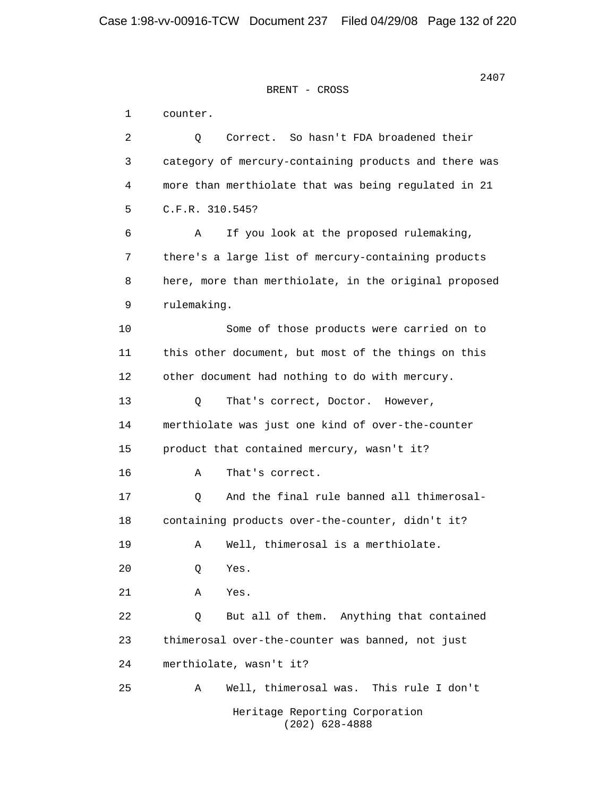1 counter. 2 Q Correct. So hasn't FDA broadened their 3 category of mercury-containing products and there was 4 more than merthiolate that was being regulated in 21 5 C.F.R. 310.545? 6 A If you look at the proposed rulemaking, 7 there's a large list of mercury-containing products 8 here, more than merthiolate, in the original proposed 9 rulemaking. 10 Some of those products were carried on to 11 this other document, but most of the things on this 12 other document had nothing to do with mercury. 13 O That's correct, Doctor. However, 14 merthiolate was just one kind of over-the-counter 15 product that contained mercury, wasn't it? 16 A That's correct. 17 Q And the final rule banned all thimerosal- 18 containing products over-the-counter, didn't it? 19 A Well, thimerosal is a merthiolate. 20 Q Yes. 21 A Yes. 22 0 But all of them. Anything that contained 23 thimerosal over-the-counter was banned, not just 24 merthiolate, wasn't it? 25 A Well, thimerosal was. This rule I don't Heritage Reporting Corporation (202) 628-4888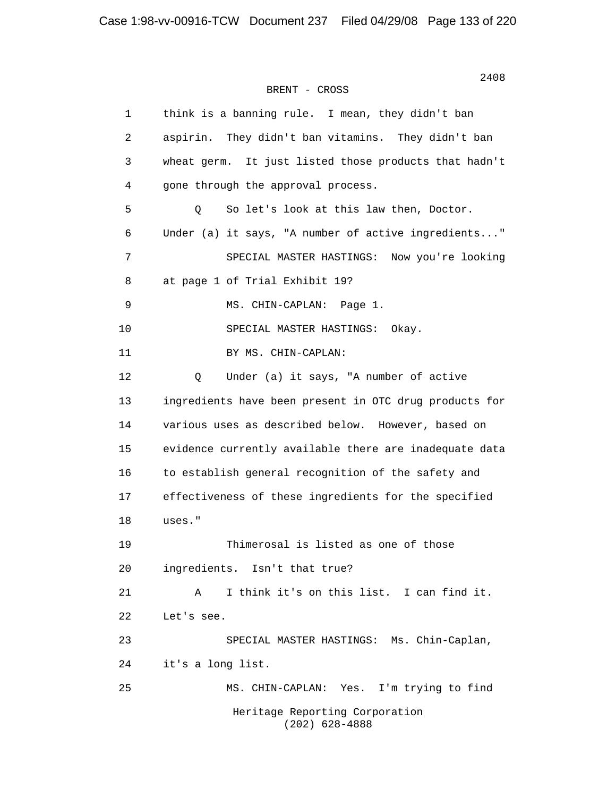| $\mathbf{1}$   | think is a banning rule. I mean, they didn't ban       |
|----------------|--------------------------------------------------------|
| 2              | aspirin. They didn't ban vitamins. They didn't ban     |
| 3              | wheat germ. It just listed those products that hadn't  |
| 4              | gone through the approval process.                     |
| 5              | So let's look at this law then, Doctor.<br>Q           |
| 6              | Under (a) it says, "A number of active ingredients"    |
| $\overline{7}$ | SPECIAL MASTER HASTINGS: Now you're looking            |
| 8              | at page 1 of Trial Exhibit 19?                         |
| 9              | MS. CHIN-CAPLAN: Page 1.                               |
| 10             | SPECIAL MASTER HASTINGS: Okay.                         |
| 11             | BY MS. CHIN-CAPLAN:                                    |
| 12             | Under (a) it says, "A number of active<br>$\mathsf{Q}$ |
| 13             | ingredients have been present in OTC drug products for |
| 14             | various uses as described below. However, based on     |
| 15             | evidence currently available there are inadequate data |
| 16             | to establish general recognition of the safety and     |
| 17             | effectiveness of these ingredients for the specified   |
| 18             | uses."                                                 |
| 19             | Thimerosal is listed as one of those                   |
| 20             | ingredients. Isn't that true?                          |
| 21             | I think it's on this list. I can find it.<br>A         |
| 22             | Let's see.                                             |
| 23             | SPECIAL MASTER HASTINGS: Ms. Chin-Caplan,              |
| 24             | it's a long list.                                      |
| 25             | Yes.<br>I'm trying to find<br>MS. CHIN-CAPLAN:         |
|                | Heritage Reporting Corporation<br>$(202)$ 628-4888     |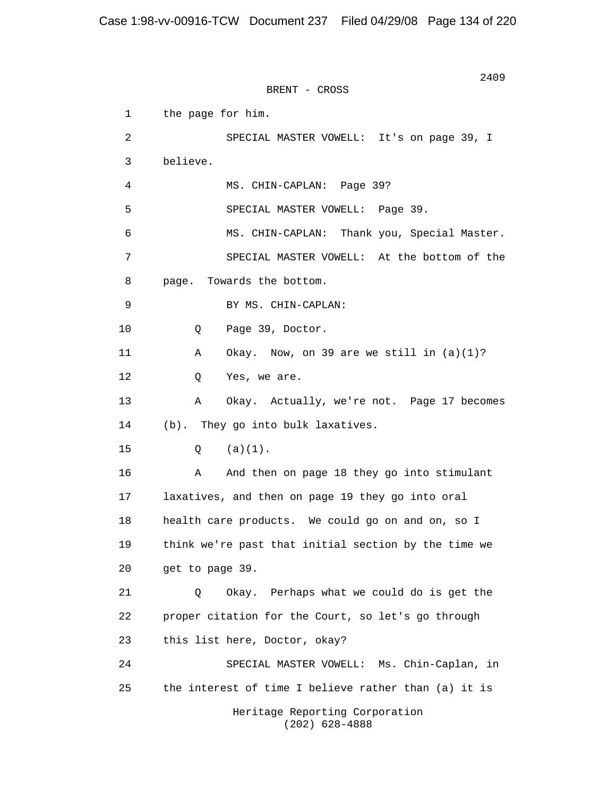2409 BRENT - CROSS 1 the page for him. 2 SPECIAL MASTER VOWELL: It's on page 39, I 3 believe. 4 MS. CHIN-CAPLAN: Page 39? 5 SPECIAL MASTER VOWELL: Page 39. 6 MS. CHIN-CAPLAN: Thank you, Special Master. 7 SPECIAL MASTER VOWELL: At the bottom of the 8 page. Towards the bottom. 9 BY MS. CHIN-CAPLAN: 10 Q Page 39, Doctor. 11 A Okay. Now, on 39 are we still in (a)(1)? 12 Q Yes, we are. 13 A Okay. Actually, we're not. Page 17 becomes 14 (b). They go into bulk laxatives. 15 Q (a)(1). 16 A And then on page 18 they go into stimulant 17 laxatives, and then on page 19 they go into oral 18 health care products. We could go on and on, so I 19 think we're past that initial section by the time we 20 get to page 39. 21 Q Okay. Perhaps what we could do is get the 22 proper citation for the Court, so let's go through 23 this list here, Doctor, okay? 24 SPECIAL MASTER VOWELL: Ms. Chin-Caplan, in 25 the interest of time I believe rather than (a) it is Heritage Reporting Corporation (202) 628-4888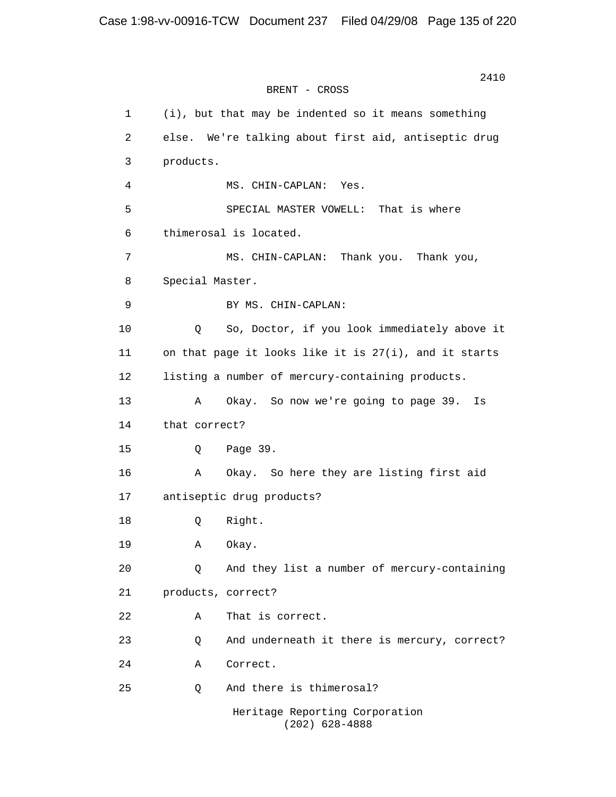1 (i), but that may be indented so it means something 2 else. We're talking about first aid, antiseptic drug 3 products. 4 MS. CHIN-CAPLAN: Yes. 5 SPECIAL MASTER VOWELL: That is where 6 thimerosal is located. 7 MS. CHIN-CAPLAN: Thank you. Thank you, 8 Special Master. 9 BY MS. CHIN-CAPLAN: 10 Q So, Doctor, if you look immediately above it 11 on that page it looks like it is 27(i), and it starts 12 listing a number of mercury-containing products. 13 A Okay. So now we're going to page 39. Is 14 that correct? 15 Q Page 39. 16 A Okay. So here they are listing first aid 17 antiseptic drug products? 18 Q Right. 19 A Okay. 20 Q And they list a number of mercury-containing 21 products, correct? 22 A That is correct. 23 Q And underneath it there is mercury, correct? 24 A Correct. 25 Q And there is thimerosal? Heritage Reporting Corporation (202) 628-4888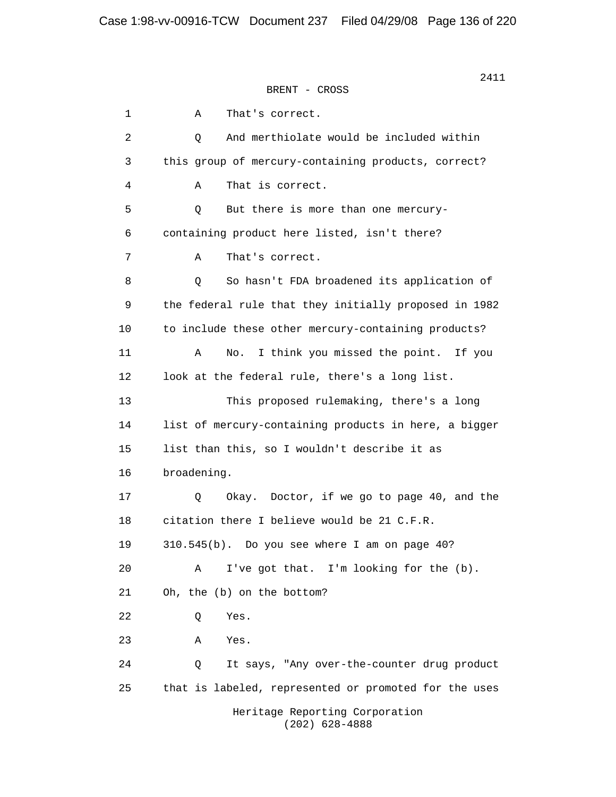1 A That's correct. 2 Q And merthiolate would be included within 3 this group of mercury-containing products, correct? 4 A That is correct. 5 Q But there is more than one mercury- 6 containing product here listed, isn't there? 7 A That's correct. 8 Q So hasn't FDA broadened its application of 9 the federal rule that they initially proposed in 1982 10 to include these other mercury-containing products? 11 A No. I think you missed the point. If you 12 look at the federal rule, there's a long list. 13 This proposed rulemaking, there's a long 14 list of mercury-containing products in here, a bigger 15 list than this, so I wouldn't describe it as 16 broadening. 17 Q Okay. Doctor, if we go to page 40, and the 18 citation there I believe would be 21 C.F.R. 19 310.545(b). Do you see where I am on page 40? 20 A I've got that. I'm looking for the (b). 21 Oh, the (b) on the bottom? 22 Q Yes. 23 A Yes. 24 Q It says, "Any over-the-counter drug product 25 that is labeled, represented or promoted for the uses Heritage Reporting Corporation (202) 628-4888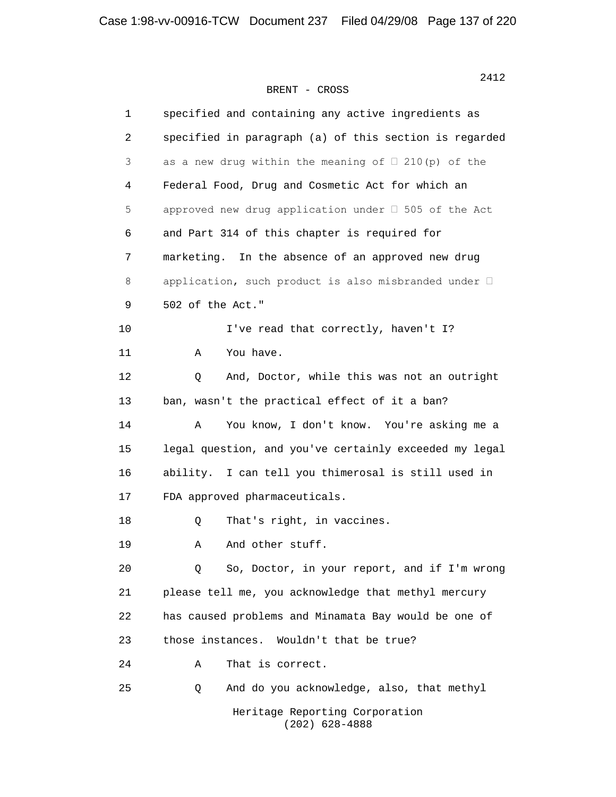| 1  | specified and containing any active ingredients as           |
|----|--------------------------------------------------------------|
| 2  | specified in paragraph (a) of this section is regarded       |
| 3  | as a new drug within the meaning of $\Box$ 210(p) of the     |
| 4  | Federal Food, Drug and Cosmetic Act for which an             |
| 5  | approved new drug application under □ 505 of the Act         |
| 6  | and Part 314 of this chapter is required for                 |
| 7  | marketing.<br>In the absence of an approved new drug         |
| 8  | application, such product is also misbranded under $\square$ |
| 9  | 502 of the Act."                                             |
| 10 | I've read that correctly, haven't I?                         |
| 11 | You have.<br>Α                                               |
| 12 | And, Doctor, while this was not an outright<br>$\circ$       |
| 13 | ban, wasn't the practical effect of it a ban?                |
| 14 | You know, I don't know. You're asking me a<br>Α              |
| 15 | legal question, and you've certainly exceeded my legal       |
| 16 | I can tell you thimerosal is still used in<br>ability.       |
| 17 | FDA approved pharmaceuticals.                                |
| 18 | That's right, in vaccines.<br>Q                              |
| 19 | And other stuff.<br>Α                                        |
| 20 | So, Doctor, in your report, and if I'm wrong<br>Q            |
| 21 | please tell me, you acknowledge that methyl mercury          |
| 22 | has caused problems and Minamata Bay would be one of         |
| 23 | those instances.<br>Wouldn't that be true?                   |
| 24 | That is correct.<br>Α                                        |
| 25 | And do you acknowledge, also, that methyl<br>Q               |
|    | Heritage Reporting Corporation                               |

(202) 628-4888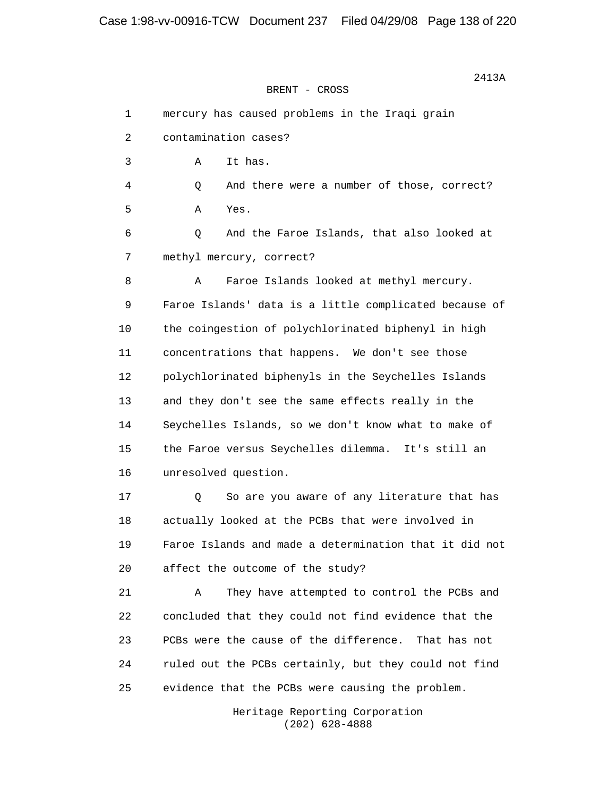Case 1:98-vv-00916-TCW Document 237 Filed 04/29/08 Page 138 of 220

 2413A BRENT - CROSS

 1 mercury has caused problems in the Iraqi grain 2 contamination cases? 3 A It has. 4 Q And there were a number of those, correct? 5 A Yes. 6 Q And the Faroe Islands, that also looked at 7 methyl mercury, correct? 8 A Faroe Islands looked at methyl mercury. 9 Faroe Islands' data is a little complicated because of 10 the coingestion of polychlorinated biphenyl in high 11 concentrations that happens. We don't see those 12 polychlorinated biphenyls in the Seychelles Islands 13 and they don't see the same effects really in the 14 Seychelles Islands, so we don't know what to make of 15 the Faroe versus Seychelles dilemma. It's still an 16 unresolved question. 17 Q So are you aware of any literature that has 18 actually looked at the PCBs that were involved in 19 Faroe Islands and made a determination that it did not 20 affect the outcome of the study? 21 A They have attempted to control the PCBs and 22 concluded that they could not find evidence that the 23 PCBs were the cause of the difference. That has not 24 ruled out the PCBs certainly, but they could not find 25 evidence that the PCBs were causing the problem.

> Heritage Reporting Corporation (202) 628-4888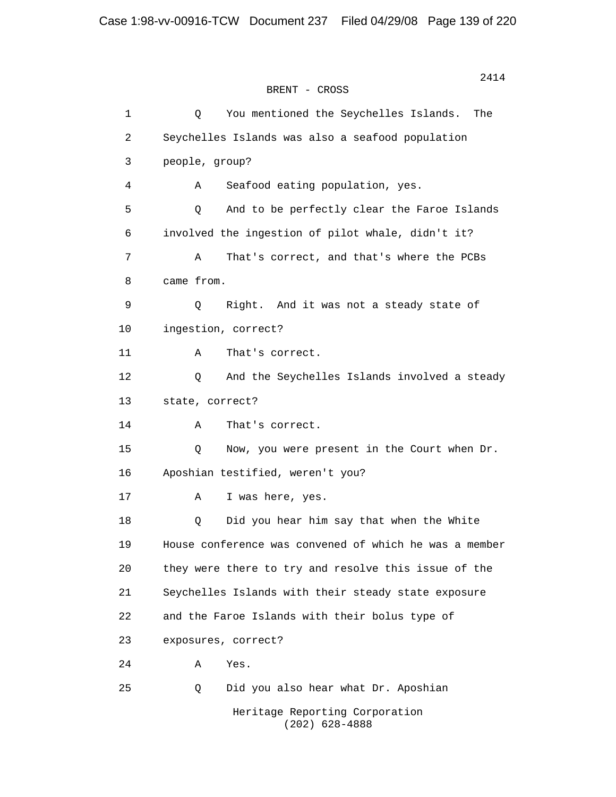1 Q You mentioned the Seychelles Islands. The 2 Seychelles Islands was also a seafood population 3 people, group? 4 A Seafood eating population, yes. 5 Q And to be perfectly clear the Faroe Islands 6 involved the ingestion of pilot whale, didn't it? 7 A That's correct, and that's where the PCBs 8 came from. 9 Q Right. And it was not a steady state of 10 ingestion, correct? 11 A That's correct. 12 Q And the Seychelles Islands involved a steady 13 state, correct? 14 A That's correct. 15 Q Now, you were present in the Court when Dr. 16 Aposhian testified, weren't you? 17 A I was here, yes. 18 Q Did you hear him say that when the White 19 House conference was convened of which he was a member 20 they were there to try and resolve this issue of the 21 Seychelles Islands with their steady state exposure 22 and the Faroe Islands with their bolus type of 23 exposures, correct? 24 A Yes. 25 Q Did you also hear what Dr. Aposhian Heritage Reporting Corporation (202) 628-4888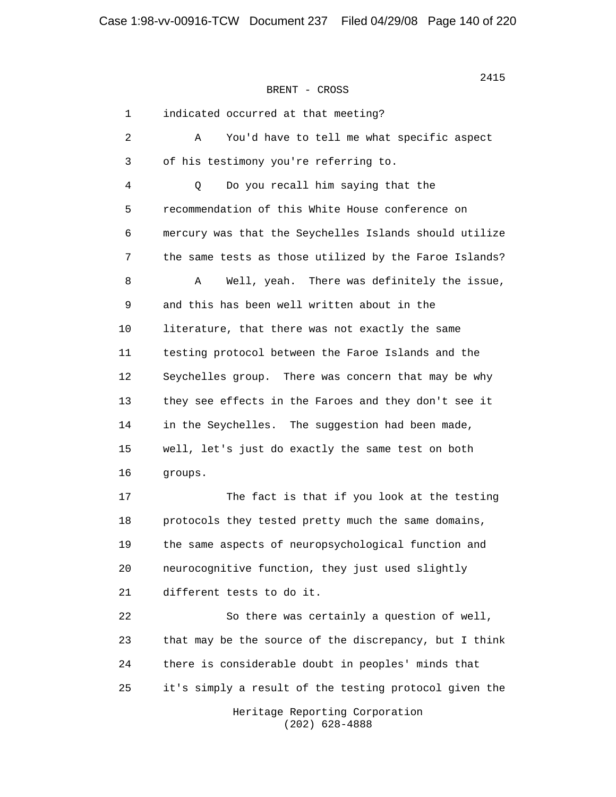| $\mathbf{1}$ | indicated occurred at that meeting?                    |
|--------------|--------------------------------------------------------|
| 2            | You'd have to tell me what specific aspect<br>Α        |
| 3            | of his testimony you're referring to.                  |
| 4            | Do you recall him saying that the<br>Q                 |
| 5            | recommendation of this White House conference on       |
| 6            | mercury was that the Seychelles Islands should utilize |
| 7            | the same tests as those utilized by the Faroe Islands? |
| 8            | Well, yeah. There was definitely the issue,<br>Α       |
| 9            | and this has been well written about in the            |
| 10           | literature, that there was not exactly the same        |
| 11           | testing protocol between the Faroe Islands and the     |
| 12           | Seychelles group. There was concern that may be why    |
| 13           | they see effects in the Faroes and they don't see it   |
| 14           | in the Seychelles. The suggestion had been made,       |
| 15           | well, let's just do exactly the same test on both      |
| 16           | groups.                                                |
| 17           | The fact is that if you look at the testing            |
| 18           | protocols they tested pretty much the same domains,    |
| 19           | the same aspects of neuropsychological function and    |
| 20           | neurocognitive function, they just used slightly       |
| 21           | different tests to do it.                              |
| 22           | So there was certainly a question of well,             |
| 23           | that may be the source of the discrepancy, but I think |
| 24           | there is considerable doubt in peoples' minds that     |
| 25           | it's simply a result of the testing protocol given the |
|              | Heritage Reporting Corporation<br>$(202)$ 628-4888     |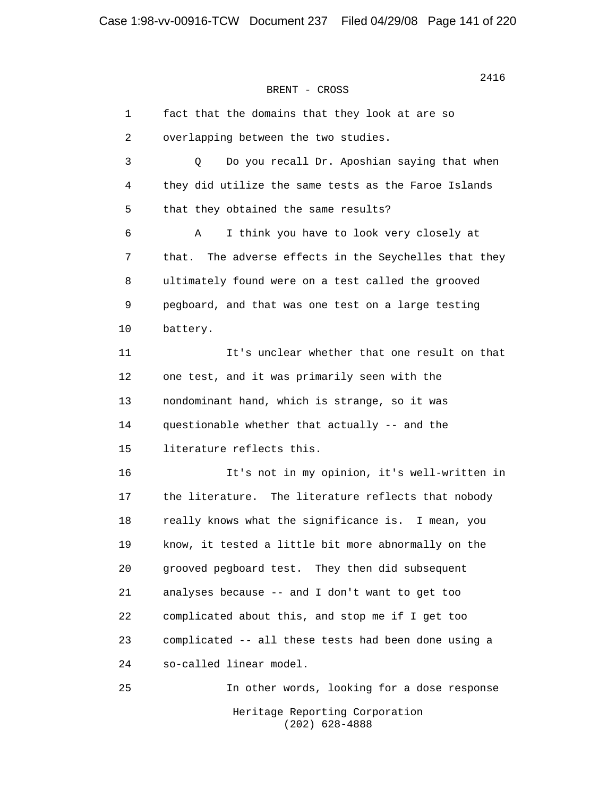| $\mathbf 1$ | fact that the domains that they look at are so           |
|-------------|----------------------------------------------------------|
| 2           | overlapping between the two studies.                     |
| 3           | Do you recall Dr. Aposhian saying that when<br>Q         |
| 4           | they did utilize the same tests as the Faroe Islands     |
| 5           | that they obtained the same results?                     |
| 6           | I think you have to look very closely at<br>Α            |
| 7           | The adverse effects in the Seychelles that they<br>that. |
| 8           | ultimately found were on a test called the grooved       |
| 9           | pegboard, and that was one test on a large testing       |
| 10          | battery.                                                 |
| 11          | It's unclear whether that one result on that             |
| 12          | one test, and it was primarily seen with the             |
| 13          | nondominant hand, which is strange, so it was            |
| 14          | questionable whether that actually -- and the            |
| 15          | literature reflects this.                                |
| 16          | It's not in my opinion, it's well-written in             |
| 17          | the literature. The literature reflects that nobody      |
| 18          | really knows what the significance is. I mean, you       |
| 19          | know, it tested a little bit more abnormally on the      |
| 20          | grooved pegboard test. They then did subsequent          |
| 21          | analyses because -- and I don't want to get too          |
| 22          | complicated about this, and stop me if I get too         |
| 23          | complicated -- all these tests had been done using a     |
| 24          | so-called linear model.                                  |
| 25          | In other words, looking for a dose response              |
|             | Heritage Reporting Corporation<br>$(202)$ 628-4888       |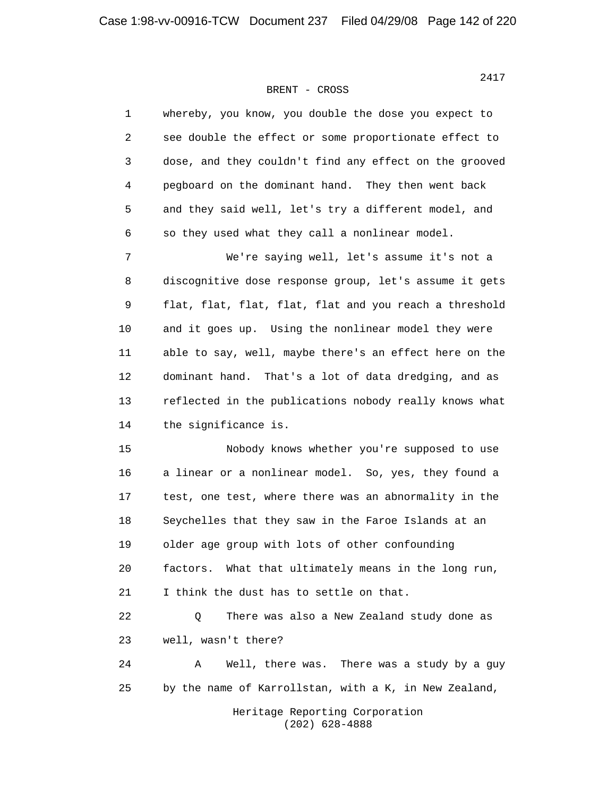| $\mathbf{1}$ | whereby, you know, you double the dose you expect to    |
|--------------|---------------------------------------------------------|
| 2            | see double the effect or some proportionate effect to   |
| 3            | dose, and they couldn't find any effect on the grooved  |
| 4            | pegboard on the dominant hand. They then went back      |
| 5            | and they said well, let's try a different model, and    |
| 6            | so they used what they call a nonlinear model.          |
| 7            | We're saying well, let's assume it's not a              |
| 8            | discognitive dose response group, let's assume it gets  |
| $\mathsf 9$  | flat, flat, flat, flat, flat and you reach a threshold  |
| 10           | and it goes up. Using the nonlinear model they were     |
| 11           | able to say, well, maybe there's an effect here on the  |
| 12           | dominant hand.<br>That's a lot of data dredging, and as |
| 13           | reflected in the publications nobody really knows what  |
| 14           | the significance is.                                    |
| 15           | Nobody knows whether you're supposed to use             |
| 16           | a linear or a nonlinear model. So, yes, they found a    |
| 17           | test, one test, where there was an abnormality in the   |
| 18           | Seychelles that they saw in the Faroe Islands at an     |
| 19           | older age group with lots of other confounding          |
| 20           | factors. What that ultimately means in the long run,    |
| 21           | I think the dust has to settle on that.                 |
| 22           | There was also a New Zealand study done as<br>Q         |
| 23           | well, wasn't there?                                     |
| 24           | There was a study by a guy<br>Α<br>Well, there was.     |
| 25           | by the name of Karrollstan, with a K, in New Zealand,   |
|              | Heritage Reporting Corporation                          |

(202) 628-4888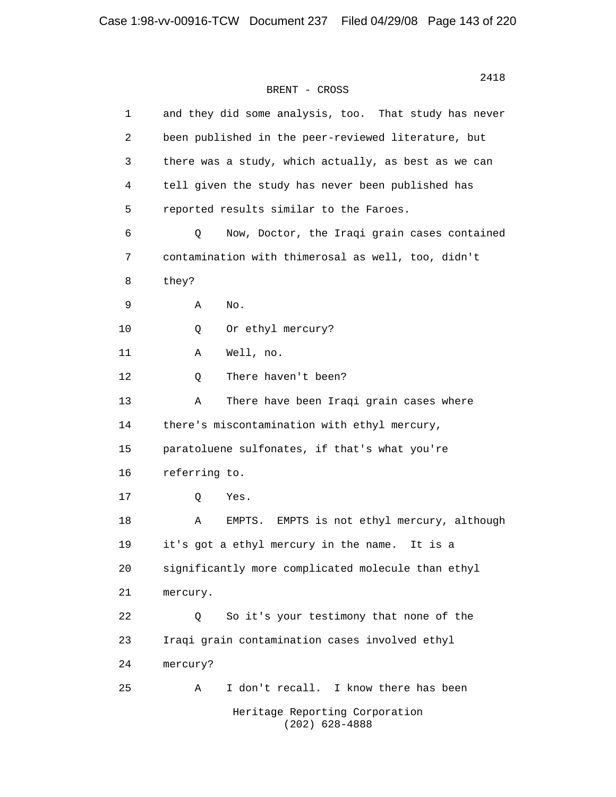| $\mathbf 1$ | and they did some analysis, too. That study has never |
|-------------|-------------------------------------------------------|
| 2           | been published in the peer-reviewed literature, but   |
| 3           | there was a study, which actually, as best as we can  |
| 4           | tell given the study has never been published has     |
| 5           | reported results similar to the Faroes.               |
| 6           | Q<br>Now, Doctor, the Iraqi grain cases contained     |
| 7           | contamination with thimerosal as well, too, didn't    |
| 8           | they?                                                 |
| 9           | No.<br>Α                                              |
| 10          | Or ethyl mercury?<br>Q                                |
| 11          | Well, no.<br>Α                                        |
| 12          | There haven't been?<br>Q                              |
| 13          | There have been Iraqi grain cases where<br>Α          |
| 14          | there's miscontamination with ethyl mercury,          |
| 15          | paratoluene sulfonates, if that's what you're         |
| 16          | referring to.                                         |
| 17          | Yes.<br>Q                                             |
| 18          | EMPTS is not ethyl mercury, although<br>Α<br>EMPTS.   |
| 19          | it's got a ethyl mercury in the name.<br>It is a      |
| 20          | significantly more complicated molecule than ethyl    |
| 21          | mercury.                                              |
| 22          | So it's your testimony that none of the<br>Q          |
| 23          | Iraqi grain contamination cases involved ethyl        |
| 24          | mercury?                                              |
| 25          | I don't recall. I know there has been<br>Α            |
|             | Heritage Reporting Corporation<br>$(202)$ 628-4888    |

2418<br>2418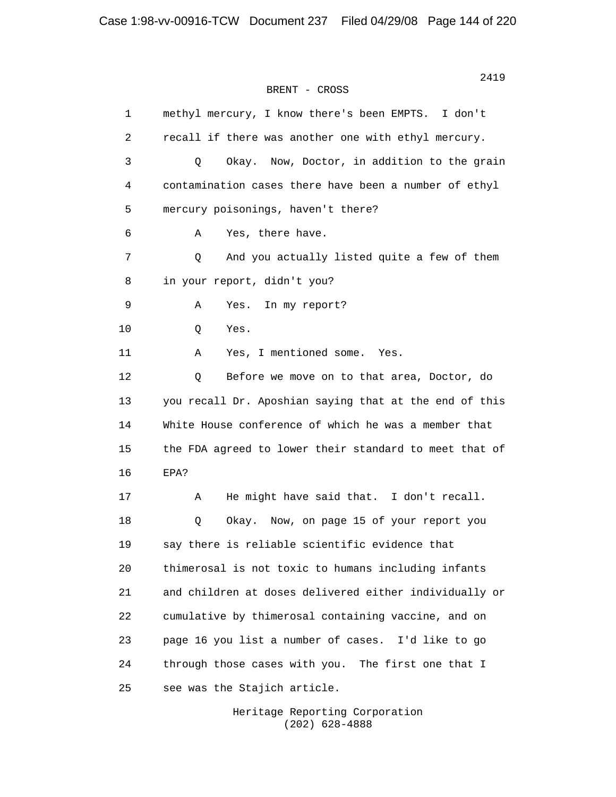| $\mathbf{1}$ | methyl mercury, I know there's been EMPTS. I don't     |
|--------------|--------------------------------------------------------|
| 2            | recall if there was another one with ethyl mercury.    |
| 3            | Q<br>Now, Doctor, in addition to the grain<br>Okay.    |
| 4            | contamination cases there have been a number of ethyl  |
| 5            | mercury poisonings, haven't there?                     |
| 6            | Yes, there have.<br>Α                                  |
| 7            | And you actually listed quite a few of them<br>Q       |
| 8            | in your report, didn't you?                            |
| 9            | Yes.<br>In my report?<br>Α                             |
| 10           | Yes.<br>Q                                              |
| 11           | Yes, I mentioned some.<br>Α<br>Yes.                    |
| 12           | Before we move on to that area, Doctor, do<br>Q        |
| 13           | you recall Dr. Aposhian saying that at the end of this |
| 14           | White House conference of which he was a member that   |
| 15           | the FDA agreed to lower their standard to meet that of |
| 16           | EPA?                                                   |
| 17           | He might have said that. I don't recall.<br>Α          |
| 18           | Okay. Now, on page 15 of your report you<br>Q          |
| 19           | say there is reliable scientific evidence that         |
| 20           | thimerosal is not toxic to humans including infants    |
| 21           | and children at doses delivered either individually or |
| 22           | cumulative by thimerosal containing vaccine, and on    |
| 23           | page 16 you list a number of cases. I'd like to go     |
| 24           | through those cases with you. The first one that I     |
| 25           | see was the Stajich article.                           |

 Heritage Reporting Corporation (202) 628-4888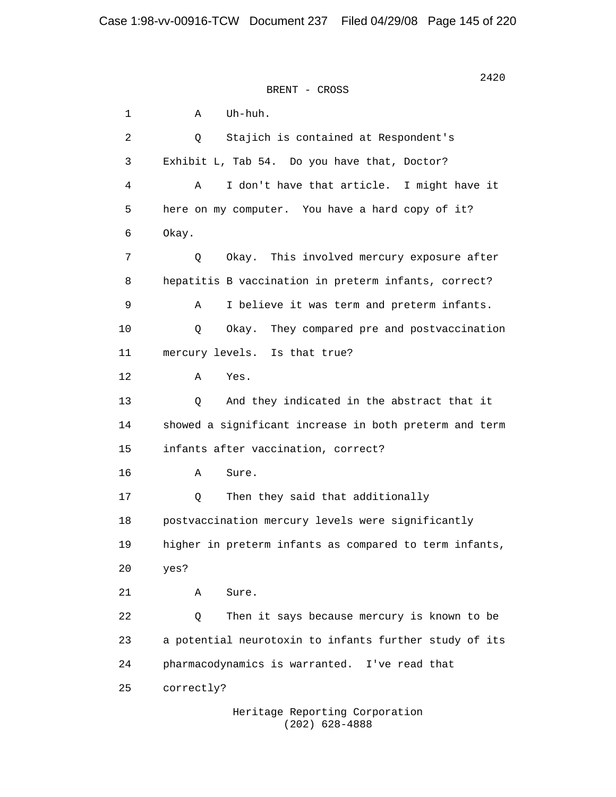$2420$ BRENT - CROSS 1 A Uh-huh. 2 Q Stajich is contained at Respondent's 3 Exhibit L, Tab 54. Do you have that, Doctor? 4 A I don't have that article. I might have it 5 here on my computer. You have a hard copy of it? 6 Okay. 7 Q Okay. This involved mercury exposure after 8 hepatitis B vaccination in preterm infants, correct? 9 A I believe it was term and preterm infants. 10 Q Okay. They compared pre and postvaccination 11 mercury levels. Is that true? 12 A Yes. 13 Q And they indicated in the abstract that it 14 showed a significant increase in both preterm and term 15 infants after vaccination, correct? 16 A Sure. 17 Q Then they said that additionally 18 postvaccination mercury levels were significantly 19 higher in preterm infants as compared to term infants, 20 yes? 21 A Sure. 22 Q Then it says because mercury is known to be 23 a potential neurotoxin to infants further study of its 24 pharmacodynamics is warranted. I've read that 25 correctly?

> Heritage Reporting Corporation (202) 628-4888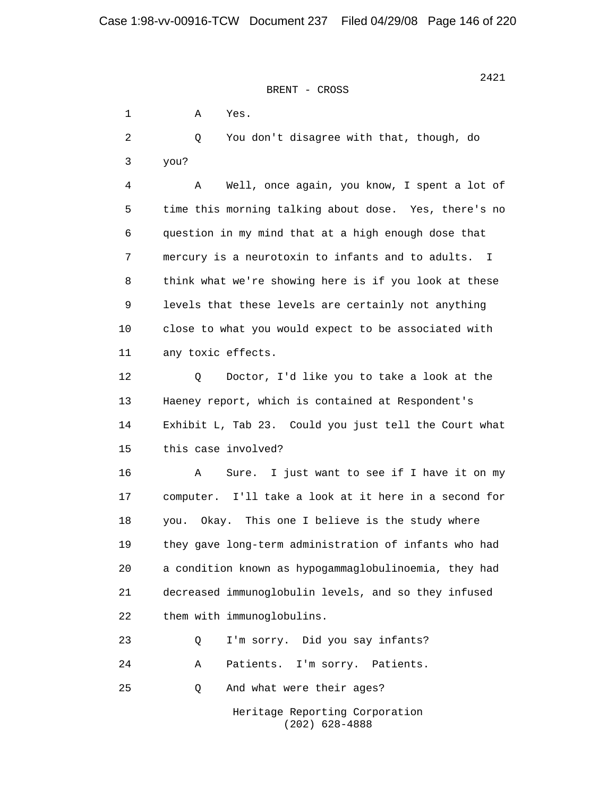1 A Yes. 2 Q You don't disagree with that, though, do 3 you? 4 A Well, once again, you know, I spent a lot of 5 time this morning talking about dose. Yes, there's no 6 question in my mind that at a high enough dose that 7 mercury is a neurotoxin to infants and to adults. I 8 think what we're showing here is if you look at these 9 levels that these levels are certainly not anything 10 close to what you would expect to be associated with 11 any toxic effects. 12 Q Doctor, I'd like you to take a look at the 13 Haeney report, which is contained at Respondent's 14 Exhibit L, Tab 23. Could you just tell the Court what 15 this case involved? 16 A Sure. I just want to see if I have it on my 17 computer. I'll take a look at it here in a second for 18 you. Okay. This one I believe is the study where 19 they gave long-term administration of infants who had 20 a condition known as hypogammaglobulinoemia, they had 21 decreased immunoglobulin levels, and so they infused 22 them with immunoglobulins. 23 Q I'm sorry. Did you say infants? 24 A Patients. I'm sorry. Patients. 25 Q And what were their ages? Heritage Reporting Corporation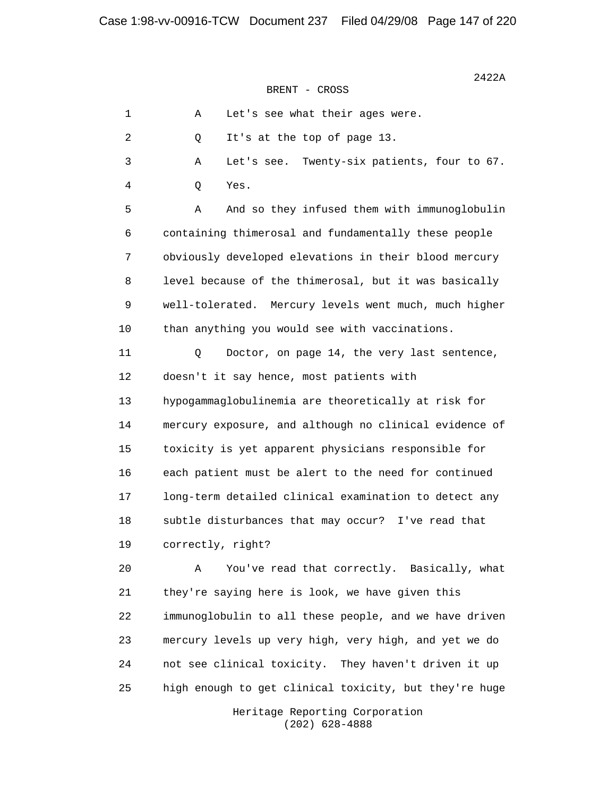| $1\,$          | Let's see what their ages were.<br>Α                   |
|----------------|--------------------------------------------------------|
| $\overline{c}$ | It's at the top of page 13.<br>Q                       |
| 3              | Let's see. Twenty-six patients, four to 67.<br>Α       |
| 4              | Yes.<br>Q                                              |
| 5              | And so they infused them with immunoglobulin<br>Α      |
| 6              | containing thimerosal and fundamentally these people   |
| 7              | obviously developed elevations in their blood mercury  |
| 8              | level because of the thimerosal, but it was basically  |
| 9              | well-tolerated. Mercury levels went much, much higher  |
| 10             | than anything you would see with vaccinations.         |
| 11             | Doctor, on page 14, the very last sentence,<br>Q       |
| 12             | doesn't it say hence, most patients with               |
| 13             | hypogammaglobulinemia are theoretically at risk for    |
| 14             | mercury exposure, and although no clinical evidence of |
| 15             | toxicity is yet apparent physicians responsible for    |
| 16             | each patient must be alert to the need for continued   |
| 17             | long-term detailed clinical examination to detect any  |
| 18             | subtle disturbances that may occur? I've read that     |
| 19             | correctly, right?                                      |
| 20             | You've read that correctly. Basically, what<br>Α       |
| 21             | they're saying here is look, we have given this        |
| 22             | immunoglobulin to all these people, and we have driven |
| 23             | mercury levels up very high, very high, and yet we do  |

25 high enough to get clinical toxicity, but they're huge

24 not see clinical toxicity. They haven't driven it up

 Heritage Reporting Corporation (202) 628-4888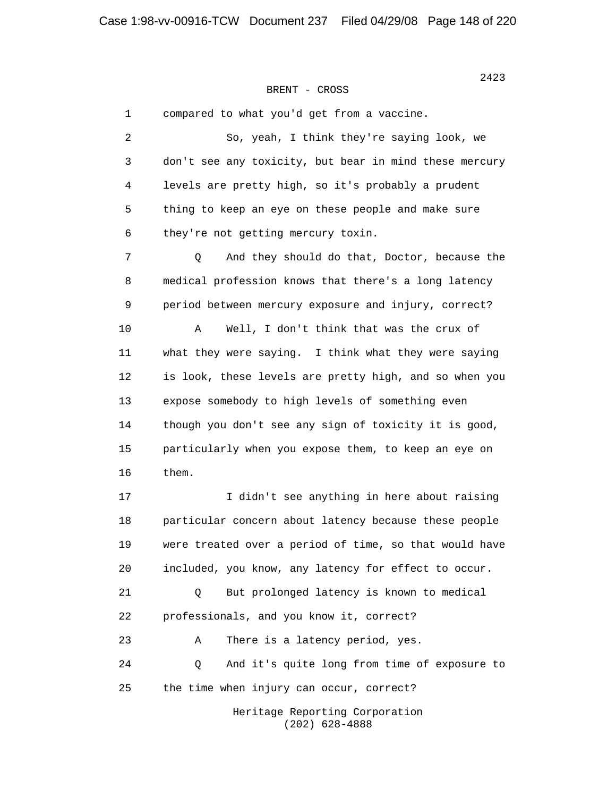1 compared to what you'd get from a vaccine. 2 So, yeah, I think they're saying look, we 3 don't see any toxicity, but bear in mind these mercury 4 levels are pretty high, so it's probably a prudent 5 thing to keep an eye on these people and make sure 6 they're not getting mercury toxin. 7 Q And they should do that, Doctor, because the 8 medical profession knows that there's a long latency 9 period between mercury exposure and injury, correct? 10 A Well, I don't think that was the crux of 11 what they were saying. I think what they were saying 12 is look, these levels are pretty high, and so when you 13 expose somebody to high levels of something even 14 though you don't see any sign of toxicity it is good, 15 particularly when you expose them, to keep an eye on 16 them. 17 I didn't see anything in here about raising 18 particular concern about latency because these people 19 were treated over a period of time, so that would have 20 included, you know, any latency for effect to occur. 21 Q But prolonged latency is known to medical 22 professionals, and you know it, correct? 23 A There is a latency period, yes. 24 Q And it's quite long from time of exposure to 25 the time when injury can occur, correct? Heritage Reporting Corporation

(202) 628-4888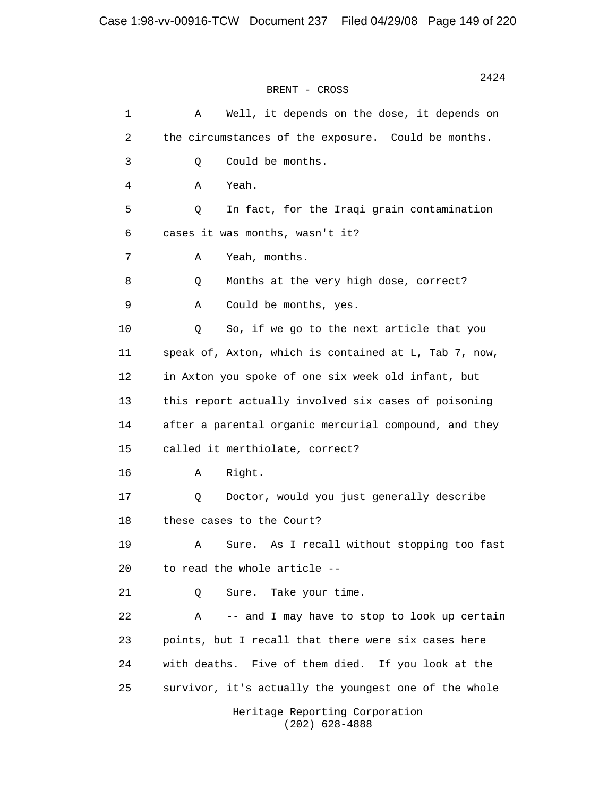| $1\,$ | Well, it depends on the dose, it depends on<br>Α      |
|-------|-------------------------------------------------------|
| 2     | the circumstances of the exposure. Could be months.   |
| 3     | Could be months.<br>Q                                 |
| 4     | Yeah.<br>Α                                            |
| 5     | In fact, for the Iraqi grain contamination<br>Q       |
| 6     | cases it was months, wasn't it?                       |
| 7     | Yeah, months.<br>Α                                    |
| 8     | Months at the very high dose, correct?<br>Q           |
| 9     | Could be months, yes.<br>Α                            |
| 10    | So, if we go to the next article that you<br>Q        |
| 11    | speak of, Axton, which is contained at L, Tab 7, now, |
| 12    | in Axton you spoke of one six week old infant, but    |
| 13    | this report actually involved six cases of poisoning  |
| 14    | after a parental organic mercurial compound, and they |
| 15    | called it merthiolate, correct?                       |
| 16    | Right.<br>Α                                           |
| 17    | Doctor, would you just generally describe<br>Q        |
| 18    | these cases to the Court?                             |
| 19    | As I recall without stopping too fast<br>Α<br>Sure.   |
| 20    | to read the whole article --                          |
| 21    | Sure. Take your time.<br>Q                            |
| 22    | -- and I may have to stop to look up certain<br>Α     |
| 23    | points, but I recall that there were six cases here   |
| 24    | with deaths. Five of them died. If you look at the    |
| 25    | survivor, it's actually the youngest one of the whole |
|       | Heritage Reporting Corporation<br>$(202)$ 628-4888    |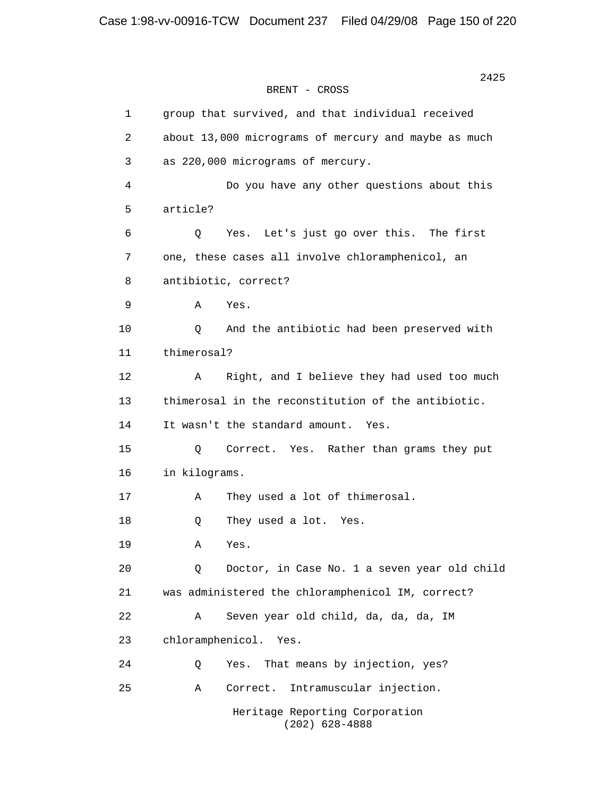```
BRENT - CROSS
```
 1 group that survived, and that individual received 2 about 13,000 micrograms of mercury and maybe as much 3 as 220,000 micrograms of mercury. 4 Do you have any other questions about this 5 article? 6 Q Yes. Let's just go over this. The first 7 one, these cases all involve chloramphenicol, an 8 antibiotic, correct? 9 A Yes. 10 Q And the antibiotic had been preserved with 11 thimerosal? 12 A Right, and I believe they had used too much 13 thimerosal in the reconstitution of the antibiotic. 14 It wasn't the standard amount. Yes. 15 Q Correct. Yes. Rather than grams they put 16 in kilograms. 17 A They used a lot of thimerosal. 18 Q They used a lot. Yes. 19 A Yes. 20 Q Doctor, in Case No. 1 a seven year old child 21 was administered the chloramphenicol IM, correct? 22 A Seven year old child, da, da, da, IM 23 chloramphenicol. Yes. 24 Q Yes. That means by injection, yes? 25 A Correct. Intramuscular injection. Heritage Reporting Corporation (202) 628-4888

2425 and the contract of the contract of the contract of the contract of the contract of the contract of the contract of the contract of the contract of the contract of the contract of the contract of the contract of the c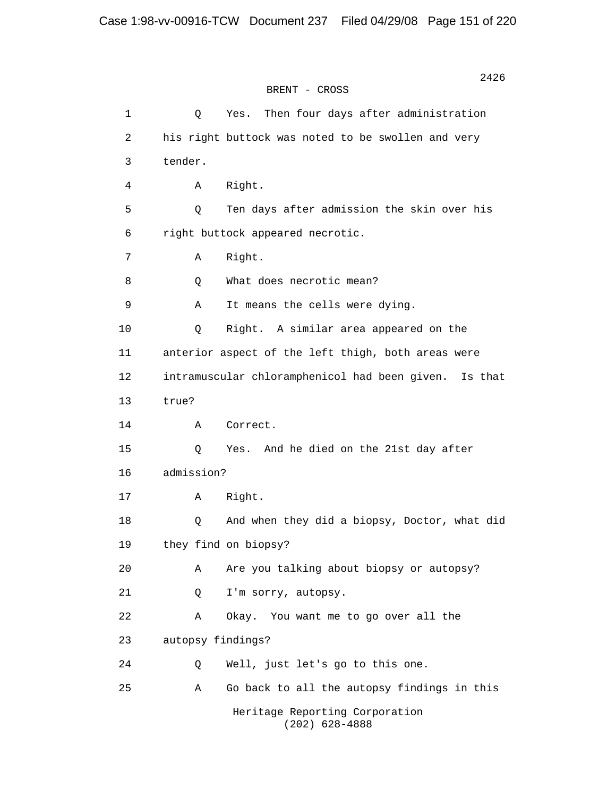| $\mathbf{1}$ | Q                 | Then four days after administration<br>Yes.              |
|--------------|-------------------|----------------------------------------------------------|
| 2            |                   | his right buttock was noted to be swollen and very       |
| $\mathsf{3}$ | tender.           |                                                          |
| 4            | Α                 | Right.                                                   |
| 5            | Q                 | Ten days after admission the skin over his               |
| 6            |                   | right buttock appeared necrotic.                         |
| 7            | Α                 | Right.                                                   |
| 8            | Q                 | What does necrotic mean?                                 |
| 9            | Α                 | It means the cells were dying.                           |
| 10           | Q                 | Right. A similar area appeared on the                    |
| 11           |                   | anterior aspect of the left thigh, both areas were       |
| 12           |                   | intramuscular chloramphenicol had been given.<br>Is that |
| 13           | true?             |                                                          |
| 14           | Α                 | Correct.                                                 |
| 15           | Q                 | And he died on the 21st day after<br>Yes.                |
| 16           | admission?        |                                                          |
| 17           | Α                 | Right.                                                   |
| 18           | Q                 | And when they did a biopsy, Doctor, what did             |
| 19           |                   | they find on biopsy?                                     |
| 20           | Α                 | Are you talking about biopsy or autopsy?                 |
| 21           | Q                 | I'm sorry, autopsy.                                      |
| 22           | Α                 | Okay. You want me to go over all the                     |
| 23           | autopsy findings? |                                                          |
| 24           | Q                 | Well, just let's go to this one.                         |
| 25           | Α                 | Go back to all the autopsy findings in this              |
|              |                   | Heritage Reporting Corporation<br>$(202)$ 628-4888       |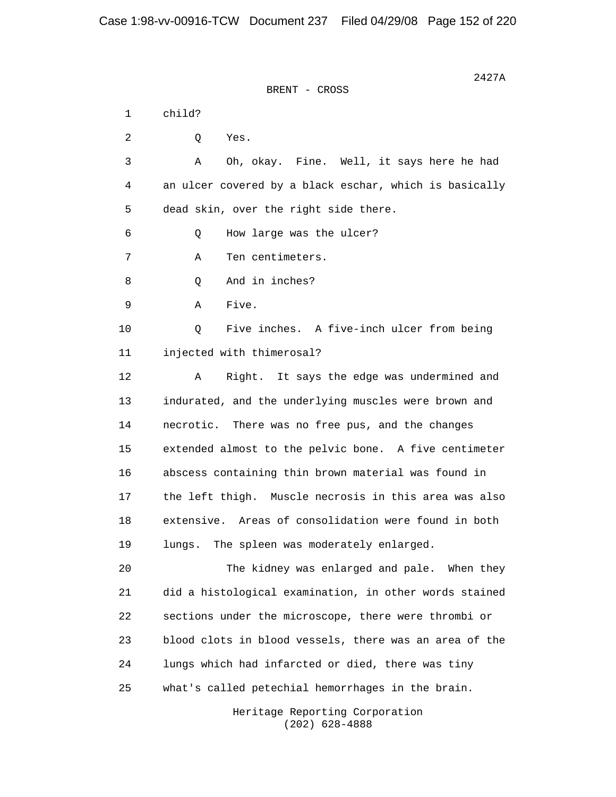$2427A$ BRENT - CROSS 1 child? 2 Q Yes. 3 A Oh, okay. Fine. Well, it says here he had 4 an ulcer covered by a black eschar, which is basically 5 dead skin, over the right side there. 6 Q How large was the ulcer? 7 A Ten centimeters. 8 Q And in inches? 9 A Five. 10 Q Five inches. A five-inch ulcer from being 11 injected with thimerosal? 12 A Right. It says the edge was undermined and 13 indurated, and the underlying muscles were brown and 14 necrotic. There was no free pus, and the changes 15 extended almost to the pelvic bone. A five centimeter 16 abscess containing thin brown material was found in 17 the left thigh. Muscle necrosis in this area was also 18 extensive. Areas of consolidation were found in both 19 lungs. The spleen was moderately enlarged. 20 The kidney was enlarged and pale. When they 21 did a histological examination, in other words stained 22 sections under the microscope, there were thrombi or 23 blood clots in blood vessels, there was an area of the 24 lungs which had infarcted or died, there was tiny 25 what's called petechial hemorrhages in the brain. Heritage Reporting Corporation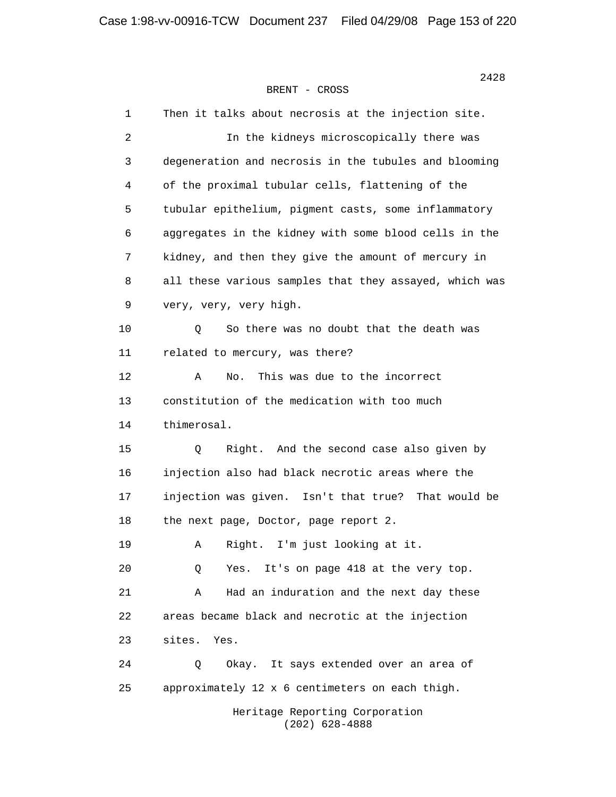1 Then it talks about necrosis at the injection site. 2 In the kidneys microscopically there was 3 degeneration and necrosis in the tubules and blooming 4 of the proximal tubular cells, flattening of the 5 tubular epithelium, pigment casts, some inflammatory 6 aggregates in the kidney with some blood cells in the 7 kidney, and then they give the amount of mercury in 8 all these various samples that they assayed, which was 9 very, very, very high. 10 Q So there was no doubt that the death was 11 related to mercury, was there? 12 A No. This was due to the incorrect 13 constitution of the medication with too much 14 thimerosal. 15 Q Right. And the second case also given by 16 injection also had black necrotic areas where the 17 injection was given. Isn't that true? That would be 18 the next page, Doctor, page report 2. 19 A Right. I'm just looking at it. 20 Q Yes. It's on page 418 at the very top. 21 A Had an induration and the next day these 22 areas became black and necrotic at the injection 23 sites. Yes. 24 Q Okay. It says extended over an area of 25 approximately 12 x 6 centimeters on each thigh. Heritage Reporting Corporation

(202) 628-4888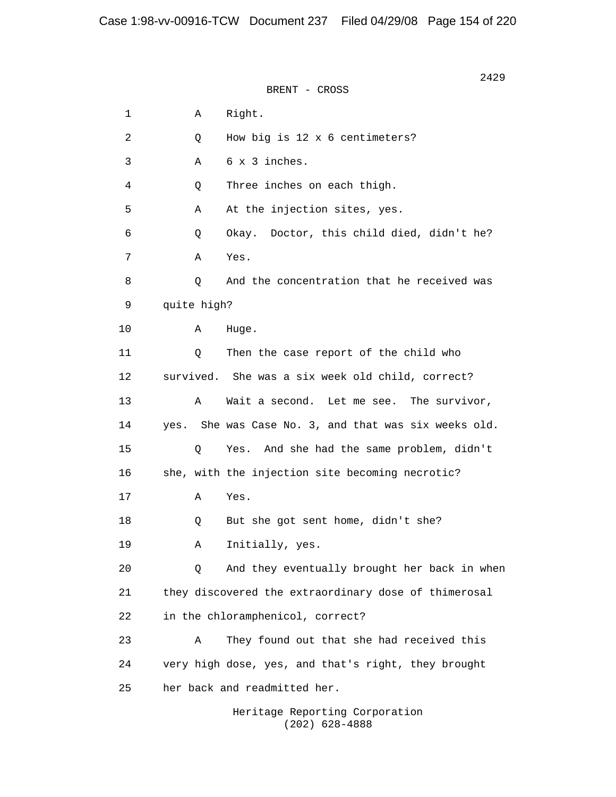$2429$ BRENT - CROSS 1 A Right. 2 Q How big is 12 x 6 centimeters? 3 A 6 x 3 inches. 4 Q Three inches on each thigh. 5 A At the injection sites, yes. 6 Q Okay. Doctor, this child died, didn't he? 7 A Yes. 8 0 And the concentration that he received was 9 quite high? 10 A Huge. 11 0 Then the case report of the child who 12 survived. She was a six week old child, correct? 13 A Wait a second. Let me see. The survivor, 14 yes. She was Case No. 3, and that was six weeks old. 15 Q Yes. And she had the same problem, didn't 16 she, with the injection site becoming necrotic? 17 A Yes. 18 Q But she got sent home, didn't she? 19 A Initially, yes. 20 Q And they eventually brought her back in when 21 they discovered the extraordinary dose of thimerosal 22 in the chloramphenicol, correct? 23 A They found out that she had received this 24 very high dose, yes, and that's right, they brought 25 her back and readmitted her.

> Heritage Reporting Corporation (202) 628-4888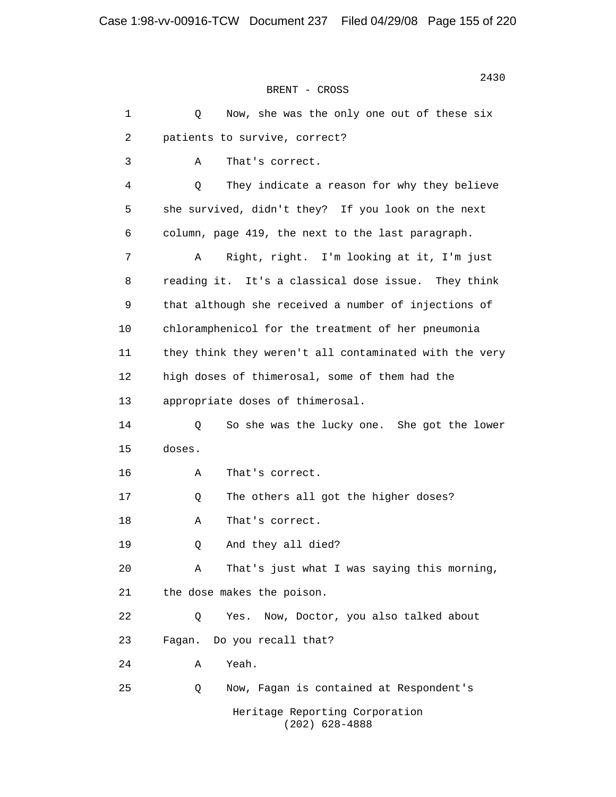2430 BRENT - CROSS 1 0 Now, she was the only one out of these six 2 patients to survive, correct? 3 A That's correct. 4 Q They indicate a reason for why they believe 5 she survived, didn't they? If you look on the next 6 column, page 419, the next to the last paragraph. 7 A Right, right. I'm looking at it, I'm just 8 reading it. It's a classical dose issue. They think 9 that although she received a number of injections of 10 chloramphenicol for the treatment of her pneumonia 11 they think they weren't all contaminated with the very 12 high doses of thimerosal, some of them had the 13 appropriate doses of thimerosal. 14 Q So she was the lucky one. She got the lower 15 doses. 16 A That's correct. 17 Q The others all got the higher doses? 18 A That's correct. 19 Q And they all died? 20 A That's just what I was saying this morning, 21 the dose makes the poison. 22 Q Yes. Now, Doctor, you also talked about 23 Fagan. Do you recall that? 24 A Yeah. 25 Q Now, Fagan is contained at Respondent's Heritage Reporting Corporation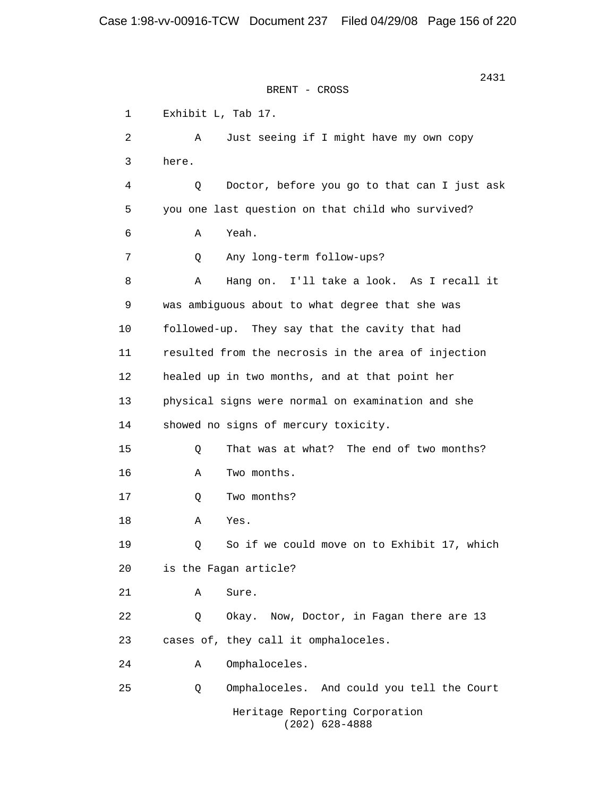2431 BRENT - CROSS 1 Exhibit L, Tab 17. 2 A Just seeing if I might have my own copy 3 here. 4 Q Doctor, before you go to that can I just ask 5 you one last question on that child who survived? 6 A Yeah. 7 Q Any long-term follow-ups? 8 A Hang on. I'll take a look. As I recall it 9 was ambiguous about to what degree that she was 10 followed-up. They say that the cavity that had 11 resulted from the necrosis in the area of injection 12 healed up in two months, and at that point her 13 physical signs were normal on examination and she 14 showed no signs of mercury toxicity. 15 Q That was at what? The end of two months? 16 A Two months. 17 Q Two months? 18 A Yes. 19 Q So if we could move on to Exhibit 17, which 20 is the Fagan article? 21 A Sure. 22 0 Okay. Now, Doctor, in Fagan there are 13 23 cases of, they call it omphaloceles. 24 A Omphaloceles. 25 Q Omphaloceles. And could you tell the Court Heritage Reporting Corporation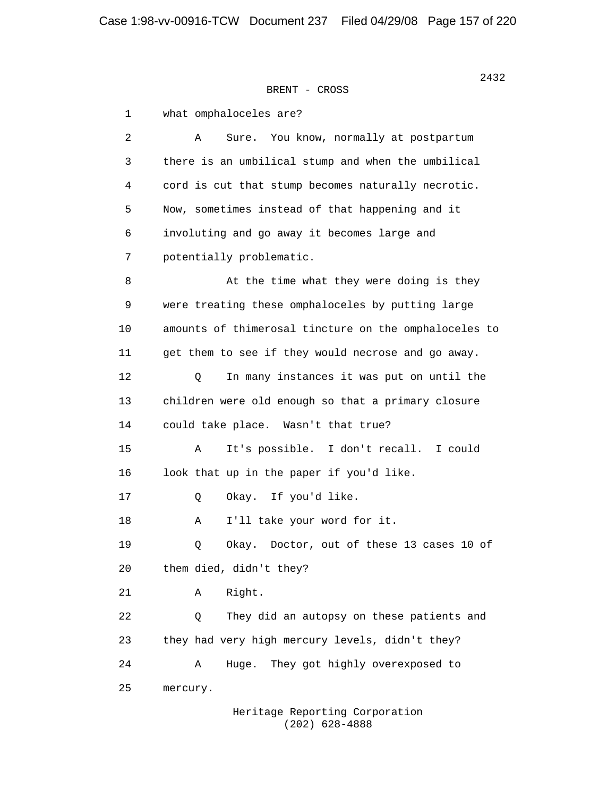1 what omphaloceles are? 2 A Sure. You know, normally at postpartum 3 there is an umbilical stump and when the umbilical 4 cord is cut that stump becomes naturally necrotic. 5 Now, sometimes instead of that happening and it 6 involuting and go away it becomes large and 7 potentially problematic. 8 At the time what they were doing is they 9 were treating these omphaloceles by putting large 10 amounts of thimerosal tincture on the omphaloceles to 11 get them to see if they would necrose and go away. 12 Q In many instances it was put on until the 13 children were old enough so that a primary closure 14 could take place. Wasn't that true? 15 A It's possible. I don't recall. I could 16 look that up in the paper if you'd like. 17 Q Okay. If you'd like. 18 A I'll take your word for it. 19 Q Okay. Doctor, out of these 13 cases 10 of 20 them died, didn't they? 21 A Right. 22 Q They did an autopsy on these patients and 23 they had very high mercury levels, didn't they? 24 A Huge. They got highly overexposed to 25 mercury.

> Heritage Reporting Corporation (202) 628-4888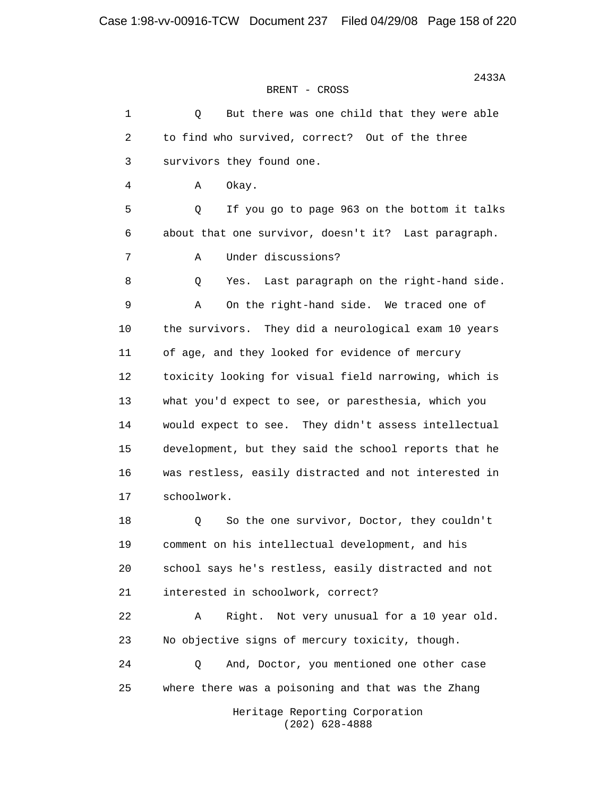| $\mathbf 1$ | But there was one child that they were able<br>Q      |
|-------------|-------------------------------------------------------|
| 2           | to find who survived, correct? Out of the three       |
| 3           | survivors they found one.                             |
| 4           | Okay.<br>Α                                            |
| 5           | Q<br>If you go to page 963 on the bottom it talks     |
| 6           | about that one survivor, doesn't it? Last paragraph.  |
| 7           | Under discussions?<br>Α                               |
| 8           | Last paragraph on the right-hand side.<br>Q<br>Yes.   |
| 9           | On the right-hand side. We traced one of<br>Α         |
| 10          | the survivors. They did a neurological exam 10 years  |
| 11          | of age, and they looked for evidence of mercury       |
| 12          | toxicity looking for visual field narrowing, which is |
| 13          | what you'd expect to see, or paresthesia, which you   |
| 14          | would expect to see. They didn't assess intellectual  |
| 15          | development, but they said the school reports that he |
| 16          | was restless, easily distracted and not interested in |
| 17          | schoolwork.                                           |
| 18          | So the one survivor, Doctor, they couldn't<br>Q       |
| 19          | comment on his intellectual development, and his      |
| 20          | school says he's restless, easily distracted and not  |
| 21          | interested in schoolwork, correct?                    |
| 22          | Α<br>Right.<br>Not very unusual for a 10 year old.    |
| 23          | No objective signs of mercury toxicity, though.       |
| 24          | And, Doctor, you mentioned one other case<br>Q        |
| 25          | where there was a poisoning and that was the Zhang    |
|             | Heritage Reporting Corporation<br>$(202)$ 628-4888    |

 $2433A$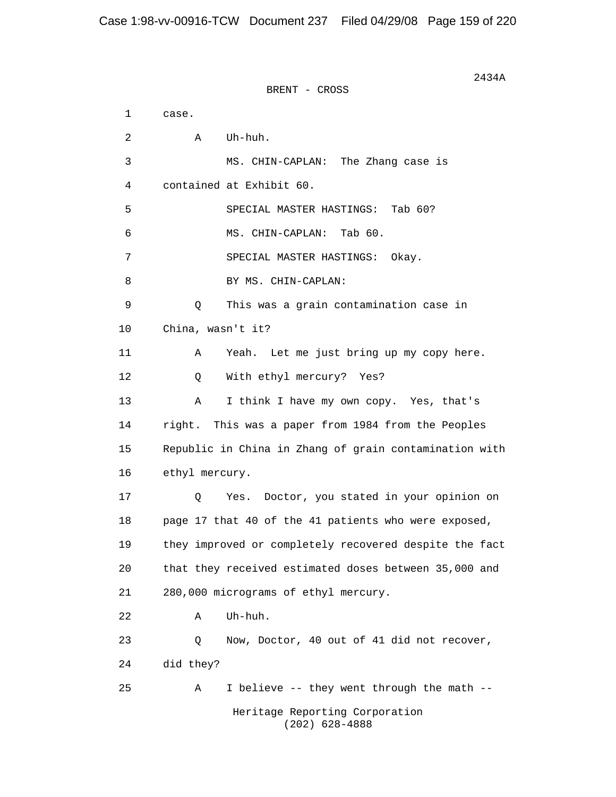$2434A$ BRENT - CROSS 1 case. 2 A Uh-huh. 3 MS. CHIN-CAPLAN: The Zhang case is 4 contained at Exhibit 60. 5 SPECIAL MASTER HASTINGS: Tab 60? 6 MS. CHIN-CAPLAN: Tab 60. 7 SPECIAL MASTER HASTINGS: Okay. 8 BY MS. CHIN-CAPLAN: 9 Q This was a grain contamination case in 10 China, wasn't it? 11 A Yeah. Let me just bring up my copy here. 12 Q With ethyl mercury? Yes? 13 A I think I have my own copy. Yes, that's 14 right. This was a paper from 1984 from the Peoples 15 Republic in China in Zhang of grain contamination with 16 ethyl mercury. 17 Q Yes. Doctor, you stated in your opinion on 18 page 17 that 40 of the 41 patients who were exposed, 19 they improved or completely recovered despite the fact 20 that they received estimated doses between 35,000 and 21 280,000 micrograms of ethyl mercury. 22 A Uh-huh. 23 Q Now, Doctor, 40 out of 41 did not recover, 24 did they? 25 A I believe -- they went through the math -- Heritage Reporting Corporation (202) 628-4888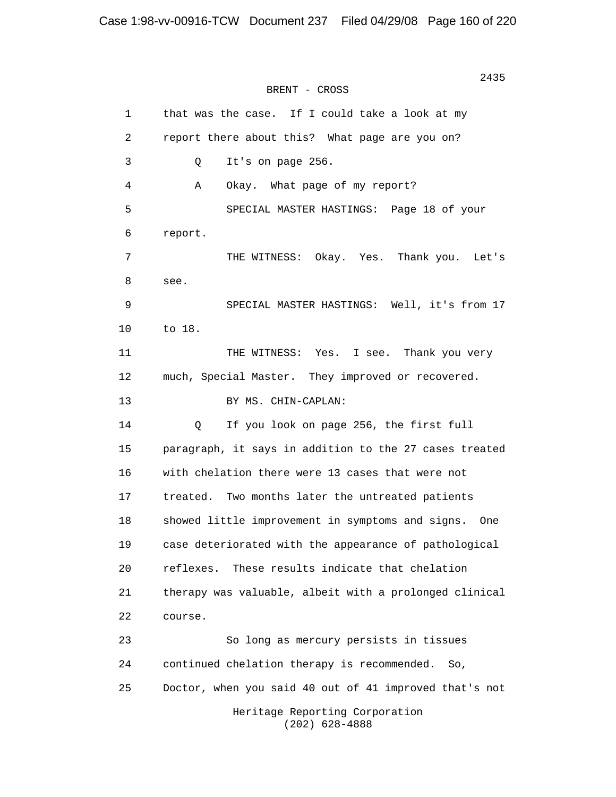2435 BRENT - CROSS 1 that was the case. If I could take a look at my 2 report there about this? What page are you on? 3 Q It's on page 256. 4 A Okay. What page of my report? 5 SPECIAL MASTER HASTINGS: Page 18 of your 6 report. 7 THE WITNESS: Okay. Yes. Thank you. Let's 8 see. 9 SPECIAL MASTER HASTINGS: Well, it's from 17 10 to 18. 11 THE WITNESS: Yes. I see. Thank you very 12 much, Special Master. They improved or recovered. 13 BY MS. CHIN-CAPLAN: 14 Q If you look on page 256, the first full 15 paragraph, it says in addition to the 27 cases treated 16 with chelation there were 13 cases that were not 17 treated. Two months later the untreated patients 18 showed little improvement in symptoms and signs. One 19 case deteriorated with the appearance of pathological 20 reflexes. These results indicate that chelation 21 therapy was valuable, albeit with a prolonged clinical 22 course. 23 So long as mercury persists in tissues 24 continued chelation therapy is recommended. So, 25 Doctor, when you said 40 out of 41 improved that's not Heritage Reporting Corporation (202) 628-4888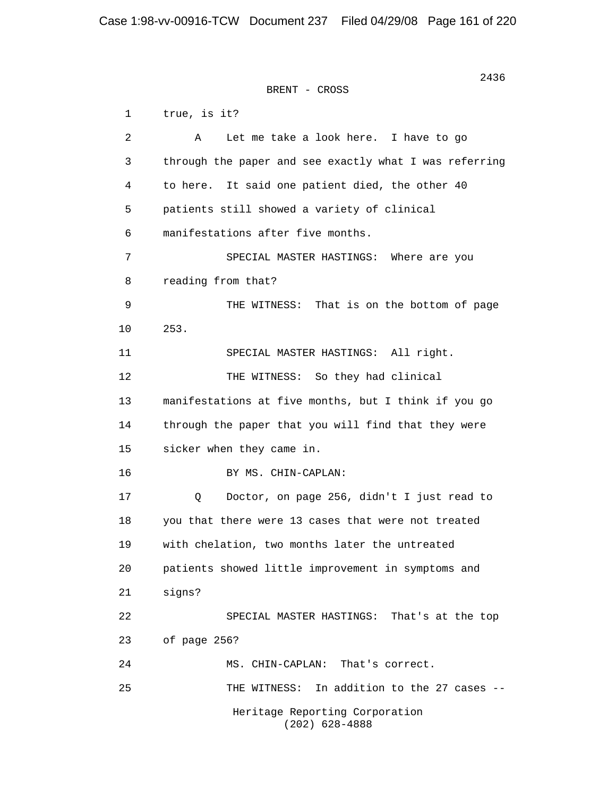2436 **2436** BRENT - CROSS 1 true, is it? 2 A Let me take a look here. I have to go 3 through the paper and see exactly what I was referring 4 to here. It said one patient died, the other 40 5 patients still showed a variety of clinical 6 manifestations after five months. 7 SPECIAL MASTER HASTINGS: Where are you 8 reading from that? 9 THE WITNESS: That is on the bottom of page 10 253. 11 SPECIAL MASTER HASTINGS: All right. 12 THE WITNESS: So they had clinical 13 manifestations at five months, but I think if you go 14 through the paper that you will find that they were 15 sicker when they came in. 16 BY MS. CHIN-CAPLAN: 17 Q Doctor, on page 256, didn't I just read to 18 you that there were 13 cases that were not treated 19 with chelation, two months later the untreated 20 patients showed little improvement in symptoms and 21 signs? 22 SPECIAL MASTER HASTINGS: That's at the top 23 of page 256? 24 MS. CHIN-CAPLAN: That's correct. 25 THE WITNESS: In addition to the 27 cases -- Heritage Reporting Corporation (202) 628-4888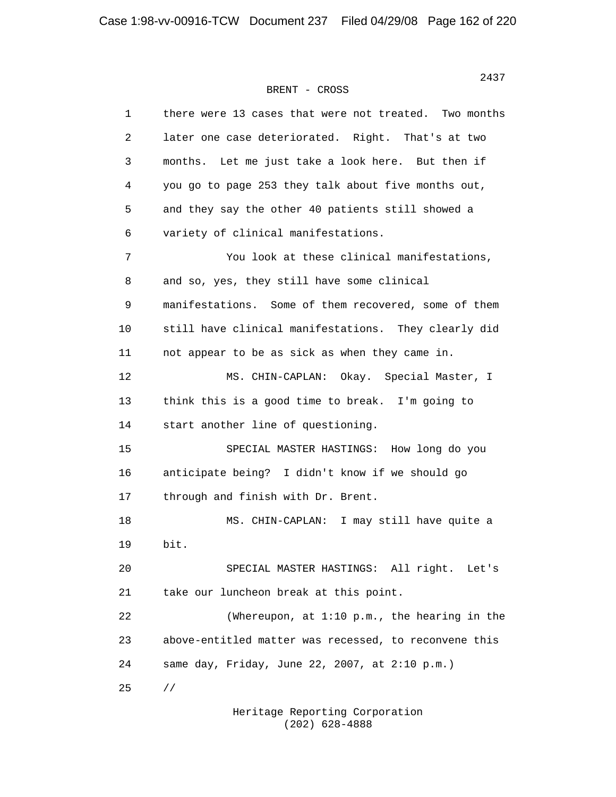| 1  | there were 13 cases that were not treated. Two months |
|----|-------------------------------------------------------|
| 2  | later one case deteriorated. Right. That's at two     |
| 3  | Let me just take a look here. But then if<br>months.  |
| 4  | you go to page 253 they talk about five months out,   |
| 5  | and they say the other 40 patients still showed a     |
| 6  | variety of clinical manifestations.                   |
| 7  | You look at these clinical manifestations,            |
| 8  | and so, yes, they still have some clinical            |
| 9  | manifestations. Some of them recovered, some of them  |
| 10 | still have clinical manifestations. They clearly did  |
| 11 | not appear to be as sick as when they came in.        |
| 12 | MS. CHIN-CAPLAN: Okay.<br>Special Master, I           |
| 13 | think this is a good time to break. I'm going to      |
| 14 | start another line of questioning.                    |
| 15 | SPECIAL MASTER HASTINGS: How long do you              |
| 16 | anticipate being? I didn't know if we should go       |
| 17 | through and finish with Dr. Brent.                    |
| 18 | MS. CHIN-CAPLAN: I may still have quite a             |
| 19 | bit.                                                  |
| 20 | SPECIAL MASTER HASTINGS: All right. Let's             |
| 21 | take our luncheon break at this point.                |
| 22 | (Whereupon, at 1:10 p.m., the hearing in the          |
| 23 | above-entitled matter was recessed, to reconvene this |
| 24 | same day, Friday, June 22, 2007, at 2:10 p.m.)        |
| 25 | $\frac{1}{2}$                                         |

 Heritage Reporting Corporation (202) 628-4888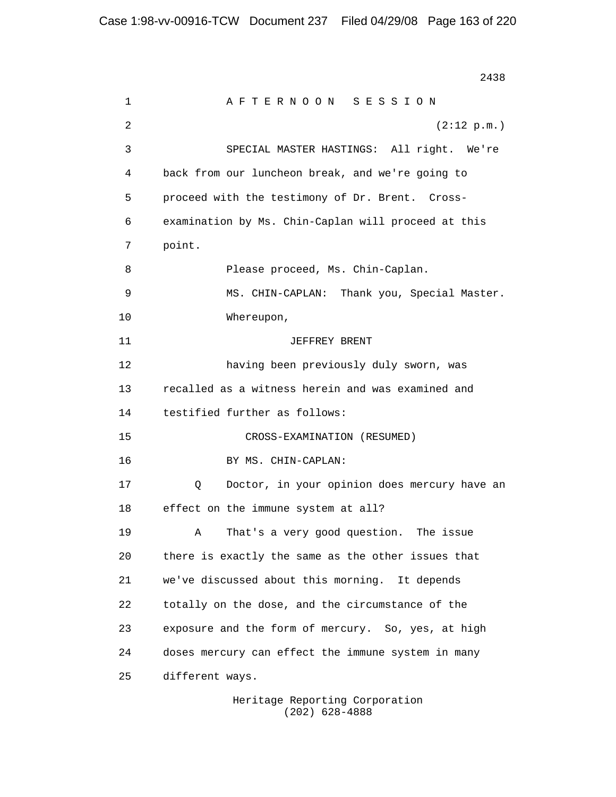2438 **2438**  1 A F T E R N O O N S E S S I O N 2  $(2:12 \text{ p.m.})$  3 SPECIAL MASTER HASTINGS: All right. We're 4 back from our luncheon break, and we're going to 5 proceed with the testimony of Dr. Brent. Cross- 6 examination by Ms. Chin-Caplan will proceed at this 7 point. 8 Please proceed, Ms. Chin-Caplan. 9 MS. CHIN-CAPLAN: Thank you, Special Master. 10 Whereupon, 11 JEFFREY BRENT 12 having been previously duly sworn, was 13 recalled as a witness herein and was examined and 14 testified further as follows: 15 CROSS-EXAMINATION (RESUMED) 16 BY MS. CHIN-CAPLAN: 17 Q Doctor, in your opinion does mercury have an 18 effect on the immune system at all? 19 A That's a very good question. The issue 20 there is exactly the same as the other issues that 21 we've discussed about this morning. It depends 22 totally on the dose, and the circumstance of the 23 exposure and the form of mercury. So, yes, at high 24 doses mercury can effect the immune system in many 25 different ways.

> Heritage Reporting Corporation (202) 628-4888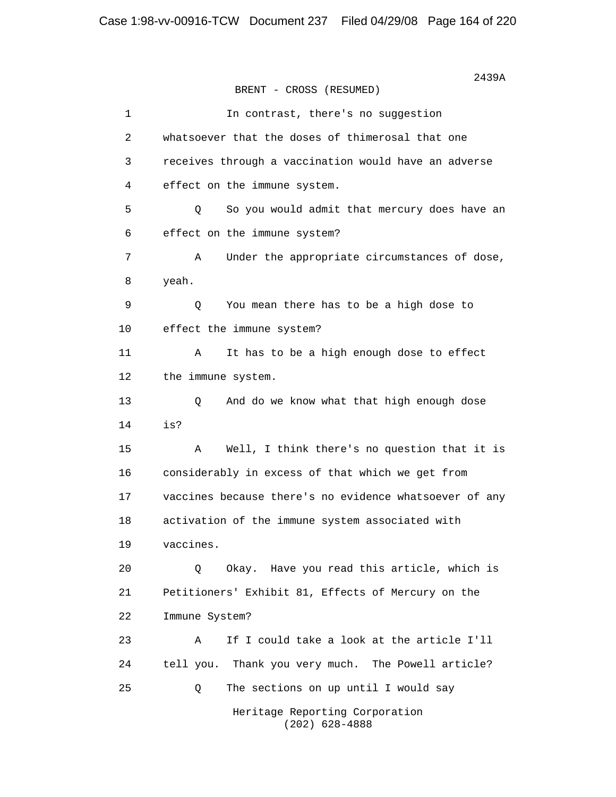2439A BRENT - CROSS (RESUMED) 1 1 In contrast, there's no suggestion 2 whatsoever that the doses of thimerosal that one 3 receives through a vaccination would have an adverse 4 effect on the immune system. 5 Q So you would admit that mercury does have an 6 effect on the immune system? 7 A Under the appropriate circumstances of dose, 8 yeah. 9 Q You mean there has to be a high dose to 10 effect the immune system? 11 A It has to be a high enough dose to effect 12 the immune system. 13 Q And do we know what that high enough dose 14 is? 15 A Well, I think there's no question that it is 16 considerably in excess of that which we get from 17 vaccines because there's no evidence whatsoever of any 18 activation of the immune system associated with 19 vaccines. 20 Q Okay. Have you read this article, which is 21 Petitioners' Exhibit 81, Effects of Mercury on the 22 Immune System? 23 A If I could take a look at the article I'll 24 tell you. Thank you very much. The Powell article? 25 Q The sections on up until I would say Heritage Reporting Corporation (202) 628-4888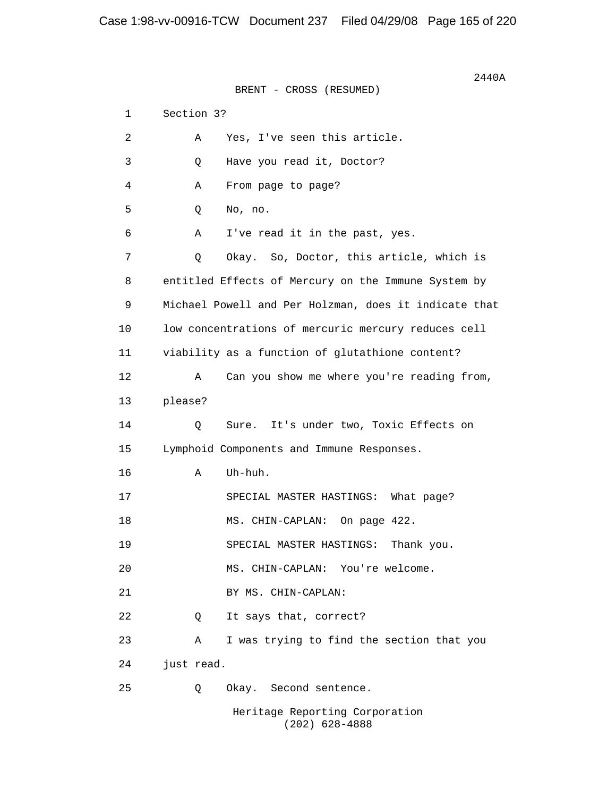$2440A$ BRENT - CROSS (RESUMED) 1 Section 3? 2 A Yes, I've seen this article. 3 Q Have you read it, Doctor? 4 A From page to page? 5 Q No, no. 6 A I've read it in the past, yes. 7 Q Okay. So, Doctor, this article, which is 8 entitled Effects of Mercury on the Immune System by 9 Michael Powell and Per Holzman, does it indicate that 10 low concentrations of mercuric mercury reduces cell 11 viability as a function of glutathione content? 12 A Can you show me where you're reading from, 13 please? 14 Q Sure. It's under two, Toxic Effects on 15 Lymphoid Components and Immune Responses. 16 A Uh-huh. 17 SPECIAL MASTER HASTINGS: What page? 18 MS. CHIN-CAPLAN: On page 422. 19 SPECIAL MASTER HASTINGS: Thank you. 20 MS. CHIN-CAPLAN: You're welcome. 21 BY MS. CHIN-CAPLAN: 22 0 It says that, correct? 23 A I was trying to find the section that you 24 just read. 25 Q Okay. Second sentence. Heritage Reporting Corporation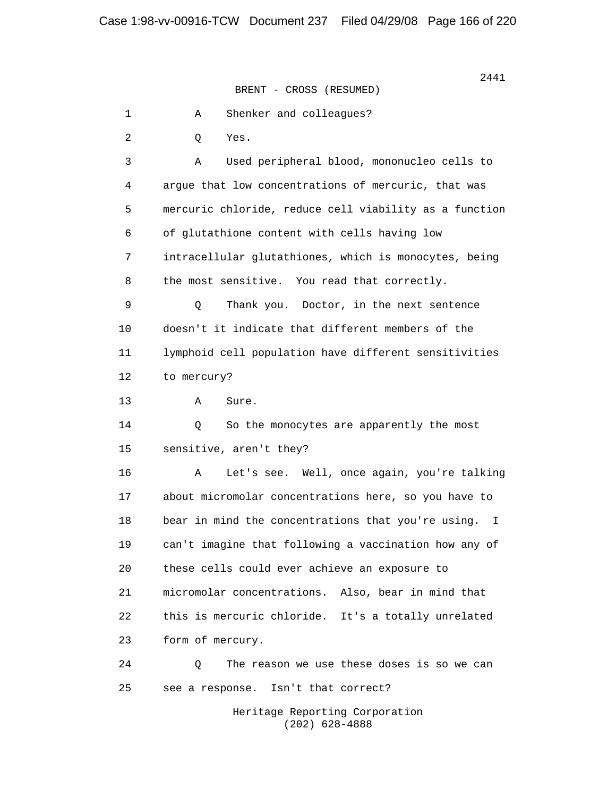1 A Shenker and colleagues? 2 Q Yes. 3 A Used peripheral blood, mononucleo cells to 4 argue that low concentrations of mercuric, that was 5 mercuric chloride, reduce cell viability as a function 6 of glutathione content with cells having low 7 intracellular glutathiones, which is monocytes, being 8 the most sensitive. You read that correctly. 9 Q Thank you. Doctor, in the next sentence 10 doesn't it indicate that different members of the 11 lymphoid cell population have different sensitivities 12 to mercury? 13 A Sure. 14 Q So the monocytes are apparently the most 15 sensitive, aren't they? 16 A Let's see. Well, once again, you're talking 17 about micromolar concentrations here, so you have to 18 bear in mind the concentrations that you're using. I 19 can't imagine that following a vaccination how any of 20 these cells could ever achieve an exposure to 21 micromolar concentrations. Also, bear in mind that 22 this is mercuric chloride. It's a totally unrelated 23 form of mercury. 24 Q The reason we use these doses is so we can 25 see a response. Isn't that correct? Heritage Reporting Corporation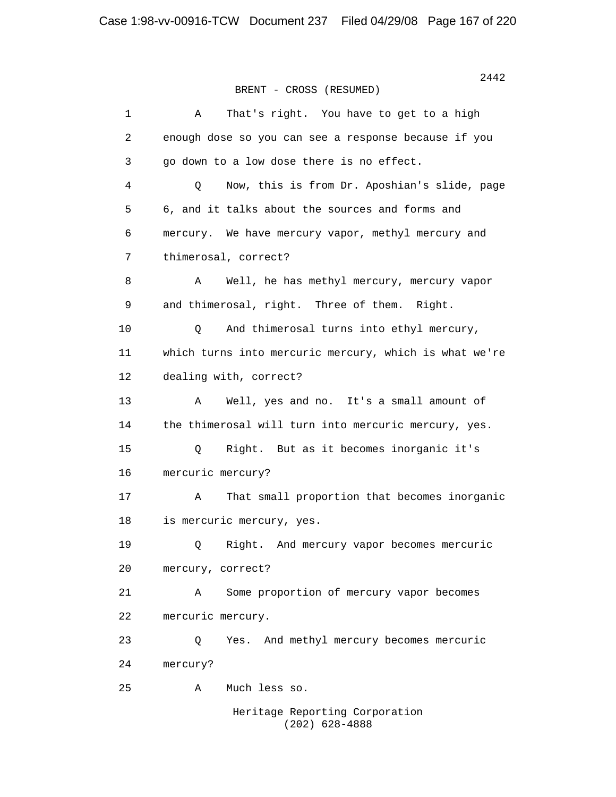| $\mathbf 1$ | That's right. You have to get to a high<br>Α           |
|-------------|--------------------------------------------------------|
| 2           | enough dose so you can see a response because if you   |
| 3           | go down to a low dose there is no effect.              |
| 4           | Now, this is from Dr. Aposhian's slide, page<br>Q      |
| 5           | 6, and it talks about the sources and forms and        |
| 6           | mercury. We have mercury vapor, methyl mercury and     |
| 7           | thimerosal, correct?                                   |
| 8           | Well, he has methyl mercury, mercury vapor<br>Α        |
| 9           | and thimerosal, right. Three of them. Right.           |
| 10          | And thimerosal turns into ethyl mercury,<br>Q          |
| 11          | which turns into mercuric mercury, which is what we're |
| 12          | dealing with, correct?                                 |
| 13          | Well, yes and no. It's a small amount of<br>Α          |
| 14          | the thimerosal will turn into mercuric mercury, yes.   |
| 15          | Right. But as it becomes inorganic it's<br>Q           |
| 16          | mercuric mercury?                                      |
| 17          | That small proportion that becomes inorganic<br>Α      |
| 18          | is mercuric mercury, yes.                              |
| 19          | Right. And mercury vapor becomes mercuric<br>Q         |
| 20          | mercury, correct?                                      |
| 21          | Some proportion of mercury vapor becomes<br>Α          |
| 22          | mercuric mercury.                                      |
| 23          | And methyl mercury becomes mercuric<br>Q<br>Yes.       |
| 24          | mercury?                                               |
| 25          | Much less so.<br>Α                                     |
|             | Heritage Reporting Corporation<br>$(202)$ 628-4888     |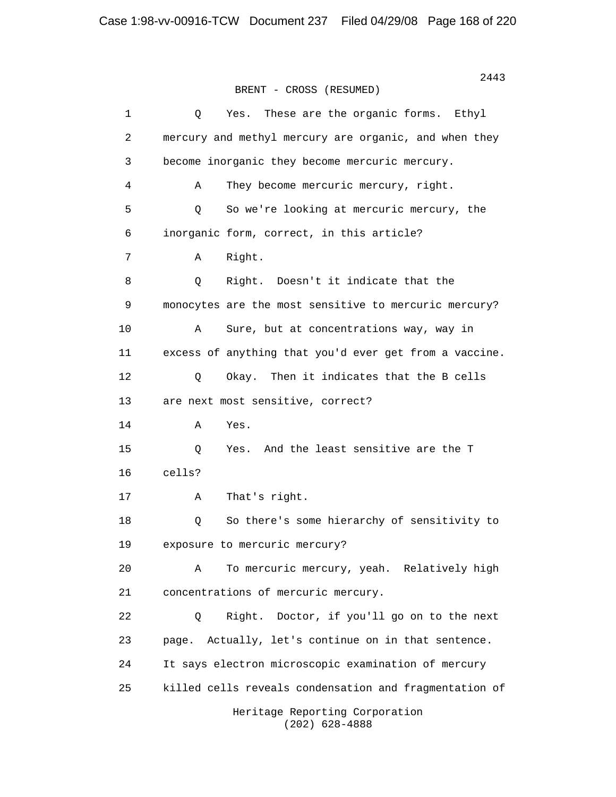2443 BRENT - CROSS (RESUMED) 1 Q Yes. These are the organic forms. Ethyl 2 mercury and methyl mercury are organic, and when they 3 become inorganic they become mercuric mercury. 4 A They become mercuric mercury, right. 5 Q So we're looking at mercuric mercury, the 6 inorganic form, correct, in this article? 7 A Right. 8 Q Right. Doesn't it indicate that the 9 monocytes are the most sensitive to mercuric mercury? 10 A Sure, but at concentrations way, way in 11 excess of anything that you'd ever get from a vaccine. 12 Q Okay. Then it indicates that the B cells 13 are next most sensitive, correct? 14 A Yes. 15 Q Yes. And the least sensitive are the T 16 cells? 17 A That's right. 18 Q So there's some hierarchy of sensitivity to 19 exposure to mercuric mercury? 20 A To mercuric mercury, yeah. Relatively high 21 concentrations of mercuric mercury. 22 Q Right. Doctor, if you'll go on to the next 23 page. Actually, let's continue on in that sentence. 24 It says electron microscopic examination of mercury 25 killed cells reveals condensation and fragmentation of Heritage Reporting Corporation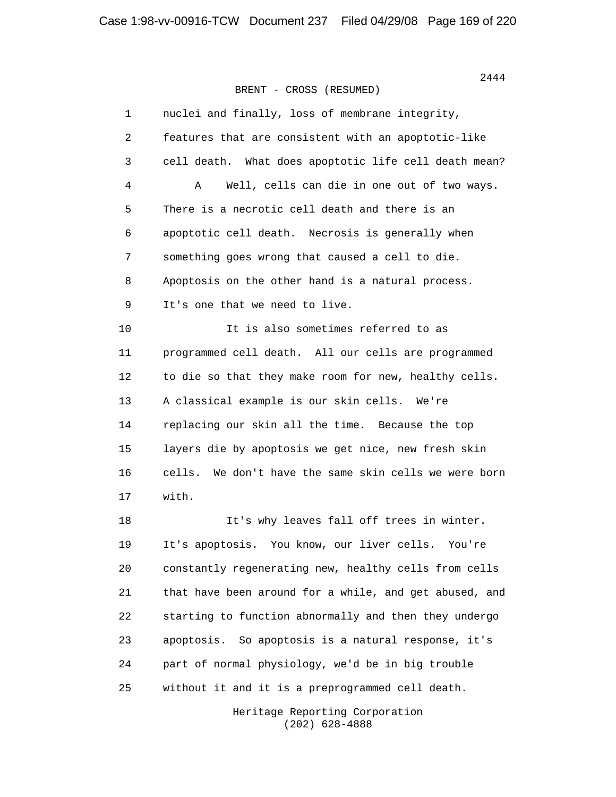| $\mathbf{1}$ | nuclei and finally, loss of membrane integrity,          |
|--------------|----------------------------------------------------------|
| 2            | features that are consistent with an apoptotic-like      |
| 3            | cell death. What does apoptotic life cell death mean?    |
| 4            | Well, cells can die in one out of two ways.<br>Α         |
| 5            | There is a necrotic cell death and there is an           |
| 6            | apoptotic cell death. Necrosis is generally when         |
| 7            | something goes wrong that caused a cell to die.          |
| 8            | Apoptosis on the other hand is a natural process.        |
| 9            | It's one that we need to live.                           |
| 10           | It is also sometimes referred to as                      |
| 11           | programmed cell death. All our cells are programmed      |
| 12           | to die so that they make room for new, healthy cells.    |
| 13           | A classical example is our skin cells. We're             |
| 14           | replacing our skin all the time. Because the top         |
| 15           | layers die by apoptosis we get nice, new fresh skin      |
| 16           | cells.<br>We don't have the same skin cells we were born |
| 17           | with.                                                    |
| 18           | It's why leaves fall off trees in winter.                |
| 19           | It's apoptosis. You know, our liver cells. You're        |
| 20           | constantly regenerating new, healthy cells from cells    |
| 21           | that have been around for a while, and get abused, and   |
| 22           | starting to function abnormally and then they undergo    |
| 23           | So apoptosis is a natural response, it's<br>apoptosis.   |
| 24           | part of normal physiology, we'd be in big trouble        |
| 25           | without it and it is a preprogrammed cell death.         |

 Heritage Reporting Corporation (202) 628-4888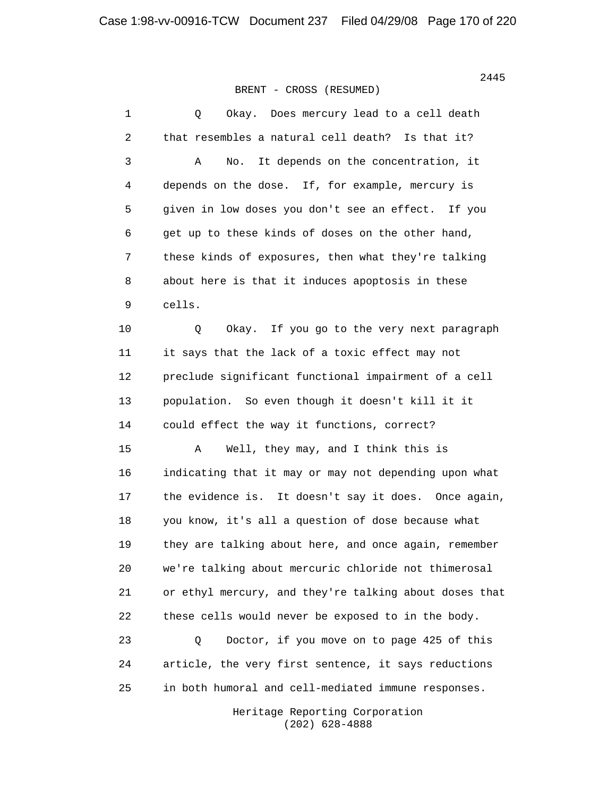1 0 Okay. Does mercury lead to a cell death 2 that resembles a natural cell death? Is that it? 3 A No. It depends on the concentration, it 4 depends on the dose. If, for example, mercury is 5 given in low doses you don't see an effect. If you 6 get up to these kinds of doses on the other hand, 7 these kinds of exposures, then what they're talking 8 about here is that it induces apoptosis in these 9 cells. 10 Q Okay. If you go to the very next paragraph 11 it says that the lack of a toxic effect may not 12 preclude significant functional impairment of a cell 13 population. So even though it doesn't kill it it 14 could effect the way it functions, correct? 15 A Well, they may, and I think this is 16 indicating that it may or may not depending upon what 17 the evidence is. It doesn't say it does. Once again, 18 you know, it's all a question of dose because what 19 they are talking about here, and once again, remember 20 we're talking about mercuric chloride not thimerosal 21 or ethyl mercury, and they're talking about doses that 22 these cells would never be exposed to in the body. 23 Q Doctor, if you move on to page 425 of this 24 article, the very first sentence, it says reductions 25 in both humoral and cell-mediated immune responses.

> Heritage Reporting Corporation (202) 628-4888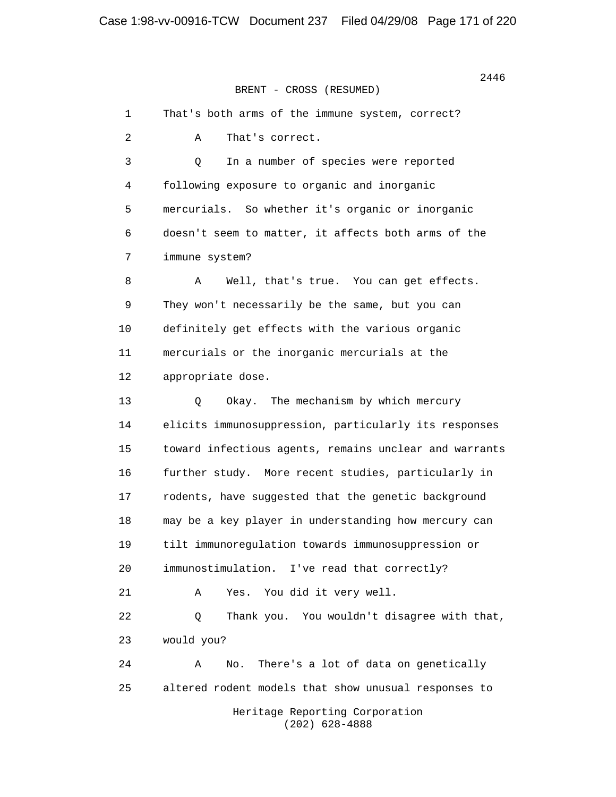1 That's both arms of the immune system, correct? 2 A That's correct. 3 Q In a number of species were reported 4 following exposure to organic and inorganic 5 mercurials. So whether it's organic or inorganic 6 doesn't seem to matter, it affects both arms of the 7 immune system? 8 A Well, that's true. You can get effects. 9 They won't necessarily be the same, but you can 10 definitely get effects with the various organic 11 mercurials or the inorganic mercurials at the 12 appropriate dose. 13 Q Okay. The mechanism by which mercury 14 elicits immunosuppression, particularly its responses 15 toward infectious agents, remains unclear and warrants 16 further study. More recent studies, particularly in 17 rodents, have suggested that the genetic background 18 may be a key player in understanding how mercury can 19 tilt immunoregulation towards immunosuppression or 20 immunostimulation. I've read that correctly? 21 A Yes. You did it very well. 22 Q Thank you. You wouldn't disagree with that, 23 would you? 24 A No. There's a lot of data on genetically 25 altered rodent models that show unusual responses to Heritage Reporting Corporation (202) 628-4888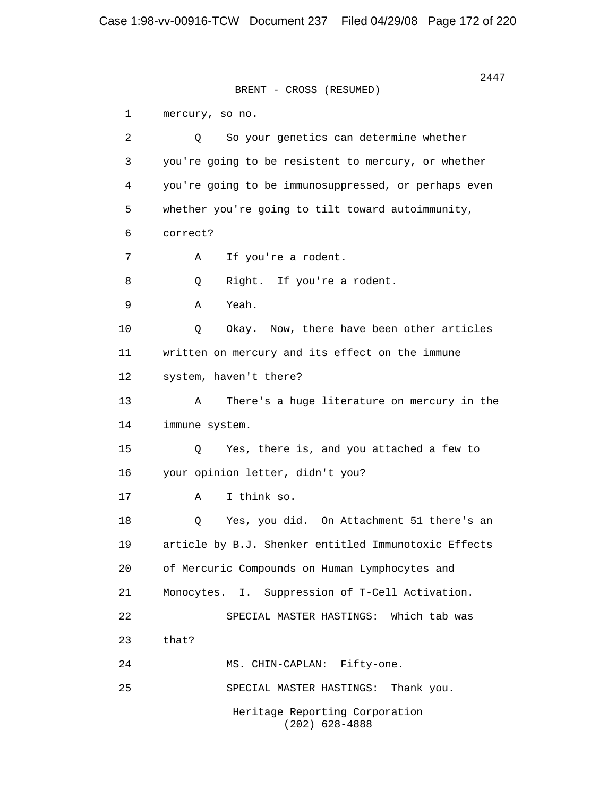2447 BRENT - CROSS (RESUMED) 1 mercury, so no. 2 Q So your genetics can determine whether 3 you're going to be resistent to mercury, or whether 4 you're going to be immunosuppressed, or perhaps even 5 whether you're going to tilt toward autoimmunity, 6 correct? 7 A If you're a rodent. 8 Q Right. If you're a rodent. 9 A Yeah. 10 Q Okay. Now, there have been other articles 11 written on mercury and its effect on the immune 12 system, haven't there? 13 A There's a huge literature on mercury in the 14 immune system. 15 Q Yes, there is, and you attached a few to 16 your opinion letter, didn't you? 17 A I think so. 18 Q Yes, you did. On Attachment 51 there's an 19 article by B.J. Shenker entitled Immunotoxic Effects 20 of Mercuric Compounds on Human Lymphocytes and 21 Monocytes. I. Suppression of T-Cell Activation. 22 SPECIAL MASTER HASTINGS: Which tab was 23 that? 24 MS. CHIN-CAPLAN: Fifty-one. 25 SPECIAL MASTER HASTINGS: Thank you. Heritage Reporting Corporation (202) 628-4888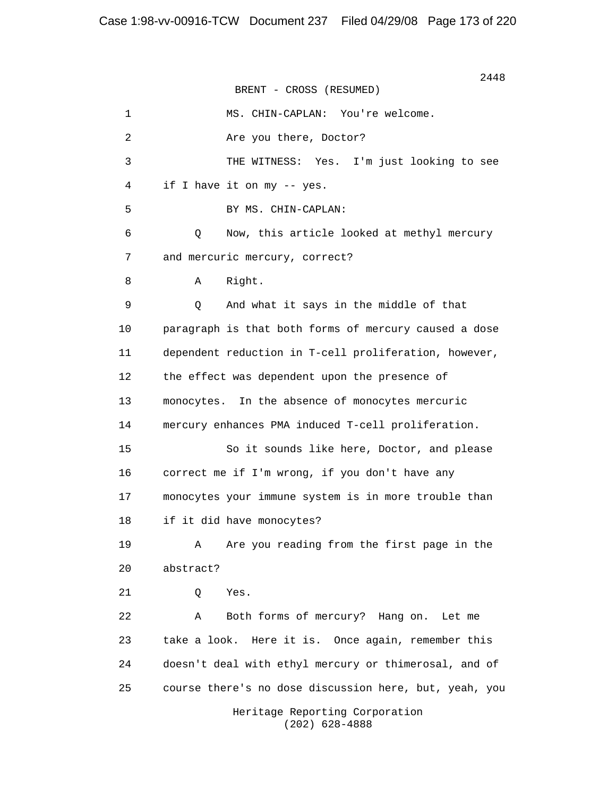2448 BRENT - CROSS (RESUMED) 1 MS. CHIN-CAPLAN: You're welcome. 2 Are you there, Doctor? 3 THE WITNESS: Yes. I'm just looking to see 4 if I have it on my -- yes. 5 BY MS. CHIN-CAPLAN: 6 Q Now, this article looked at methyl mercury 7 and mercuric mercury, correct? 8 A Right. 9 Q And what it says in the middle of that 10 paragraph is that both forms of mercury caused a dose 11 dependent reduction in T-cell proliferation, however, 12 the effect was dependent upon the presence of 13 monocytes. In the absence of monocytes mercuric 14 mercury enhances PMA induced T-cell proliferation. 15 So it sounds like here, Doctor, and please 16 correct me if I'm wrong, if you don't have any 17 monocytes your immune system is in more trouble than 18 if it did have monocytes? 19 A Are you reading from the first page in the 20 abstract? 21 Q Yes. 22 A Both forms of mercury? Hang on. Let me 23 take a look. Here it is. Once again, remember this 24 doesn't deal with ethyl mercury or thimerosal, and of 25 course there's no dose discussion here, but, yeah, you Heritage Reporting Corporation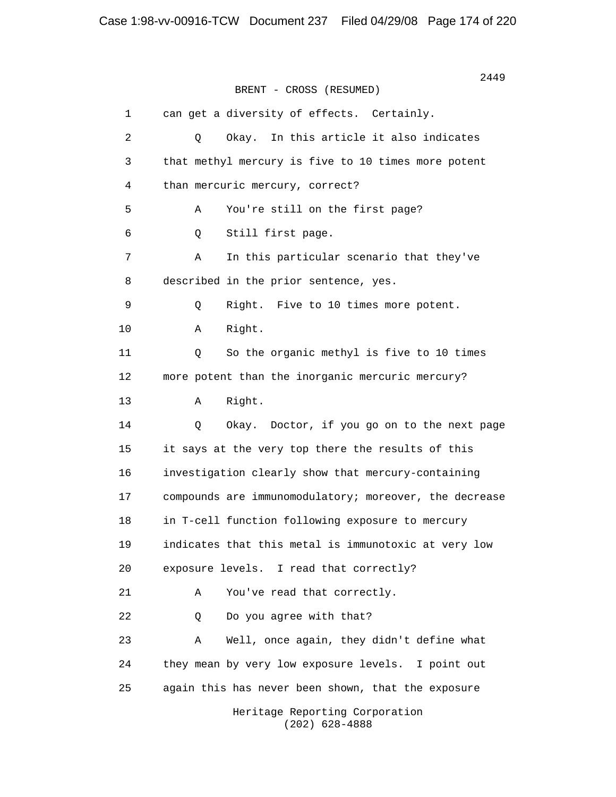2449 BRENT - CROSS (RESUMED) 1 can get a diversity of effects. Certainly. 2 Q Okay. In this article it also indicates 3 that methyl mercury is five to 10 times more potent 4 than mercuric mercury, correct? 5 A You're still on the first page? 6 Q Still first page. 7 A In this particular scenario that they've 8 described in the prior sentence, yes. 9 Q Right. Five to 10 times more potent. 10 A Right. 11 0 So the organic methyl is five to 10 times 12 more potent than the inorganic mercuric mercury? 13 A Right. 14 Q Okay. Doctor, if you go on to the next page 15 it says at the very top there the results of this 16 investigation clearly show that mercury-containing 17 compounds are immunomodulatory; moreover, the decrease 18 in T-cell function following exposure to mercury 19 indicates that this metal is immunotoxic at very low 20 exposure levels. I read that correctly? 21 A You've read that correctly. 22 0 Do you agree with that? 23 A Well, once again, they didn't define what 24 they mean by very low exposure levels. I point out 25 again this has never been shown, that the exposure Heritage Reporting Corporation (202) 628-4888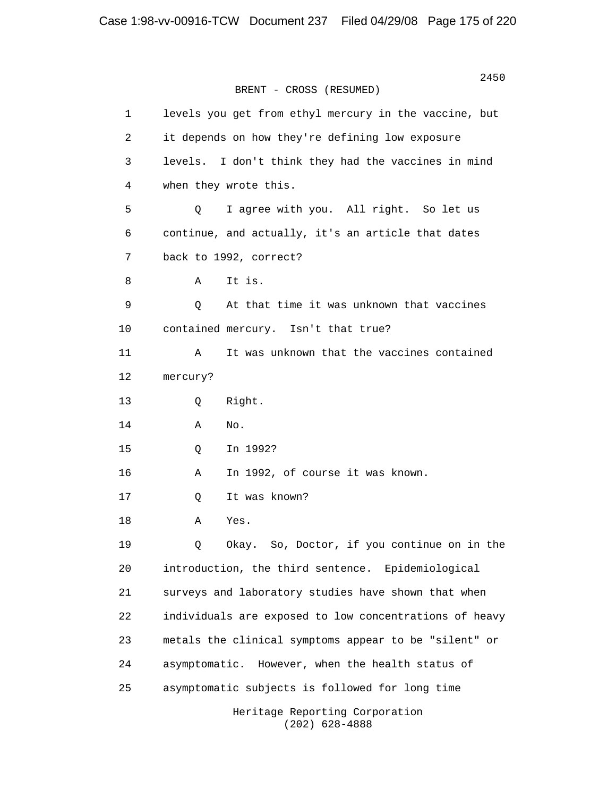2450 BRENT - CROSS (RESUMED) 1 levels you get from ethyl mercury in the vaccine, but 2 it depends on how they're defining low exposure 3 levels. I don't think they had the vaccines in mind 4 when they wrote this. 5 Q I agree with you. All right. So let us 6 continue, and actually, it's an article that dates 7 back to 1992, correct? 8 A It is. 9 Q At that time it was unknown that vaccines 10 contained mercury. Isn't that true? 11 A It was unknown that the vaccines contained 12 mercury? 13 Q Right.  $14$  A No. 15 Q In 1992? 16 A In 1992, of course it was known. 17 Q It was known? 18 A Yes. 19 Q Okay. So, Doctor, if you continue on in the 20 introduction, the third sentence. Epidemiological 21 surveys and laboratory studies have shown that when 22 individuals are exposed to low concentrations of heavy 23 metals the clinical symptoms appear to be "silent" or 24 asymptomatic. However, when the health status of 25 asymptomatic subjects is followed for long time Heritage Reporting Corporation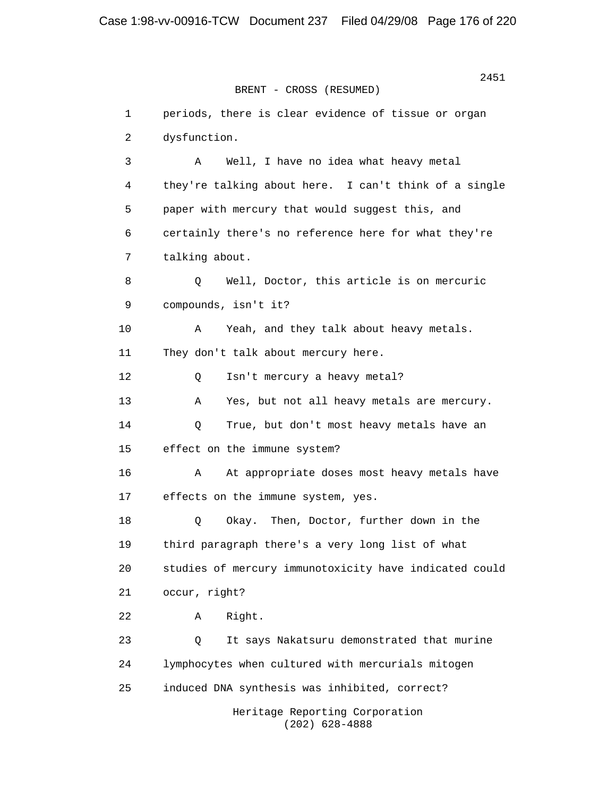2451 BRENT - CROSS (RESUMED) 1 periods, there is clear evidence of tissue or organ 2 dysfunction. 3 A Well, I have no idea what heavy metal 4 they're talking about here. I can't think of a single 5 paper with mercury that would suggest this, and 6 certainly there's no reference here for what they're 7 talking about. 8 Q Well, Doctor, this article is on mercuric 9 compounds, isn't it? 10 A Yeah, and they talk about heavy metals. 11 They don't talk about mercury here. 12 Q Isn't mercury a heavy metal? 13 A Yes, but not all heavy metals are mercury. 14 Q True, but don't most heavy metals have an 15 effect on the immune system? 16 A At appropriate doses most heavy metals have 17 effects on the immune system, yes. 18 Q Okay. Then, Doctor, further down in the 19 third paragraph there's a very long list of what 20 studies of mercury immunotoxicity have indicated could 21 occur, right? 22 A Right. 23 Q It says Nakatsuru demonstrated that murine 24 lymphocytes when cultured with mercurials mitogen 25 induced DNA synthesis was inhibited, correct? Heritage Reporting Corporation (202) 628-4888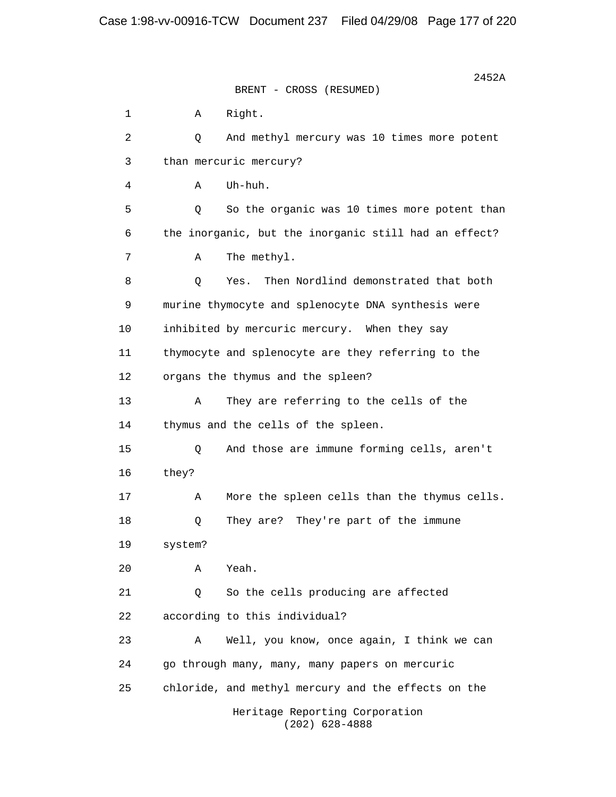$2452A$ BRENT - CROSS (RESUMED) 1 A Right. 2 Q And methyl mercury was 10 times more potent 3 than mercuric mercury? 4 A Uh-huh. 5 Q So the organic was 10 times more potent than 6 the inorganic, but the inorganic still had an effect? 7 A The methyl. 8 Q Yes. Then Nordlind demonstrated that both 9 murine thymocyte and splenocyte DNA synthesis were 10 inhibited by mercuric mercury. When they say 11 thymocyte and splenocyte are they referring to the 12 organs the thymus and the spleen? 13 A They are referring to the cells of the 14 thymus and the cells of the spleen. 15 Q And those are immune forming cells, aren't 16 they? 17 A More the spleen cells than the thymus cells. 18 Q They are? They're part of the immune 19 system? 20 A Yeah. 21 Q So the cells producing are affected 22 according to this individual? 23 A Well, you know, once again, I think we can 24 go through many, many, many papers on mercuric 25 chloride, and methyl mercury and the effects on the Heritage Reporting Corporation (202) 628-4888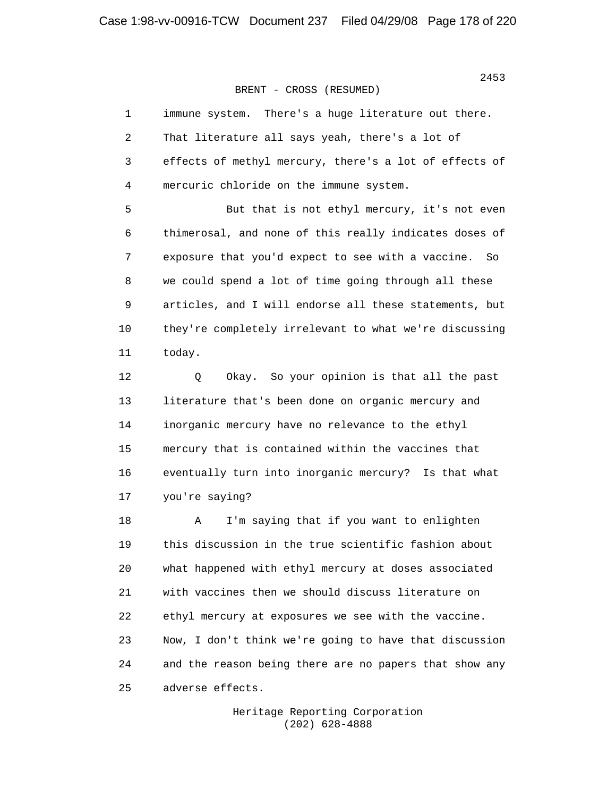| $\mathbf{1}$   | There's a huge literature out there.<br>immune system.  |
|----------------|---------------------------------------------------------|
| 2              | That literature all says yeah, there's a lot of         |
| 3              | effects of methyl mercury, there's a lot of effects of  |
| $\overline{4}$ | mercuric chloride on the immune system.                 |
| 5              | But that is not ethyl mercury, it's not even            |
| 6              | thimerosal, and none of this really indicates doses of  |
| $7\phantom{.}$ | exposure that you'd expect to see with a vaccine.<br>So |
| 8              | we could spend a lot of time going through all these    |
| $\mathsf 9$    | articles, and I will endorse all these statements, but  |
| 10             | they're completely irrelevant to what we're discussing  |
| 11             | today.                                                  |
| 12             | Okay. So your opinion is that all the past<br>Q         |
| 13             | literature that's been done on organic mercury and      |
| 14             | inorganic mercury have no relevance to the ethyl        |
| 15             | mercury that is contained within the vaccines that      |
| 16             | eventually turn into inorganic mercury? Is that what    |
| 17             | you're saying?                                          |
| 18             | I'm saying that if you want to enlighten<br>Α           |
| 19             | this discussion in the true scientific fashion about    |
| 20             | what happened with ethyl mercury at doses associated    |
| 21             | with vaccines then we should discuss literature on      |
| 22             | ethyl mercury at exposures we see with the vaccine.     |
| 23             | Now, I don't think we're going to have that discussion  |

 24 and the reason being there are no papers that show any 25 adverse effects.

> Heritage Reporting Corporation (202) 628-4888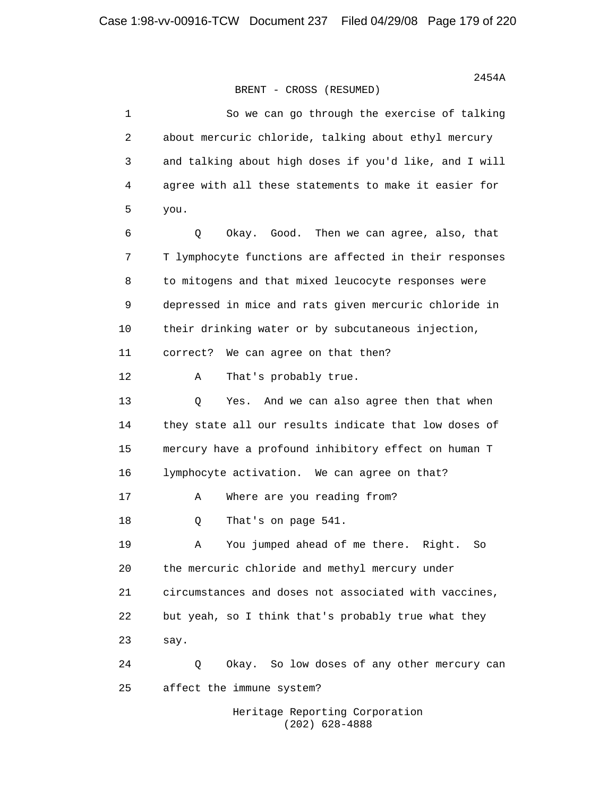| 1  | So we can go through the exercise of talking           |
|----|--------------------------------------------------------|
| 2  | about mercuric chloride, talking about ethyl mercury   |
| 3  | and talking about high doses if you'd like, and I will |
| 4  | agree with all these statements to make it easier for  |
| 5  | you.                                                   |
| 6  | Okay. Good. Then we can agree, also, that<br>Q         |
| 7  | T lymphocyte functions are affected in their responses |
| 8  | to mitogens and that mixed leucocyte responses were    |
| 9  | depressed in mice and rats given mercuric chloride in  |
| 10 | their drinking water or by subcutaneous injection,     |
| 11 | We can agree on that then?<br>correct?                 |
| 12 | That's probably true.<br>Α                             |
| 13 | Q<br>Yes. And we can also agree then that when         |
| 14 | they state all our results indicate that low doses of  |
| 15 | mercury have a profound inhibitory effect on human T   |
| 16 | lymphocyte activation. We can agree on that?           |
| 17 | Where are you reading from?<br>Α                       |
| 18 | That's on page 541.<br>Q                               |
| 19 | You jumped ahead of me there. Right.<br>So<br>Α        |
| 20 | the mercuric chloride and methyl mercury under         |
| 21 | circumstances and doses not associated with vaccines,  |
| 22 | but yeah, so I think that's probably true what they    |
| 23 | say.                                                   |
| 24 | Okay. So low doses of any other mercury can<br>Q       |
| 25 | affect the immune system?                              |
|    |                                                        |

 Heritage Reporting Corporation (202) 628-4888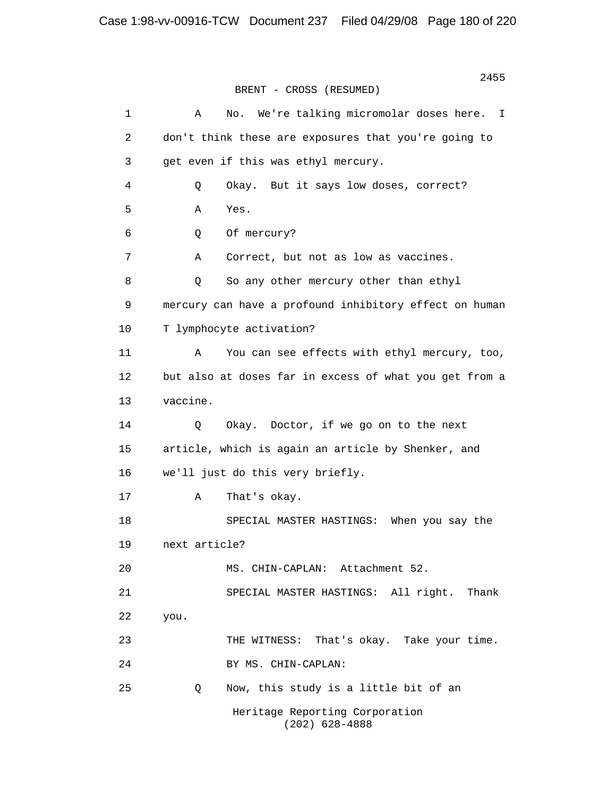2455 BRENT - CROSS (RESUMED) 1 A No. We're talking micromolar doses here. I 2 don't think these are exposures that you're going to 3 get even if this was ethyl mercury. 4 Q Okay. But it says low doses, correct? 5 A Yes. 6 Q Of mercury? 7 A Correct, but not as low as vaccines. 8 Q So any other mercury other than ethyl 9 mercury can have a profound inhibitory effect on human 10 T lymphocyte activation? 11 A You can see effects with ethyl mercury, too, 12 but also at doses far in excess of what you get from a 13 vaccine. 14 Q Okay. Doctor, if we go on to the next 15 article, which is again an article by Shenker, and 16 we'll just do this very briefly. 17 A That's okay. 18 SPECIAL MASTER HASTINGS: When you say the 19 next article? 20 MS. CHIN-CAPLAN: Attachment 52. 21 SPECIAL MASTER HASTINGS: All right. Thank 22 you. 23 THE WITNESS: That's okay. Take your time. 24 BY MS. CHIN-CAPLAN: 25 Q Now, this study is a little bit of an Heritage Reporting Corporation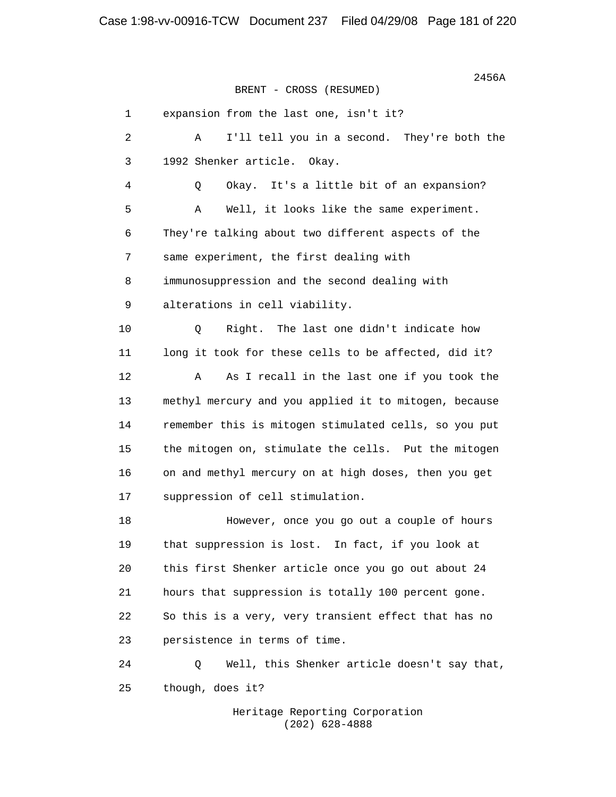$2456A$ BRENT - CROSS (RESUMED) 1 expansion from the last one, isn't it? 2 A I'll tell you in a second. They're both the 3 1992 Shenker article. Okay. 4 Q Okay. It's a little bit of an expansion? 5 A Well, it looks like the same experiment. 6 They're talking about two different aspects of the 7 same experiment, the first dealing with 8 immunosuppression and the second dealing with 9 alterations in cell viability. 10 Q Right. The last one didn't indicate how 11 long it took for these cells to be affected, did it? 12 A As I recall in the last one if you took the 13 methyl mercury and you applied it to mitogen, because 14 remember this is mitogen stimulated cells, so you put 15 the mitogen on, stimulate the cells. Put the mitogen 16 on and methyl mercury on at high doses, then you get 17 suppression of cell stimulation. 18 However, once you go out a couple of hours 19 that suppression is lost. In fact, if you look at 20 this first Shenker article once you go out about 24 21 hours that suppression is totally 100 percent gone. 22 So this is a very, very transient effect that has no 23 persistence in terms of time. 24 Q Well, this Shenker article doesn't say that, 25 though, does it?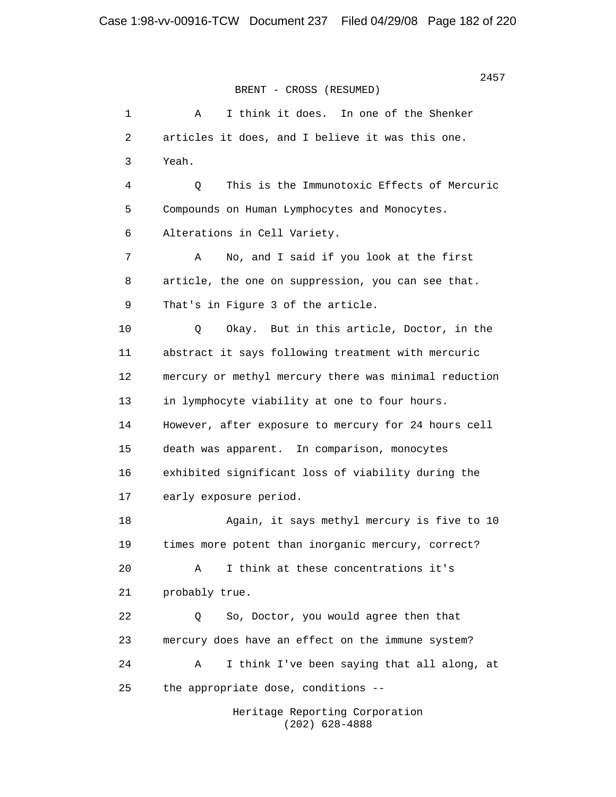> 1 A I think it does. In one of the Shenker 2 articles it does, and I believe it was this one. 3 Yeah. 4 Q This is the Immunotoxic Effects of Mercuric 5 Compounds on Human Lymphocytes and Monocytes. 6 Alterations in Cell Variety. 7 A No, and I said if you look at the first 8 article, the one on suppression, you can see that. 9 That's in Figure 3 of the article. 10 Q Okay. But in this article, Doctor, in the 11 abstract it says following treatment with mercuric 12 mercury or methyl mercury there was minimal reduction 13 in lymphocyte viability at one to four hours. 14 However, after exposure to mercury for 24 hours cell 15 death was apparent. In comparison, monocytes 16 exhibited significant loss of viability during the 17 early exposure period. 18 Again, it says methyl mercury is five to 10 19 times more potent than inorganic mercury, correct? 20 A I think at these concentrations it's 21 probably true. 22 Q So, Doctor, you would agree then that 23 mercury does have an effect on the immune system? 24 A I think I've been saying that all along, at 25 the appropriate dose, conditions -- Heritage Reporting Corporation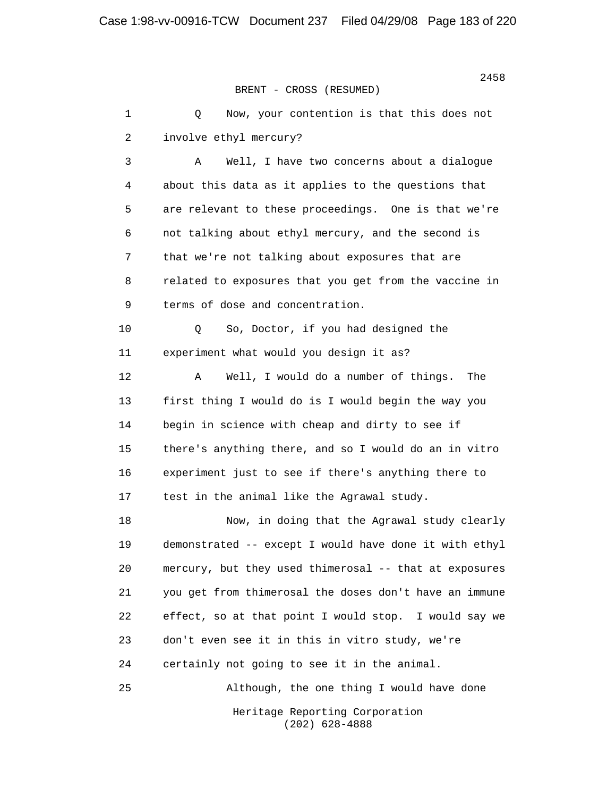1 0 Now, your contention is that this does not 2 involve ethyl mercury?

 3 A Well, I have two concerns about a dialogue 4 about this data as it applies to the questions that 5 are relevant to these proceedings. One is that we're 6 not talking about ethyl mercury, and the second is 7 that we're not talking about exposures that are 8 related to exposures that you get from the vaccine in 9 terms of dose and concentration.

 10 Q So, Doctor, if you had designed the 11 experiment what would you design it as?

 12 A Well, I would do a number of things. The 13 first thing I would do is I would begin the way you 14 begin in science with cheap and dirty to see if 15 there's anything there, and so I would do an in vitro 16 experiment just to see if there's anything there to 17 test in the animal like the Agrawal study.

 18 Now, in doing that the Agrawal study clearly 19 demonstrated -- except I would have done it with ethyl 20 mercury, but they used thimerosal -- that at exposures 21 you get from thimerosal the doses don't have an immune 22 effect, so at that point I would stop. I would say we 23 don't even see it in this in vitro study, we're 24 certainly not going to see it in the animal.

25 Although, the one thing I would have done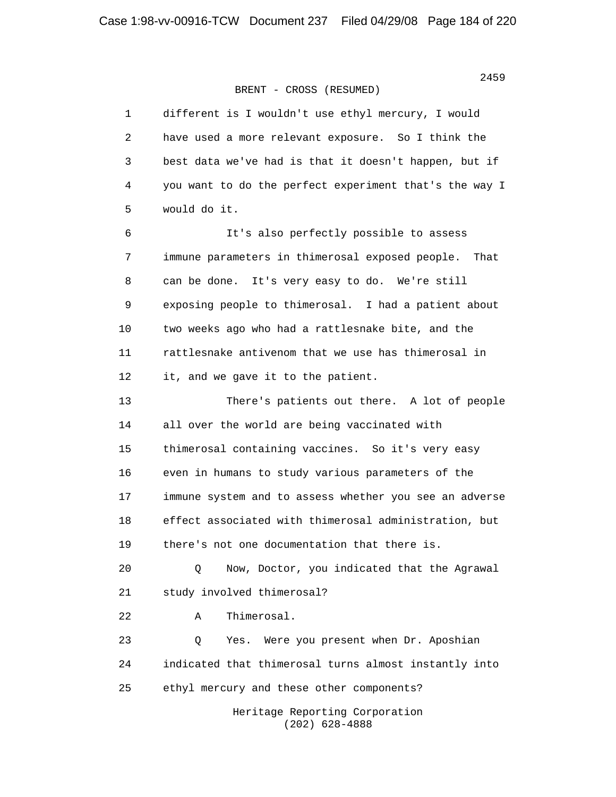| 1  | different is I wouldn't use ethyl mercury, I would      |
|----|---------------------------------------------------------|
| 2  | have used a more relevant exposure. So I think the      |
| 3  | best data we've had is that it doesn't happen, but if   |
| 4  | you want to do the perfect experiment that's the way I  |
| 5  | would do it.                                            |
| б  | It's also perfectly possible to assess                  |
| 7  | immune parameters in thimerosal exposed people.<br>That |
| 8  | can be done. It's very easy to do. We're still          |
| 9  | exposing people to thimerosal. I had a patient about    |
| 10 | two weeks ago who had a rattlesnake bite, and the       |
| 11 | rattlesnake antivenom that we use has thimerosal in     |
| 12 | it, and we gave it to the patient.                      |
| 13 | There's patients out there. A lot of people             |
| 14 | all over the world are being vaccinated with            |
| 15 | thimerosal containing vaccines. So it's very easy       |
| 16 | even in humans to study various parameters of the       |
| 17 | immune system and to assess whether you see an adverse  |
| 18 | effect associated with thimerosal administration, but   |
| 19 | there's not one documentation that there is.            |
| 20 | Now, Doctor, you indicated that the Agrawal<br>Q        |
| 21 | study involved thimerosal?                              |
| 22 | Thimerosal.<br>Α                                        |
| 23 | Q<br>Were you present when Dr. Aposhian<br>Yes.         |
| 24 | indicated that thimerosal turns almost instantly into   |
| 25 | ethyl mercury and these other components?               |
|    | Heritage Reporting Corporation<br>$(202)$ 628-4888      |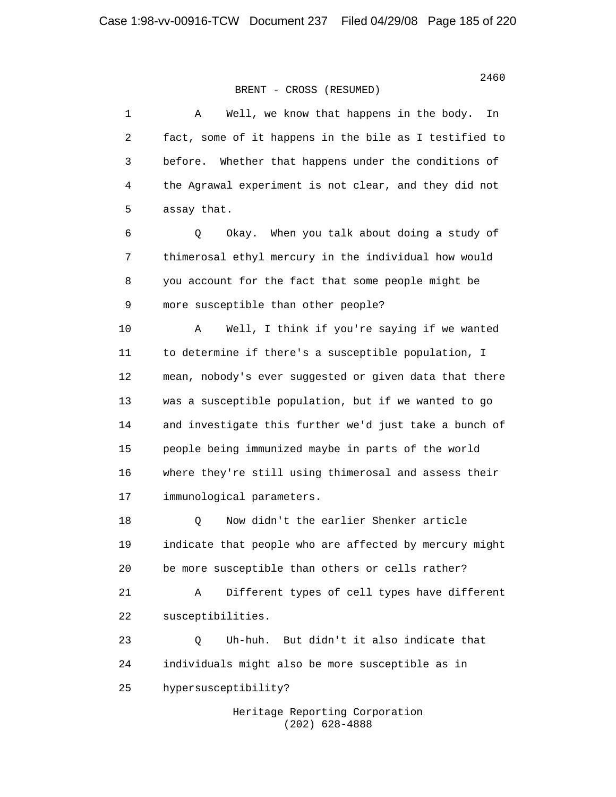1 A Well, we know that happens in the body. In 2 fact, some of it happens in the bile as I testified to 3 before. Whether that happens under the conditions of 4 the Agrawal experiment is not clear, and they did not 5 assay that. 6 Q Okay. When you talk about doing a study of 7 thimerosal ethyl mercury in the individual how would 8 you account for the fact that some people might be 9 more susceptible than other people? 10 A Well, I think if you're saying if we wanted 11 to determine if there's a susceptible population, I 12 mean, nobody's ever suggested or given data that there 13 was a susceptible population, but if we wanted to go 14 and investigate this further we'd just take a bunch of 15 people being immunized maybe in parts of the world 16 where they're still using thimerosal and assess their 17 immunological parameters. 18 Q Now didn't the earlier Shenker article 19 indicate that people who are affected by mercury might 20 be more susceptible than others or cells rather? 21 A Different types of cell types have different 22 susceptibilities. 23 Q Uh-huh. But didn't it also indicate that 24 individuals might also be more susceptible as in 25 hypersusceptibility?

 Heritage Reporting Corporation (202) 628-4888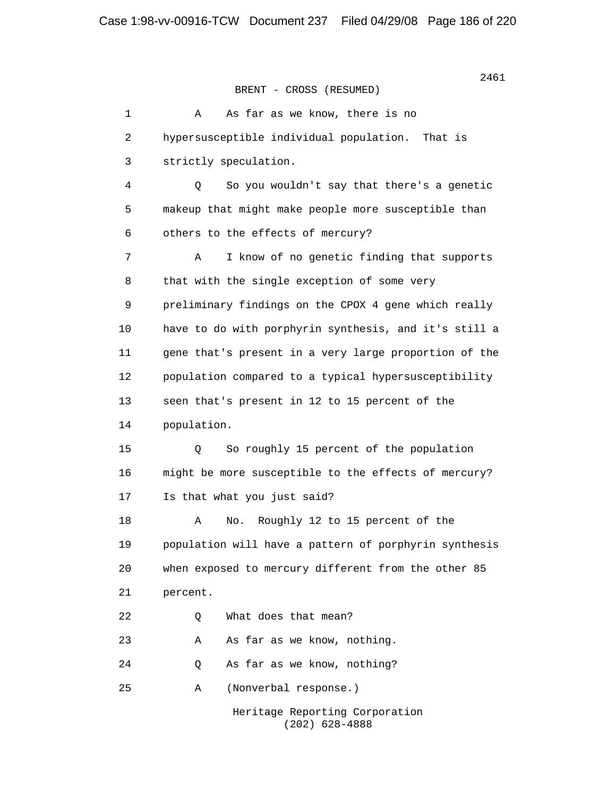> 1 A As far as we know, there is no 2 hypersusceptible individual population. That is 3 strictly speculation. 4 Q So you wouldn't say that there's a genetic 5 makeup that might make people more susceptible than 6 others to the effects of mercury? 7 A I know of no genetic finding that supports 8 that with the single exception of some very 9 preliminary findings on the CPOX 4 gene which really 10 have to do with porphyrin synthesis, and it's still a 11 gene that's present in a very large proportion of the 12 population compared to a typical hypersusceptibility 13 seen that's present in 12 to 15 percent of the 14 population. 15 Q So roughly 15 percent of the population 16 might be more susceptible to the effects of mercury? 17 Is that what you just said? 18 A No. Roughly 12 to 15 percent of the 19 population will have a pattern of porphyrin synthesis 20 when exposed to mercury different from the other 85 21 percent. 22 0 What does that mean? 23 A As far as we know, nothing. 24 Q As far as we know, nothing? 25 A (Nonverbal response.) Heritage Reporting Corporation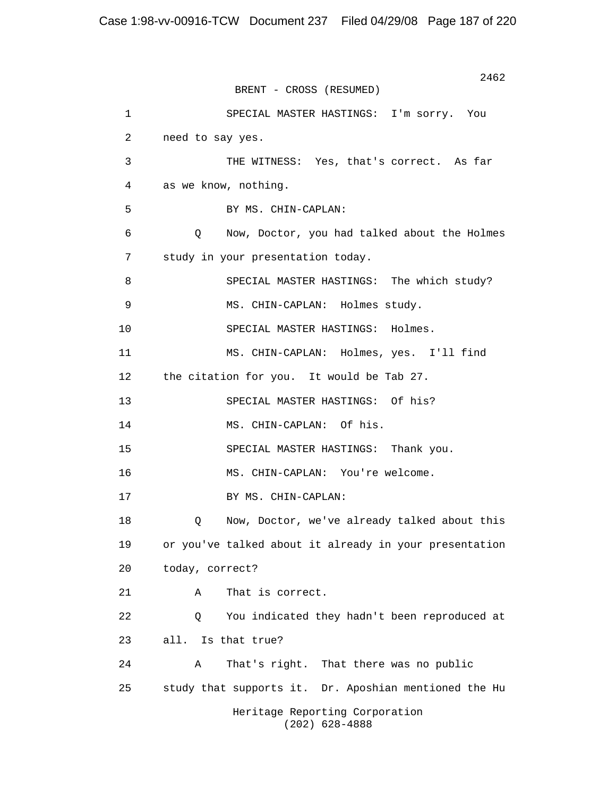2462 BRENT - CROSS (RESUMED) 1 SPECIAL MASTER HASTINGS: I'm sorry. You 2 need to say yes. 3 THE WITNESS: Yes, that's correct. As far 4 as we know, nothing. 5 BY MS. CHIN-CAPLAN: 6 Q Now, Doctor, you had talked about the Holmes 7 study in your presentation today. 8 SPECIAL MASTER HASTINGS: The which study? 9 MS. CHIN-CAPLAN: Holmes study. 10 SPECIAL MASTER HASTINGS: Holmes. 11 MS. CHIN-CAPLAN: Holmes, yes. I'll find 12 the citation for you. It would be Tab 27. 13 SPECIAL MASTER HASTINGS: Of his? 14 MS. CHIN-CAPLAN: Of his. 15 SPECIAL MASTER HASTINGS: Thank you. 16 MS. CHIN-CAPLAN: You're welcome. 17 BY MS. CHIN-CAPLAN: 18 Q Now, Doctor, we've already talked about this 19 or you've talked about it already in your presentation 20 today, correct? 21 A That is correct. 22 Q You indicated they hadn't been reproduced at 23 all. Is that true? 24 A That's right. That there was no public 25 study that supports it. Dr. Aposhian mentioned the Hu Heritage Reporting Corporation (202) 628-4888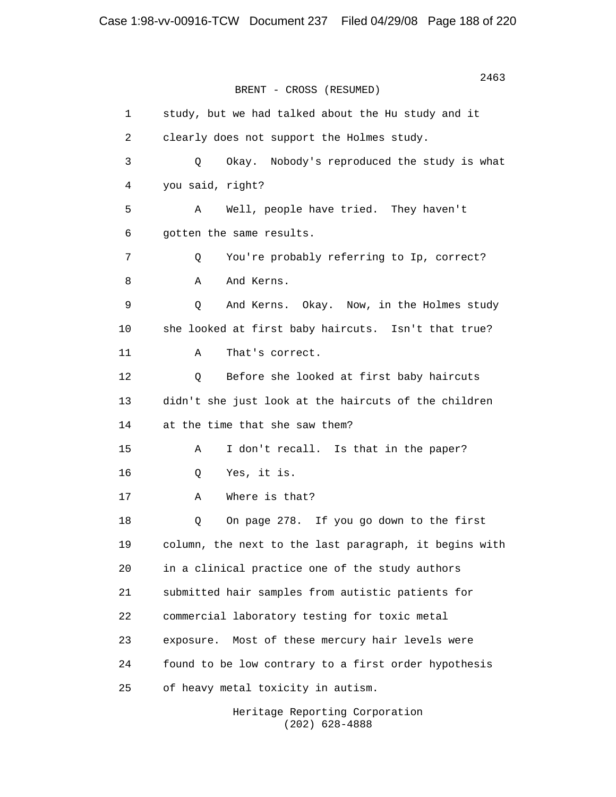2463 BRENT - CROSS (RESUMED) 1 study, but we had talked about the Hu study and it 2 clearly does not support the Holmes study. 3 Q Okay. Nobody's reproduced the study is what 4 you said, right? 5 A Well, people have tried. They haven't 6 gotten the same results. 7 Q You're probably referring to Ip, correct? 8 A And Kerns. 9 Q And Kerns. Okay. Now, in the Holmes study 10 she looked at first baby haircuts. Isn't that true? 11 A That's correct. 12 Q Before she looked at first baby haircuts 13 didn't she just look at the haircuts of the children 14 at the time that she saw them? 15 A I don't recall. Is that in the paper? 16 Q Yes, it is. 17 A Where is that? 18 Q On page 278. If you go down to the first 19 column, the next to the last paragraph, it begins with 20 in a clinical practice one of the study authors 21 submitted hair samples from autistic patients for 22 commercial laboratory testing for toxic metal 23 exposure. Most of these mercury hair levels were 24 found to be low contrary to a first order hypothesis 25 of heavy metal toxicity in autism.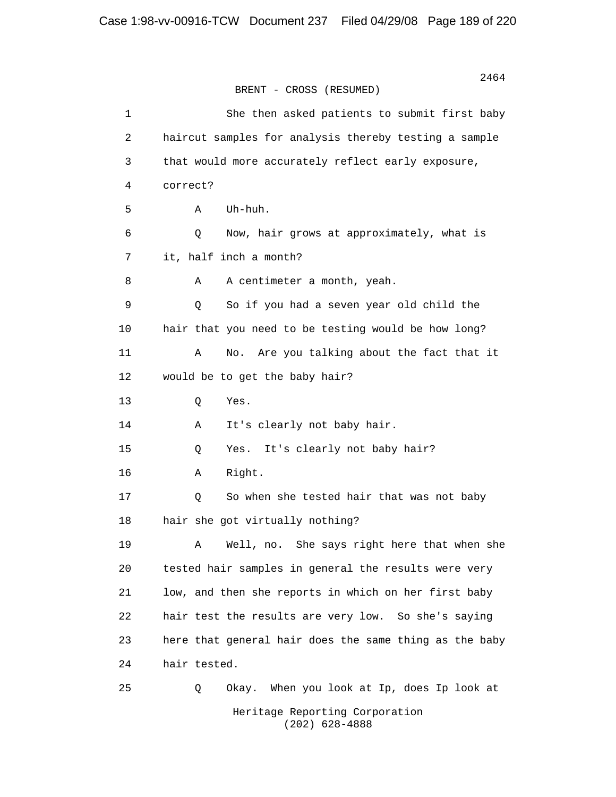2464 BRENT - CROSS (RESUMED) 1 She then asked patients to submit first baby 2 haircut samples for analysis thereby testing a sample 3 that would more accurately reflect early exposure, 4 correct? 5 A Uh-huh. 6 Q Now, hair grows at approximately, what is 7 it, half inch a month? 8 A A centimeter a month, yeah. 9 Q So if you had a seven year old child the 10 hair that you need to be testing would be how long? 11 A No. Are you talking about the fact that it 12 would be to get the baby hair? 13 Q Yes. 14 A It's clearly not baby hair. 15 Q Yes. It's clearly not baby hair? 16 A Right. 17 Q So when she tested hair that was not baby 18 hair she got virtually nothing? 19 A Well, no. She says right here that when she 20 tested hair samples in general the results were very 21 low, and then she reports in which on her first baby 22 hair test the results are very low. So she's saying 23 here that general hair does the same thing as the baby 24 hair tested. 25 Q Okay. When you look at Ip, does Ip look at Heritage Reporting Corporation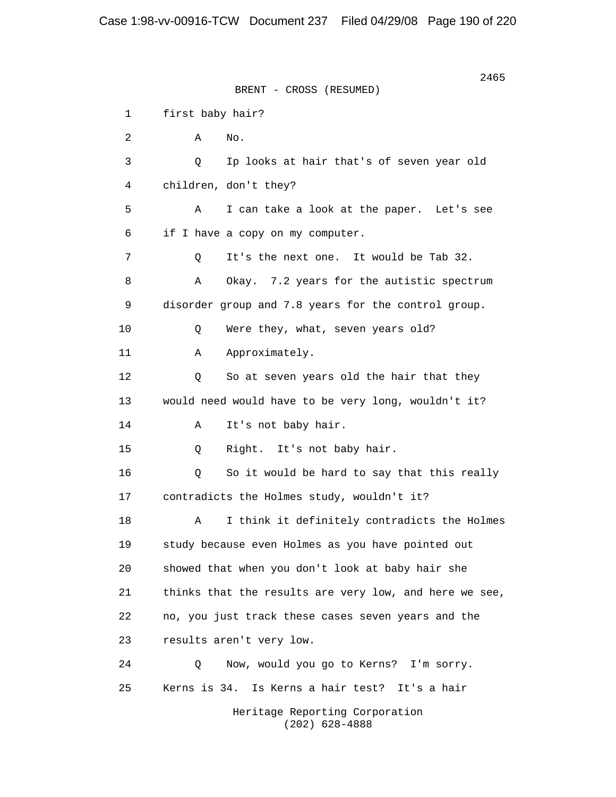2465 BRENT - CROSS (RESUMED) 1 first baby hair?  $2 \qquad \qquad \text{A} \qquad \text{No.}$  3 Q Ip looks at hair that's of seven year old 4 children, don't they? 5 A I can take a look at the paper. Let's see 6 if I have a copy on my computer. 7 Q It's the next one. It would be Tab 32. 8 A Okay. 7.2 years for the autistic spectrum 9 disorder group and 7.8 years for the control group. 10 Q Were they, what, seven years old? 11 A Approximately. 12 0 So at seven years old the hair that they 13 would need would have to be very long, wouldn't it? 14 A It's not baby hair. 15 Q Right. It's not baby hair. 16 Q So it would be hard to say that this really 17 contradicts the Holmes study, wouldn't it? 18 A I think it definitely contradicts the Holmes 19 study because even Holmes as you have pointed out 20 showed that when you don't look at baby hair she 21 thinks that the results are very low, and here we see, 22 no, you just track these cases seven years and the 23 results aren't very low. 24 Q Now, would you go to Kerns? I'm sorry. 25 Kerns is 34. Is Kerns a hair test? It's a hair Heritage Reporting Corporation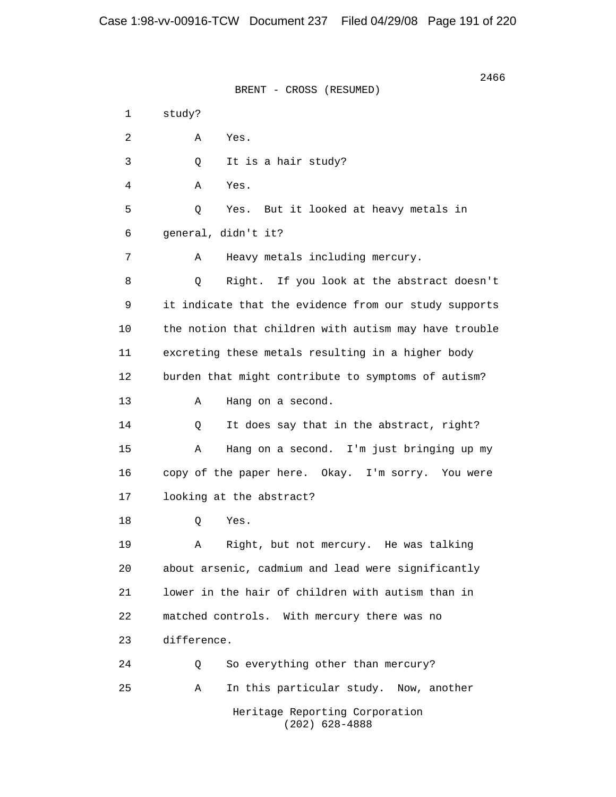2466 BRENT - CROSS (RESUMED) 1 study? 2 A Yes. 3 Q It is a hair study? 4 A Yes. 5 Q Yes. But it looked at heavy metals in 6 general, didn't it? 7 A Heavy metals including mercury. 8 Q Right. If you look at the abstract doesn't 9 it indicate that the evidence from our study supports 10 the notion that children with autism may have trouble 11 excreting these metals resulting in a higher body 12 burden that might contribute to symptoms of autism? 13 A Hang on a second. 14 Q It does say that in the abstract, right? 15 A Hang on a second. I'm just bringing up my 16 copy of the paper here. Okay. I'm sorry. You were 17 looking at the abstract? 18 Q Yes. 19 A Right, but not mercury. He was talking 20 about arsenic, cadmium and lead were significantly 21 lower in the hair of children with autism than in 22 matched controls. With mercury there was no 23 difference. 24 Q So everything other than mercury? 25 A In this particular study. Now, another Heritage Reporting Corporation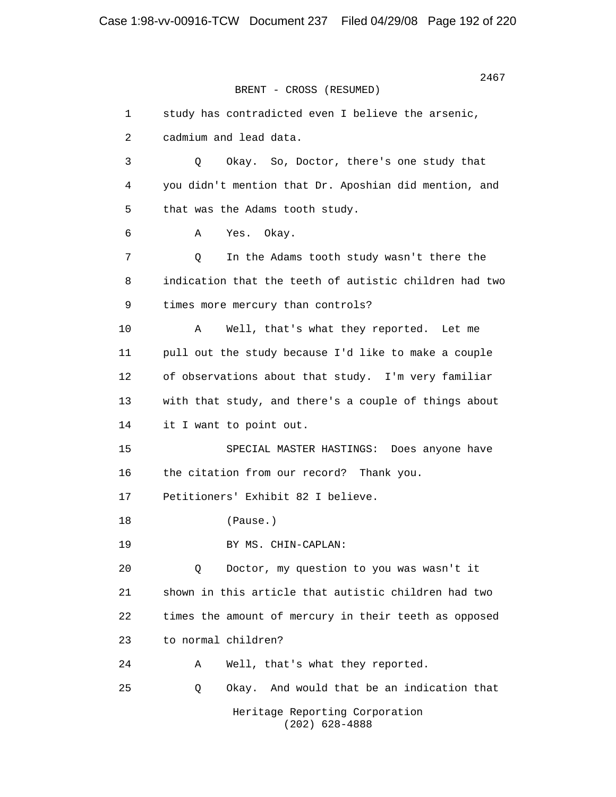```
 2467
BRENT - CROSS (RESUMED)
```
 1 study has contradicted even I believe the arsenic, 2 cadmium and lead data. 3 Q Okay. So, Doctor, there's one study that 4 you didn't mention that Dr. Aposhian did mention, and 5 that was the Adams tooth study. 6 A Yes. Okay. 7 Q In the Adams tooth study wasn't there the 8 indication that the teeth of autistic children had two 9 times more mercury than controls? 10 A Well, that's what they reported. Let me 11 pull out the study because I'd like to make a couple 12 of observations about that study. I'm very familiar 13 with that study, and there's a couple of things about 14 it I want to point out. 15 SPECIAL MASTER HASTINGS: Does anyone have 16 the citation from our record? Thank you. 17 Petitioners' Exhibit 82 I believe. 18 (Pause.) 19 BY MS. CHIN-CAPLAN: 20 Q Doctor, my question to you was wasn't it 21 shown in this article that autistic children had two 22 times the amount of mercury in their teeth as opposed 23 to normal children? 24 A Well, that's what they reported. 25 Q Okay. And would that be an indication that Heritage Reporting Corporation (202) 628-4888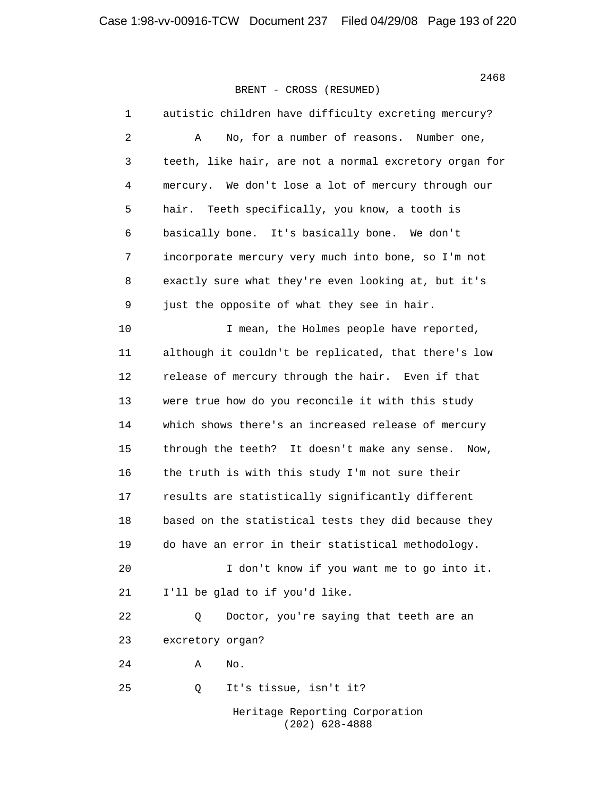1 autistic children have difficulty excreting mercury? 2 A No, for a number of reasons. Number one, 3 teeth, like hair, are not a normal excretory organ for 4 mercury. We don't lose a lot of mercury through our 5 hair. Teeth specifically, you know, a tooth is 6 basically bone. It's basically bone. We don't 7 incorporate mercury very much into bone, so I'm not 8 exactly sure what they're even looking at, but it's 9 just the opposite of what they see in hair. 10 10 I mean, the Holmes people have reported, 11 although it couldn't be replicated, that there's low 12 release of mercury through the hair. Even if that 13 were true how do you reconcile it with this study 14 which shows there's an increased release of mercury 15 through the teeth? It doesn't make any sense. Now, 16 the truth is with this study I'm not sure their 17 results are statistically significantly different 18 based on the statistical tests they did because they 19 do have an error in their statistical methodology. 20 I don't know if you want me to go into it. 21 I'll be glad to if you'd like. 22 0 Doctor, you're saying that teeth are an 23 excretory organ?  $24$  A No. 25 Q It's tissue, isn't it? Heritage Reporting Corporation

(202) 628-4888

2468<br>2468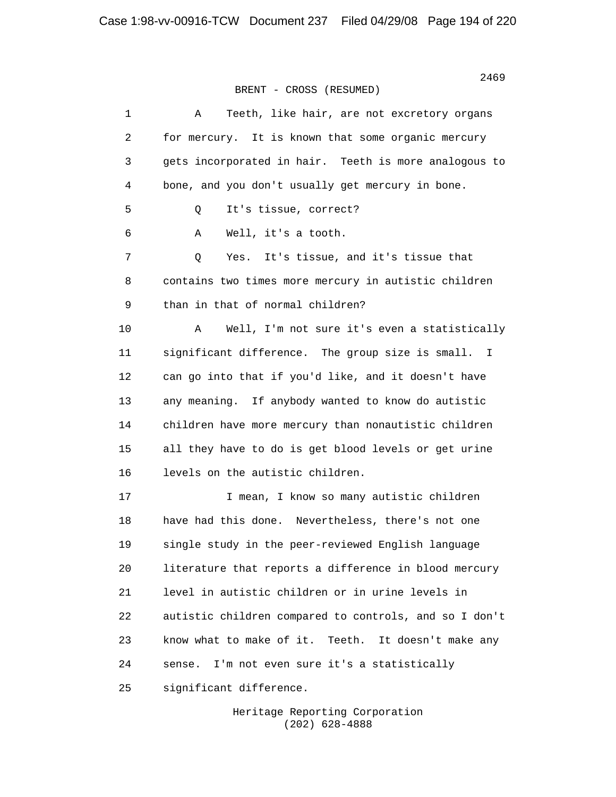| $\mathbf 1$ | Teeth, like hair, are not excretory organs<br>Α           |
|-------------|-----------------------------------------------------------|
| 2           | for mercury. It is known that some organic mercury        |
| 3           | gets incorporated in hair. Teeth is more analogous to     |
| 4           | bone, and you don't usually get mercury in bone.          |
| 5           | It's tissue, correct?<br>Q                                |
| 6           | Well, it's a tooth.<br>Α                                  |
| 7           | Yes. It's tissue, and it's tissue that<br>Q               |
| 8           | contains two times more mercury in autistic children      |
| 9           | than in that of normal children?                          |
| 10          | Well, I'm not sure it's even a statistically<br>Α         |
| 11          | significant difference. The group size is small. I        |
| 12          | can go into that if you'd like, and it doesn't have       |
| 13          | any meaning. If anybody wanted to know do autistic        |
| 14          | children have more mercury than nonautistic children      |
| 15          | all they have to do is get blood levels or get urine      |
| 16          | levels on the autistic children.                          |
| 17          | I mean, I know so many autistic children                  |
| 18          | have had this done. Nevertheless, there's not one         |
| 19          | single study in the peer-reviewed English language        |
| 20          | literature that reports a difference in blood mercury     |
| 21          | level in autistic children or in urine levels in          |
| 22          | autistic children compared to controls, and so I don't    |
| 23          | know what to make of it.<br>Teeth.<br>It doesn't make any |
| 24          | I'm not even sure it's a statistically<br>sense.          |
| 25          | significant difference.                                   |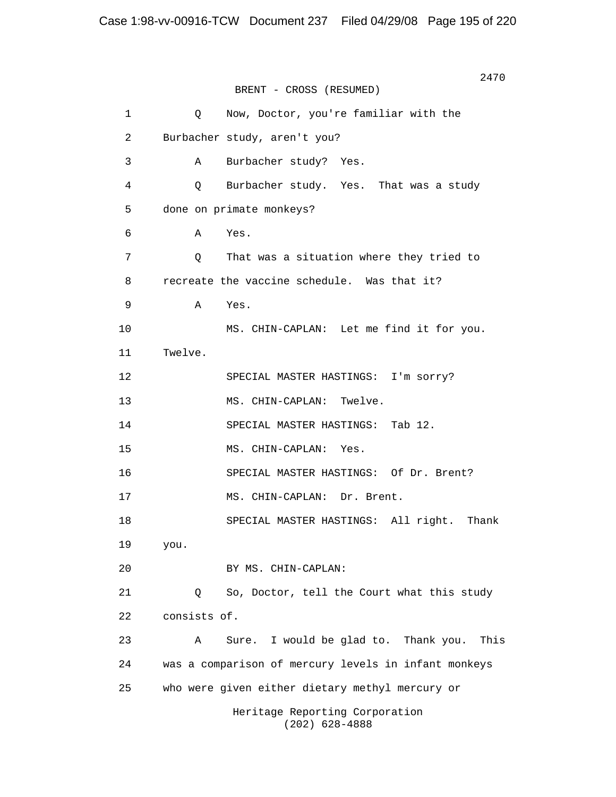2470 BRENT - CROSS (RESUMED) 1 Q Now, Doctor, you're familiar with the 2 Burbacher study, aren't you? 3 A Burbacher study? Yes. 4 Q Burbacher study. Yes. That was a study 5 done on primate monkeys? 6 A Yes. 7 Q That was a situation where they tried to 8 recreate the vaccine schedule. Was that it? 9 A Yes. 10 MS. CHIN-CAPLAN: Let me find it for you. 11 Twelve. 12 SPECIAL MASTER HASTINGS: I'm sorry? 13 MS. CHIN-CAPLAN: Twelve. 14 SPECIAL MASTER HASTINGS: Tab 12. 15 MS. CHIN-CAPLAN: Yes. 16 SPECIAL MASTER HASTINGS: Of Dr. Brent? 17 MS. CHIN-CAPLAN: Dr. Brent. 18 SPECIAL MASTER HASTINGS: All right. Thank 19 you. 20 BY MS. CHIN-CAPLAN: 21 Q So, Doctor, tell the Court what this study 22 consists of. 23 A Sure. I would be glad to. Thank you. This 24 was a comparison of mercury levels in infant monkeys 25 who were given either dietary methyl mercury or Heritage Reporting Corporation (202) 628-4888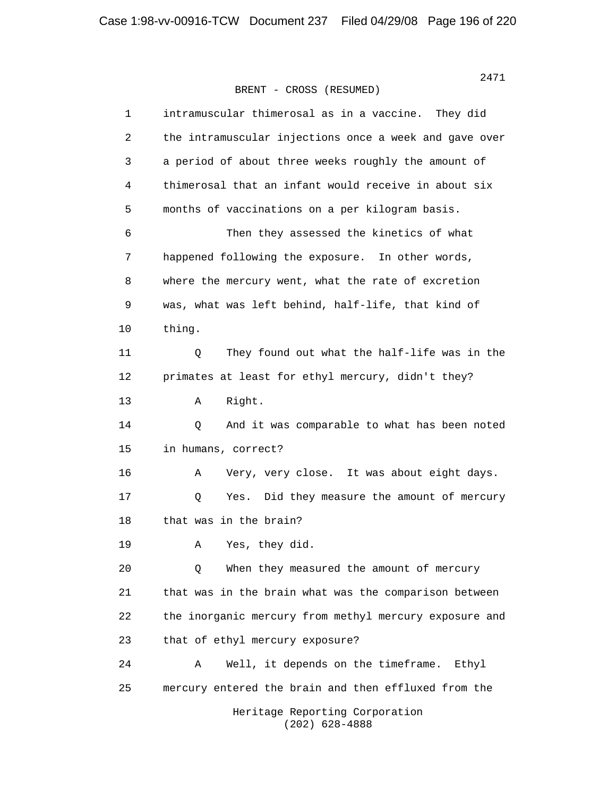| 1  | intramuscular thimerosal as in a vaccine.<br>They did  |
|----|--------------------------------------------------------|
| 2  | the intramuscular injections once a week and gave over |
| 3  | a period of about three weeks roughly the amount of    |
| 4  | thimerosal that an infant would receive in about six   |
| 5  | months of vaccinations on a per kilogram basis.        |
| 6  | Then they assessed the kinetics of what                |
| 7  | happened following the exposure. In other words,       |
| 8  | where the mercury went, what the rate of excretion     |
| 9  | was, what was left behind, half-life, that kind of     |
| 10 | thing.                                                 |
| 11 | Q<br>They found out what the half-life was in the      |
| 12 | primates at least for ethyl mercury, didn't they?      |
| 13 | Right.<br>Α                                            |
| 14 | And it was comparable to what has been noted<br>Q      |
| 15 | in humans, correct?                                    |
| 16 | Very, very close. It was about eight days.<br>Α        |
| 17 | Did they measure the amount of mercury<br>Q<br>Yes.    |
| 18 | that was in the brain?                                 |
| 19 | Yes, they did.<br>Α                                    |
| 20 | When they measured the amount of mercury<br>Q          |
| 21 | that was in the brain what was the comparison between  |
| 22 | the inorganic mercury from methyl mercury exposure and |
| 23 | that of ethyl mercury exposure?                        |
| 24 | Well, it depends on the timeframe.<br>Ethyl<br>Α       |
| 25 | mercury entered the brain and then effluxed from the   |
|    | Heritage Reporting Corporation<br>$(202)$ 628-4888     |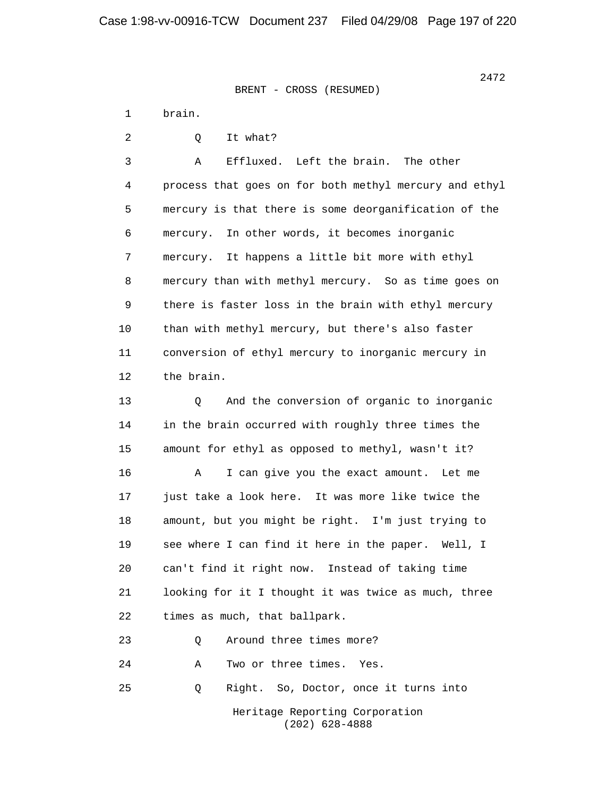> 1 brain. 2 0 It what? 3 A Effluxed. Left the brain. The other 4 process that goes on for both methyl mercury and ethyl 5 mercury is that there is some deorganification of the 6 mercury. In other words, it becomes inorganic 7 mercury. It happens a little bit more with ethyl 8 mercury than with methyl mercury. So as time goes on 9 there is faster loss in the brain with ethyl mercury 10 than with methyl mercury, but there's also faster 11 conversion of ethyl mercury to inorganic mercury in 12 the brain. 13 Q And the conversion of organic to inorganic 14 in the brain occurred with roughly three times the 15 amount for ethyl as opposed to methyl, wasn't it? 16 A I can give you the exact amount. Let me 17 just take a look here. It was more like twice the 18 amount, but you might be right. I'm just trying to 19 see where I can find it here in the paper. Well, I 20 can't find it right now. Instead of taking time 21 looking for it I thought it was twice as much, three 22 times as much, that ballpark. 23 Q Around three times more? 24 A Two or three times. Yes. 25 Q Right. So, Doctor, once it turns into Heritage Reporting Corporation (202) 628-4888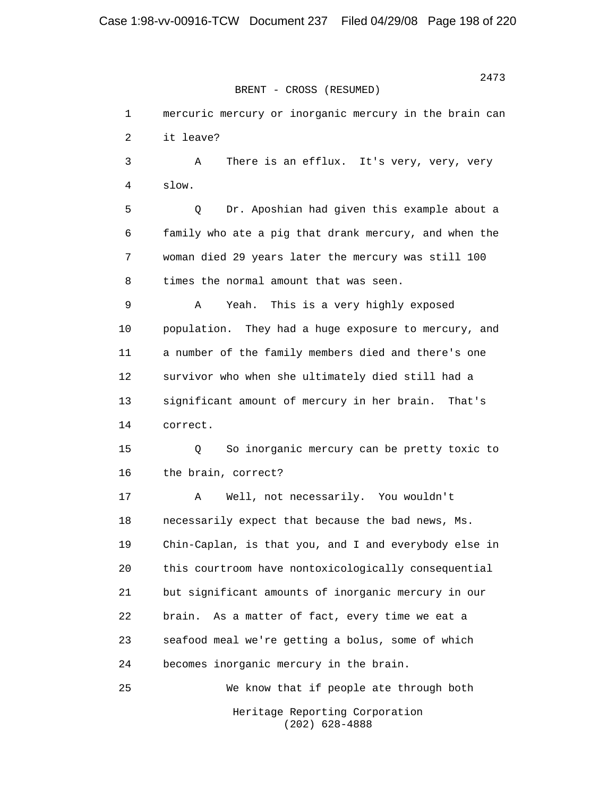> 1 mercuric mercury or inorganic mercury in the brain can 2 it leave? 3 A There is an efflux. It's very, very, very 4 slow. 5 Q Dr. Aposhian had given this example about a 6 family who ate a pig that drank mercury, and when the 7 woman died 29 years later the mercury was still 100 8 times the normal amount that was seen. 9 A Yeah. This is a very highly exposed 10 population. They had a huge exposure to mercury, and 11 a number of the family members died and there's one 12 survivor who when she ultimately died still had a 13 significant amount of mercury in her brain. That's 14 correct. 15 Q So inorganic mercury can be pretty toxic to 16 the brain, correct? 17 A Well, not necessarily. You wouldn't 18 necessarily expect that because the bad news, Ms. 19 Chin-Caplan, is that you, and I and everybody else in 20 this courtroom have nontoxicologically consequential 21 but significant amounts of inorganic mercury in our 22 brain. As a matter of fact, every time we eat a 23 seafood meal we're getting a bolus, some of which 24 becomes inorganic mercury in the brain. 25 We know that if people ate through both Heritage Reporting Corporation (202) 628-4888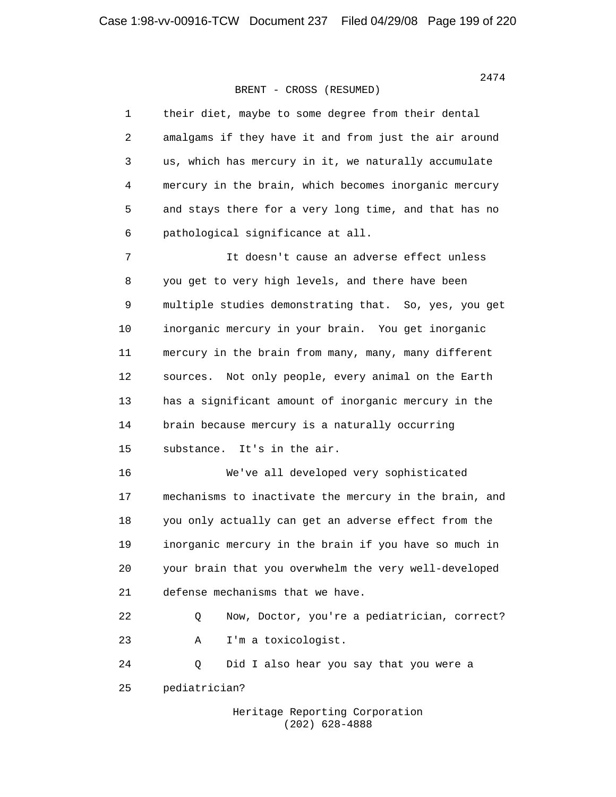| $\mathbf 1$ | their diet, maybe to some degree from their dental     |
|-------------|--------------------------------------------------------|
| 2           | amalgams if they have it and from just the air around  |
| 3           | us, which has mercury in it, we naturally accumulate   |
| 4           | mercury in the brain, which becomes inorganic mercury  |
| 5           | and stays there for a very long time, and that has no  |
| 6           | pathological significance at all.                      |
| 7           | It doesn't cause an adverse effect unless              |
| 8           | you get to very high levels, and there have been       |
| $\mathsf 9$ | multiple studies demonstrating that. So, yes, you get  |
| 10          | inorganic mercury in your brain. You get inorganic     |
| 11          | mercury in the brain from many, many, many different   |
| 12          | Not only people, every animal on the Earth<br>sources. |
| 13          | has a significant amount of inorganic mercury in the   |
| 14          | brain because mercury is a naturally occurring         |
| 15          | It's in the air.<br>substance.                         |
| 16          | We've all developed very sophisticated                 |
| 17          | mechanisms to inactivate the mercury in the brain, and |
| 18          | you only actually can get an adverse effect from the   |
| 19          | inorganic mercury in the brain if you have so much in  |
| 20          | your brain that you overwhelm the very well-developed  |
| 21          | defense mechanisms that we have.                       |
| 22          | Now, Doctor, you're a pediatrician, correct?<br>Q      |
| 23          | I'm a toxicologist.<br>Α                               |
| 24          | Did I also hear you say that you were a<br>Q           |
| 25          | pediatrician?                                          |
|             |                                                        |

 Heritage Reporting Corporation (202) 628-4888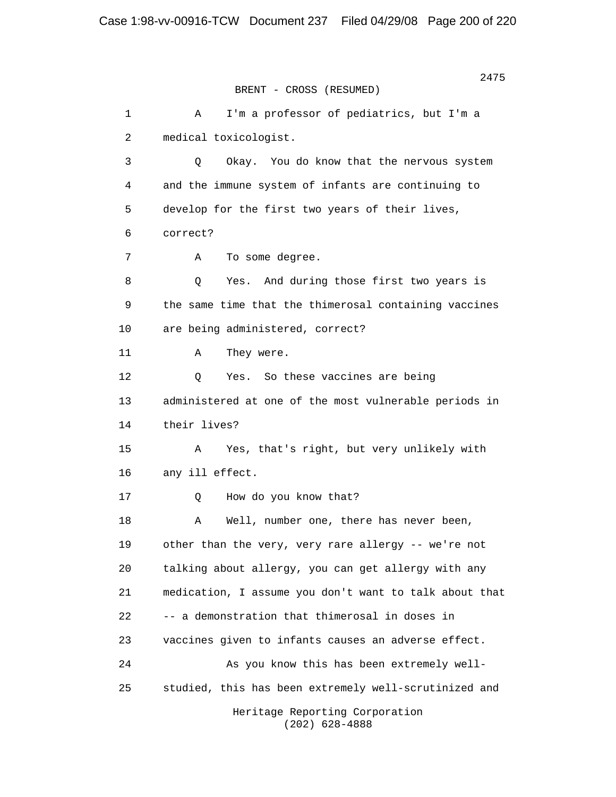2475 BRENT - CROSS (RESUMED) 1 A I'm a professor of pediatrics, but I'm a 2 medical toxicologist. 3 Q Okay. You do know that the nervous system 4 and the immune system of infants are continuing to 5 develop for the first two years of their lives, 6 correct? 7 A To some degree. 8 Q Yes. And during those first two years is 9 the same time that the thimerosal containing vaccines 10 are being administered, correct? 11 A They were. 12 Q Yes. So these vaccines are being 13 administered at one of the most vulnerable periods in 14 their lives? 15 A Yes, that's right, but very unlikely with 16 any ill effect. 17 Q How do you know that? 18 A Well, number one, there has never been, 19 other than the very, very rare allergy -- we're not 20 talking about allergy, you can get allergy with any 21 medication, I assume you don't want to talk about that 22 -- a demonstration that thimerosal in doses in 23 vaccines given to infants causes an adverse effect. 24 As you know this has been extremely well- 25 studied, this has been extremely well-scrutinized and Heritage Reporting Corporation (202) 628-4888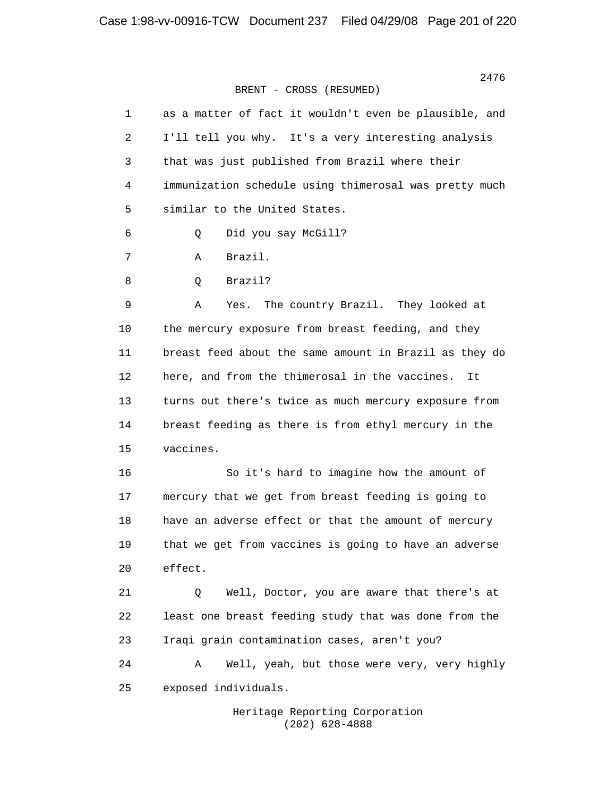| 1  | as a matter of fact it wouldn't even be plausible, and |
|----|--------------------------------------------------------|
| 2  | I'll tell you why. It's a very interesting analysis    |
| 3  | that was just published from Brazil where their        |
| 4  | immunization schedule using thimerosal was pretty much |
| 5  | similar to the United States.                          |
| 6  | Did you say McGill?<br>Q                               |
| 7  | Brazil.<br>Α                                           |
| 8  | Brazil?<br>Q                                           |
| 9  | The country Brazil. They looked at<br>Α<br>Yes.        |
| 10 | the mercury exposure from breast feeding, and they     |
| 11 | breast feed about the same amount in Brazil as they do |
| 12 | here, and from the thimerosal in the vaccines.<br>It   |
| 13 | turns out there's twice as much mercury exposure from  |
| 14 | breast feeding as there is from ethyl mercury in the   |
| 15 | vaccines.                                              |
| 16 | So it's hard to imagine how the amount of              |
| 17 | mercury that we get from breast feeding is going to    |
| 18 | have an adverse effect or that the amount of mercury   |
| 19 | that we get from vaccines is going to have an adverse  |
| 20 | effect.                                                |
| 21 | Well, Doctor, you are aware that there's at<br>Q       |
| 22 | least one breast feeding study that was done from the  |
| 23 | Iraqi grain contamination cases, aren't you?           |
| 24 | Well, yeah, but those were very, very highly<br>Α      |
| 25 | exposed individuals.                                   |
|    |                                                        |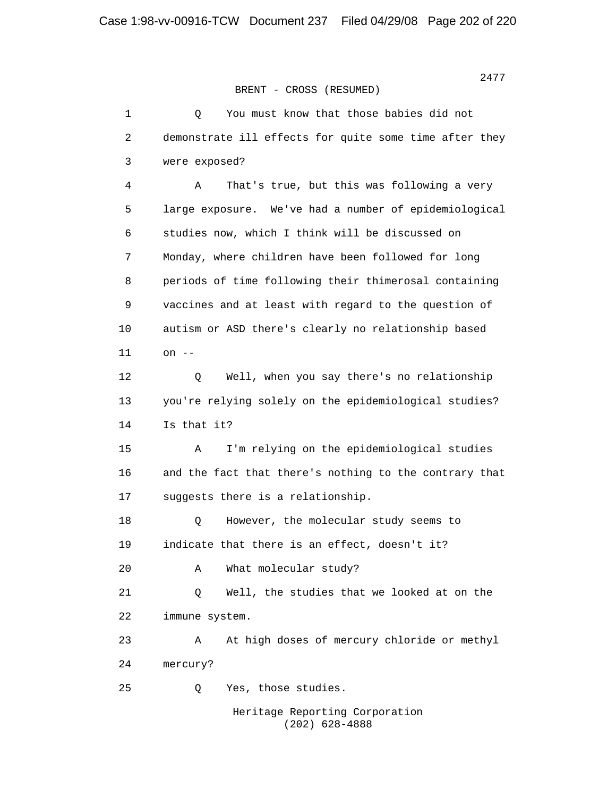> 1 Q You must know that those babies did not 2 demonstrate ill effects for quite some time after they 3 were exposed? 4 A That's true, but this was following a very 5 large exposure. We've had a number of epidemiological 6 studies now, which I think will be discussed on 7 Monday, where children have been followed for long 8 periods of time following their thimerosal containing 9 vaccines and at least with regard to the question of 10 autism or ASD there's clearly no relationship based 11 on -- 12 Q Well, when you say there's no relationship 13 you're relying solely on the epidemiological studies? 14 Is that it? 15 A I'm relying on the epidemiological studies 16 and the fact that there's nothing to the contrary that 17 suggests there is a relationship. 18 0 However, the molecular study seems to 19 indicate that there is an effect, doesn't it? 20 A What molecular study? 21 Q Well, the studies that we looked at on the 22 immune system. 23 A At high doses of mercury chloride or methyl 24 mercury? 25 Q Yes, those studies. Heritage Reporting Corporation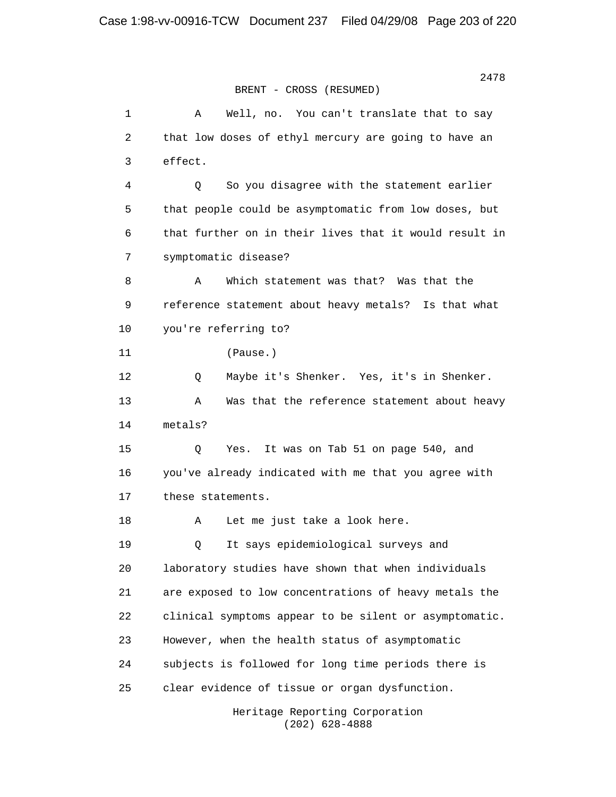2478 **2478** BRENT - CROSS (RESUMED) 1 A Well, no. You can't translate that to say 2 that low doses of ethyl mercury are going to have an 3 effect. 4 Q So you disagree with the statement earlier 5 that people could be asymptomatic from low doses, but 6 that further on in their lives that it would result in 7 symptomatic disease? 8 A Which statement was that? Was that the 9 reference statement about heavy metals? Is that what 10 you're referring to? 11 (Pause.) 12 Q Maybe it's Shenker. Yes, it's in Shenker. 13 A Was that the reference statement about heavy 14 metals? 15 Q Yes. It was on Tab 51 on page 540, and 16 you've already indicated with me that you agree with 17 these statements. 18 A Let me just take a look here. 19 Q It says epidemiological surveys and 20 laboratory studies have shown that when individuals 21 are exposed to low concentrations of heavy metals the 22 clinical symptoms appear to be silent or asymptomatic. 23 However, when the health status of asymptomatic 24 subjects is followed for long time periods there is 25 clear evidence of tissue or organ dysfunction.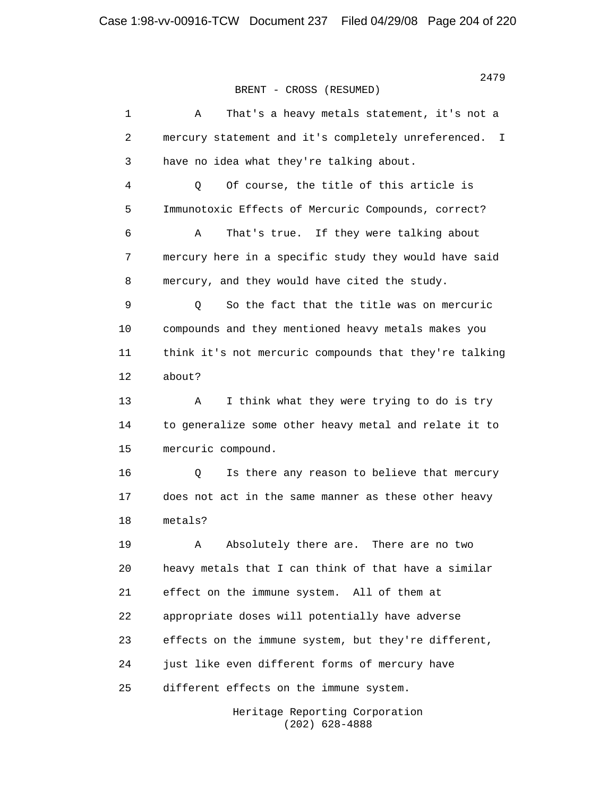| 1  | That's a heavy metals statement, it's not a<br>Α        |
|----|---------------------------------------------------------|
| 2  | mercury statement and it's completely unreferenced. I   |
| 3  | have no idea what they're talking about.                |
| 4  | Of course, the title of this article is<br>$\mathsf{Q}$ |
| 5  | Immunotoxic Effects of Mercuric Compounds, correct?     |
| 6  | That's true. If they were talking about<br>Α            |
| 7  | mercury here in a specific study they would have said   |
| 8  | mercury, and they would have cited the study.           |
| 9  | So the fact that the title was on mercuric<br>Q         |
| 10 | compounds and they mentioned heavy metals makes you     |
| 11 | think it's not mercuric compounds that they're talking  |
| 12 | about?                                                  |
| 13 | I think what they were trying to do is try<br>Α         |
| 14 | to generalize some other heavy metal and relate it to   |
| 15 | mercuric compound.                                      |
| 16 | Is there any reason to believe that mercury<br>Q        |
| 17 | does not act in the same manner as these other heavy    |
| 18 | metals?                                                 |
| 19 | Absolutely there are. There are no two<br>Α             |
| 20 | heavy metals that I can think of that have a similar    |
| 21 | effect on the immune system. All of them at             |
| 22 | appropriate doses will potentially have adverse         |
| 23 | effects on the immune system, but they're different,    |
| 24 | just like even different forms of mercury have          |
| 25 | different effects on the immune system.                 |
|    |                                                         |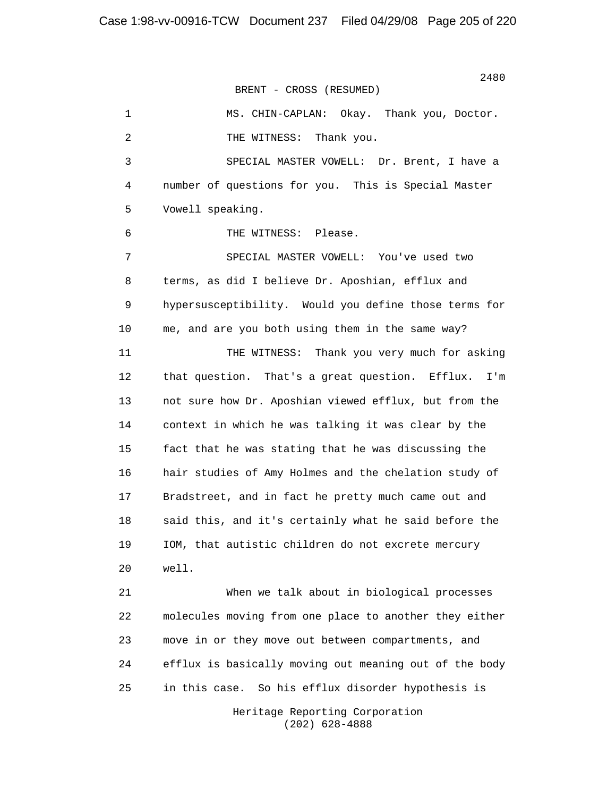2480<br>2480

BRENT - CROSS (RESUMED)

 1 MS. CHIN-CAPLAN: Okay. Thank you, Doctor. 2 THE WITNESS: Thank you. 3 SPECIAL MASTER VOWELL: Dr. Brent, I have a 4 number of questions for you. This is Special Master 5 Vowell speaking. 6 THE WITNESS: Please. 7 SPECIAL MASTER VOWELL: You've used two 8 terms, as did I believe Dr. Aposhian, efflux and 9 hypersusceptibility. Would you define those terms for 10 me, and are you both using them in the same way? 11 THE WITNESS: Thank you very much for asking 12 that question. That's a great question. Efflux. I'm 13 not sure how Dr. Aposhian viewed efflux, but from the 14 context in which he was talking it was clear by the 15 fact that he was stating that he was discussing the 16 hair studies of Amy Holmes and the chelation study of 17 Bradstreet, and in fact he pretty much came out and 18 said this, and it's certainly what he said before the 19 IOM, that autistic children do not excrete mercury 20 well. 21 When we talk about in biological processes 22 molecules moving from one place to another they either 23 move in or they move out between compartments, and 24 efflux is basically moving out meaning out of the body

> Heritage Reporting Corporation (202) 628-4888

25 in this case. So his efflux disorder hypothesis is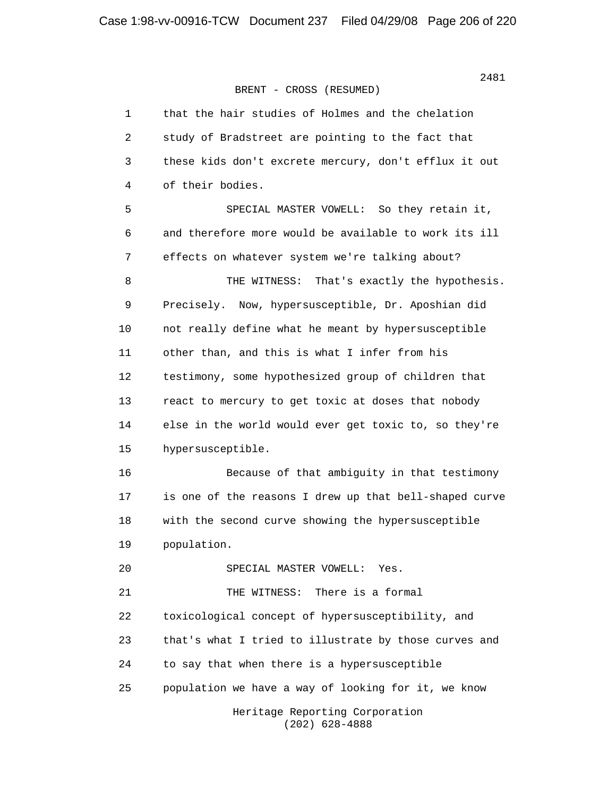| $\mathbf{1}$   | that the hair studies of Holmes and the chelation      |
|----------------|--------------------------------------------------------|
| $\overline{2}$ | study of Bradstreet are pointing to the fact that      |
| 3              | these kids don't excrete mercury, don't efflux it out  |
| 4              | of their bodies.                                       |
| 5              | SPECIAL MASTER VOWELL: So they retain it,              |
| 6              | and therefore more would be available to work its ill  |
| 7              | effects on whatever system we're talking about?        |
| 8              | That's exactly the hypothesis.<br>THE WITNESS:         |
| 9              | Precisely. Now, hypersusceptible, Dr. Aposhian did     |
| 10             | not really define what he meant by hypersusceptible    |
| 11             | other than, and this is what I infer from his          |
| 12             | testimony, some hypothesized group of children that    |
| 13             | react to mercury to get toxic at doses that nobody     |
| 14             | else in the world would ever get toxic to, so they're  |
| 15             | hypersusceptible.                                      |
| 16             | Because of that ambiguity in that testimony            |
| 17             | is one of the reasons I drew up that bell-shaped curve |
| 18             | with the second curve showing the hypersusceptible     |
| 19             | population.                                            |
| 20             | SPECIAL MASTER VOWELL:<br>Yes.                         |
| 21             | There is a formal<br>THE WITNESS:                      |
| 22             | toxicological concept of hypersusceptibility, and      |
| 23             | that's what I tried to illustrate by those curves and  |
| 24             | to say that when there is a hypersusceptible           |
| 25             | population we have a way of looking for it, we know    |
|                | Heritage Reporting Corporation<br>$(202)$ 628-4888     |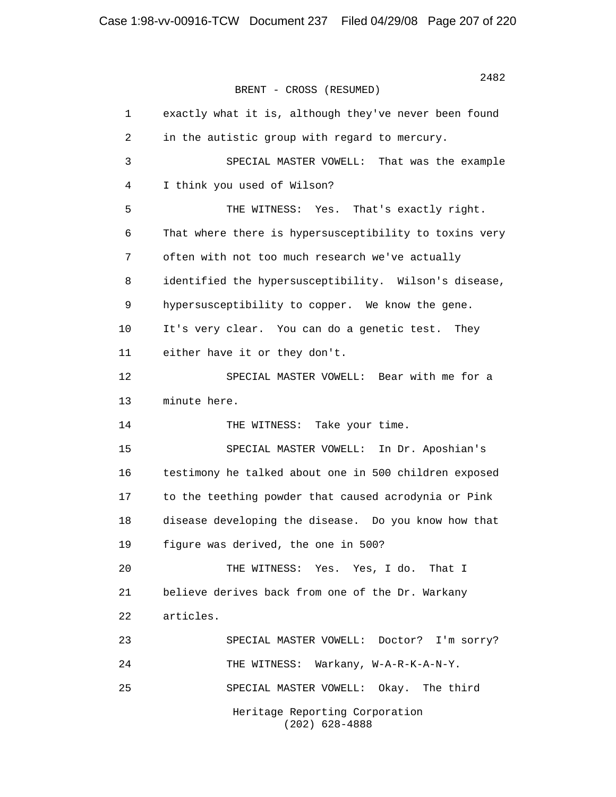| $\mathbf{1}$ | exactly what it is, although they've never been found  |
|--------------|--------------------------------------------------------|
| 2            | in the autistic group with regard to mercury.          |
| 3            | SPECIAL MASTER VOWELL: That was the example            |
| 4            | I think you used of Wilson?                            |
| 5            | THE WITNESS: Yes. That's exactly right.                |
| 6            | That where there is hypersusceptibility to toxins very |
| 7            | often with not too much research we've actually        |
| 8            | identified the hypersusceptibility. Wilson's disease,  |
| 9            | hypersusceptibility to copper. We know the gene.       |
| 10           | It's very clear. You can do a genetic test. They       |
| 11           | either have it or they don't.                          |
| 12           | SPECIAL MASTER VOWELL: Bear with me for a              |
| 13           | minute here.                                           |
| 14           | THE WITNESS: Take your time.                           |
| 15           | SPECIAL MASTER VOWELL: In Dr. Aposhian's               |
| 16           | testimony he talked about one in 500 children exposed  |
| 17           | to the teething powder that caused acrodynia or Pink   |
| 18           | disease developing the disease. Do you know how that   |
| 19           | figure was derived, the one in 500?                    |
| 20           | THE WITNESS: Yes. Yes, I do. That I                    |
| 21           | believe derives back from one of the Dr. Warkany       |
| 22           | articles.                                              |
| 23           | SPECIAL MASTER VOWELL: Doctor?<br>I'm sorry?           |
| 24           | Warkany, W-A-R-K-A-N-Y.<br>THE WITNESS:                |
| 25           | SPECIAL MASTER VOWELL:<br>Okay. The third              |
|              | Heritage Reporting Corporation<br>$(202)$ 628-4888     |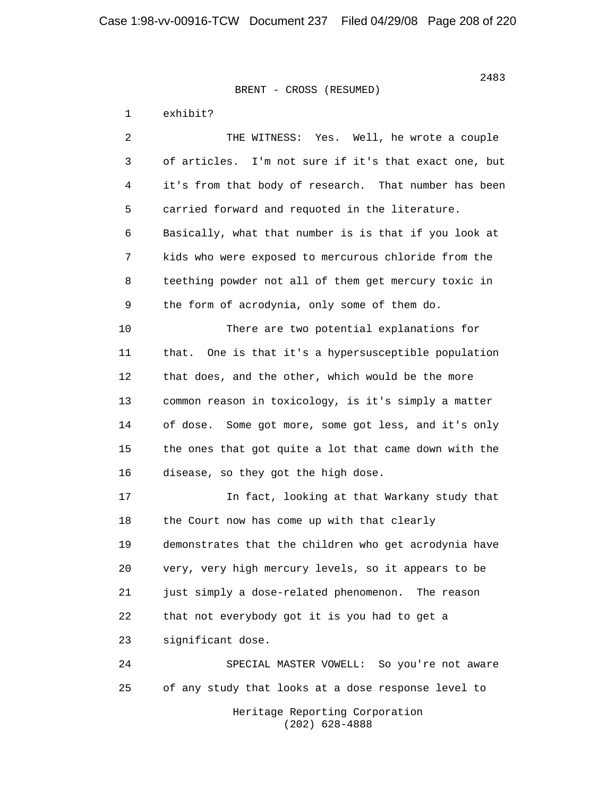1 exhibit?

 2 THE WITNESS: Yes. Well, he wrote a couple 3 of articles. I'm not sure if it's that exact one, but 4 it's from that body of research. That number has been 5 carried forward and requoted in the literature. 6 Basically, what that number is is that if you look at 7 kids who were exposed to mercurous chloride from the 8 teething powder not all of them get mercury toxic in 9 the form of acrodynia, only some of them do. 10 There are two potential explanations for 11 that. One is that it's a hypersusceptible population 12 that does, and the other, which would be the more 13 common reason in toxicology, is it's simply a matter 14 of dose. Some got more, some got less, and it's only 15 the ones that got quite a lot that came down with the 16 disease, so they got the high dose. 17 In fact, looking at that Warkany study that 18 the Court now has come up with that clearly 19 demonstrates that the children who get acrodynia have 20 very, very high mercury levels, so it appears to be 21 just simply a dose-related phenomenon. The reason 22 that not everybody got it is you had to get a 23 significant dose. 24 SPECIAL MASTER VOWELL: So you're not aware 25 of any study that looks at a dose response level to

 Heritage Reporting Corporation (202) 628-4888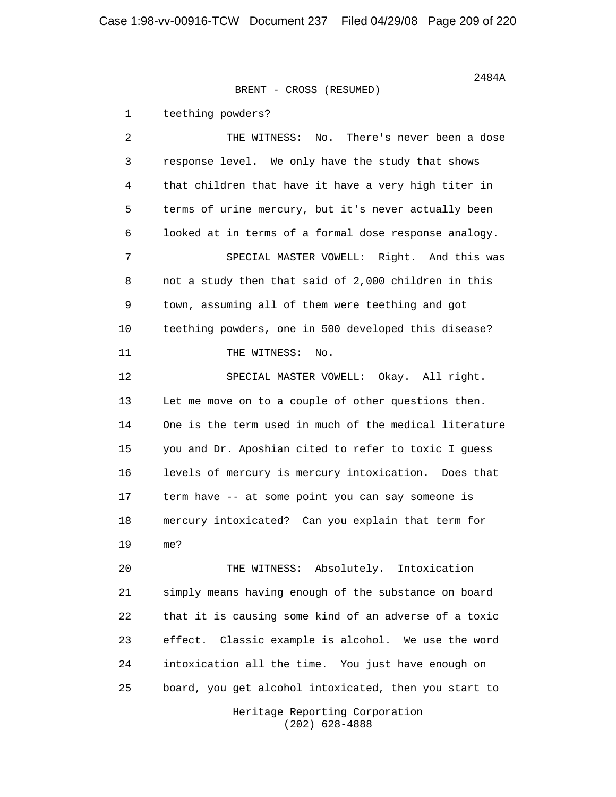1 teething powders?

 2 THE WITNESS: No. There's never been a dose 3 response level. We only have the study that shows 4 that children that have it have a very high titer in 5 terms of urine mercury, but it's never actually been 6 looked at in terms of a formal dose response analogy. 7 SPECIAL MASTER VOWELL: Right. And this was 8 not a study then that said of 2,000 children in this 9 town, assuming all of them were teething and got 10 teething powders, one in 500 developed this disease? 11 THE WITNESS: No. 12 SPECIAL MASTER VOWELL: Okay. All right. 13 Let me move on to a couple of other questions then. 14 One is the term used in much of the medical literature 15 you and Dr. Aposhian cited to refer to toxic I guess 16 levels of mercury is mercury intoxication. Does that 17 term have -- at some point you can say someone is 18 mercury intoxicated? Can you explain that term for 19 me? 20 THE WITNESS: Absolutely. Intoxication 21 simply means having enough of the substance on board 22 that it is causing some kind of an adverse of a toxic 23 effect. Classic example is alcohol. We use the word 24 intoxication all the time. You just have enough on 25 board, you get alcohol intoxicated, then you start to

> Heritage Reporting Corporation (202) 628-4888

 $2484A$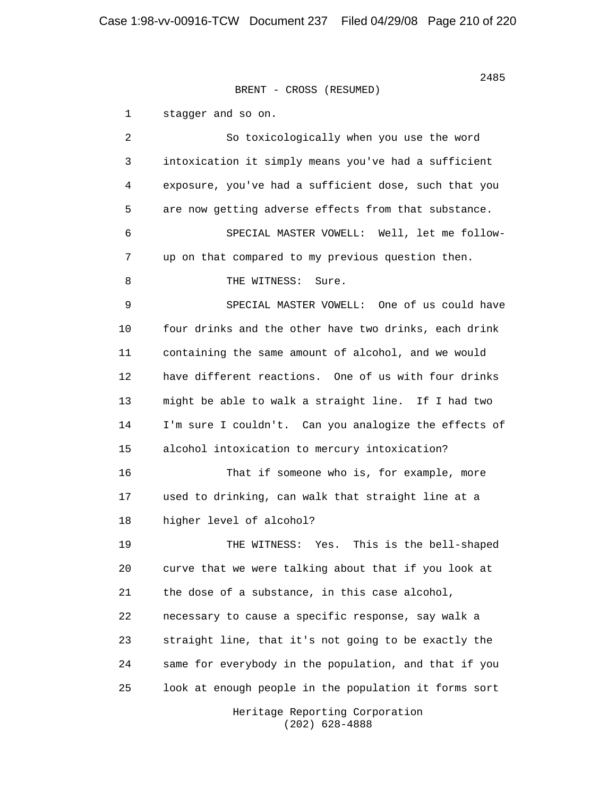1 stagger and so on.

 2 So toxicologically when you use the word 3 intoxication it simply means you've had a sufficient 4 exposure, you've had a sufficient dose, such that you 5 are now getting adverse effects from that substance. 6 SPECIAL MASTER VOWELL: Well, let me follow- 7 up on that compared to my previous question then. 8 THE WITNESS: Sure. 9 SPECIAL MASTER VOWELL: One of us could have 10 four drinks and the other have two drinks, each drink 11 containing the same amount of alcohol, and we would 12 have different reactions. One of us with four drinks 13 might be able to walk a straight line. If I had two 14 I'm sure I couldn't. Can you analogize the effects of 15 alcohol intoxication to mercury intoxication? 16 That if someone who is, for example, more 17 used to drinking, can walk that straight line at a 18 higher level of alcohol? 19 THE WITNESS: Yes. This is the bell-shaped 20 curve that we were talking about that if you look at 21 the dose of a substance, in this case alcohol, 22 necessary to cause a specific response, say walk a 23 straight line, that it's not going to be exactly the 24 same for everybody in the population, and that if you 25 look at enough people in the population it forms sort

 Heritage Reporting Corporation (202) 628-4888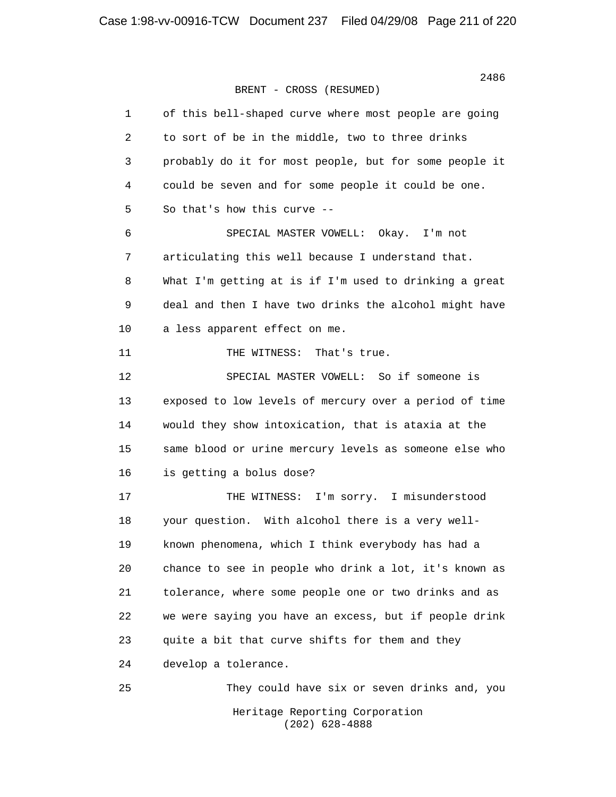| $\mathbf{1}$   | of this bell-shaped curve where most people are going  |
|----------------|--------------------------------------------------------|
| $\overline{c}$ | to sort of be in the middle, two to three drinks       |
| 3              | probably do it for most people, but for some people it |
| 4              | could be seven and for some people it could be one.    |
| 5              | So that's how this curve --                            |
| 6              | SPECIAL MASTER VOWELL: Okay. I'm not                   |
| 7              | articulating this well because I understand that.      |
| 8              | What I'm getting at is if I'm used to drinking a great |
| 9              | deal and then I have two drinks the alcohol might have |
| 10             | a less apparent effect on me.                          |
| 11             | THE WITNESS:<br>That's true.                           |
| 12             | SPECIAL MASTER VOWELL: So if someone is                |
| 13             | exposed to low levels of mercury over a period of time |
| 14             | would they show intoxication, that is ataxia at the    |
| 15             | same blood or urine mercury levels as someone else who |
| 16             | is getting a bolus dose?                               |
| 17             | I'm sorry. I misunderstood<br>THE WITNESS:             |
| 18             | your question. With alcohol there is a very well-      |
| 19             | known phenomena, which I think everybody has had a     |
| 20             | chance to see in people who drink a lot, it's known as |
| 21             | tolerance, where some people one or two drinks and as  |
| 22             | we were saying you have an excess, but if people drink |
| 23             | quite a bit that curve shifts for them and they        |
| 24             | develop a tolerance.                                   |
| 25             | They could have six or seven drinks and, you           |
|                | Heritage Reporting Corporation<br>$(202)$ 628-4888     |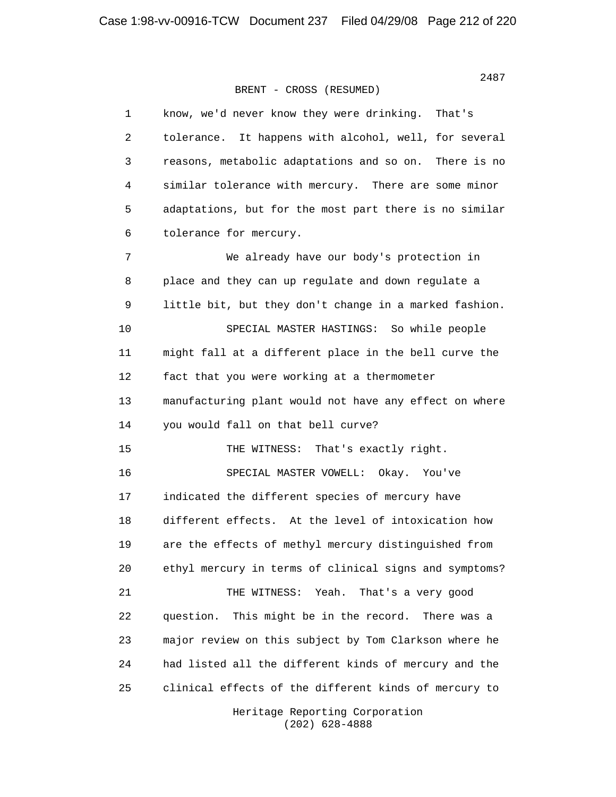1 know, we'd never know they were drinking. That's 2 tolerance. It happens with alcohol, well, for several 3 reasons, metabolic adaptations and so on. There is no 4 similar tolerance with mercury. There are some minor 5 adaptations, but for the most part there is no similar 6 tolerance for mercury. 7 We already have our body's protection in 8 place and they can up regulate and down regulate a 9 little bit, but they don't change in a marked fashion. 10 SPECIAL MASTER HASTINGS: So while people 11 might fall at a different place in the bell curve the 12 fact that you were working at a thermometer 13 manufacturing plant would not have any effect on where 14 you would fall on that bell curve? 15 THE WITNESS: That's exactly right. 16 SPECIAL MASTER VOWELL: Okay. You've 17 indicated the different species of mercury have 18 different effects. At the level of intoxication how 19 are the effects of methyl mercury distinguished from 20 ethyl mercury in terms of clinical signs and symptoms? 21 THE WITNESS: Yeah. That's a very good 22 question. This might be in the record. There was a 23 major review on this subject by Tom Clarkson where he 24 had listed all the different kinds of mercury and the 25 clinical effects of the different kinds of mercury to

> Heritage Reporting Corporation (202) 628-4888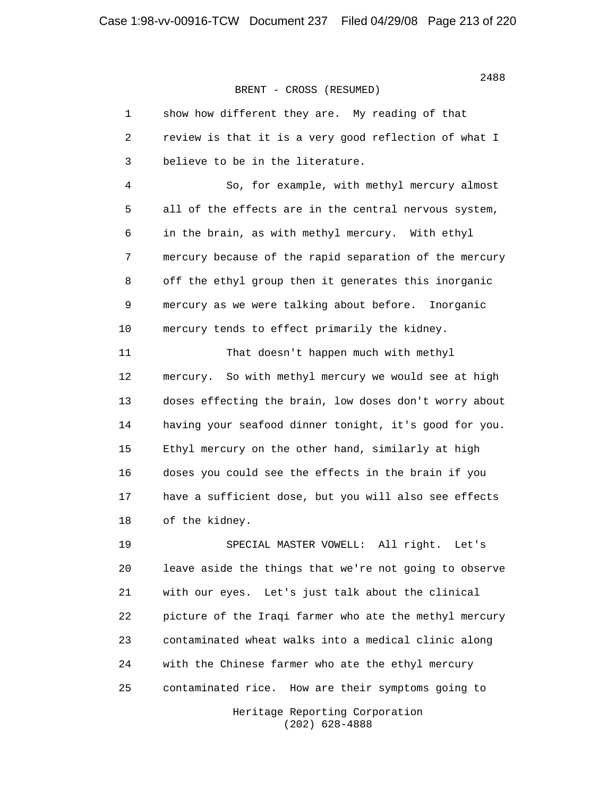| 1              | show how different they are. My reading of that        |
|----------------|--------------------------------------------------------|
| 2              | review is that it is a very good reflection of what I  |
| $\mathsf{3}$   | believe to be in the literature.                       |
| $\overline{4}$ | So, for example, with methyl mercury almost            |
| 5              | all of the effects are in the central nervous system,  |
| 6              | in the brain, as with methyl mercury. With ethyl       |
| $7\phantom{.}$ | mercury because of the rapid separation of the mercury |
| 8              | off the ethyl group then it generates this inorganic   |
| 9              | mercury as we were talking about before. Inorganic     |
| 10             | mercury tends to effect primarily the kidney.          |
| 11             | That doesn't happen much with methyl                   |
| 12             | mercury. So with methyl mercury we would see at high   |
| 13             | doses effecting the brain, low doses don't worry about |
| 14             | having your seafood dinner tonight, it's good for you. |
| 15             | Ethyl mercury on the other hand, similarly at high     |
| 16             | doses you could see the effects in the brain if you    |
| 17             | have a sufficient dose, but you will also see effects  |
| 18             | of the kidney.                                         |
| 19             | All right.<br>SPECIAL MASTER VOWELL:<br>Let's          |
| 20             | leave aside the things that we're not going to observe |
| 21             | with our eyes. Let's just talk about the clinical      |
| 22             | picture of the Iraqi farmer who ate the methyl mercury |
| 23             | contaminated wheat walks into a medical clinic along   |

25 contaminated rice. How are their symptoms going to

24 with the Chinese farmer who ate the ethyl mercury

 Heritage Reporting Corporation (202) 628-4888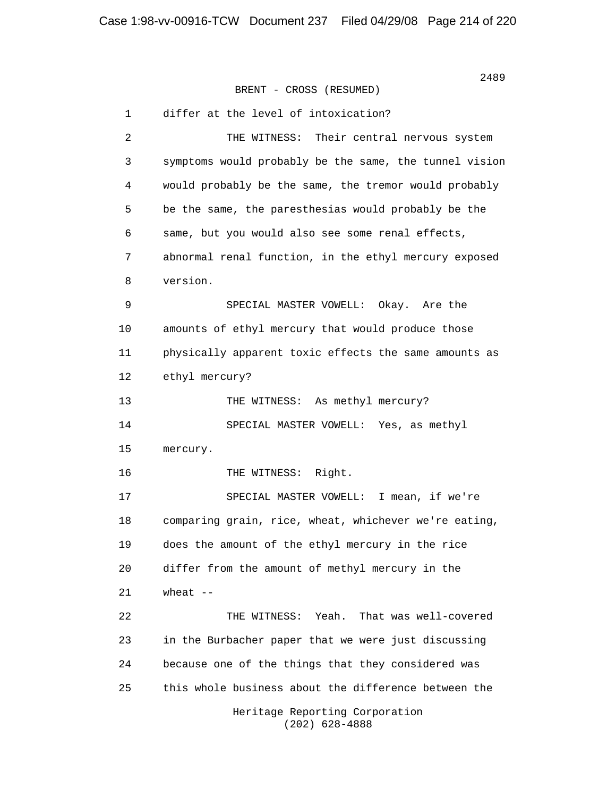> 1 differ at the level of intoxication? 2 THE WITNESS: Their central nervous system 3 symptoms would probably be the same, the tunnel vision 4 would probably be the same, the tremor would probably 5 be the same, the paresthesias would probably be the 6 same, but you would also see some renal effects, 7 abnormal renal function, in the ethyl mercury exposed 8 version. 9 SPECIAL MASTER VOWELL: Okay. Are the 10 amounts of ethyl mercury that would produce those 11 physically apparent toxic effects the same amounts as 12 ethyl mercury? 13 THE WITNESS: As methyl mercury? 14 SPECIAL MASTER VOWELL: Yes, as methyl 15 mercury. 16 THE WITNESS: Right. 17 SPECIAL MASTER VOWELL: I mean, if we're 18 comparing grain, rice, wheat, whichever we're eating, 19 does the amount of the ethyl mercury in the rice 20 differ from the amount of methyl mercury in the 21 wheat -- 22 THE WITNESS: Yeah. That was well-covered 23 in the Burbacher paper that we were just discussing 24 because one of the things that they considered was 25 this whole business about the difference between the Heritage Reporting Corporation (202) 628-4888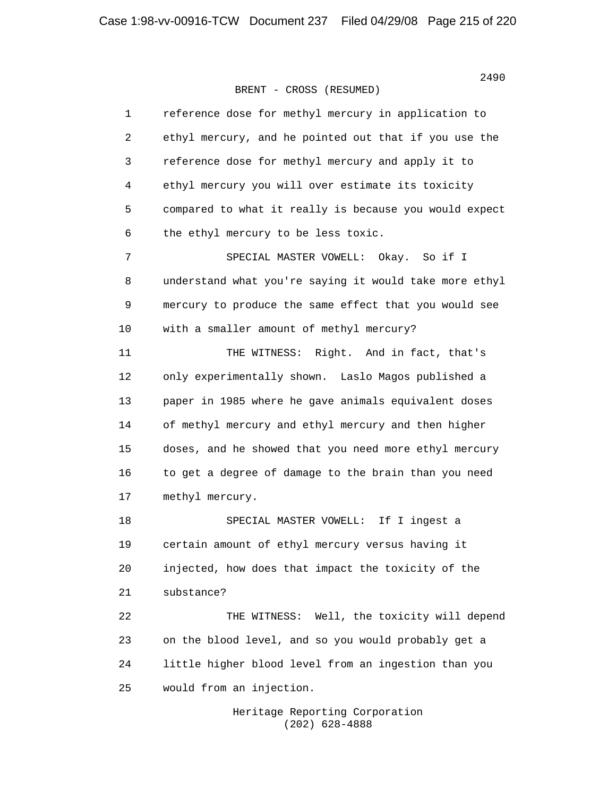| 1  | reference dose for methyl mercury in application to    |
|----|--------------------------------------------------------|
| 2  | ethyl mercury, and he pointed out that if you use the  |
| 3  | reference dose for methyl mercury and apply it to      |
| 4  | ethyl mercury you will over estimate its toxicity      |
| 5  | compared to what it really is because you would expect |
| 6  | the ethyl mercury to be less toxic.                    |
| 7  | SPECIAL MASTER VOWELL: Okay. So if I                   |
| 8  | understand what you're saying it would take more ethyl |
| 9  | mercury to produce the same effect that you would see  |
| 10 | with a smaller amount of methyl mercury?               |
| 11 | THE WITNESS: Right. And in fact, that's                |
| 12 | only experimentally shown. Laslo Magos published a     |
| 13 | paper in 1985 where he gave animals equivalent doses   |
| 14 | of methyl mercury and ethyl mercury and then higher    |
| 15 | doses, and he showed that you need more ethyl mercury  |
| 16 | to get a degree of damage to the brain than you need   |
| 17 | methyl mercury.                                        |
| 18 | SPECIAL MASTER VOWELL: If I ingest a                   |
| 19 | certain amount of ethyl mercury versus having it       |
| 20 | injected, how does that impact the toxicity of the     |
| 21 | substance?                                             |
| 22 | Well, the toxicity will depend<br>THE WITNESS:         |
| 23 | on the blood level, and so you would probably get a    |
| 24 | little higher blood level from an ingestion than you   |
| 25 | would from an injection.                               |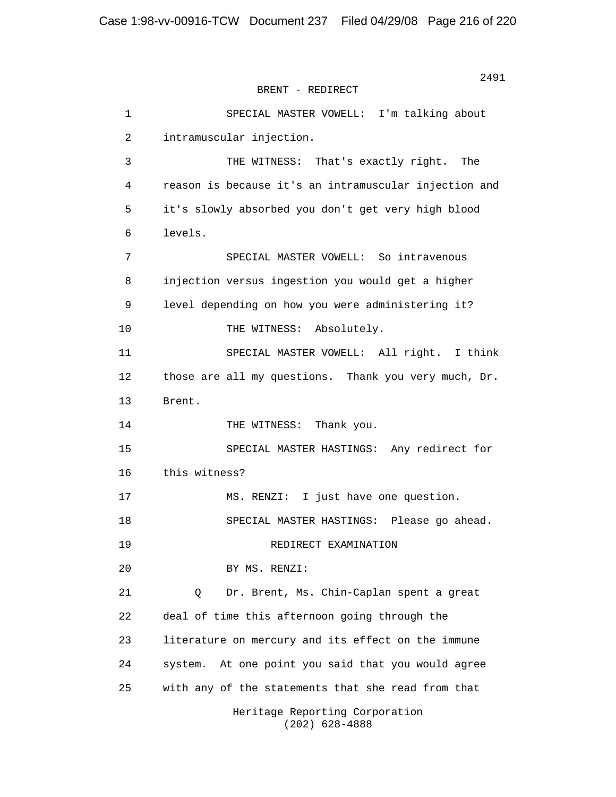BRENT - REDIRECT

 1 SPECIAL MASTER VOWELL: I'm talking about 2 intramuscular injection. 3 THE WITNESS: That's exactly right. The 4 reason is because it's an intramuscular injection and 5 it's slowly absorbed you don't get very high blood 6 levels. 7 SPECIAL MASTER VOWELL: So intravenous 8 injection versus ingestion you would get a higher 9 level depending on how you were administering it? 10 THE WITNESS: Absolutely. 11 SPECIAL MASTER VOWELL: All right. I think 12 those are all my questions. Thank you very much, Dr. 13 Brent. 14 THE WITNESS: Thank you. 15 SPECIAL MASTER HASTINGS: Any redirect for 16 this witness? 17 MS. RENZI: I just have one question. 18 SPECIAL MASTER HASTINGS: Please go ahead. 19 REDIRECT EXAMINATION 20 BY MS. RENZI: 21 Q Dr. Brent, Ms. Chin-Caplan spent a great 22 deal of time this afternoon going through the 23 literature on mercury and its effect on the immune 24 system. At one point you said that you would agree 25 with any of the statements that she read from that Heritage Reporting Corporation

(202) 628-4888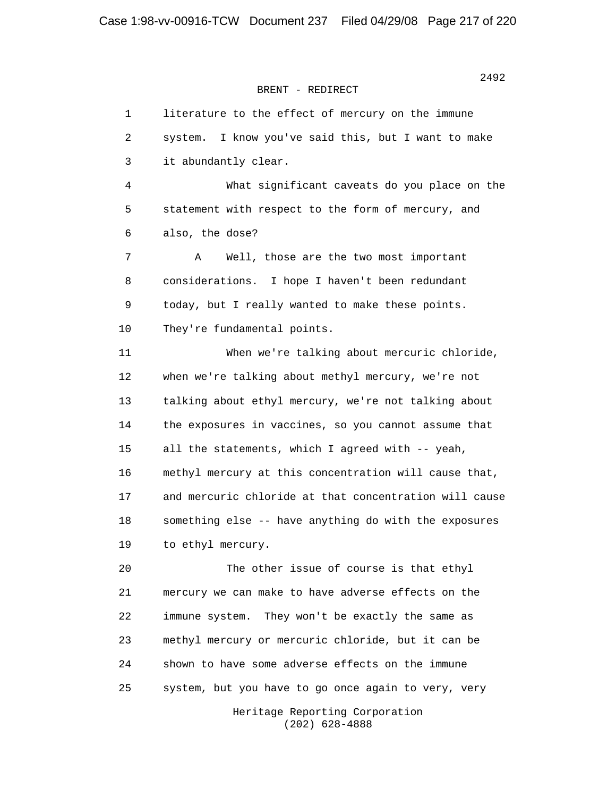## BRENT - REDIRECT

 1 literature to the effect of mercury on the immune 2 system. I know you've said this, but I want to make 3 it abundantly clear. 4 What significant caveats do you place on the 5 statement with respect to the form of mercury, and 6 also, the dose? 7 A Well, those are the two most important 8 considerations. I hope I haven't been redundant 9 today, but I really wanted to make these points. 10 They're fundamental points. 11 When we're talking about mercuric chloride, 12 when we're talking about methyl mercury, we're not 13 talking about ethyl mercury, we're not talking about 14 the exposures in vaccines, so you cannot assume that 15 all the statements, which I agreed with -- yeah, 16 methyl mercury at this concentration will cause that, 17 and mercuric chloride at that concentration will cause 18 something else -- have anything do with the exposures 19 to ethyl mercury. 20 The other issue of course is that ethyl 21 mercury we can make to have adverse effects on the 22 immune system. They won't be exactly the same as 23 methyl mercury or mercuric chloride, but it can be 24 shown to have some adverse effects on the immune 25 system, but you have to go once again to very, very

> Heritage Reporting Corporation (202) 628-4888

2492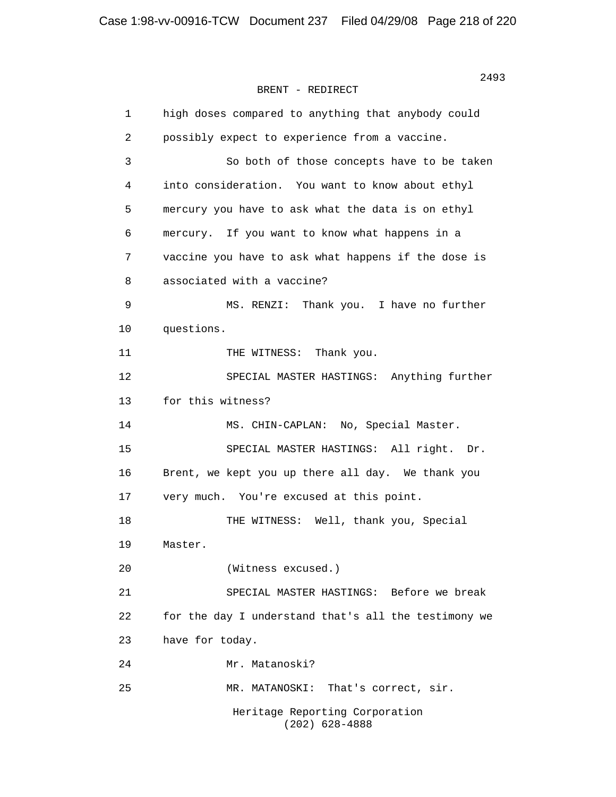2493 BRENT - REDIRECT

> 1 high doses compared to anything that anybody could 2 possibly expect to experience from a vaccine. 3 So both of those concepts have to be taken 4 into consideration. You want to know about ethyl 5 mercury you have to ask what the data is on ethyl 6 mercury. If you want to know what happens in a 7 vaccine you have to ask what happens if the dose is 8 associated with a vaccine? 9 MS. RENZI: Thank you. I have no further 10 questions. 11 THE WITNESS: Thank you. 12 SPECIAL MASTER HASTINGS: Anything further 13 for this witness? 14 MS. CHIN-CAPLAN: No, Special Master. 15 SPECIAL MASTER HASTINGS: All right. Dr. 16 Brent, we kept you up there all day. We thank you 17 very much. You're excused at this point. 18 THE WITNESS: Well, thank you, Special 19 Master. 20 (Witness excused.) 21 SPECIAL MASTER HASTINGS: Before we break 22 for the day I understand that's all the testimony we 23 have for today. 24 Mr. Matanoski? 25 MR. MATANOSKI: That's correct, sir. Heritage Reporting Corporation (202) 628-4888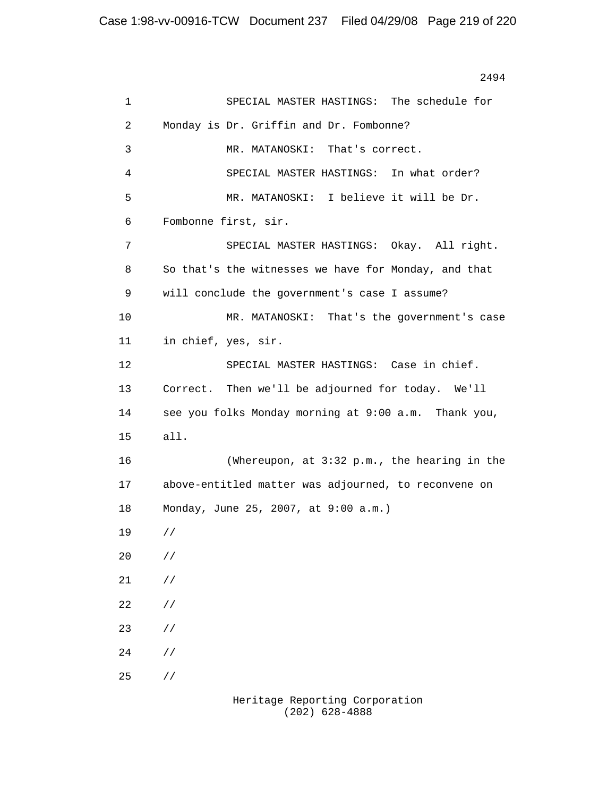2494 1 SPECIAL MASTER HASTINGS: The schedule for 2 Monday is Dr. Griffin and Dr. Fombonne? 3 MR. MATANOSKI: That's correct. 4 SPECIAL MASTER HASTINGS: In what order? 5 MR. MATANOSKI: I believe it will be Dr. 6 Fombonne first, sir. 7 SPECIAL MASTER HASTINGS: Okay. All right. 8 So that's the witnesses we have for Monday, and that 9 will conclude the government's case I assume? 10 MR. MATANOSKI: That's the government's case 11 in chief, yes, sir. 12 SPECIAL MASTER HASTINGS: Case in chief. 13 Correct. Then we'll be adjourned for today. We'll 14 see you folks Monday morning at 9:00 a.m. Thank you, 15 all. 16 (Whereupon, at 3:32 p.m., the hearing in the 17 above-entitled matter was adjourned, to reconvene on 18 Monday, June 25, 2007, at 9:00 a.m.) 19 // 20 // 21 // 22 // 23 //  $24$  //  $25$  //

 Heritage Reporting Corporation (202) 628-4888